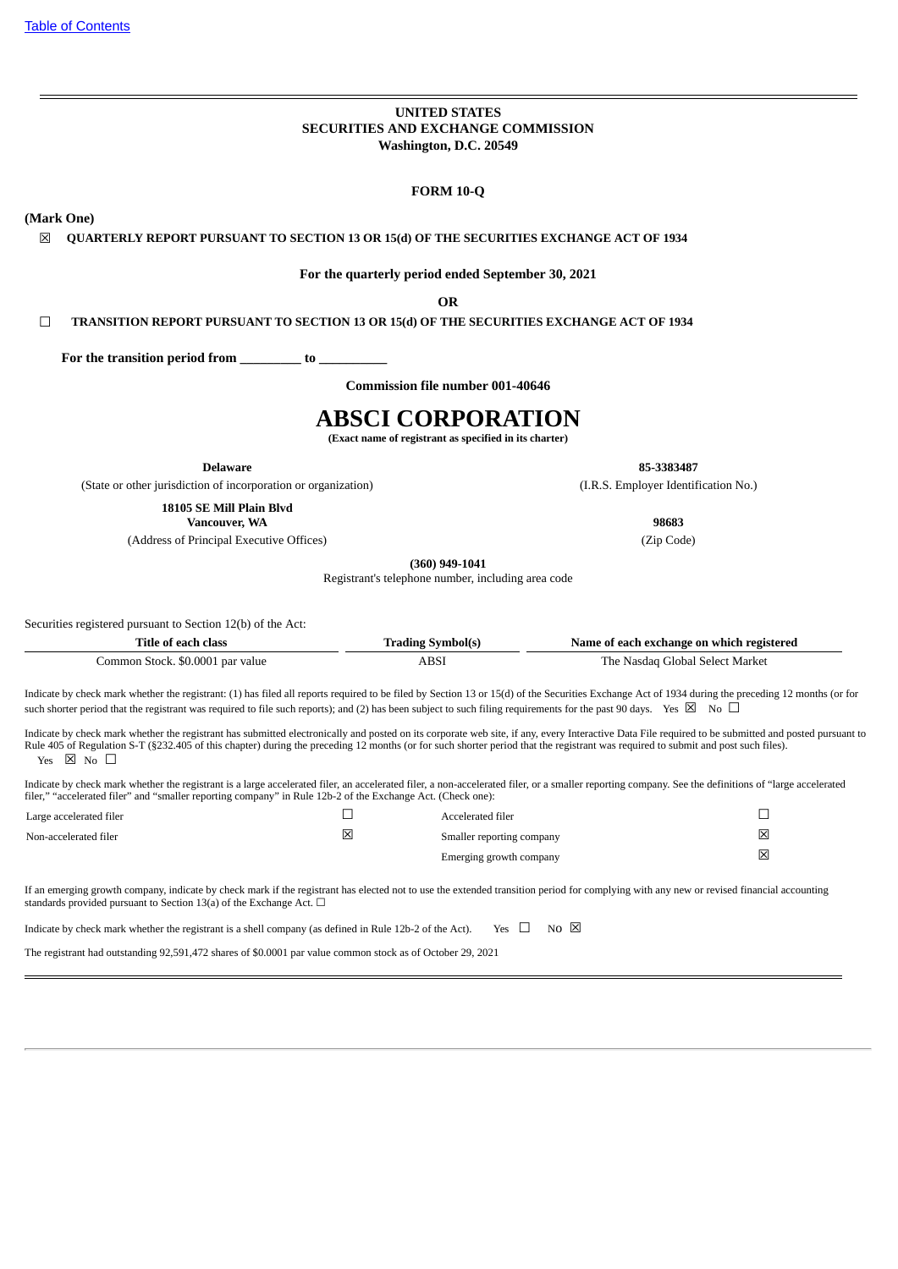## **UNITED STATES SECURITIES AND EXCHANGE COMMISSION Washington, D.C. 20549**

## **FORM 10-Q**

**(Mark One)**

☒ **QUARTERLY REPORT PURSUANT TO SECTION 13 OR 15(d) OF THE SECURITIES EXCHANGE ACT OF 1934**

#### **For the quarterly period ended September 30, 2021**

**OR**

☐ **TRANSITION REPORT PURSUANT TO SECTION 13 OR 15(d) OF THE SECURITIES EXCHANGE ACT OF 1934**

**For the transition period from \_\_\_\_\_\_\_\_\_ to \_\_\_\_\_\_\_\_\_\_**

**Commission file number 001-40646**

# **ABSCI CORPORATION**

**(Exact name of registrant as specified in its charter)**

**Delaware 85-3383487**

(State or other jurisdiction of incorporation or organization) (I.R.S. Employer Identification No.)

**18105 SE Mill Plain Blvd Vancouver, WA 98683**

(Address of Principal Executive Offices) (Zip Code)

**(360) 949-1041**

Registrant's telephone number, including area code

Securities registered pursuant to Section 12(b) of the Act:

| Title of each class              | <b>Trading Symbol(s)</b> | Name of each exchange on which registered |  |  |  |  |  |
|----------------------------------|--------------------------|-------------------------------------------|--|--|--|--|--|
| Common Stock. \$0.0001 par value | ABSI                     | The Nasdaq Global Select Market           |  |  |  |  |  |

Indicate by check mark whether the registrant: (1) has filed all reports required to be filed by Section 13 or 15(d) of the Securities Exchange Act of 1934 during the preceding 12 months (or for such shorter period that the registrant was required to file such reports); and (2) has been subject to such filing requirements for the past 90 days. Yes  $\boxtimes$  No  $\Box$ 

Indicate by check mark whether the registrant has submitted electronically and posted on its corporate web site, if any, every Interactive Data File required to be submitted and posted pursuant to Rule 405 of Regulation S-T (§232.405 of this chapter) during the preceding 12 months (or for such shorter period that the registrant was required to submit and post such files). Yes  $\boxtimes$  No  $\Box$ 

Indicate by check mark whether the registrant is a large accelerated filer, an accelerated filer, a non-accelerated filer, or a smaller reporting company. See the definitions of "large accelerated filer," "accelerated filer" and "smaller reporting company" in Rule 12b-2 of the Exchange Act. (Check one):

| Large accelerated filer |   | Accelerated filer         |   |
|-------------------------|---|---------------------------|---|
| Non-accelerated filer   | ⊠ | Smaller reporting company | 図 |
|                         |   | Emerging growth company   | 図 |

If an emerging growth company, indicate by check mark if the registrant has elected not to use the extended transition period for complying with any new or revised financial accounting standards provided pursuant to Section 13(a) of the Exchange Act.  $\Box$ 

Indicate by check mark whether the registrant is a shell company (as defined in Rule 12b-2 of the Act). Yes  $\Box$  NO  $\boxtimes$ 

<span id="page-0-0"></span>The registrant had outstanding 92,591,472 shares of \$0.0001 par value common stock as of October 29, 2021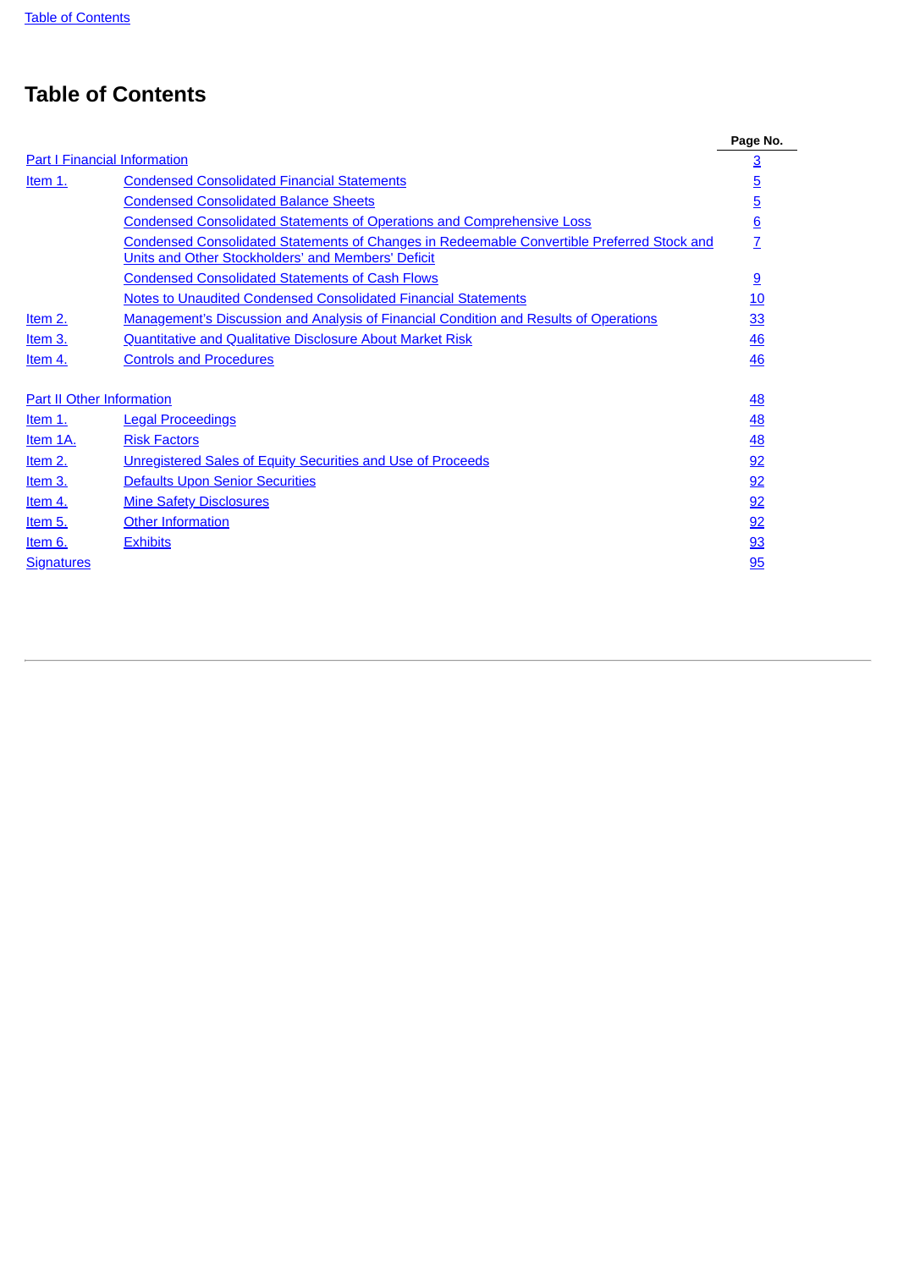# **Table of Contents**

<span id="page-1-0"></span>

|                                     |                                                                                                                                                  | Page No.        |
|-------------------------------------|--------------------------------------------------------------------------------------------------------------------------------------------------|-----------------|
| <b>Part I Financial Information</b> |                                                                                                                                                  | $\overline{3}$  |
| Item 1.                             | <b>Condensed Consolidated Financial Statements</b>                                                                                               | $\overline{5}$  |
|                                     | <b>Condensed Consolidated Balance Sheets</b>                                                                                                     | 5               |
|                                     | <b>Condensed Consolidated Statements of Operations and Comprehensive Loss</b>                                                                    | $\underline{6}$ |
|                                     | Condensed Consolidated Statements of Changes in Redeemable Convertible Preferred Stock and<br>Units and Other Stockholders' and Members' Deficit | $\overline{1}$  |
|                                     | <b>Condensed Consolidated Statements of Cash Flows</b>                                                                                           | 9               |
|                                     | <b>Notes to Unaudited Condensed Consolidated Financial Statements</b>                                                                            | 10              |
| Item 2.                             | <b>Management's Discussion and Analysis of Financial Condition and Results of Operations</b>                                                     | 33              |
| Item 3.                             | Quantitative and Qualitative Disclosure About Market Risk                                                                                        | 46              |
| Item 4.                             | <b>Controls and Procedures</b>                                                                                                                   | 46              |
| <b>Part II Other Information</b>    |                                                                                                                                                  | 48              |
| Item $1$ .                          | <b>Legal Proceedings</b>                                                                                                                         | <u>48</u>       |
| Item 1A.                            | <b>Risk Factors</b>                                                                                                                              | <u>48</u>       |
| Item 2.                             | Unregistered Sales of Equity Securities and Use of Proceeds                                                                                      | 92              |
| Item 3.                             | <b>Defaults Upon Senior Securities</b>                                                                                                           | 92              |
| Item 4.                             | <b>Mine Safety Disclosures</b>                                                                                                                   | 92              |
| Item 5.                             | <b>Other Information</b>                                                                                                                         | 92              |
| Item 6.                             | <b>Exhibits</b>                                                                                                                                  | 93              |
| <b>Signatures</b>                   |                                                                                                                                                  | 95              |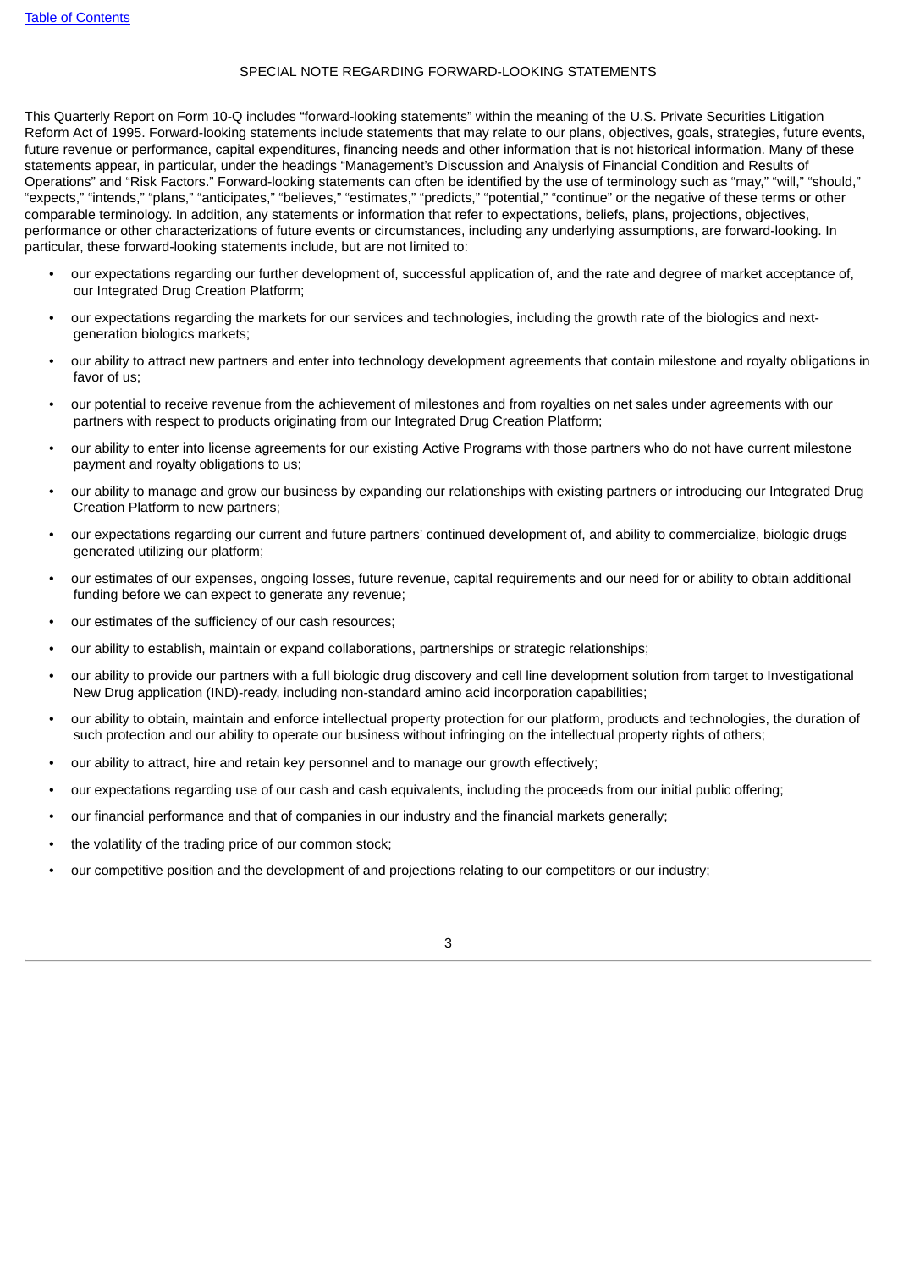# SPECIAL NOTE REGARDING FORWARD-LOOKING STATEMENTS

This Quarterly Report on Form 10-Q includes "forward-looking statements" within the meaning of the U.S. Private Securities Litigation Reform Act of 1995. Forward-looking statements include statements that may relate to our plans, objectives, goals, strategies, future events, future revenue or performance, capital expenditures, financing needs and other information that is not historical information. Many of these statements appear, in particular, under the headings "Management's Discussion and Analysis of Financial Condition and Results of Operations" and "Risk Factors." Forward-looking statements can often be identified by the use of terminology such as "may," "will," "should," "expects," "intends," "plans," "anticipates," "believes," "estimates," "predicts," "potential," "continue" or the negative of these terms or other comparable terminology. In addition, any statements or information that refer to expectations, beliefs, plans, projections, objectives, performance or other characterizations of future events or circumstances, including any underlying assumptions, are forward-looking. In particular, these forward-looking statements include, but are not limited to:

- our expectations regarding our further development of, successful application of, and the rate and degree of market acceptance of, our Integrated Drug Creation Platform;
- our expectations regarding the markets for our services and technologies, including the growth rate of the biologics and nextgeneration biologics markets;
- our ability to attract new partners and enter into technology development agreements that contain milestone and royalty obligations in favor of us;
- our potential to receive revenue from the achievement of milestones and from royalties on net sales under agreements with our partners with respect to products originating from our Integrated Drug Creation Platform;
- our ability to enter into license agreements for our existing Active Programs with those partners who do not have current milestone payment and royalty obligations to us;
- our ability to manage and grow our business by expanding our relationships with existing partners or introducing our Integrated Drug Creation Platform to new partners;
- our expectations regarding our current and future partners' continued development of, and ability to commercialize, biologic drugs generated utilizing our platform;
- our estimates of our expenses, ongoing losses, future revenue, capital requirements and our need for or ability to obtain additional funding before we can expect to generate any revenue;
- our estimates of the sufficiency of our cash resources;
- our ability to establish, maintain or expand collaborations, partnerships or strategic relationships;
- our ability to provide our partners with a full biologic drug discovery and cell line development solution from target to Investigational New Drug application (IND)-ready, including non-standard amino acid incorporation capabilities;
- our ability to obtain, maintain and enforce intellectual property protection for our platform, products and technologies, the duration of such protection and our ability to operate our business without infringing on the intellectual property rights of others;
- our ability to attract, hire and retain key personnel and to manage our growth effectively;
- our expectations regarding use of our cash and cash equivalents, including the proceeds from our initial public offering;
- our financial performance and that of companies in our industry and the financial markets generally;
- the volatility of the trading price of our common stock;
- our competitive position and the development of and projections relating to our competitors or our industry;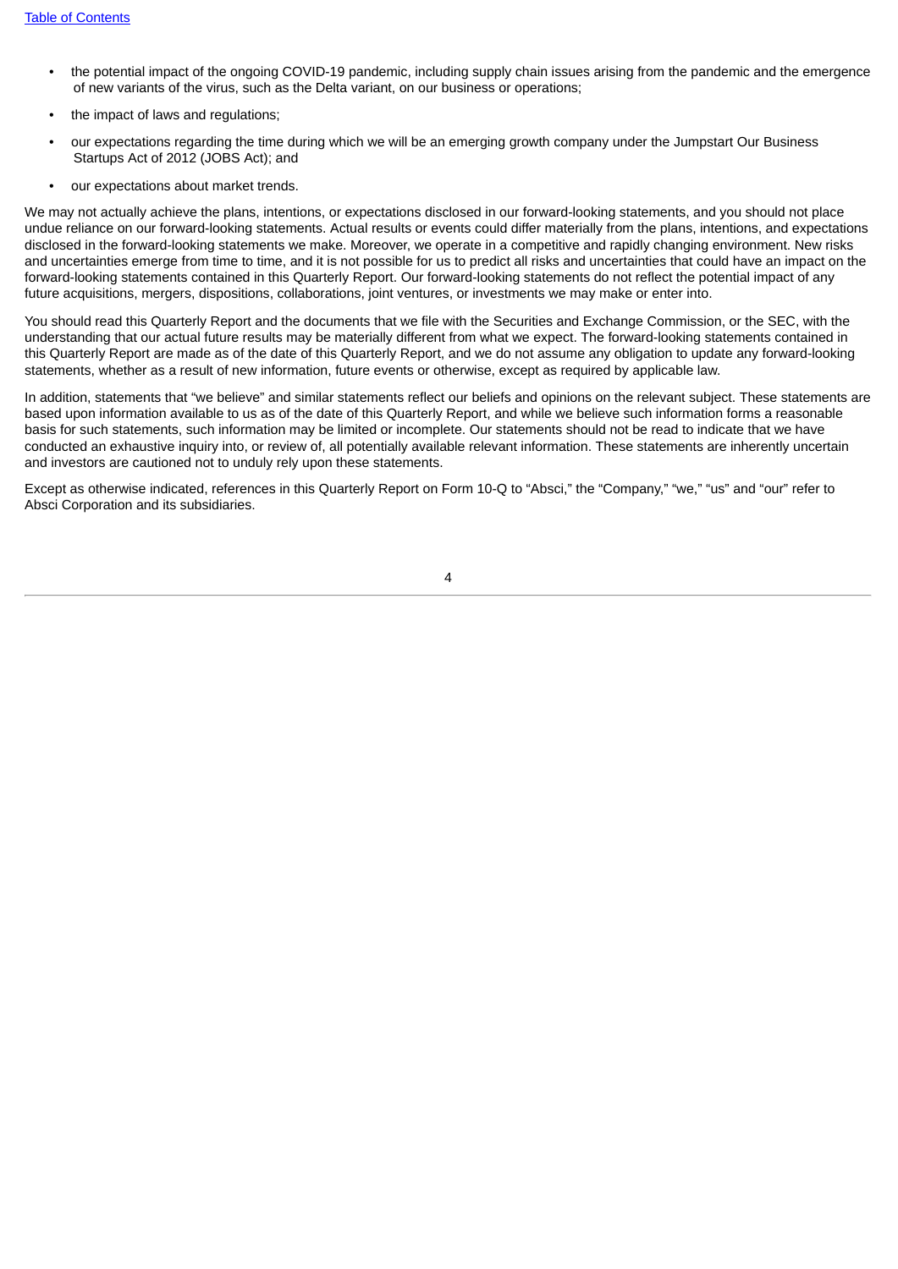- the potential impact of the ongoing COVID-19 pandemic, including supply chain issues arising from the pandemic and the emergence of new variants of the virus, such as the Delta variant, on our business or operations;
- the impact of laws and regulations;
- our expectations regarding the time during which we will be an emerging growth company under the Jumpstart Our Business Startups Act of 2012 (JOBS Act); and
- our expectations about market trends.

We may not actually achieve the plans, intentions, or expectations disclosed in our forward-looking statements, and you should not place undue reliance on our forward-looking statements. Actual results or events could differ materially from the plans, intentions, and expectations disclosed in the forward-looking statements we make. Moreover, we operate in a competitive and rapidly changing environment. New risks and uncertainties emerge from time to time, and it is not possible for us to predict all risks and uncertainties that could have an impact on the forward-looking statements contained in this Quarterly Report. Our forward-looking statements do not reflect the potential impact of any future acquisitions, mergers, dispositions, collaborations, joint ventures, or investments we may make or enter into.

You should read this Quarterly Report and the documents that we file with the Securities and Exchange Commission, or the SEC, with the understanding that our actual future results may be materially different from what we expect. The forward-looking statements contained in this Quarterly Report are made as of the date of this Quarterly Report, and we do not assume any obligation to update any forward-looking statements, whether as a result of new information, future events or otherwise, except as required by applicable law.

In addition, statements that "we believe" and similar statements reflect our beliefs and opinions on the relevant subject. These statements are based upon information available to us as of the date of this Quarterly Report, and while we believe such information forms a reasonable basis for such statements, such information may be limited or incomplete. Our statements should not be read to indicate that we have conducted an exhaustive inquiry into, or review of, all potentially available relevant information. These statements are inherently uncertain and investors are cautioned not to unduly rely upon these statements.

Except as otherwise indicated, references in this Quarterly Report on Form 10-Q to "Absci," the "Company," "we," "us" and "our" refer to Absci Corporation and its subsidiaries.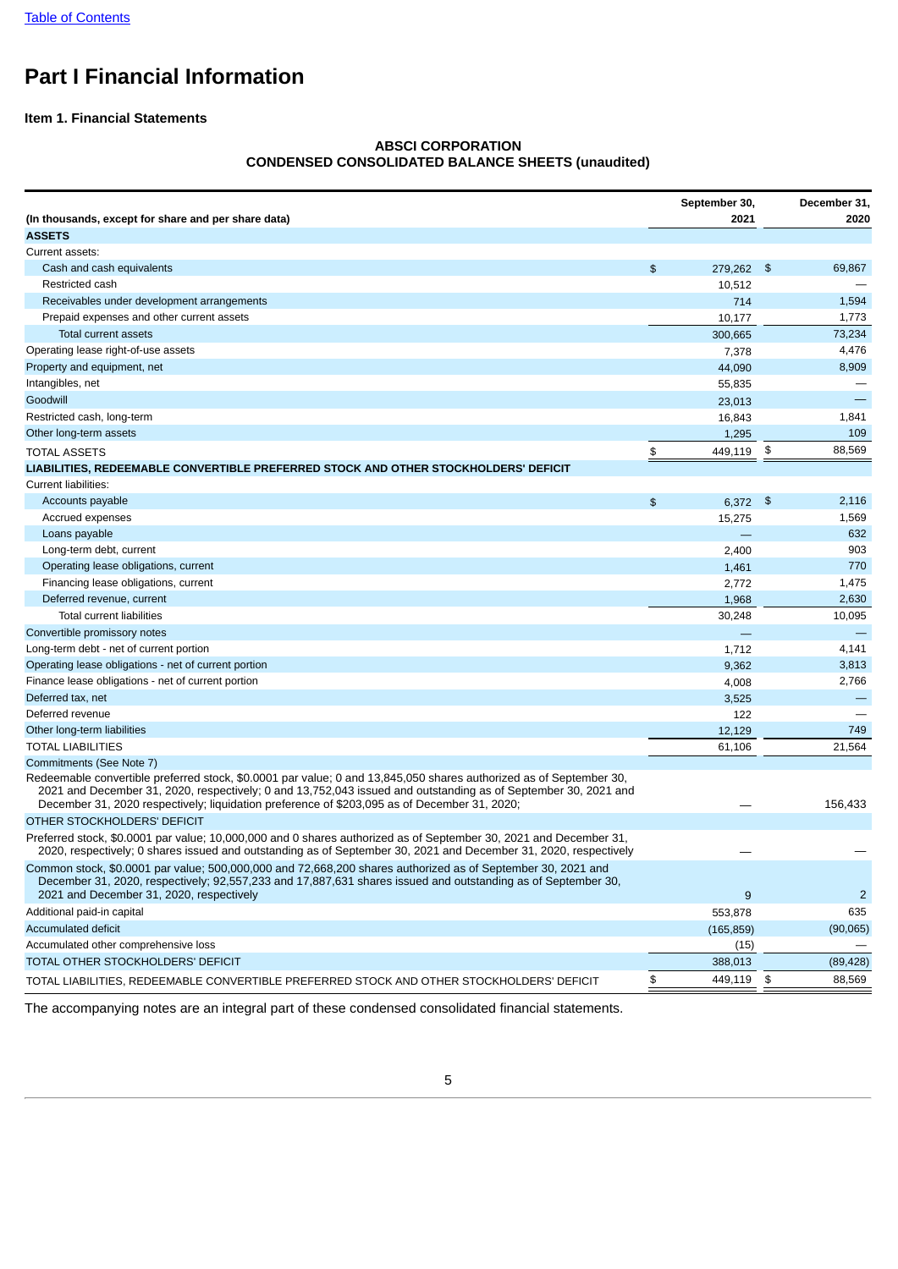# **Part I Financial Information**

# <span id="page-4-1"></span><span id="page-4-0"></span>**Item 1. Financial Statements**

# **ABSCI CORPORATION CONDENSED CONSOLIDATED BALANCE SHEETS (unaudited)**

| (In thousands, except for share and per share data)                                                                                                                                                                                                                                                                                  | September 30,<br>2021 | December 31,<br>2020 |
|--------------------------------------------------------------------------------------------------------------------------------------------------------------------------------------------------------------------------------------------------------------------------------------------------------------------------------------|-----------------------|----------------------|
| <b>ASSETS</b>                                                                                                                                                                                                                                                                                                                        |                       |                      |
| Current assets:                                                                                                                                                                                                                                                                                                                      |                       |                      |
| Cash and cash equivalents                                                                                                                                                                                                                                                                                                            | \$<br>279,262 \$      | 69,867               |
| Restricted cash                                                                                                                                                                                                                                                                                                                      | 10,512                |                      |
| Receivables under development arrangements                                                                                                                                                                                                                                                                                           | 714                   | 1,594                |
| Prepaid expenses and other current assets                                                                                                                                                                                                                                                                                            | 10,177                | 1,773                |
| Total current assets                                                                                                                                                                                                                                                                                                                 | 300,665               | 73,234               |
| Operating lease right-of-use assets                                                                                                                                                                                                                                                                                                  | 7,378                 | 4,476                |
| Property and equipment, net                                                                                                                                                                                                                                                                                                          | 44,090                | 8,909                |
| Intangibles, net                                                                                                                                                                                                                                                                                                                     | 55,835                |                      |
| Goodwill                                                                                                                                                                                                                                                                                                                             | 23,013                |                      |
| Restricted cash, long-term                                                                                                                                                                                                                                                                                                           | 16,843                | 1,841                |
| Other long-term assets                                                                                                                                                                                                                                                                                                               | 1,295                 | 109                  |
| <b>TOTAL ASSETS</b>                                                                                                                                                                                                                                                                                                                  | \$<br>449,119         | \$<br>88,569         |
| LIABILITIES, REDEEMABLE CONVERTIBLE PREFERRED STOCK AND OTHER STOCKHOLDERS' DEFICIT                                                                                                                                                                                                                                                  |                       |                      |
| <b>Current liabilities:</b>                                                                                                                                                                                                                                                                                                          |                       |                      |
| Accounts payable                                                                                                                                                                                                                                                                                                                     | \$<br>$6,372$ \$      | 2,116                |
| Accrued expenses                                                                                                                                                                                                                                                                                                                     | 15,275                | 1,569                |
| Loans payable                                                                                                                                                                                                                                                                                                                        |                       | 632                  |
| Long-term debt, current                                                                                                                                                                                                                                                                                                              | 2,400                 | 903                  |
| Operating lease obligations, current                                                                                                                                                                                                                                                                                                 | 1,461                 | 770                  |
| Financing lease obligations, current                                                                                                                                                                                                                                                                                                 | 2,772                 | 1,475                |
| Deferred revenue, current                                                                                                                                                                                                                                                                                                            | 1,968                 | 2,630                |
| <b>Total current liabilities</b>                                                                                                                                                                                                                                                                                                     | 30,248                | 10,095               |
| Convertible promissory notes                                                                                                                                                                                                                                                                                                         |                       |                      |
| Long-term debt - net of current portion                                                                                                                                                                                                                                                                                              | 1,712                 | 4,141                |
| Operating lease obligations - net of current portion                                                                                                                                                                                                                                                                                 | 9,362                 | 3,813                |
| Finance lease obligations - net of current portion                                                                                                                                                                                                                                                                                   | 4,008                 | 2,766                |
| Deferred tax, net                                                                                                                                                                                                                                                                                                                    | 3,525                 |                      |
| Deferred revenue                                                                                                                                                                                                                                                                                                                     | 122                   |                      |
| Other long-term liabilities                                                                                                                                                                                                                                                                                                          | 12,129                | 749                  |
| <b>TOTAL LIABILITIES</b>                                                                                                                                                                                                                                                                                                             | 61,106                | 21,564               |
| Commitments (See Note 7)                                                                                                                                                                                                                                                                                                             |                       |                      |
| Redeemable convertible preferred stock, \$0.0001 par value; 0 and 13,845,050 shares authorized as of September 30,<br>2021 and December 31, 2020, respectively; 0 and 13,752,043 issued and outstanding as of September 30, 2021 and<br>December 31, 2020 respectively; liquidation preference of \$203,095 as of December 31, 2020; |                       | 156,433              |
| OTHER STOCKHOLDERS' DEFICIT                                                                                                                                                                                                                                                                                                          |                       |                      |
| Preferred stock, \$0.0001 par value; 10,000,000 and 0 shares authorized as of September 30, 2021 and December 31,<br>2020, respectively; 0 shares issued and outstanding as of September 30, 2021 and December 31, 2020, respectively                                                                                                |                       |                      |
| Common stock, \$0.0001 par value; 500,000,000 and 72,668,200 shares authorized as of September 30, 2021 and<br>December 31, 2020, respectively; 92,557,233 and 17,887,631 shares issued and outstanding as of September 30,<br>2021 and December 31, 2020, respectively                                                              | 9                     | 2                    |
| Additional paid-in capital                                                                                                                                                                                                                                                                                                           | 553,878               | 635                  |
| <b>Accumulated deficit</b>                                                                                                                                                                                                                                                                                                           | (165, 859)            | (90,065)             |
| Accumulated other comprehensive loss                                                                                                                                                                                                                                                                                                 | (15)                  |                      |
| TOTAL OTHER STOCKHOLDERS' DEFICIT                                                                                                                                                                                                                                                                                                    | 388,013               | (89, 428)            |
| TOTAL LIABILITIES, REDEEMABLE CONVERTIBLE PREFERRED STOCK AND OTHER STOCKHOLDERS' DEFICIT                                                                                                                                                                                                                                            | \$<br>449,119         | \$<br>88,569         |

<span id="page-4-2"></span>The accompanying notes are an integral part of these condensed consolidated financial statements.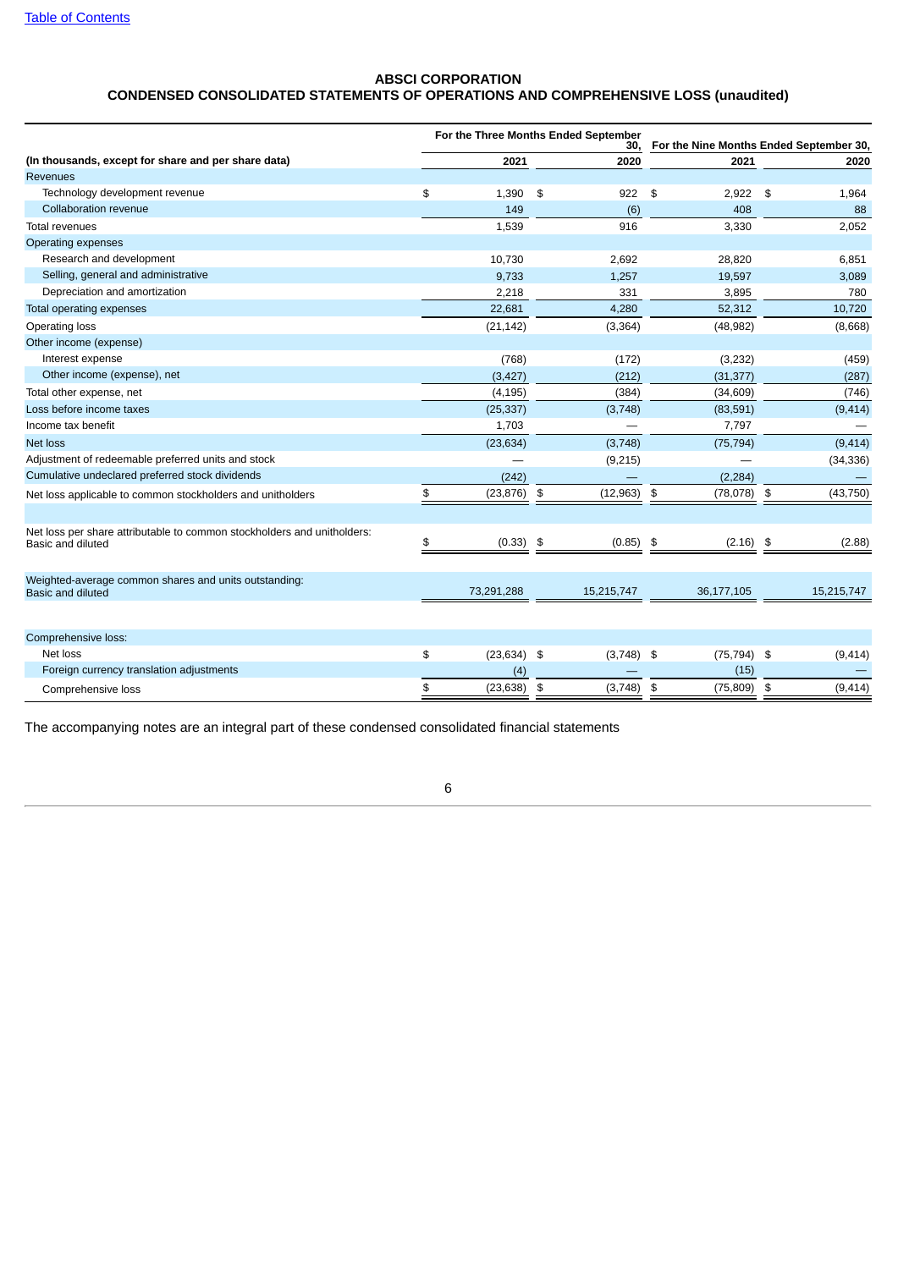# **ABSCI CORPORATION CONDENSED CONSOLIDATED STATEMENTS OF OPERATIONS AND COMPREHENSIVE LOSS (unaudited)**

|                                                                                              | For the Three Months Ended September |                 |                     |                                         |
|----------------------------------------------------------------------------------------------|--------------------------------------|-----------------|---------------------|-----------------------------------------|
|                                                                                              |                                      | 30,             |                     | For the Nine Months Ended September 30, |
| (In thousands, except for share and per share data)                                          | 2021                                 | 2020            | 2021                | 2020                                    |
| Revenues                                                                                     |                                      |                 |                     |                                         |
| Technology development revenue                                                               | \$<br>1,390                          | \$<br>922       | \$<br>2,922         | \$<br>1,964                             |
| <b>Collaboration revenue</b>                                                                 | 149                                  | (6)             | 408                 | 88                                      |
| <b>Total revenues</b>                                                                        | 1,539                                | 916             | 3,330               | 2,052                                   |
| Operating expenses                                                                           |                                      |                 |                     |                                         |
| Research and development                                                                     | 10,730                               | 2,692           | 28,820              | 6,851                                   |
| Selling, general and administrative                                                          | 9,733                                | 1,257           | 19,597              | 3,089                                   |
| Depreciation and amortization                                                                | 2,218                                | 331             | 3,895               | 780                                     |
| Total operating expenses                                                                     | 22,681                               | 4,280           | 52,312              | 10,720                                  |
| Operating loss                                                                               | (21, 142)                            | (3, 364)        | (48, 982)           | (8,668)                                 |
| Other income (expense)                                                                       |                                      |                 |                     |                                         |
| Interest expense                                                                             | (768)                                | (172)           | (3,232)             | (459)                                   |
| Other income (expense), net                                                                  | (3, 427)                             | (212)           | (31, 377)           | (287)                                   |
| Total other expense, net                                                                     | (4, 195)                             | (384)           | (34, 609)           | (746)                                   |
| Loss before income taxes                                                                     | (25, 337)                            | (3,748)         | (83,591)            | (9, 414)                                |
| Income tax benefit                                                                           | 1,703                                |                 | 7,797               |                                         |
| Net loss                                                                                     | (23, 634)                            | (3,748)         | (75, 794)           | (9, 414)                                |
| Adjustment of redeemable preferred units and stock                                           |                                      | (9, 215)        |                     | (34, 336)                               |
| Cumulative undeclared preferred stock dividends                                              | (242)                                |                 | (2, 284)            |                                         |
| Net loss applicable to common stockholders and unitholders                                   | \$<br>(23, 876)                      | \$<br>(12, 963) | \$<br>$(78,078)$ \$ | (43, 750)                               |
|                                                                                              |                                      |                 |                     |                                         |
| Net loss per share attributable to common stockholders and unitholders:<br>Basic and diluted | \$<br>(0.33)                         | \$<br>(0.85)    | \$<br>(2.16)        | \$<br>(2.88)                            |
|                                                                                              |                                      |                 |                     |                                         |
| Weighted-average common shares and units outstanding:<br>Basic and diluted                   | 73,291,288                           | 15,215,747      | 36,177,105          | 15,215,747                              |
|                                                                                              |                                      |                 |                     |                                         |
| Comprehensive loss:                                                                          |                                      |                 |                     |                                         |
| Net loss                                                                                     | \$<br>$(23, 634)$ \$                 | $(3,748)$ \$    | $(75, 794)$ \$      | (9, 414)                                |
| Foreign currency translation adjustments                                                     | (4)                                  |                 | (15)                |                                         |
| Comprehensive loss                                                                           | \$<br>(23, 638)                      | \$<br>(3,748)   | \$<br>(75, 809)     | \$<br>(9, 414)                          |

<span id="page-5-0"></span>The accompanying notes are an integral part of these condensed consolidated financial statements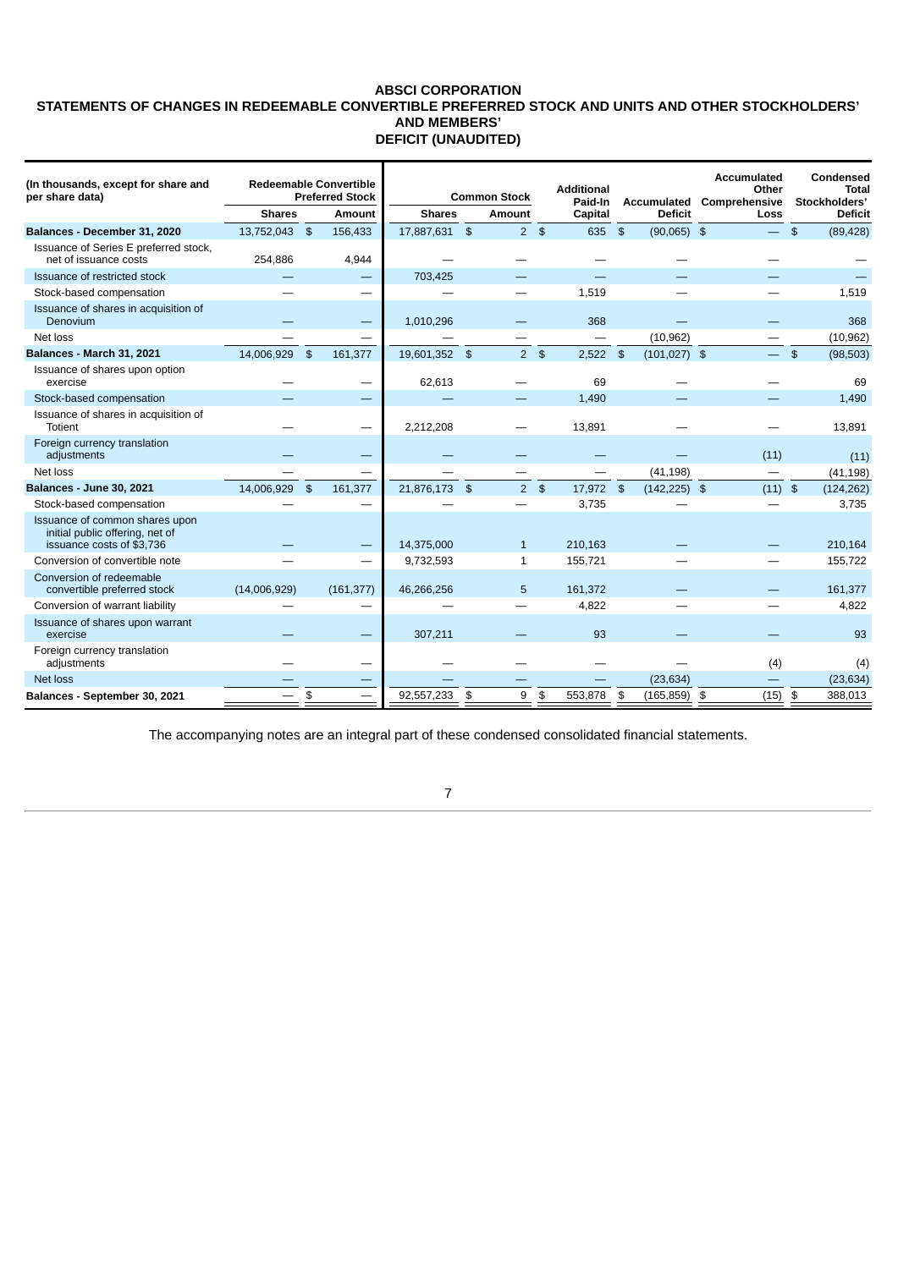# **ABSCI CORPORATION STATEMENTS OF CHANGES IN REDEEMABLE CONVERTIBLE PREFERRED STOCK AND UNITS AND OTHER STOCKHOLDERS' AND MEMBERS' DEFICIT (UNAUDITED)**

| (In thousands, except for share and<br>per share data)                                         |               | <b>Redeemable Convertible</b><br><b>Preferred Stock</b> |               | <b>Common Stock</b> | <b>Additional</b><br>Paid-In |    |            |    | <b>Accumulated</b><br>Other<br><b>Accumulated Comprehensive</b> | Condensed<br><b>Total</b><br>Stockholders' |                             |
|------------------------------------------------------------------------------------------------|---------------|---------------------------------------------------------|---------------|---------------------|------------------------------|----|------------|----|-----------------------------------------------------------------|--------------------------------------------|-----------------------------|
|                                                                                                | <b>Shares</b> | Amount                                                  | <b>Shares</b> |                     | Amount                       |    | Capital    |    | <b>Deficit</b>                                                  | Loss                                       | <b>Deficit</b>              |
| Balances - December 31, 2020                                                                   | 13,752,043    | $\sqrt{5}$<br>156,433                                   | 17,887,631 \$ |                     | 2 <sup>5</sup>               |    | 635 \$     |    | $(90,065)$ \$                                                   | ÷.                                         | $\mathfrak{S}$<br>(89, 428) |
| Issuance of Series E preferred stock,<br>net of issuance costs                                 | 254,886       | 4,944                                                   |               |                     |                              |    |            |    |                                                                 |                                            |                             |
| Issuance of restricted stock                                                                   |               | -                                                       | 703,425       |                     |                              |    |            |    |                                                                 |                                            |                             |
| Stock-based compensation                                                                       |               |                                                         |               |                     |                              |    | 1,519      |    |                                                                 |                                            | 1,519                       |
| Issuance of shares in acquisition of<br>Denovium                                               |               |                                                         | 1,010,296     |                     |                              |    | 368        |    |                                                                 |                                            | 368                         |
| Net loss                                                                                       |               | $\overline{\phantom{0}}$                                |               |                     |                              |    |            |    | (10, 962)                                                       |                                            | (10, 962)                   |
| Balances - March 31, 2021                                                                      | 14,006,929    | $\mathfrak{s}$<br>161,377                               | 19,601,352 \$ |                     | 2 <sup>5</sup>               |    | $2,522$ \$ |    | $(101, 027)$ \$                                                 |                                            | $\mathfrak{S}$<br>(98, 503) |
| Issuance of shares upon option<br>exercise                                                     |               |                                                         | 62,613        |                     |                              |    | 69         |    |                                                                 |                                            | 69                          |
| Stock-based compensation                                                                       |               | —                                                       |               |                     |                              |    | 1,490      |    |                                                                 |                                            | 1,490                       |
| Issuance of shares in acquisition of<br>Totient                                                |               | $\overline{\phantom{0}}$                                | 2,212,208     |                     |                              |    | 13,891     |    |                                                                 |                                            | 13,891                      |
| Foreign currency translation<br>adjustments                                                    |               | —                                                       |               |                     |                              |    |            |    |                                                                 | (11)                                       | (11)                        |
| Net loss                                                                                       |               |                                                         |               |                     |                              |    |            |    | (41, 198)                                                       |                                            | (41, 198)                   |
| <b>Balances - June 30, 2021</b>                                                                | 14,006,929    | 161,377<br>$\mathfrak{S}$                               | 21,876,173    | $\mathfrak{S}$      | $2^{\circ}$                  | \$ | 17,972 \$  |    | $(142, 225)$ \$                                                 | $(11)$ \$                                  | (124, 262)                  |
| Stock-based compensation                                                                       |               |                                                         |               |                     |                              |    | 3,735      |    |                                                                 |                                            | 3,735                       |
| Issuance of common shares upon<br>initial public offering, net of<br>issuance costs of \$3.736 |               |                                                         | 14,375,000    |                     | $\mathbf{1}$                 |    | 210,163    |    |                                                                 |                                            | 210,164                     |
| Conversion of convertible note                                                                 |               | -                                                       | 9,732,593     |                     |                              |    | 155,721    |    |                                                                 |                                            | 155,722                     |
| Conversion of redeemable                                                                       |               | -                                                       |               |                     | $\mathbf{1}$                 |    |            |    |                                                                 |                                            |                             |
| convertible preferred stock                                                                    | (14,006,929)  | (161, 377)                                              | 46,266,256    |                     | 5                            |    | 161,372    |    |                                                                 |                                            | 161,377                     |
| Conversion of warrant liability                                                                |               |                                                         |               |                     |                              |    | 4.822      |    |                                                                 |                                            | 4,822                       |
| Issuance of shares upon warrant<br>exercise                                                    |               | –                                                       | 307,211       |                     |                              |    | 93         |    |                                                                 |                                            | 93                          |
| Foreign currency translation<br>adjustments                                                    |               | -                                                       |               |                     |                              |    |            |    |                                                                 | (4)                                        | (4)                         |
| Net loss                                                                                       |               |                                                         |               |                     |                              |    |            |    | (23, 634)                                                       |                                            | (23, 634)                   |
| Balances - September 30, 2021                                                                  |               | \$                                                      | 92,557,233    | \$                  | 9                            | \$ | 553,878    | \$ | $(165, 859)$ \$                                                 | (15)                                       | \$<br>388,013               |

The accompanying notes are an integral part of these condensed consolidated financial statements.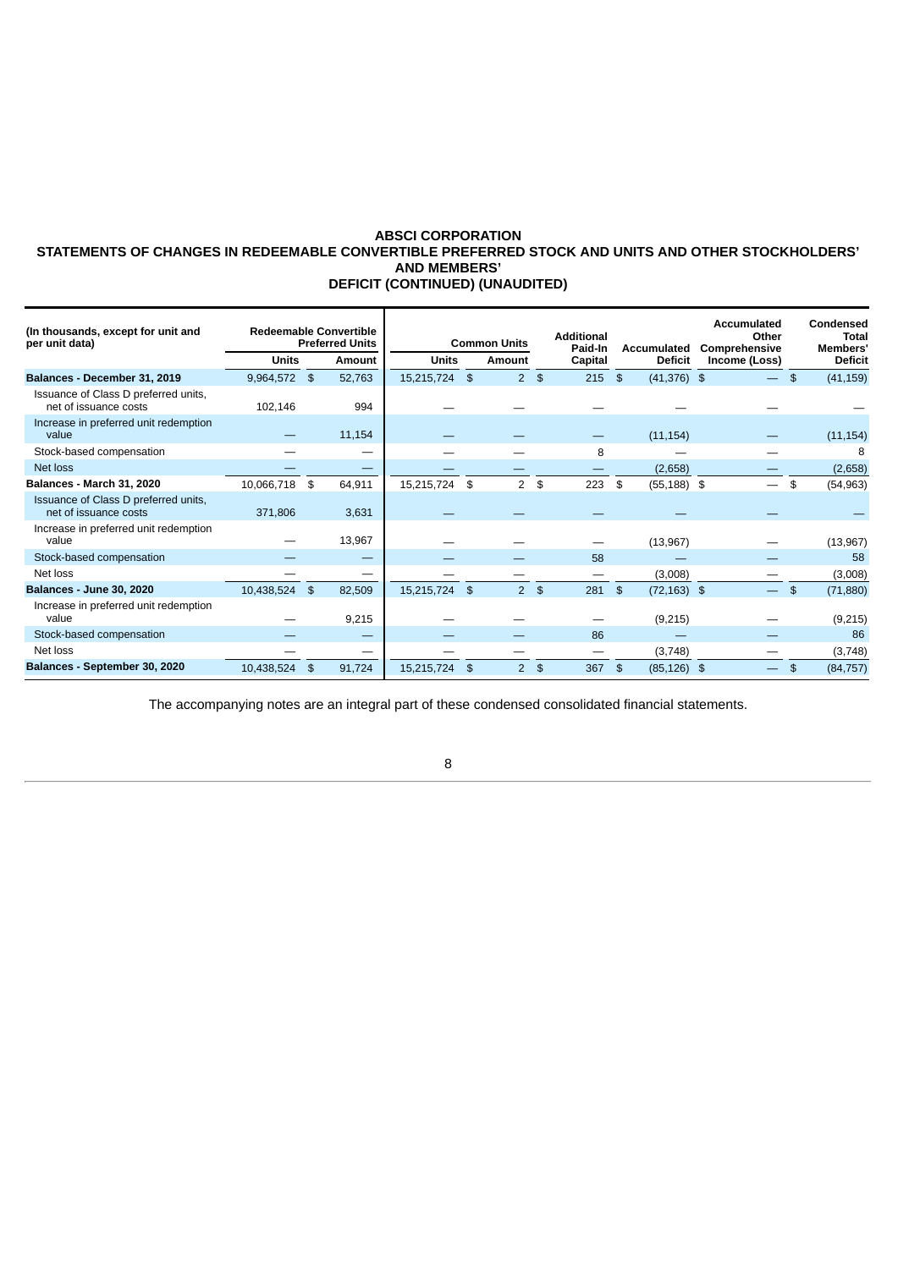# **ABSCI CORPORATION STATEMENTS OF CHANGES IN REDEEMABLE CONVERTIBLE PREFERRED STOCK AND UNITS AND OTHER STOCKHOLDERS' AND MEMBERS' DEFICIT (CONTINUED) (UNAUDITED)**

| (In thousands, except for unit and<br>per unit data)          | <b>Redeemable Convertible</b><br><b>Preferred Units</b> |                |        | <b>Common Units</b> |    | <b>Additional</b><br>Paid-In<br><b>Accumulated</b> |                    | Accumulated<br>Other<br>Comprehensive |                |                | Condensed<br><b>Total</b><br><b>Members</b> |               |                |                |
|---------------------------------------------------------------|---------------------------------------------------------|----------------|--------|---------------------|----|----------------------------------------------------|--------------------|---------------------------------------|----------------|----------------|---------------------------------------------|---------------|----------------|----------------|
|                                                               | <b>Units</b>                                            |                | Amount | <b>Units</b>        |    | Amount                                             |                    | Capital                               |                | <b>Deficit</b> |                                             | Income (Loss) |                | <b>Deficit</b> |
| Balances - December 31, 2019                                  | 9,964,572                                               | $\mathfrak{S}$ | 52,763 | 15,215,724          | \$ | 2 <sup>5</sup>                                     |                    | 215                                   | \$             | $(41,376)$ \$  |                                             |               | \$.            | (41, 159)      |
| Issuance of Class D preferred units,<br>net of issuance costs | 102,146                                                 |                | 994    |                     |    |                                                    |                    |                                       |                |                |                                             |               |                |                |
| Increase in preferred unit redemption<br>value                |                                                         |                | 11,154 |                     |    |                                                    |                    |                                       |                | (11, 154)      |                                             |               |                | (11, 154)      |
| Stock-based compensation                                      |                                                         |                | –      |                     |    |                                                    |                    | 8                                     |                |                |                                             |               |                | 8              |
| Net loss                                                      |                                                         |                |        |                     |    |                                                    |                    |                                       |                | (2,658)        |                                             |               |                | (2,658)        |
| <b>Balances - March 31, 2020</b>                              | 10,066,718                                              | \$             | 64,911 | 15,215,724          | \$ | $\overline{2}$                                     | \$                 | 223                                   | \$             | $(55, 188)$ \$ |                                             |               | \$             | (54, 963)      |
| Issuance of Class D preferred units,<br>net of issuance costs | 371,806                                                 |                | 3,631  |                     |    |                                                    |                    |                                       |                |                |                                             |               |                |                |
| Increase in preferred unit redemption<br>value                |                                                         |                | 13,967 |                     |    |                                                    |                    |                                       |                | (13,967)       |                                             |               |                | (13,967)       |
| Stock-based compensation                                      |                                                         |                |        |                     |    |                                                    |                    | 58                                    |                |                |                                             |               |                | 58             |
| Net loss                                                      |                                                         |                | —      |                     |    |                                                    |                    |                                       |                | (3,008)        |                                             |               |                | (3,008)        |
| <b>Balances - June 30, 2020</b>                               | 10,438,524                                              | $\mathfrak{L}$ | 82,509 | 15,215,724          | \$ | $\mathcal{P}$                                      | $\mathbf{\hat{f}}$ | 281                                   | $\mathfrak{L}$ | $(72, 163)$ \$ |                                             |               | $\mathfrak{L}$ | (71, 880)      |
| Increase in preferred unit redemption<br>value                |                                                         |                | 9,215  |                     |    |                                                    |                    |                                       |                | (9,215)        |                                             |               |                | (9,215)        |
| Stock-based compensation                                      |                                                         |                |        |                     |    |                                                    |                    | 86                                    |                |                |                                             |               |                | 86             |
| Net loss                                                      |                                                         |                | —      |                     |    |                                                    |                    |                                       |                | (3,748)        |                                             |               |                | (3,748)        |
| Balances - September 30, 2020                                 | 10,438,524                                              | \$             | 91,724 | 15,215,724          | \$ | $2^{\circ}$                                        | \$                 | 367                                   | $\mathfrak{F}$ | $(85, 126)$ \$ |                                             |               | \$             | (84, 757)      |

<span id="page-7-0"></span>The accompanying notes are an integral part of these condensed consolidated financial statements.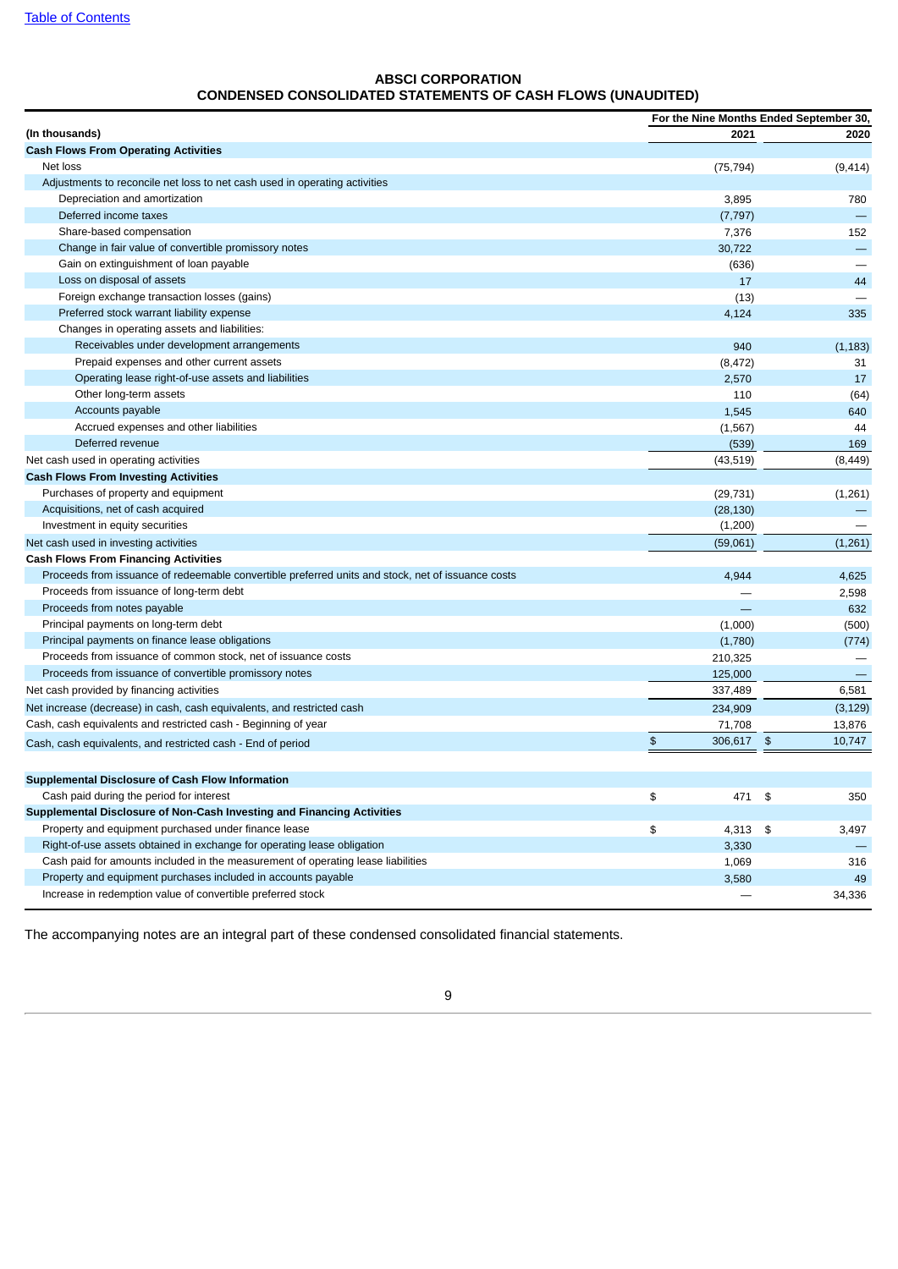# **ABSCI CORPORATION CONDENSED CONSOLIDATED STATEMENTS OF CASH FLOWS (UNAUDITED)**

| (In thousands)<br>2021<br><b>Cash Flows From Operating Activities</b><br>Net loss<br>(75, 794)<br>(9, 414)<br>Adjustments to reconcile net loss to net cash used in operating activities<br>Depreciation and amortization<br>3,895<br>780<br>Deferred income taxes<br>(7, 797)<br>Share-based compensation<br>152<br>7,376<br>Change in fair value of convertible promissory notes<br>30,722<br>Gain on extinguishment of loan payable<br>(636)<br>Loss on disposal of assets<br>17<br>44<br>Foreign exchange transaction losses (gains)<br>(13)<br>Preferred stock warrant liability expense<br>4,124<br>335<br>Changes in operating assets and liabilities:<br>Receivables under development arrangements<br>940<br>(1, 183)<br>Prepaid expenses and other current assets<br>(8, 472)<br>31<br>Operating lease right-of-use assets and liabilities<br>17<br>2,570<br>Other long-term assets<br>(64)<br>110<br>Accounts payable<br>1,545<br>640<br>Accrued expenses and other liabilities<br>44<br>(1, 567)<br>Deferred revenue<br>(539)<br>169<br>Net cash used in operating activities<br>(8, 449)<br>(43, 519)<br><b>Cash Flows From Investing Activities</b><br>Purchases of property and equipment<br>(29, 731)<br>(1,261)<br>Acquisitions, net of cash acquired<br>(28, 130)<br>Investment in equity securities<br>(1,200)<br>(1,261)<br>Net cash used in investing activities<br>(59,061)<br><b>Cash Flows From Financing Activities</b><br>Proceeds from issuance of redeemable convertible preferred units and stock, net of issuance costs<br>4,944<br>4,625<br>Proceeds from issuance of long-term debt<br>2,598<br>Proceeds from notes payable<br>632<br>Principal payments on long-term debt<br>(1,000)<br>(500)<br>Principal payments on finance lease obligations<br>(1,780)<br>(774)<br>Proceeds from issuance of common stock, net of issuance costs<br>210,325<br>Proceeds from issuance of convertible promissory notes<br>125,000<br>6,581<br>Net cash provided by financing activities<br>337,489<br>Net increase (decrease) in cash, cash equivalents, and restricted cash<br>(3, 129)<br>234,909<br>Cash, cash equivalents and restricted cash - Beginning of year<br>71,708<br>13,876<br>\$<br>306,617<br>$\frac{3}{2}$<br>10,747<br>Cash, cash equivalents, and restricted cash - End of period<br>Supplemental Disclosure of Cash Flow Information<br>Cash paid during the period for interest<br>\$<br>350<br>471 \$<br>Supplemental Disclosure of Non-Cash Investing and Financing Activities<br>Property and equipment purchased under finance lease<br>\$<br>4,313<br>\$<br>3,497<br>Right-of-use assets obtained in exchange for operating lease obligation<br>3,330<br>Cash paid for amounts included in the measurement of operating lease liabilities<br>1,069<br>316<br>Property and equipment purchases included in accounts payable<br>3,580<br>49<br>Increase in redemption value of convertible preferred stock<br>34,336 | For the Nine Months Ended September 30, |      |
|-------------------------------------------------------------------------------------------------------------------------------------------------------------------------------------------------------------------------------------------------------------------------------------------------------------------------------------------------------------------------------------------------------------------------------------------------------------------------------------------------------------------------------------------------------------------------------------------------------------------------------------------------------------------------------------------------------------------------------------------------------------------------------------------------------------------------------------------------------------------------------------------------------------------------------------------------------------------------------------------------------------------------------------------------------------------------------------------------------------------------------------------------------------------------------------------------------------------------------------------------------------------------------------------------------------------------------------------------------------------------------------------------------------------------------------------------------------------------------------------------------------------------------------------------------------------------------------------------------------------------------------------------------------------------------------------------------------------------------------------------------------------------------------------------------------------------------------------------------------------------------------------------------------------------------------------------------------------------------------------------------------------------------------------------------------------------------------------------------------------------------------------------------------------------------------------------------------------------------------------------------------------------------------------------------------------------------------------------------------------------------------------------------------------------------------------------------------------------------------------------------------------------------------------------------------------------------------------------------------------------------------------------------------------------------------------------------------------------------------------------------------------------------------------------------------------------------------------------------------------------------------------------------------------------------------------------------------------|-----------------------------------------|------|
|                                                                                                                                                                                                                                                                                                                                                                                                                                                                                                                                                                                                                                                                                                                                                                                                                                                                                                                                                                                                                                                                                                                                                                                                                                                                                                                                                                                                                                                                                                                                                                                                                                                                                                                                                                                                                                                                                                                                                                                                                                                                                                                                                                                                                                                                                                                                                                                                                                                                                                                                                                                                                                                                                                                                                                                                                                                                                                                                                                   |                                         | 2020 |
|                                                                                                                                                                                                                                                                                                                                                                                                                                                                                                                                                                                                                                                                                                                                                                                                                                                                                                                                                                                                                                                                                                                                                                                                                                                                                                                                                                                                                                                                                                                                                                                                                                                                                                                                                                                                                                                                                                                                                                                                                                                                                                                                                                                                                                                                                                                                                                                                                                                                                                                                                                                                                                                                                                                                                                                                                                                                                                                                                                   |                                         |      |
|                                                                                                                                                                                                                                                                                                                                                                                                                                                                                                                                                                                                                                                                                                                                                                                                                                                                                                                                                                                                                                                                                                                                                                                                                                                                                                                                                                                                                                                                                                                                                                                                                                                                                                                                                                                                                                                                                                                                                                                                                                                                                                                                                                                                                                                                                                                                                                                                                                                                                                                                                                                                                                                                                                                                                                                                                                                                                                                                                                   |                                         |      |
|                                                                                                                                                                                                                                                                                                                                                                                                                                                                                                                                                                                                                                                                                                                                                                                                                                                                                                                                                                                                                                                                                                                                                                                                                                                                                                                                                                                                                                                                                                                                                                                                                                                                                                                                                                                                                                                                                                                                                                                                                                                                                                                                                                                                                                                                                                                                                                                                                                                                                                                                                                                                                                                                                                                                                                                                                                                                                                                                                                   |                                         |      |
|                                                                                                                                                                                                                                                                                                                                                                                                                                                                                                                                                                                                                                                                                                                                                                                                                                                                                                                                                                                                                                                                                                                                                                                                                                                                                                                                                                                                                                                                                                                                                                                                                                                                                                                                                                                                                                                                                                                                                                                                                                                                                                                                                                                                                                                                                                                                                                                                                                                                                                                                                                                                                                                                                                                                                                                                                                                                                                                                                                   |                                         |      |
|                                                                                                                                                                                                                                                                                                                                                                                                                                                                                                                                                                                                                                                                                                                                                                                                                                                                                                                                                                                                                                                                                                                                                                                                                                                                                                                                                                                                                                                                                                                                                                                                                                                                                                                                                                                                                                                                                                                                                                                                                                                                                                                                                                                                                                                                                                                                                                                                                                                                                                                                                                                                                                                                                                                                                                                                                                                                                                                                                                   |                                         |      |
|                                                                                                                                                                                                                                                                                                                                                                                                                                                                                                                                                                                                                                                                                                                                                                                                                                                                                                                                                                                                                                                                                                                                                                                                                                                                                                                                                                                                                                                                                                                                                                                                                                                                                                                                                                                                                                                                                                                                                                                                                                                                                                                                                                                                                                                                                                                                                                                                                                                                                                                                                                                                                                                                                                                                                                                                                                                                                                                                                                   |                                         |      |
|                                                                                                                                                                                                                                                                                                                                                                                                                                                                                                                                                                                                                                                                                                                                                                                                                                                                                                                                                                                                                                                                                                                                                                                                                                                                                                                                                                                                                                                                                                                                                                                                                                                                                                                                                                                                                                                                                                                                                                                                                                                                                                                                                                                                                                                                                                                                                                                                                                                                                                                                                                                                                                                                                                                                                                                                                                                                                                                                                                   |                                         |      |
|                                                                                                                                                                                                                                                                                                                                                                                                                                                                                                                                                                                                                                                                                                                                                                                                                                                                                                                                                                                                                                                                                                                                                                                                                                                                                                                                                                                                                                                                                                                                                                                                                                                                                                                                                                                                                                                                                                                                                                                                                                                                                                                                                                                                                                                                                                                                                                                                                                                                                                                                                                                                                                                                                                                                                                                                                                                                                                                                                                   |                                         |      |
|                                                                                                                                                                                                                                                                                                                                                                                                                                                                                                                                                                                                                                                                                                                                                                                                                                                                                                                                                                                                                                                                                                                                                                                                                                                                                                                                                                                                                                                                                                                                                                                                                                                                                                                                                                                                                                                                                                                                                                                                                                                                                                                                                                                                                                                                                                                                                                                                                                                                                                                                                                                                                                                                                                                                                                                                                                                                                                                                                                   |                                         |      |
|                                                                                                                                                                                                                                                                                                                                                                                                                                                                                                                                                                                                                                                                                                                                                                                                                                                                                                                                                                                                                                                                                                                                                                                                                                                                                                                                                                                                                                                                                                                                                                                                                                                                                                                                                                                                                                                                                                                                                                                                                                                                                                                                                                                                                                                                                                                                                                                                                                                                                                                                                                                                                                                                                                                                                                                                                                                                                                                                                                   |                                         |      |
|                                                                                                                                                                                                                                                                                                                                                                                                                                                                                                                                                                                                                                                                                                                                                                                                                                                                                                                                                                                                                                                                                                                                                                                                                                                                                                                                                                                                                                                                                                                                                                                                                                                                                                                                                                                                                                                                                                                                                                                                                                                                                                                                                                                                                                                                                                                                                                                                                                                                                                                                                                                                                                                                                                                                                                                                                                                                                                                                                                   |                                         |      |
|                                                                                                                                                                                                                                                                                                                                                                                                                                                                                                                                                                                                                                                                                                                                                                                                                                                                                                                                                                                                                                                                                                                                                                                                                                                                                                                                                                                                                                                                                                                                                                                                                                                                                                                                                                                                                                                                                                                                                                                                                                                                                                                                                                                                                                                                                                                                                                                                                                                                                                                                                                                                                                                                                                                                                                                                                                                                                                                                                                   |                                         |      |
|                                                                                                                                                                                                                                                                                                                                                                                                                                                                                                                                                                                                                                                                                                                                                                                                                                                                                                                                                                                                                                                                                                                                                                                                                                                                                                                                                                                                                                                                                                                                                                                                                                                                                                                                                                                                                                                                                                                                                                                                                                                                                                                                                                                                                                                                                                                                                                                                                                                                                                                                                                                                                                                                                                                                                                                                                                                                                                                                                                   |                                         |      |
|                                                                                                                                                                                                                                                                                                                                                                                                                                                                                                                                                                                                                                                                                                                                                                                                                                                                                                                                                                                                                                                                                                                                                                                                                                                                                                                                                                                                                                                                                                                                                                                                                                                                                                                                                                                                                                                                                                                                                                                                                                                                                                                                                                                                                                                                                                                                                                                                                                                                                                                                                                                                                                                                                                                                                                                                                                                                                                                                                                   |                                         |      |
|                                                                                                                                                                                                                                                                                                                                                                                                                                                                                                                                                                                                                                                                                                                                                                                                                                                                                                                                                                                                                                                                                                                                                                                                                                                                                                                                                                                                                                                                                                                                                                                                                                                                                                                                                                                                                                                                                                                                                                                                                                                                                                                                                                                                                                                                                                                                                                                                                                                                                                                                                                                                                                                                                                                                                                                                                                                                                                                                                                   |                                         |      |
|                                                                                                                                                                                                                                                                                                                                                                                                                                                                                                                                                                                                                                                                                                                                                                                                                                                                                                                                                                                                                                                                                                                                                                                                                                                                                                                                                                                                                                                                                                                                                                                                                                                                                                                                                                                                                                                                                                                                                                                                                                                                                                                                                                                                                                                                                                                                                                                                                                                                                                                                                                                                                                                                                                                                                                                                                                                                                                                                                                   |                                         |      |
|                                                                                                                                                                                                                                                                                                                                                                                                                                                                                                                                                                                                                                                                                                                                                                                                                                                                                                                                                                                                                                                                                                                                                                                                                                                                                                                                                                                                                                                                                                                                                                                                                                                                                                                                                                                                                                                                                                                                                                                                                                                                                                                                                                                                                                                                                                                                                                                                                                                                                                                                                                                                                                                                                                                                                                                                                                                                                                                                                                   |                                         |      |
|                                                                                                                                                                                                                                                                                                                                                                                                                                                                                                                                                                                                                                                                                                                                                                                                                                                                                                                                                                                                                                                                                                                                                                                                                                                                                                                                                                                                                                                                                                                                                                                                                                                                                                                                                                                                                                                                                                                                                                                                                                                                                                                                                                                                                                                                                                                                                                                                                                                                                                                                                                                                                                                                                                                                                                                                                                                                                                                                                                   |                                         |      |
|                                                                                                                                                                                                                                                                                                                                                                                                                                                                                                                                                                                                                                                                                                                                                                                                                                                                                                                                                                                                                                                                                                                                                                                                                                                                                                                                                                                                                                                                                                                                                                                                                                                                                                                                                                                                                                                                                                                                                                                                                                                                                                                                                                                                                                                                                                                                                                                                                                                                                                                                                                                                                                                                                                                                                                                                                                                                                                                                                                   |                                         |      |
|                                                                                                                                                                                                                                                                                                                                                                                                                                                                                                                                                                                                                                                                                                                                                                                                                                                                                                                                                                                                                                                                                                                                                                                                                                                                                                                                                                                                                                                                                                                                                                                                                                                                                                                                                                                                                                                                                                                                                                                                                                                                                                                                                                                                                                                                                                                                                                                                                                                                                                                                                                                                                                                                                                                                                                                                                                                                                                                                                                   |                                         |      |
|                                                                                                                                                                                                                                                                                                                                                                                                                                                                                                                                                                                                                                                                                                                                                                                                                                                                                                                                                                                                                                                                                                                                                                                                                                                                                                                                                                                                                                                                                                                                                                                                                                                                                                                                                                                                                                                                                                                                                                                                                                                                                                                                                                                                                                                                                                                                                                                                                                                                                                                                                                                                                                                                                                                                                                                                                                                                                                                                                                   |                                         |      |
|                                                                                                                                                                                                                                                                                                                                                                                                                                                                                                                                                                                                                                                                                                                                                                                                                                                                                                                                                                                                                                                                                                                                                                                                                                                                                                                                                                                                                                                                                                                                                                                                                                                                                                                                                                                                                                                                                                                                                                                                                                                                                                                                                                                                                                                                                                                                                                                                                                                                                                                                                                                                                                                                                                                                                                                                                                                                                                                                                                   |                                         |      |
|                                                                                                                                                                                                                                                                                                                                                                                                                                                                                                                                                                                                                                                                                                                                                                                                                                                                                                                                                                                                                                                                                                                                                                                                                                                                                                                                                                                                                                                                                                                                                                                                                                                                                                                                                                                                                                                                                                                                                                                                                                                                                                                                                                                                                                                                                                                                                                                                                                                                                                                                                                                                                                                                                                                                                                                                                                                                                                                                                                   |                                         |      |
|                                                                                                                                                                                                                                                                                                                                                                                                                                                                                                                                                                                                                                                                                                                                                                                                                                                                                                                                                                                                                                                                                                                                                                                                                                                                                                                                                                                                                                                                                                                                                                                                                                                                                                                                                                                                                                                                                                                                                                                                                                                                                                                                                                                                                                                                                                                                                                                                                                                                                                                                                                                                                                                                                                                                                                                                                                                                                                                                                                   |                                         |      |
|                                                                                                                                                                                                                                                                                                                                                                                                                                                                                                                                                                                                                                                                                                                                                                                                                                                                                                                                                                                                                                                                                                                                                                                                                                                                                                                                                                                                                                                                                                                                                                                                                                                                                                                                                                                                                                                                                                                                                                                                                                                                                                                                                                                                                                                                                                                                                                                                                                                                                                                                                                                                                                                                                                                                                                                                                                                                                                                                                                   |                                         |      |
|                                                                                                                                                                                                                                                                                                                                                                                                                                                                                                                                                                                                                                                                                                                                                                                                                                                                                                                                                                                                                                                                                                                                                                                                                                                                                                                                                                                                                                                                                                                                                                                                                                                                                                                                                                                                                                                                                                                                                                                                                                                                                                                                                                                                                                                                                                                                                                                                                                                                                                                                                                                                                                                                                                                                                                                                                                                                                                                                                                   |                                         |      |
|                                                                                                                                                                                                                                                                                                                                                                                                                                                                                                                                                                                                                                                                                                                                                                                                                                                                                                                                                                                                                                                                                                                                                                                                                                                                                                                                                                                                                                                                                                                                                                                                                                                                                                                                                                                                                                                                                                                                                                                                                                                                                                                                                                                                                                                                                                                                                                                                                                                                                                                                                                                                                                                                                                                                                                                                                                                                                                                                                                   |                                         |      |
|                                                                                                                                                                                                                                                                                                                                                                                                                                                                                                                                                                                                                                                                                                                                                                                                                                                                                                                                                                                                                                                                                                                                                                                                                                                                                                                                                                                                                                                                                                                                                                                                                                                                                                                                                                                                                                                                                                                                                                                                                                                                                                                                                                                                                                                                                                                                                                                                                                                                                                                                                                                                                                                                                                                                                                                                                                                                                                                                                                   |                                         |      |
|                                                                                                                                                                                                                                                                                                                                                                                                                                                                                                                                                                                                                                                                                                                                                                                                                                                                                                                                                                                                                                                                                                                                                                                                                                                                                                                                                                                                                                                                                                                                                                                                                                                                                                                                                                                                                                                                                                                                                                                                                                                                                                                                                                                                                                                                                                                                                                                                                                                                                                                                                                                                                                                                                                                                                                                                                                                                                                                                                                   |                                         |      |
|                                                                                                                                                                                                                                                                                                                                                                                                                                                                                                                                                                                                                                                                                                                                                                                                                                                                                                                                                                                                                                                                                                                                                                                                                                                                                                                                                                                                                                                                                                                                                                                                                                                                                                                                                                                                                                                                                                                                                                                                                                                                                                                                                                                                                                                                                                                                                                                                                                                                                                                                                                                                                                                                                                                                                                                                                                                                                                                                                                   |                                         |      |
|                                                                                                                                                                                                                                                                                                                                                                                                                                                                                                                                                                                                                                                                                                                                                                                                                                                                                                                                                                                                                                                                                                                                                                                                                                                                                                                                                                                                                                                                                                                                                                                                                                                                                                                                                                                                                                                                                                                                                                                                                                                                                                                                                                                                                                                                                                                                                                                                                                                                                                                                                                                                                                                                                                                                                                                                                                                                                                                                                                   |                                         |      |
|                                                                                                                                                                                                                                                                                                                                                                                                                                                                                                                                                                                                                                                                                                                                                                                                                                                                                                                                                                                                                                                                                                                                                                                                                                                                                                                                                                                                                                                                                                                                                                                                                                                                                                                                                                                                                                                                                                                                                                                                                                                                                                                                                                                                                                                                                                                                                                                                                                                                                                                                                                                                                                                                                                                                                                                                                                                                                                                                                                   |                                         |      |
|                                                                                                                                                                                                                                                                                                                                                                                                                                                                                                                                                                                                                                                                                                                                                                                                                                                                                                                                                                                                                                                                                                                                                                                                                                                                                                                                                                                                                                                                                                                                                                                                                                                                                                                                                                                                                                                                                                                                                                                                                                                                                                                                                                                                                                                                                                                                                                                                                                                                                                                                                                                                                                                                                                                                                                                                                                                                                                                                                                   |                                         |      |
|                                                                                                                                                                                                                                                                                                                                                                                                                                                                                                                                                                                                                                                                                                                                                                                                                                                                                                                                                                                                                                                                                                                                                                                                                                                                                                                                                                                                                                                                                                                                                                                                                                                                                                                                                                                                                                                                                                                                                                                                                                                                                                                                                                                                                                                                                                                                                                                                                                                                                                                                                                                                                                                                                                                                                                                                                                                                                                                                                                   |                                         |      |
|                                                                                                                                                                                                                                                                                                                                                                                                                                                                                                                                                                                                                                                                                                                                                                                                                                                                                                                                                                                                                                                                                                                                                                                                                                                                                                                                                                                                                                                                                                                                                                                                                                                                                                                                                                                                                                                                                                                                                                                                                                                                                                                                                                                                                                                                                                                                                                                                                                                                                                                                                                                                                                                                                                                                                                                                                                                                                                                                                                   |                                         |      |
|                                                                                                                                                                                                                                                                                                                                                                                                                                                                                                                                                                                                                                                                                                                                                                                                                                                                                                                                                                                                                                                                                                                                                                                                                                                                                                                                                                                                                                                                                                                                                                                                                                                                                                                                                                                                                                                                                                                                                                                                                                                                                                                                                                                                                                                                                                                                                                                                                                                                                                                                                                                                                                                                                                                                                                                                                                                                                                                                                                   |                                         |      |
|                                                                                                                                                                                                                                                                                                                                                                                                                                                                                                                                                                                                                                                                                                                                                                                                                                                                                                                                                                                                                                                                                                                                                                                                                                                                                                                                                                                                                                                                                                                                                                                                                                                                                                                                                                                                                                                                                                                                                                                                                                                                                                                                                                                                                                                                                                                                                                                                                                                                                                                                                                                                                                                                                                                                                                                                                                                                                                                                                                   |                                         |      |
|                                                                                                                                                                                                                                                                                                                                                                                                                                                                                                                                                                                                                                                                                                                                                                                                                                                                                                                                                                                                                                                                                                                                                                                                                                                                                                                                                                                                                                                                                                                                                                                                                                                                                                                                                                                                                                                                                                                                                                                                                                                                                                                                                                                                                                                                                                                                                                                                                                                                                                                                                                                                                                                                                                                                                                                                                                                                                                                                                                   |                                         |      |
|                                                                                                                                                                                                                                                                                                                                                                                                                                                                                                                                                                                                                                                                                                                                                                                                                                                                                                                                                                                                                                                                                                                                                                                                                                                                                                                                                                                                                                                                                                                                                                                                                                                                                                                                                                                                                                                                                                                                                                                                                                                                                                                                                                                                                                                                                                                                                                                                                                                                                                                                                                                                                                                                                                                                                                                                                                                                                                                                                                   |                                         |      |
|                                                                                                                                                                                                                                                                                                                                                                                                                                                                                                                                                                                                                                                                                                                                                                                                                                                                                                                                                                                                                                                                                                                                                                                                                                                                                                                                                                                                                                                                                                                                                                                                                                                                                                                                                                                                                                                                                                                                                                                                                                                                                                                                                                                                                                                                                                                                                                                                                                                                                                                                                                                                                                                                                                                                                                                                                                                                                                                                                                   |                                         |      |
|                                                                                                                                                                                                                                                                                                                                                                                                                                                                                                                                                                                                                                                                                                                                                                                                                                                                                                                                                                                                                                                                                                                                                                                                                                                                                                                                                                                                                                                                                                                                                                                                                                                                                                                                                                                                                                                                                                                                                                                                                                                                                                                                                                                                                                                                                                                                                                                                                                                                                                                                                                                                                                                                                                                                                                                                                                                                                                                                                                   |                                         |      |
|                                                                                                                                                                                                                                                                                                                                                                                                                                                                                                                                                                                                                                                                                                                                                                                                                                                                                                                                                                                                                                                                                                                                                                                                                                                                                                                                                                                                                                                                                                                                                                                                                                                                                                                                                                                                                                                                                                                                                                                                                                                                                                                                                                                                                                                                                                                                                                                                                                                                                                                                                                                                                                                                                                                                                                                                                                                                                                                                                                   |                                         |      |
|                                                                                                                                                                                                                                                                                                                                                                                                                                                                                                                                                                                                                                                                                                                                                                                                                                                                                                                                                                                                                                                                                                                                                                                                                                                                                                                                                                                                                                                                                                                                                                                                                                                                                                                                                                                                                                                                                                                                                                                                                                                                                                                                                                                                                                                                                                                                                                                                                                                                                                                                                                                                                                                                                                                                                                                                                                                                                                                                                                   |                                         |      |
|                                                                                                                                                                                                                                                                                                                                                                                                                                                                                                                                                                                                                                                                                                                                                                                                                                                                                                                                                                                                                                                                                                                                                                                                                                                                                                                                                                                                                                                                                                                                                                                                                                                                                                                                                                                                                                                                                                                                                                                                                                                                                                                                                                                                                                                                                                                                                                                                                                                                                                                                                                                                                                                                                                                                                                                                                                                                                                                                                                   |                                         |      |
|                                                                                                                                                                                                                                                                                                                                                                                                                                                                                                                                                                                                                                                                                                                                                                                                                                                                                                                                                                                                                                                                                                                                                                                                                                                                                                                                                                                                                                                                                                                                                                                                                                                                                                                                                                                                                                                                                                                                                                                                                                                                                                                                                                                                                                                                                                                                                                                                                                                                                                                                                                                                                                                                                                                                                                                                                                                                                                                                                                   |                                         |      |
|                                                                                                                                                                                                                                                                                                                                                                                                                                                                                                                                                                                                                                                                                                                                                                                                                                                                                                                                                                                                                                                                                                                                                                                                                                                                                                                                                                                                                                                                                                                                                                                                                                                                                                                                                                                                                                                                                                                                                                                                                                                                                                                                                                                                                                                                                                                                                                                                                                                                                                                                                                                                                                                                                                                                                                                                                                                                                                                                                                   |                                         |      |

<span id="page-8-0"></span>The accompanying notes are an integral part of these condensed consolidated financial statements.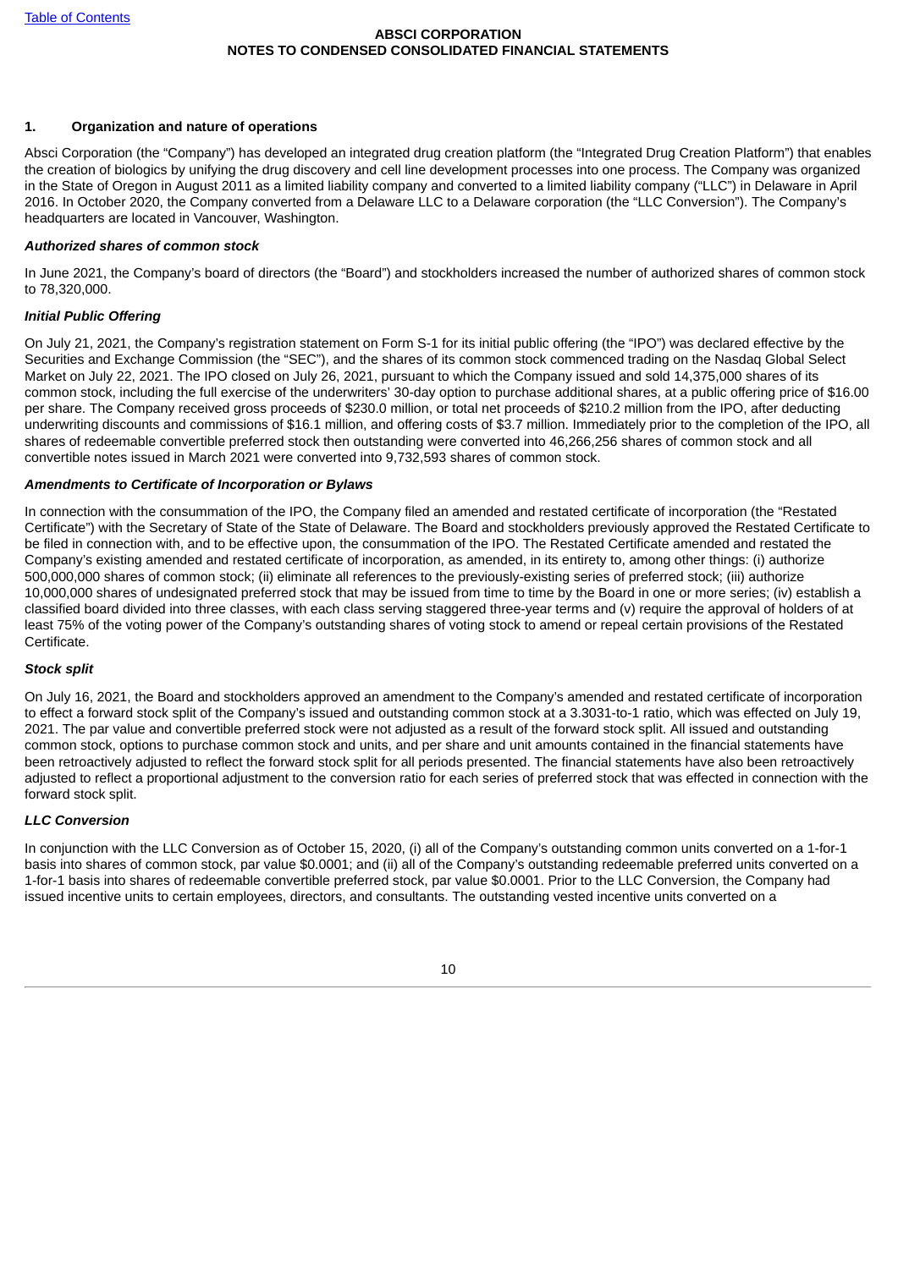# **1. Organization and nature of operations**

Absci Corporation (the "Company") has developed an integrated drug creation platform (the "Integrated Drug Creation Platform") that enables the creation of biologics by unifying the drug discovery and cell line development processes into one process. The Company was organized in the State of Oregon in August 2011 as a limited liability company and converted to a limited liability company ("LLC") in Delaware in April 2016. In October 2020, the Company converted from a Delaware LLC to a Delaware corporation (the "LLC Conversion"). The Company's headquarters are located in Vancouver, Washington.

# *Authorized shares of common stock*

In June 2021, the Company's board of directors (the "Board") and stockholders increased the number of authorized shares of common stock to 78,320,000.

## *Initial Public Offering*

On July 21, 2021, the Company's registration statement on Form S-1 for its initial public offering (the "IPO") was declared effective by the Securities and Exchange Commission (the "SEC"), and the shares of its common stock commenced trading on the Nasdaq Global Select Market on July 22, 2021. The IPO closed on July 26, 2021, pursuant to which the Company issued and sold 14,375,000 shares of its common stock, including the full exercise of the underwriters' 30-day option to purchase additional shares, at a public offering price of \$16.00 per share. The Company received gross proceeds of \$230.0 million, or total net proceeds of \$210.2 million from the IPO, after deducting underwriting discounts and commissions of \$16.1 million, and offering costs of \$3.7 million. Immediately prior to the completion of the IPO, all shares of redeemable convertible preferred stock then outstanding were converted into 46,266,256 shares of common stock and all convertible notes issued in March 2021 were converted into 9,732,593 shares of common stock.

## *Amendments to Certificate of Incorporation or Bylaws*

In connection with the consummation of the IPO, the Company filed an amended and restated certificate of incorporation (the "Restated Certificate") with the Secretary of State of the State of Delaware. The Board and stockholders previously approved the Restated Certificate to be filed in connection with, and to be effective upon, the consummation of the IPO. The Restated Certificate amended and restated the Company's existing amended and restated certificate of incorporation, as amended, in its entirety to, among other things: (i) authorize 500,000,000 shares of common stock; (ii) eliminate all references to the previously-existing series of preferred stock; (iii) authorize 10,000,000 shares of undesignated preferred stock that may be issued from time to time by the Board in one or more series; (iv) establish a classified board divided into three classes, with each class serving staggered three-year terms and (v) require the approval of holders of at least 75% of the voting power of the Company's outstanding shares of voting stock to amend or repeal certain provisions of the Restated Certificate.

# *Stock split*

On July 16, 2021, the Board and stockholders approved an amendment to the Company's amended and restated certificate of incorporation to effect a forward stock split of the Company's issued and outstanding common stock at a 3.3031-to-1 ratio, which was effected on July 19, 2021. The par value and convertible preferred stock were not adjusted as a result of the forward stock split. All issued and outstanding common stock, options to purchase common stock and units, and per share and unit amounts contained in the financial statements have been retroactively adjusted to reflect the forward stock split for all periods presented. The financial statements have also been retroactively adjusted to reflect a proportional adjustment to the conversion ratio for each series of preferred stock that was effected in connection with the forward stock split.

# *LLC Conversion*

In conjunction with the LLC Conversion as of October 15, 2020, (i) all of the Company's outstanding common units converted on a 1-for-1 basis into shares of common stock, par value \$0.0001; and (ii) all of the Company's outstanding redeemable preferred units converted on a 1-for-1 basis into shares of redeemable convertible preferred stock, par value \$0.0001. Prior to the LLC Conversion, the Company had issued incentive units to certain employees, directors, and consultants. The outstanding vested incentive units converted on a

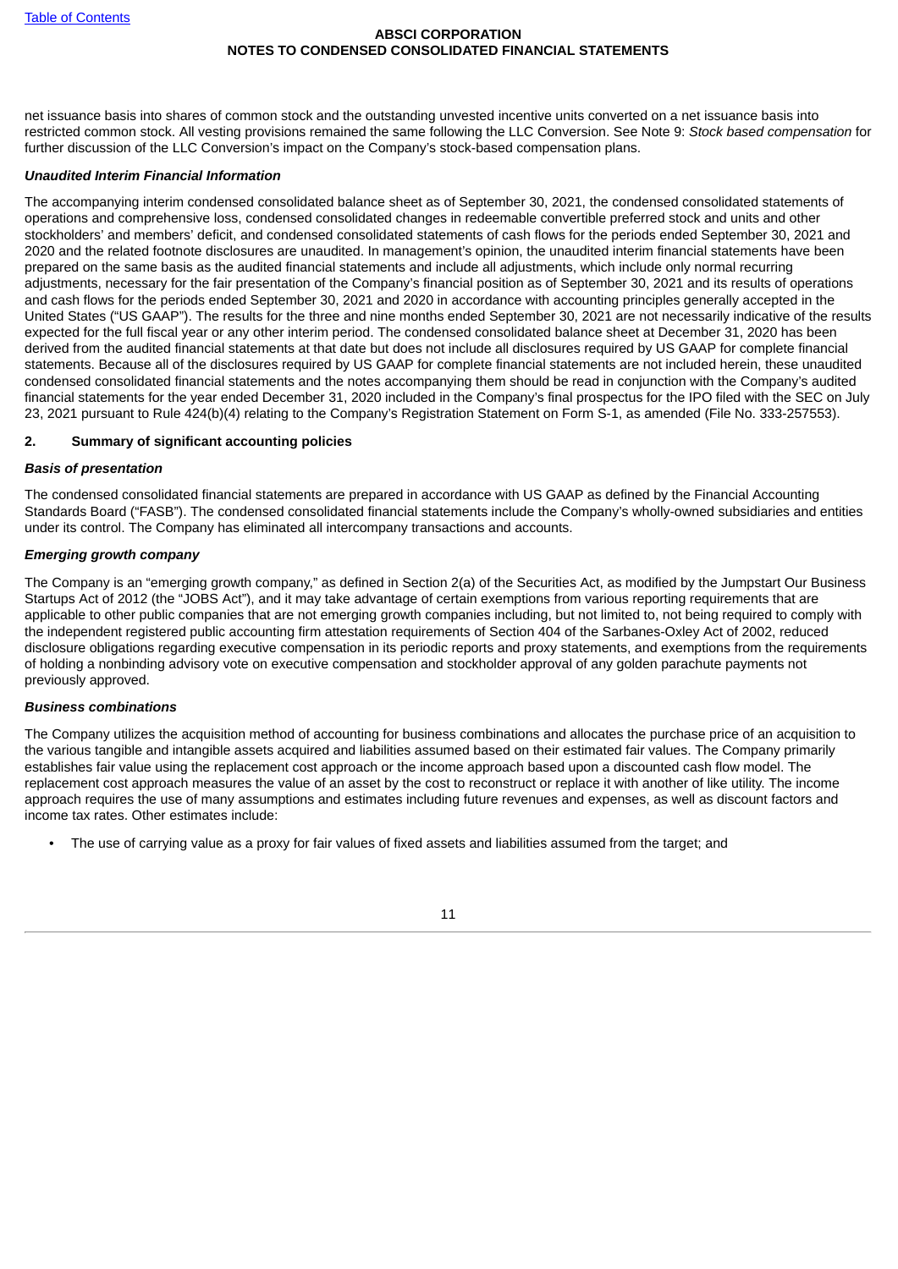net issuance basis into shares of common stock and the outstanding unvested incentive units converted on a net issuance basis into restricted common stock. All vesting provisions remained the same following the LLC Conversion. See Note 9: *Stock based compensation* for further discussion of the LLC Conversion's impact on the Company's stock-based compensation plans.

# *Unaudited Interim Financial Information*

The accompanying interim condensed consolidated balance sheet as of September 30, 2021, the condensed consolidated statements of operations and comprehensive loss, condensed consolidated changes in redeemable convertible preferred stock and units and other stockholders' and members' deficit, and condensed consolidated statements of cash flows for the periods ended September 30, 2021 and 2020 and the related footnote disclosures are unaudited. In management's opinion, the unaudited interim financial statements have been prepared on the same basis as the audited financial statements and include all adjustments, which include only normal recurring adjustments, necessary for the fair presentation of the Company's financial position as of September 30, 2021 and its results of operations and cash flows for the periods ended September 30, 2021 and 2020 in accordance with accounting principles generally accepted in the United States ("US GAAP"). The results for the three and nine months ended September 30, 2021 are not necessarily indicative of the results expected for the full fiscal year or any other interim period. The condensed consolidated balance sheet at December 31, 2020 has been derived from the audited financial statements at that date but does not include all disclosures required by US GAAP for complete financial statements. Because all of the disclosures required by US GAAP for complete financial statements are not included herein, these unaudited condensed consolidated financial statements and the notes accompanying them should be read in conjunction with the Company's audited financial statements for the year ended December 31, 2020 included in the Company's final prospectus for the IPO filed with the SEC on July 23, 2021 pursuant to Rule 424(b)(4) relating to the Company's Registration Statement on Form S-1, as amended (File No. 333-257553).

# **2. Summary of significant accounting policies**

# *Basis of presentation*

The condensed consolidated financial statements are prepared in accordance with US GAAP as defined by the Financial Accounting Standards Board ("FASB"). The condensed consolidated financial statements include the Company's wholly-owned subsidiaries and entities under its control. The Company has eliminated all intercompany transactions and accounts.

# *Emerging growth company*

The Company is an "emerging growth company," as defined in Section 2(a) of the Securities Act, as modified by the Jumpstart Our Business Startups Act of 2012 (the "JOBS Act"), and it may take advantage of certain exemptions from various reporting requirements that are applicable to other public companies that are not emerging growth companies including, but not limited to, not being required to comply with the independent registered public accounting firm attestation requirements of Section 404 of the Sarbanes-Oxley Act of 2002, reduced disclosure obligations regarding executive compensation in its periodic reports and proxy statements, and exemptions from the requirements of holding a nonbinding advisory vote on executive compensation and stockholder approval of any golden parachute payments not previously approved.

# *Business combinations*

The Company utilizes the acquisition method of accounting for business combinations and allocates the purchase price of an acquisition to the various tangible and intangible assets acquired and liabilities assumed based on their estimated fair values. The Company primarily establishes fair value using the replacement cost approach or the income approach based upon a discounted cash flow model. The replacement cost approach measures the value of an asset by the cost to reconstruct or replace it with another of like utility. The income approach requires the use of many assumptions and estimates including future revenues and expenses, as well as discount factors and income tax rates. Other estimates include:

• The use of carrying value as a proxy for fair values of fixed assets and liabilities assumed from the target; and

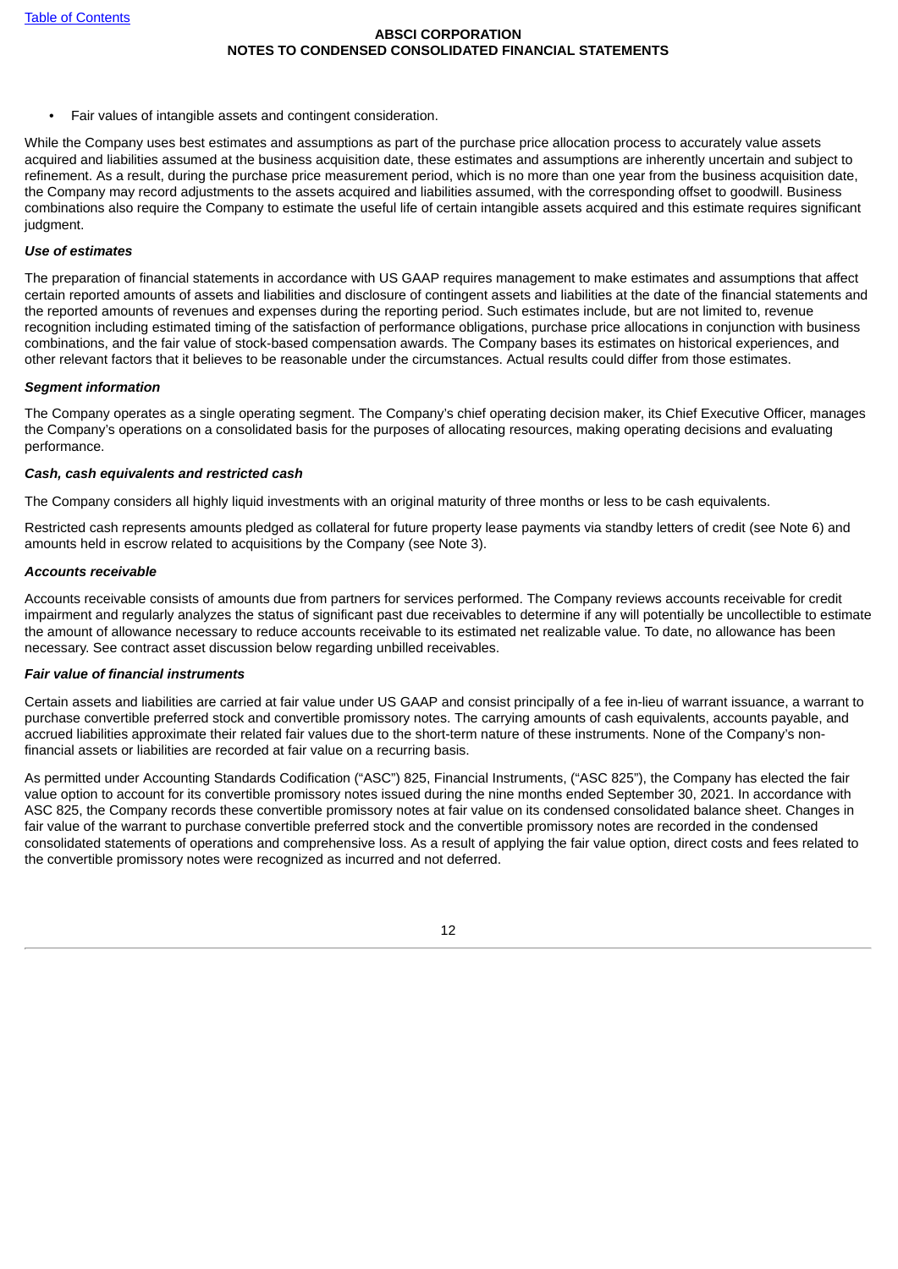• Fair values of intangible assets and contingent consideration.

While the Company uses best estimates and assumptions as part of the purchase price allocation process to accurately value assets acquired and liabilities assumed at the business acquisition date, these estimates and assumptions are inherently uncertain and subject to refinement. As a result, during the purchase price measurement period, which is no more than one year from the business acquisition date, the Company may record adjustments to the assets acquired and liabilities assumed, with the corresponding offset to goodwill. Business combinations also require the Company to estimate the useful life of certain intangible assets acquired and this estimate requires significant judgment.

## *Use of estimates*

The preparation of financial statements in accordance with US GAAP requires management to make estimates and assumptions that affect certain reported amounts of assets and liabilities and disclosure of contingent assets and liabilities at the date of the financial statements and the reported amounts of revenues and expenses during the reporting period. Such estimates include, but are not limited to, revenue recognition including estimated timing of the satisfaction of performance obligations, purchase price allocations in conjunction with business combinations, and the fair value of stock-based compensation awards. The Company bases its estimates on historical experiences, and other relevant factors that it believes to be reasonable under the circumstances. Actual results could differ from those estimates.

#### *Segment information*

The Company operates as a single operating segment. The Company's chief operating decision maker, its Chief Executive Officer, manages the Company's operations on a consolidated basis for the purposes of allocating resources, making operating decisions and evaluating performance.

### *Cash, cash equivalents and restricted cash*

The Company considers all highly liquid investments with an original maturity of three months or less to be cash equivalents.

Restricted cash represents amounts pledged as collateral for future property lease payments via standby letters of credit (see Note 6) and amounts held in escrow related to acquisitions by the Company (see Note 3).

## *Accounts receivable*

Accounts receivable consists of amounts due from partners for services performed. The Company reviews accounts receivable for credit impairment and regularly analyzes the status of significant past due receivables to determine if any will potentially be uncollectible to estimate the amount of allowance necessary to reduce accounts receivable to its estimated net realizable value. To date, no allowance has been necessary. See contract asset discussion below regarding unbilled receivables.

# *Fair value of financial instruments*

Certain assets and liabilities are carried at fair value under US GAAP and consist principally of a fee in-lieu of warrant issuance, a warrant to purchase convertible preferred stock and convertible promissory notes. The carrying amounts of cash equivalents, accounts payable, and accrued liabilities approximate their related fair values due to the short-term nature of these instruments. None of the Company's nonfinancial assets or liabilities are recorded at fair value on a recurring basis.

As permitted under Accounting Standards Codification ("ASC") 825, Financial Instruments, ("ASC 825"), the Company has elected the fair value option to account for its convertible promissory notes issued during the nine months ended September 30, 2021. In accordance with ASC 825, the Company records these convertible promissory notes at fair value on its condensed consolidated balance sheet. Changes in fair value of the warrant to purchase convertible preferred stock and the convertible promissory notes are recorded in the condensed consolidated statements of operations and comprehensive loss. As a result of applying the fair value option, direct costs and fees related to the convertible promissory notes were recognized as incurred and not deferred.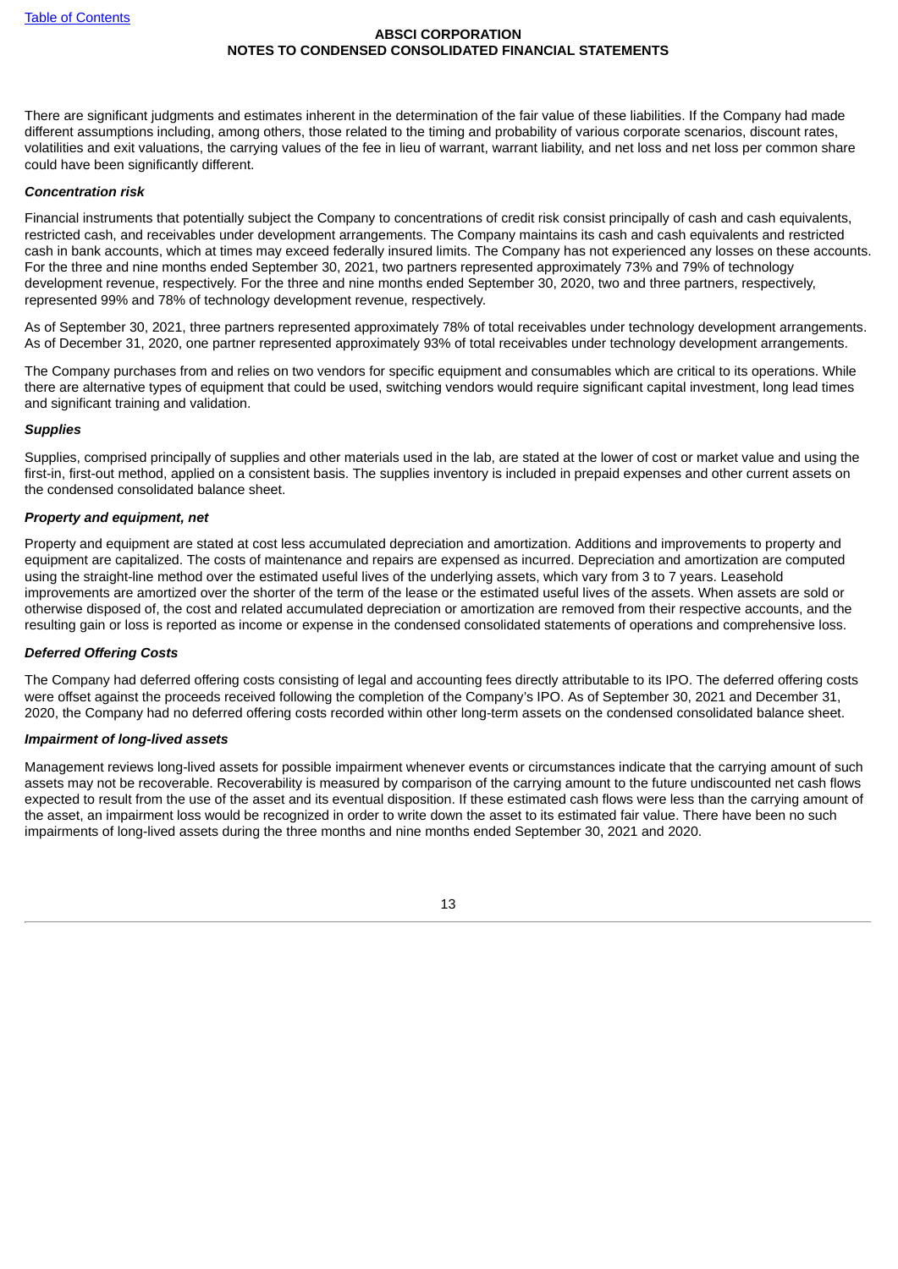There are significant judgments and estimates inherent in the determination of the fair value of these liabilities. If the Company had made different assumptions including, among others, those related to the timing and probability of various corporate scenarios, discount rates, volatilities and exit valuations, the carrying values of the fee in lieu of warrant, warrant liability, and net loss and net loss per common share could have been significantly different.

# *Concentration risk*

Financial instruments that potentially subject the Company to concentrations of credit risk consist principally of cash and cash equivalents, restricted cash, and receivables under development arrangements. The Company maintains its cash and cash equivalents and restricted cash in bank accounts, which at times may exceed federally insured limits. The Company has not experienced any losses on these accounts. For the three and nine months ended September 30, 2021, two partners represented approximately 73% and 79% of technology development revenue, respectively. For the three and nine months ended September 30, 2020, two and three partners, respectively, represented 99% and 78% of technology development revenue, respectively.

As of September 30, 2021, three partners represented approximately 78% of total receivables under technology development arrangements. As of December 31, 2020, one partner represented approximately 93% of total receivables under technology development arrangements.

The Company purchases from and relies on two vendors for specific equipment and consumables which are critical to its operations. While there are alternative types of equipment that could be used, switching vendors would require significant capital investment, long lead times and significant training and validation.

# *Supplies*

Supplies, comprised principally of supplies and other materials used in the lab, are stated at the lower of cost or market value and using the first-in, first-out method, applied on a consistent basis. The supplies inventory is included in prepaid expenses and other current assets on the condensed consolidated balance sheet.

# *Property and equipment, net*

Property and equipment are stated at cost less accumulated depreciation and amortization. Additions and improvements to property and equipment are capitalized. The costs of maintenance and repairs are expensed as incurred. Depreciation and amortization are computed using the straight-line method over the estimated useful lives of the underlying assets, which vary from 3 to 7 years. Leasehold improvements are amortized over the shorter of the term of the lease or the estimated useful lives of the assets. When assets are sold or otherwise disposed of, the cost and related accumulated depreciation or amortization are removed from their respective accounts, and the resulting gain or loss is reported as income or expense in the condensed consolidated statements of operations and comprehensive loss.

# *Deferred Offering Costs*

The Company had deferred offering costs consisting of legal and accounting fees directly attributable to its IPO. The deferred offering costs were offset against the proceeds received following the completion of the Company's IPO. As of September 30, 2021 and December 31, 2020, the Company had no deferred offering costs recorded within other long-term assets on the condensed consolidated balance sheet.

# *Impairment of long-lived assets*

Management reviews long-lived assets for possible impairment whenever events or circumstances indicate that the carrying amount of such assets may not be recoverable. Recoverability is measured by comparison of the carrying amount to the future undiscounted net cash flows expected to result from the use of the asset and its eventual disposition. If these estimated cash flows were less than the carrying amount of the asset, an impairment loss would be recognized in order to write down the asset to its estimated fair value. There have been no such impairments of long-lived assets during the three months and nine months ended September 30, 2021 and 2020.

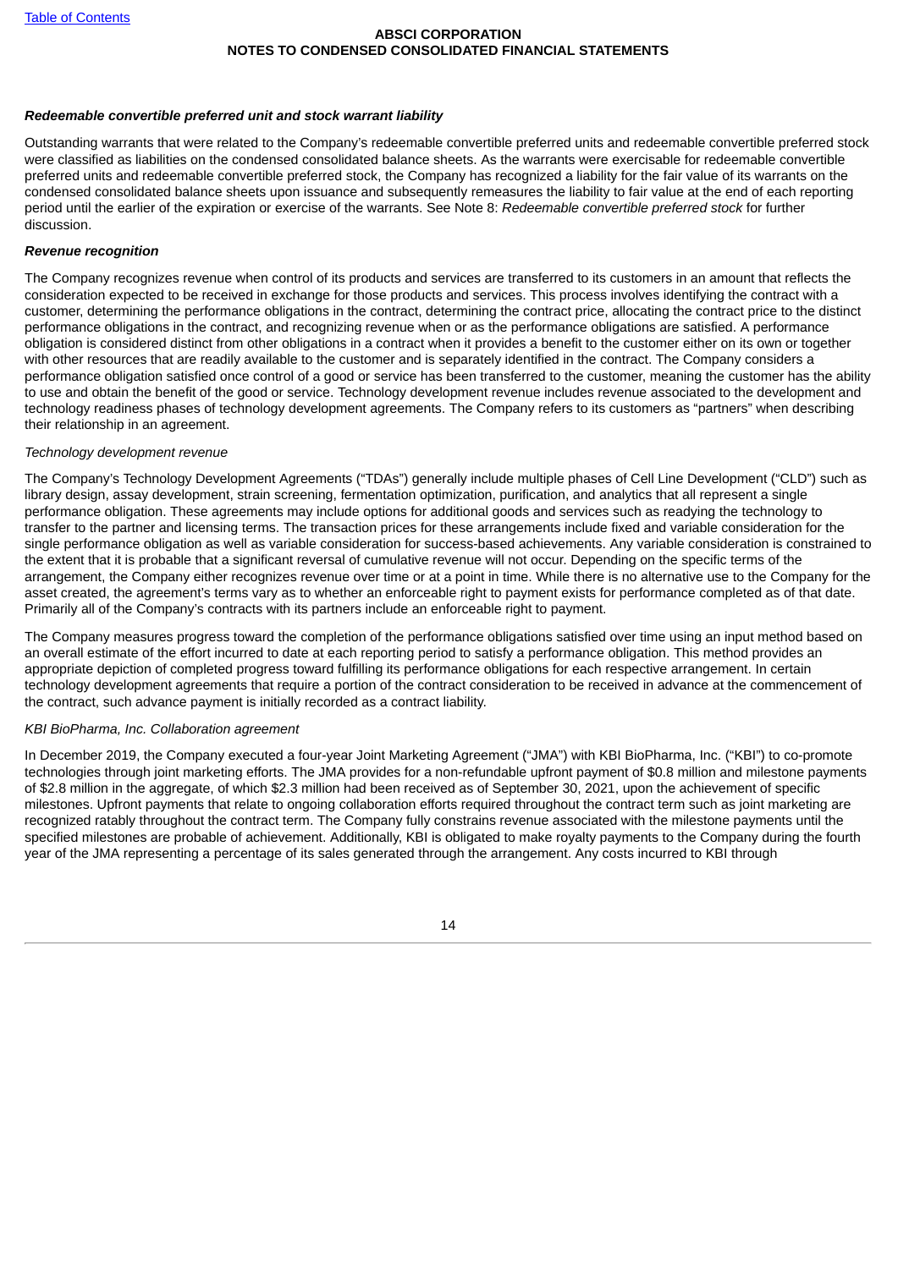# *Redeemable convertible preferred unit and stock warrant liability*

Outstanding warrants that were related to the Company's redeemable convertible preferred units and redeemable convertible preferred stock were classified as liabilities on the condensed consolidated balance sheets. As the warrants were exercisable for redeemable convertible preferred units and redeemable convertible preferred stock, the Company has recognized a liability for the fair value of its warrants on the condensed consolidated balance sheets upon issuance and subsequently remeasures the liability to fair value at the end of each reporting period until the earlier of the expiration or exercise of the warrants. See Note 8: *Redeemable convertible preferred stock* for further discussion.

## *Revenue recognition*

The Company recognizes revenue when control of its products and services are transferred to its customers in an amount that reflects the consideration expected to be received in exchange for those products and services. This process involves identifying the contract with a customer, determining the performance obligations in the contract, determining the contract price, allocating the contract price to the distinct performance obligations in the contract, and recognizing revenue when or as the performance obligations are satisfied. A performance obligation is considered distinct from other obligations in a contract when it provides a benefit to the customer either on its own or together with other resources that are readily available to the customer and is separately identified in the contract. The Company considers a performance obligation satisfied once control of a good or service has been transferred to the customer, meaning the customer has the ability to use and obtain the benefit of the good or service. Technology development revenue includes revenue associated to the development and technology readiness phases of technology development agreements. The Company refers to its customers as "partners" when describing their relationship in an agreement.

# *Technology development revenue*

The Company's Technology Development Agreements ("TDAs") generally include multiple phases of Cell Line Development ("CLD") such as library design, assay development, strain screening, fermentation optimization, purification, and analytics that all represent a single performance obligation. These agreements may include options for additional goods and services such as readying the technology to transfer to the partner and licensing terms. The transaction prices for these arrangements include fixed and variable consideration for the single performance obligation as well as variable consideration for success-based achievements. Any variable consideration is constrained to the extent that it is probable that a significant reversal of cumulative revenue will not occur. Depending on the specific terms of the arrangement, the Company either recognizes revenue over time or at a point in time. While there is no alternative use to the Company for the asset created, the agreement's terms vary as to whether an enforceable right to payment exists for performance completed as of that date. Primarily all of the Company's contracts with its partners include an enforceable right to payment.

The Company measures progress toward the completion of the performance obligations satisfied over time using an input method based on an overall estimate of the effort incurred to date at each reporting period to satisfy a performance obligation. This method provides an appropriate depiction of completed progress toward fulfilling its performance obligations for each respective arrangement. In certain technology development agreements that require a portion of the contract consideration to be received in advance at the commencement of the contract, such advance payment is initially recorded as a contract liability.

#### *KBI BioPharma, Inc. Collaboration agreement*

In December 2019, the Company executed a four-year Joint Marketing Agreement ("JMA") with KBI BioPharma, Inc. ("KBI") to co-promote technologies through joint marketing efforts. The JMA provides for a non-refundable upfront payment of \$0.8 million and milestone payments of \$2.8 million in the aggregate, of which \$2.3 million had been received as of September 30, 2021, upon the achievement of specific milestones. Upfront payments that relate to ongoing collaboration efforts required throughout the contract term such as joint marketing are recognized ratably throughout the contract term. The Company fully constrains revenue associated with the milestone payments until the specified milestones are probable of achievement. Additionally, KBI is obligated to make royalty payments to the Company during the fourth year of the JMA representing a percentage of its sales generated through the arrangement. Any costs incurred to KBI through

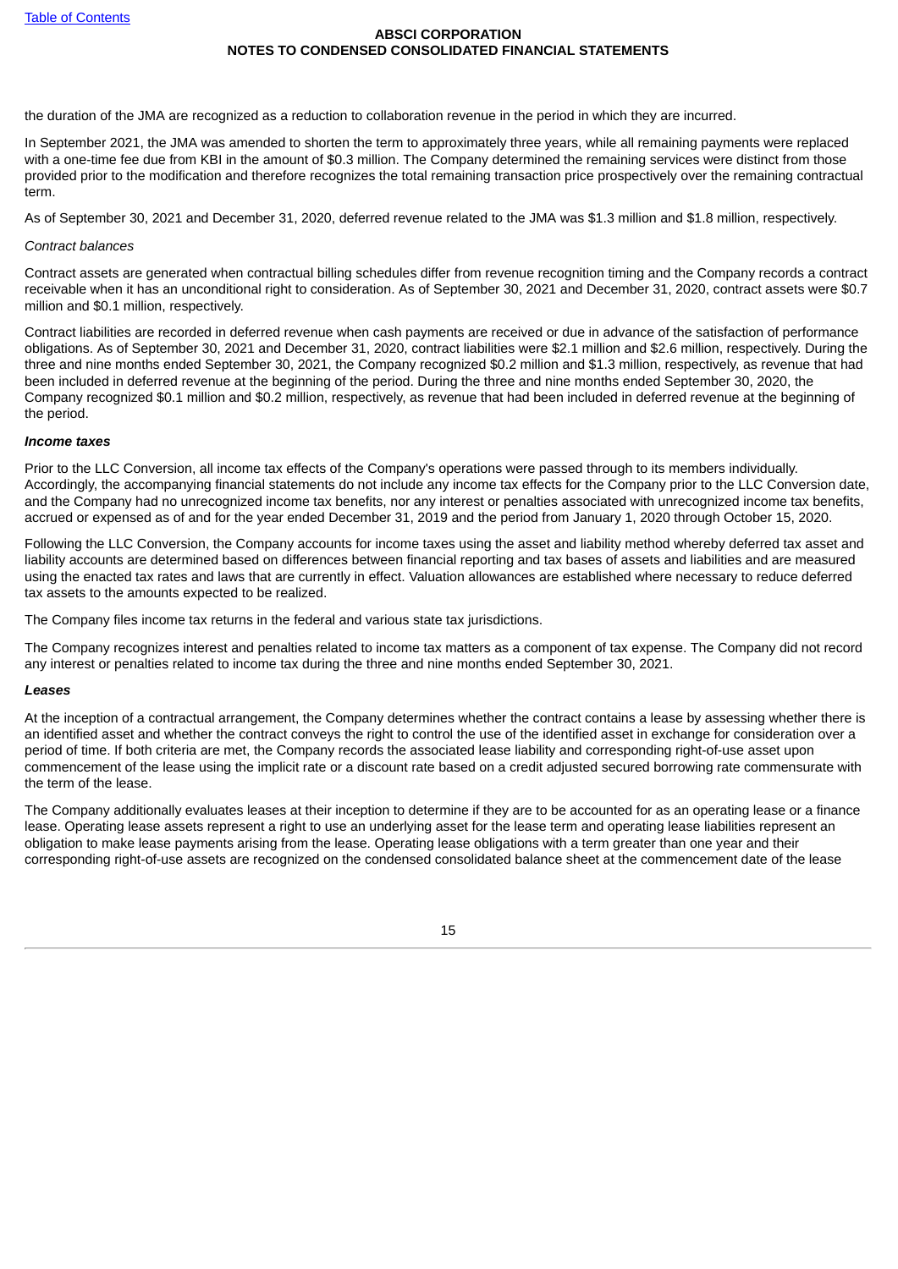the duration of the JMA are recognized as a reduction to collaboration revenue in the period in which they are incurred.

In September 2021, the JMA was amended to shorten the term to approximately three years, while all remaining payments were replaced with a one-time fee due from KBI in the amount of \$0.3 million. The Company determined the remaining services were distinct from those provided prior to the modification and therefore recognizes the total remaining transaction price prospectively over the remaining contractual term.

As of September 30, 2021 and December 31, 2020, deferred revenue related to the JMA was \$1.3 million and \$1.8 million, respectively.

## *Contract balances*

Contract assets are generated when contractual billing schedules differ from revenue recognition timing and the Company records a contract receivable when it has an unconditional right to consideration. As of September 30, 2021 and December 31, 2020, contract assets were \$0.7 million and \$0.1 million, respectively.

Contract liabilities are recorded in deferred revenue when cash payments are received or due in advance of the satisfaction of performance obligations. As of September 30, 2021 and December 31, 2020, contract liabilities were \$2.1 million and \$2.6 million, respectively. During the three and nine months ended September 30, 2021, the Company recognized \$0.2 million and \$1.3 million, respectively, as revenue that had been included in deferred revenue at the beginning of the period. During the three and nine months ended September 30, 2020, the Company recognized \$0.1 million and \$0.2 million, respectively, as revenue that had been included in deferred revenue at the beginning of the period.

#### *Income taxes*

Prior to the LLC Conversion, all income tax effects of the Company's operations were passed through to its members individually. Accordingly, the accompanying financial statements do not include any income tax effects for the Company prior to the LLC Conversion date, and the Company had no unrecognized income tax benefits, nor any interest or penalties associated with unrecognized income tax benefits, accrued or expensed as of and for the year ended December 31, 2019 and the period from January 1, 2020 through October 15, 2020.

Following the LLC Conversion, the Company accounts for income taxes using the asset and liability method whereby deferred tax asset and liability accounts are determined based on differences between financial reporting and tax bases of assets and liabilities and are measured using the enacted tax rates and laws that are currently in effect. Valuation allowances are established where necessary to reduce deferred tax assets to the amounts expected to be realized.

The Company files income tax returns in the federal and various state tax jurisdictions.

The Company recognizes interest and penalties related to income tax matters as a component of tax expense. The Company did not record any interest or penalties related to income tax during the three and nine months ended September 30, 2021.

## *Leases*

At the inception of a contractual arrangement, the Company determines whether the contract contains a lease by assessing whether there is an identified asset and whether the contract conveys the right to control the use of the identified asset in exchange for consideration over a period of time. If both criteria are met, the Company records the associated lease liability and corresponding right-of-use asset upon commencement of the lease using the implicit rate or a discount rate based on a credit adjusted secured borrowing rate commensurate with the term of the lease.

The Company additionally evaluates leases at their inception to determine if they are to be accounted for as an operating lease or a finance lease. Operating lease assets represent a right to use an underlying asset for the lease term and operating lease liabilities represent an obligation to make lease payments arising from the lease. Operating lease obligations with a term greater than one year and their corresponding right-of-use assets are recognized on the condensed consolidated balance sheet at the commencement date of the lease

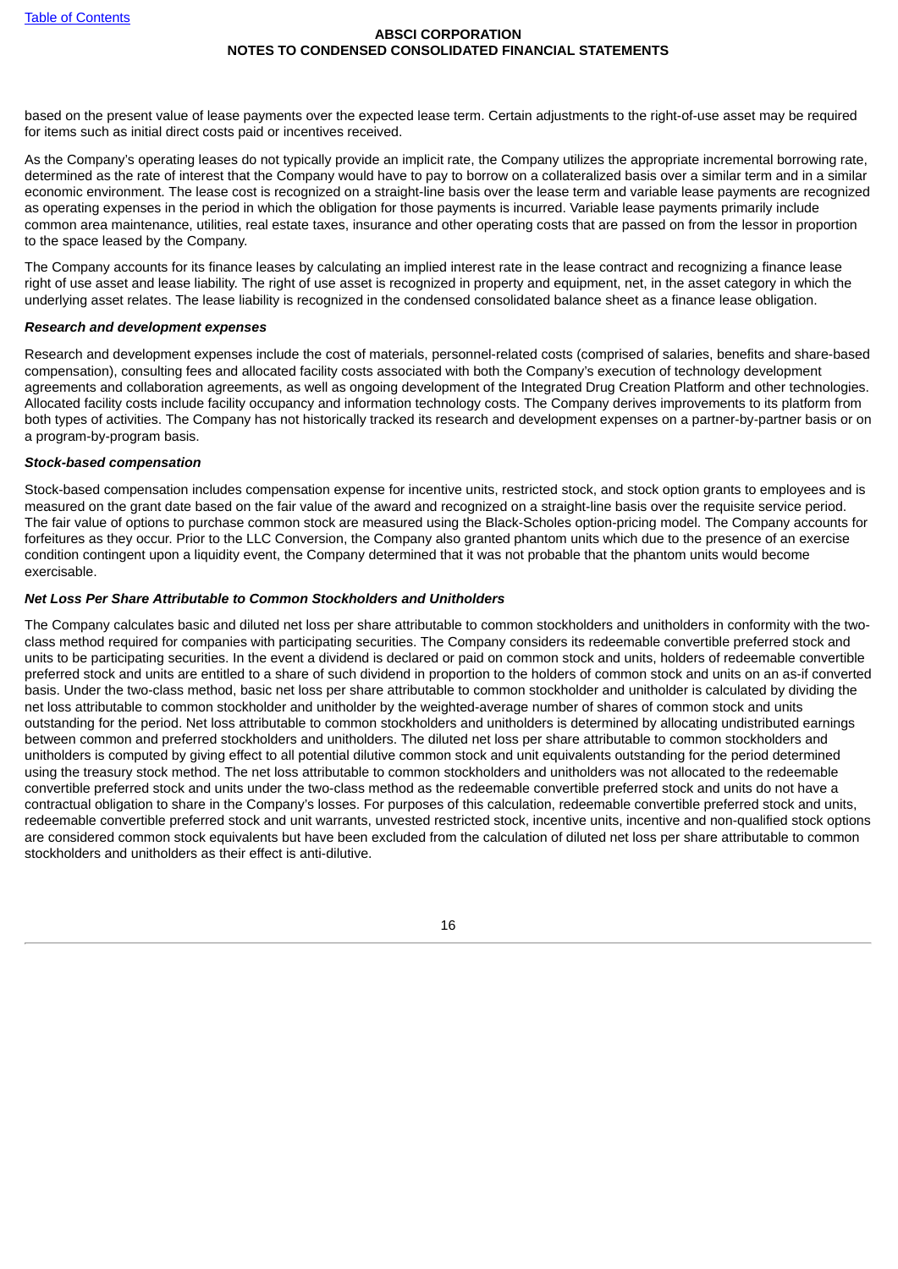based on the present value of lease payments over the expected lease term. Certain adjustments to the right-of-use asset may be required for items such as initial direct costs paid or incentives received.

As the Company's operating leases do not typically provide an implicit rate, the Company utilizes the appropriate incremental borrowing rate, determined as the rate of interest that the Company would have to pay to borrow on a collateralized basis over a similar term and in a similar economic environment. The lease cost is recognized on a straight-line basis over the lease term and variable lease payments are recognized as operating expenses in the period in which the obligation for those payments is incurred. Variable lease payments primarily include common area maintenance, utilities, real estate taxes, insurance and other operating costs that are passed on from the lessor in proportion to the space leased by the Company.

The Company accounts for its finance leases by calculating an implied interest rate in the lease contract and recognizing a finance lease right of use asset and lease liability. The right of use asset is recognized in property and equipment, net, in the asset category in which the underlying asset relates. The lease liability is recognized in the condensed consolidated balance sheet as a finance lease obligation.

#### *Research and development expenses*

Research and development expenses include the cost of materials, personnel-related costs (comprised of salaries, benefits and share-based compensation), consulting fees and allocated facility costs associated with both the Company's execution of technology development agreements and collaboration agreements, as well as ongoing development of the Integrated Drug Creation Platform and other technologies. Allocated facility costs include facility occupancy and information technology costs. The Company derives improvements to its platform from both types of activities. The Company has not historically tracked its research and development expenses on a partner-by-partner basis or on a program-by-program basis.

#### *Stock-based compensation*

Stock-based compensation includes compensation expense for incentive units, restricted stock, and stock option grants to employees and is measured on the grant date based on the fair value of the award and recognized on a straight-line basis over the requisite service period. The fair value of options to purchase common stock are measured using the Black-Scholes option-pricing model. The Company accounts for forfeitures as they occur. Prior to the LLC Conversion, the Company also granted phantom units which due to the presence of an exercise condition contingent upon a liquidity event, the Company determined that it was not probable that the phantom units would become exercisable.

#### *Net Loss Per Share Attributable to Common Stockholders and Unitholders*

The Company calculates basic and diluted net loss per share attributable to common stockholders and unitholders in conformity with the twoclass method required for companies with participating securities. The Company considers its redeemable convertible preferred stock and units to be participating securities. In the event a dividend is declared or paid on common stock and units, holders of redeemable convertible preferred stock and units are entitled to a share of such dividend in proportion to the holders of common stock and units on an as-if converted basis. Under the two-class method, basic net loss per share attributable to common stockholder and unitholder is calculated by dividing the net loss attributable to common stockholder and unitholder by the weighted-average number of shares of common stock and units outstanding for the period. Net loss attributable to common stockholders and unitholders is determined by allocating undistributed earnings between common and preferred stockholders and unitholders. The diluted net loss per share attributable to common stockholders and unitholders is computed by giving effect to all potential dilutive common stock and unit equivalents outstanding for the period determined using the treasury stock method. The net loss attributable to common stockholders and unitholders was not allocated to the redeemable convertible preferred stock and units under the two-class method as the redeemable convertible preferred stock and units do not have a contractual obligation to share in the Company's losses. For purposes of this calculation, redeemable convertible preferred stock and units, redeemable convertible preferred stock and unit warrants, unvested restricted stock, incentive units, incentive and non-qualified stock options are considered common stock equivalents but have been excluded from the calculation of diluted net loss per share attributable to common stockholders and unitholders as their effect is anti-dilutive.

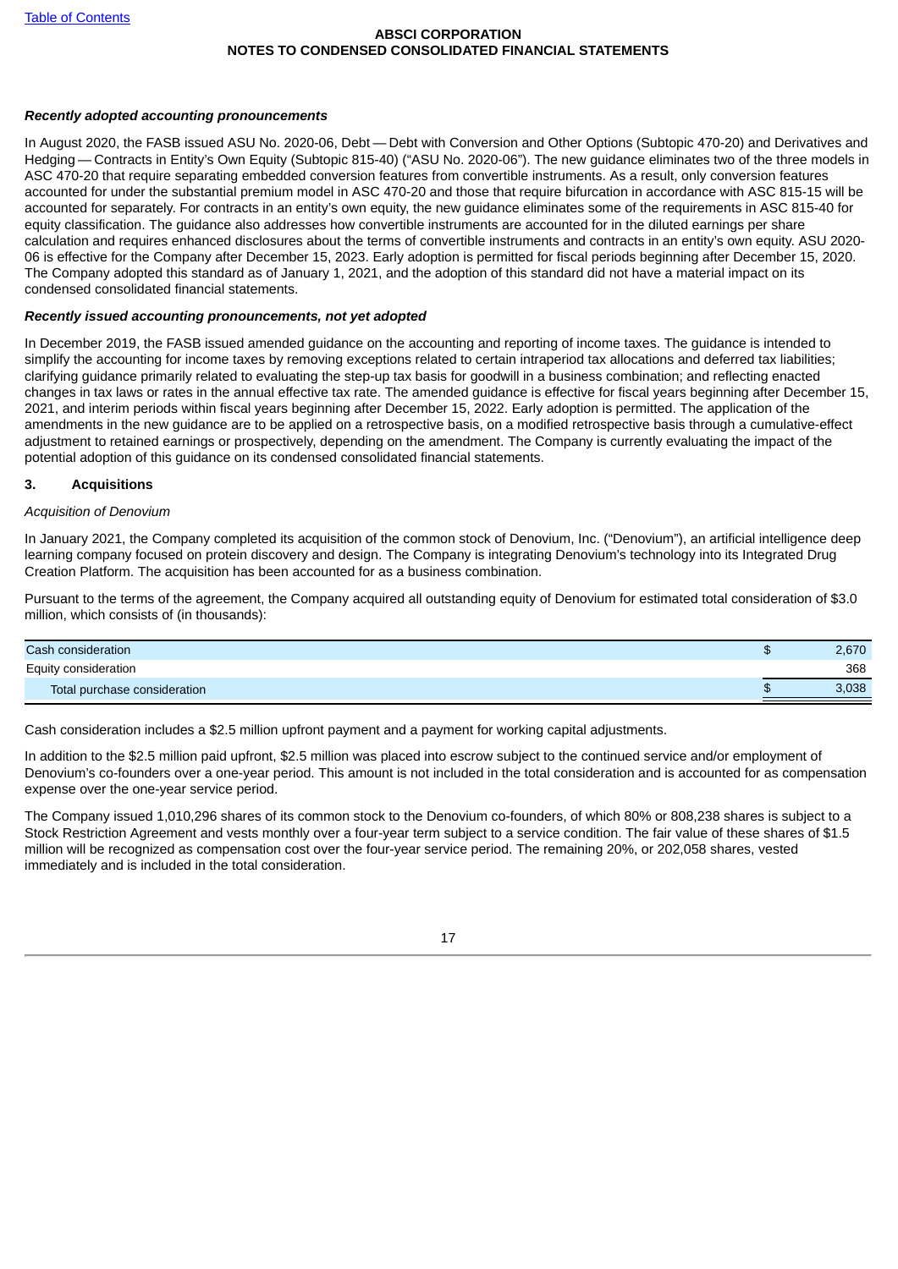# *Recently adopted accounting pronouncements*

In August 2020, the FASB issued ASU No. 2020-06, Debt — Debt with Conversion and Other Options (Subtopic 470-20) and Derivatives and Hedging — Contracts in Entity's Own Equity (Subtopic 815-40) ("ASU No. 2020-06"). The new guidance eliminates two of the three models in ASC 470-20 that require separating embedded conversion features from convertible instruments. As a result, only conversion features accounted for under the substantial premium model in ASC 470-20 and those that require bifurcation in accordance with ASC 815-15 will be accounted for separately. For contracts in an entity's own equity, the new guidance eliminates some of the requirements in ASC 815-40 for equity classification. The guidance also addresses how convertible instruments are accounted for in the diluted earnings per share calculation and requires enhanced disclosures about the terms of convertible instruments and contracts in an entity's own equity. ASU 2020- 06 is effective for the Company after December 15, 2023. Early adoption is permitted for fiscal periods beginning after December 15, 2020. The Company adopted this standard as of January 1, 2021, and the adoption of this standard did not have a material impact on its condensed consolidated financial statements.

# *Recently issued accounting pronouncements, not yet adopted*

In December 2019, the FASB issued amended guidance on the accounting and reporting of income taxes. The guidance is intended to simplify the accounting for income taxes by removing exceptions related to certain intraperiod tax allocations and deferred tax liabilities; clarifying guidance primarily related to evaluating the step-up tax basis for goodwill in a business combination; and reflecting enacted changes in tax laws or rates in the annual effective tax rate. The amended guidance is effective for fiscal years beginning after December 15, 2021, and interim periods within fiscal years beginning after December 15, 2022. Early adoption is permitted. The application of the amendments in the new guidance are to be applied on a retrospective basis, on a modified retrospective basis through a cumulative-effect adjustment to retained earnings or prospectively, depending on the amendment. The Company is currently evaluating the impact of the potential adoption of this guidance on its condensed consolidated financial statements.

# **3. Acquisitions**

# *Acquisition of Denovium*

In January 2021, the Company completed its acquisition of the common stock of Denovium, Inc. ("Denovium"), an artificial intelligence deep learning company focused on protein discovery and design. The Company is integrating Denovium's technology into its Integrated Drug Creation Platform. The acquisition has been accounted for as a business combination.

Pursuant to the terms of the agreement, the Company acquired all outstanding equity of Denovium for estimated total consideration of \$3.0 million, which consists of (in thousands):

| Cash consideration           | 2,670 |
|------------------------------|-------|
| Equity consideration         | 368   |
| Total purchase consideration | 3,038 |

Cash consideration includes a \$2.5 million upfront payment and a payment for working capital adjustments.

In addition to the \$2.5 million paid upfront, \$2.5 million was placed into escrow subject to the continued service and/or employment of Denovium's co-founders over a one-year period. This amount is not included in the total consideration and is accounted for as compensation expense over the one-year service period.

The Company issued 1,010,296 shares of its common stock to the Denovium co-founders, of which 80% or 808,238 shares is subject to a Stock Restriction Agreement and vests monthly over a four-year term subject to a service condition. The fair value of these shares of \$1.5 million will be recognized as compensation cost over the four-year service period. The remaining 20%, or 202,058 shares, vested immediately and is included in the total consideration.

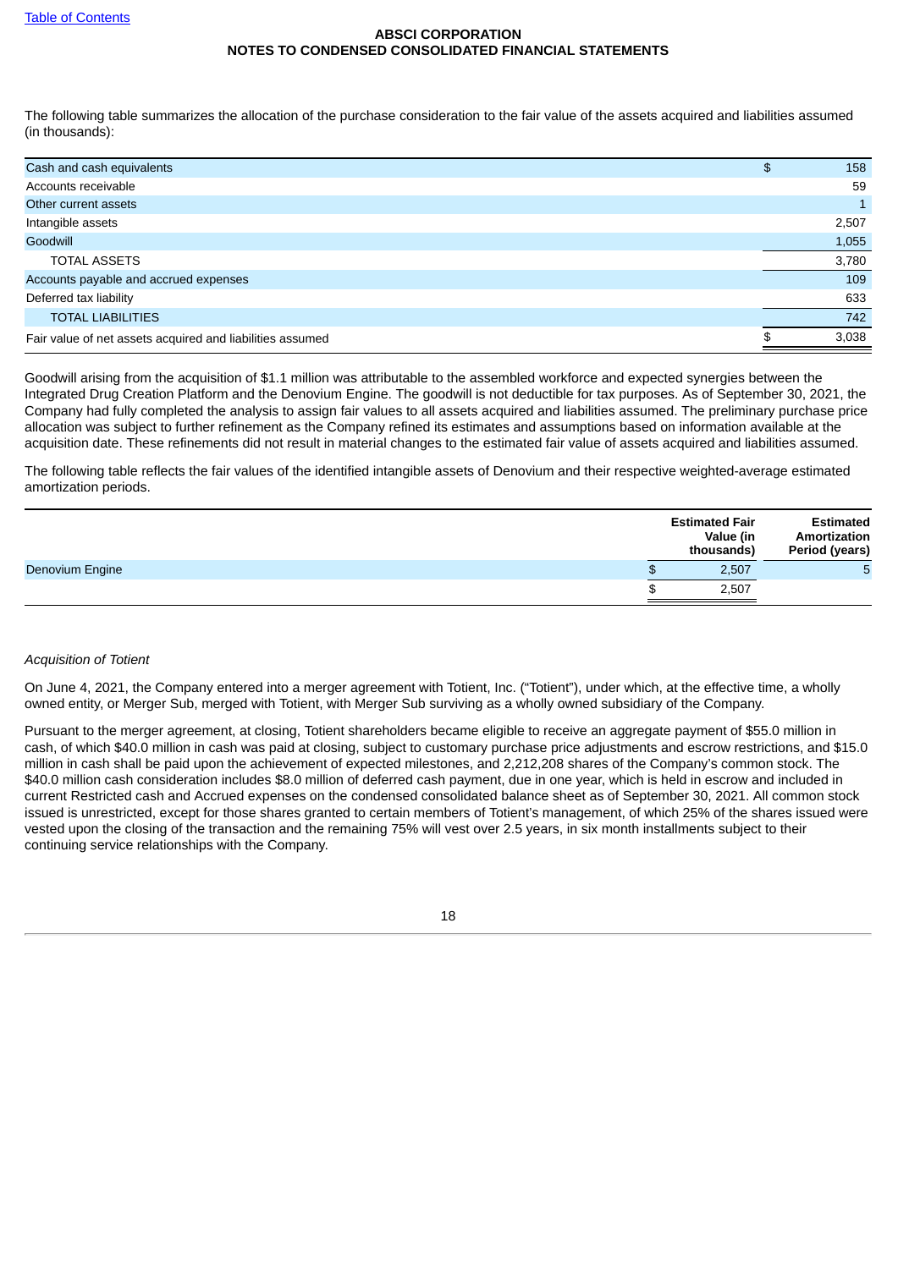The following table summarizes the allocation of the purchase consideration to the fair value of the assets acquired and liabilities assumed (in thousands):

| Cash and cash equivalents                                 | \$<br>158    |
|-----------------------------------------------------------|--------------|
| Accounts receivable                                       | 59           |
| Other current assets                                      | $\mathbf{1}$ |
| Intangible assets                                         | 2,507        |
| Goodwill                                                  | 1,055        |
| <b>TOTAL ASSETS</b>                                       | 3,780        |
| Accounts payable and accrued expenses                     | 109          |
| Deferred tax liability                                    | 633          |
| <b>TOTAL LIABILITIES</b>                                  | 742          |
| Fair value of net assets acquired and liabilities assumed | 3,038        |
|                                                           |              |

Goodwill arising from the acquisition of \$1.1 million was attributable to the assembled workforce and expected synergies between the Integrated Drug Creation Platform and the Denovium Engine. The goodwill is not deductible for tax purposes. As of September 30, 2021, the Company had fully completed the analysis to assign fair values to all assets acquired and liabilities assumed. The preliminary purchase price allocation was subject to further refinement as the Company refined its estimates and assumptions based on information available at the acquisition date. These refinements did not result in material changes to the estimated fair value of assets acquired and liabilities assumed.

The following table reflects the fair values of the identified intangible assets of Denovium and their respective weighted-average estimated amortization periods.

|                 |    | <b>Estimated Fair</b><br>Value (in<br>thousands) | <b>Estimated</b><br>Amortization<br>Period (years) |
|-----------------|----|--------------------------------------------------|----------------------------------------------------|
| Denovium Engine | ъ  | 2,507                                            |                                                    |
|                 | \$ | 2,507                                            |                                                    |

#### *Acquisition of Totient*

On June 4, 2021, the Company entered into a merger agreement with Totient, Inc. ("Totient"), under which, at the effective time, a wholly owned entity, or Merger Sub, merged with Totient, with Merger Sub surviving as a wholly owned subsidiary of the Company.

Pursuant to the merger agreement, at closing, Totient shareholders became eligible to receive an aggregate payment of \$55.0 million in cash, of which \$40.0 million in cash was paid at closing, subject to customary purchase price adjustments and escrow restrictions, and \$15.0 million in cash shall be paid upon the achievement of expected milestones, and 2,212,208 shares of the Company's common stock. The \$40.0 million cash consideration includes \$8.0 million of deferred cash payment, due in one year, which is held in escrow and included in current Restricted cash and Accrued expenses on the condensed consolidated balance sheet as of September 30, 2021. All common stock issued is unrestricted, except for those shares granted to certain members of Totient's management, of which 25% of the shares issued were vested upon the closing of the transaction and the remaining 75% will vest over 2.5 years, in six month installments subject to their continuing service relationships with the Company.

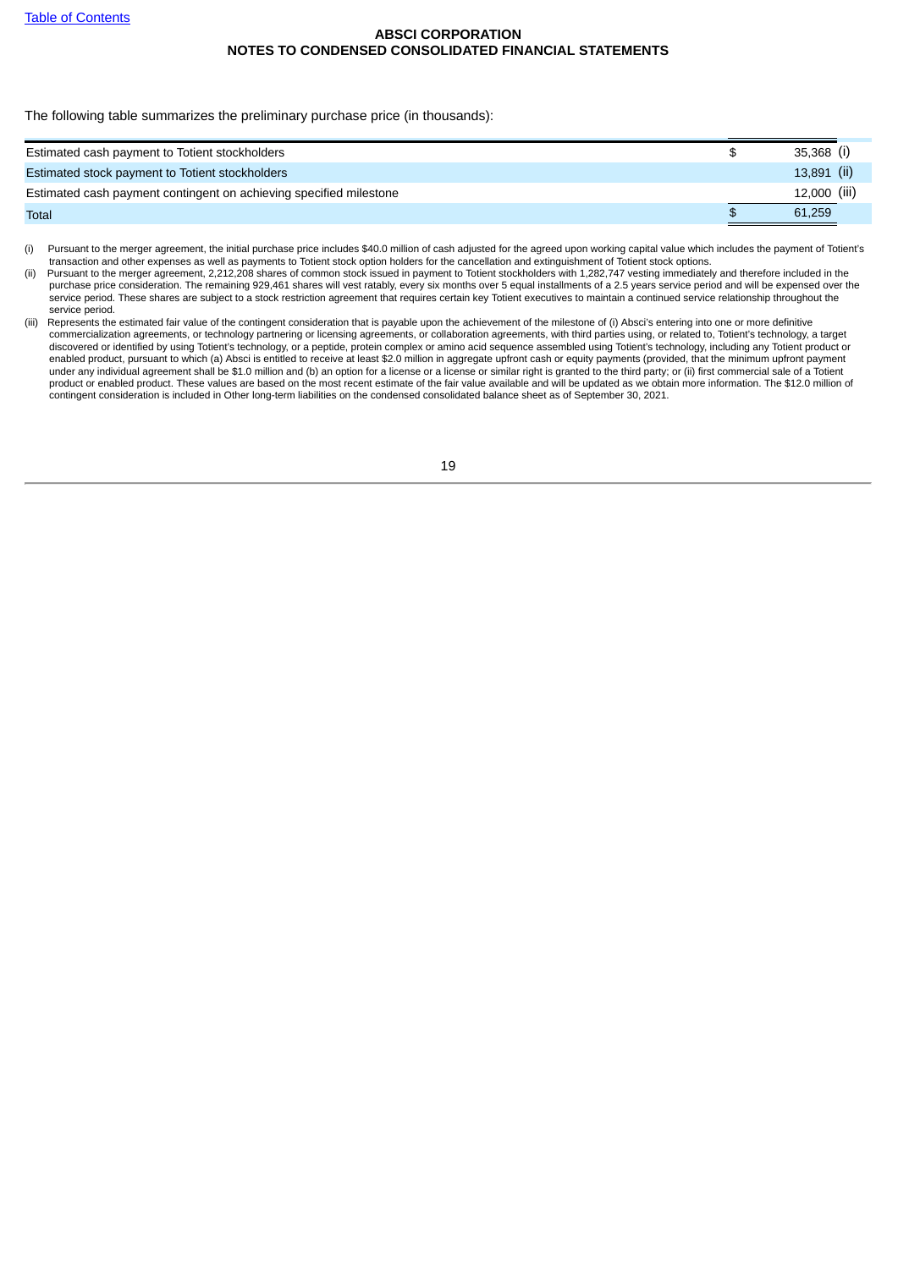The following table summarizes the preliminary purchase price (in thousands):

| Estimated cash payment to Totient stockholders                     | 35,368 (i)    |
|--------------------------------------------------------------------|---------------|
| Estimated stock payment to Totient stockholders                    | $13.891$ (ii) |
| Estimated cash payment contingent on achieving specified milestone | 12,000 (iii)  |
| <b>Total</b>                                                       | 61.259        |

- (i) Pursuant to the merger agreement, the initial purchase price includes \$40.0 million of cash adjusted for the agreed upon working capital value which includes the payment of Totient's transaction and other expenses as well as payments to Totient stock option holders for the cancellation and extinguishment of Totient stock options.
- (ii) Pursuant to the merger agreement, 2,212,208 shares of common stock issued in payment to Totient stockholders with 1,282,747 vesting immediately and therefore included in the purchase price consideration. The remaining 929,461 shares will vest ratably, every six months over 5 equal installments of a 2.5 years service period and will be expensed over the service period. These shares are subject to a stock restriction agreement that requires certain key Totient executives to maintain a continued service relationship throughout the service period.
- (iii) Represents the estimated fair value of the contingent consideration that is payable upon the achievement of the milestone of (i) Absci's entering into one or more definitive commercialization agreements, or technology partnering or licensing agreements, or collaboration agreements, with third parties using, or related to, Totient's technology, a target discovered or identified by using Totient's technology, or a peptide, protein complex or amino acid sequence assembled using Totient's technology, including any Totient product or enabled product, pursuant to which (a) Absci is entitled to receive at least \$2.0 million in aggregate upfront cash or equity payments (provided, that the minimum upfront payment under any individual agreement shall be \$1.0 million and (b) an option for a license or a license or similar right is granted to the third party; or (ii) first commercial sale of a Totient product or enabled product. These values are based on the most recent estimate of the fair value available and will be updated as we obtain more information. The \$12.0 million of contingent consideration is included in Other long-term liabilities on the condensed consolidated balance sheet as of September 30, 2021.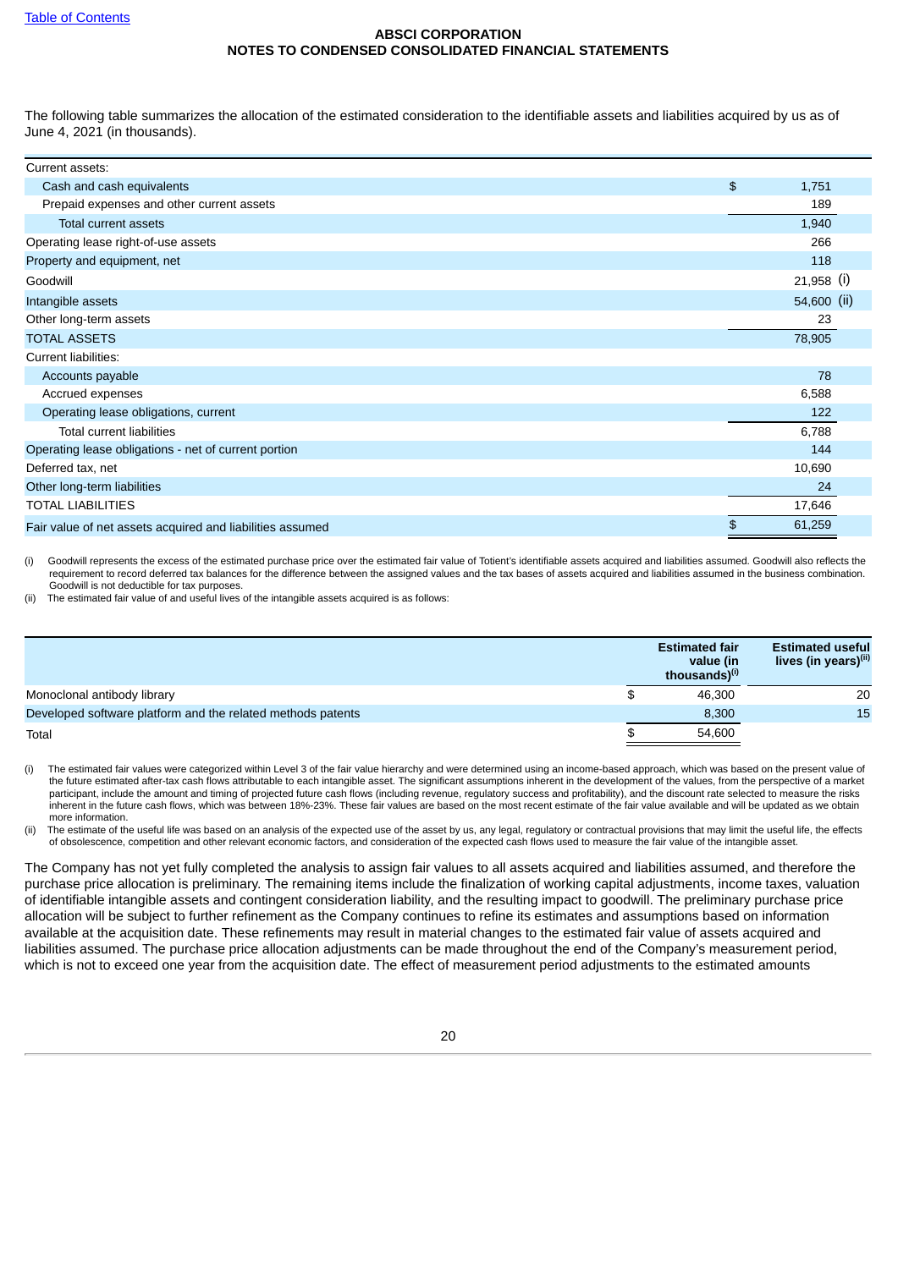The following table summarizes the allocation of the estimated consideration to the identifiable assets and liabilities acquired by us as of June 4, 2021 (in thousands).

| Current assets:                                           |               |             |
|-----------------------------------------------------------|---------------|-------------|
| Cash and cash equivalents                                 | $\frac{2}{3}$ | 1,751       |
| Prepaid expenses and other current assets                 |               | 189         |
| Total current assets                                      |               | 1,940       |
| Operating lease right-of-use assets                       |               | 266         |
| Property and equipment, net                               |               | 118         |
| Goodwill                                                  |               | 21,958 (i)  |
| Intangible assets                                         |               | 54,600 (ii) |
| Other long-term assets                                    |               | 23          |
| <b>TOTAL ASSETS</b>                                       |               | 78,905      |
| <b>Current liabilities:</b>                               |               |             |
| Accounts payable                                          |               | 78          |
| Accrued expenses                                          |               | 6,588       |
| Operating lease obligations, current                      |               | 122         |
| <b>Total current liabilities</b>                          |               | 6,788       |
| Operating lease obligations - net of current portion      |               | 144         |
| Deferred tax, net                                         |               | 10,690      |
| Other long-term liabilities                               |               | 24          |
| <b>TOTAL LIABILITIES</b>                                  |               | 17,646      |
| Fair value of net assets acquired and liabilities assumed | \$            | 61,259      |

(i) Goodwill represents the excess of the estimated purchase price over the estimated fair value of Totient's identifiable assets acquired and liabilities assumed. Goodwill also reflects the requirement to record deferred tax balances for the difference between the assigned values and the tax bases of assets acquired and liabilities assumed in the business combination. Goodwill is not deductible for tax purposes.

(ii) The estimated fair value of and useful lives of the intangible assets acquired is as follows:

|                                                             | <b>Estimated fair</b><br>value (in<br>thousands) <sup>(1)</sup> | <b>Estimated useful</b><br>lives (in years) <sup>(ii)</sup> |
|-------------------------------------------------------------|-----------------------------------------------------------------|-------------------------------------------------------------|
| Monoclonal antibody library                                 | 46.300                                                          | 20                                                          |
| Developed software platform and the related methods patents | 8,300                                                           | 15                                                          |
| Total                                                       | 54,600                                                          |                                                             |

The estimated fair values were categorized within Level 3 of the fair value hierarchy and were determined using an income-based approach, which was based on the present value of the future estimated after-tax cash flows attributable to each intangible asset. The significant assumptions inherent in the development of the values, from the perspective of a market participant, include the amount and timing of projected future cash flows (including revenue, regulatory success and profitability), and the discount rate selected to measure the risks inherent in the future cash flows, which was between 18%-23%. These fair values are based on the most recent estimate of the fair value available and will be updated as we obtain more information.

(ii) The estimate of the useful life was based on an analysis of the expected use of the asset by us, any legal, regulatory or contractual provisions that may limit the useful life, the effects of obsolescence, competition and other relevant economic factors, and consideration of the expected cash flows used to measure the fair value of the intangible asset.

The Company has not yet fully completed the analysis to assign fair values to all assets acquired and liabilities assumed, and therefore the purchase price allocation is preliminary. The remaining items include the finalization of working capital adjustments, income taxes, valuation of identifiable intangible assets and contingent consideration liability, and the resulting impact to goodwill. The preliminary purchase price allocation will be subject to further refinement as the Company continues to refine its estimates and assumptions based on information available at the acquisition date. These refinements may result in material changes to the estimated fair value of assets acquired and liabilities assumed. The purchase price allocation adjustments can be made throughout the end of the Company's measurement period, which is not to exceed one year from the acquisition date. The effect of measurement period adjustments to the estimated amounts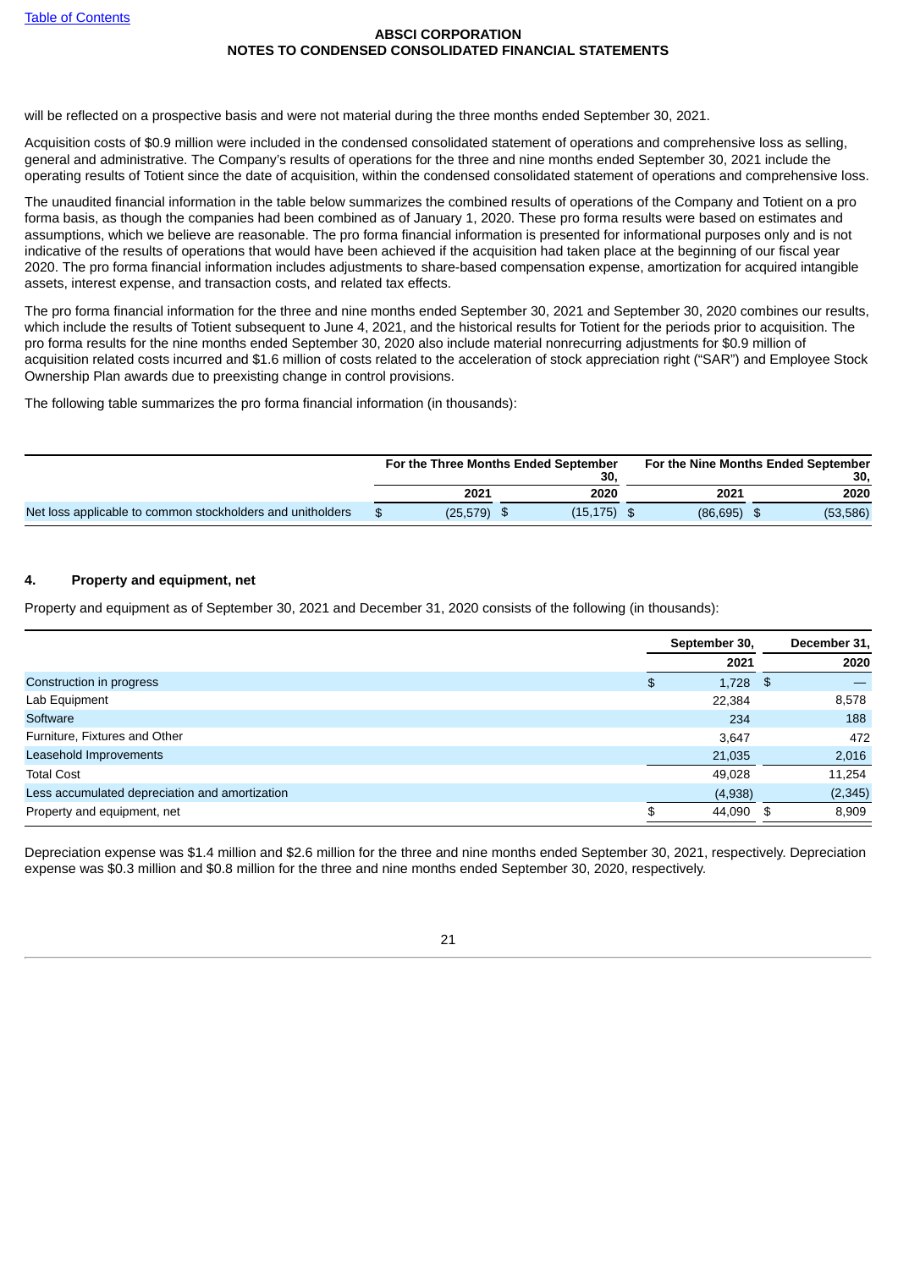will be reflected on a prospective basis and were not material during the three months ended September 30, 2021.

Acquisition costs of \$0.9 million were included in the condensed consolidated statement of operations and comprehensive loss as selling, general and administrative. The Company's results of operations for the three and nine months ended September 30, 2021 include the operating results of Totient since the date of acquisition, within the condensed consolidated statement of operations and comprehensive loss.

The unaudited financial information in the table below summarizes the combined results of operations of the Company and Totient on a pro forma basis, as though the companies had been combined as of January 1, 2020. These pro forma results were based on estimates and assumptions, which we believe are reasonable. The pro forma financial information is presented for informational purposes only and is not indicative of the results of operations that would have been achieved if the acquisition had taken place at the beginning of our fiscal year 2020. The pro forma financial information includes adjustments to share-based compensation expense, amortization for acquired intangible assets, interest expense, and transaction costs, and related tax effects.

The pro forma financial information for the three and nine months ended September 30, 2021 and September 30, 2020 combines our results, which include the results of Totient subsequent to June 4, 2021, and the historical results for Totient for the periods prior to acquisition. The pro forma results for the nine months ended September 30, 2020 also include material nonrecurring adjustments for \$0.9 million of acquisition related costs incurred and \$1.6 million of costs related to the acceleration of stock appreciation right ("SAR") and Employee Stock Ownership Plan awards due to preexisting change in control provisions.

The following table summarizes the pro forma financial information (in thousands):

|                                                            | For the Three Months Ended September<br>30. |               |  | For the Nine Months Ended September | 30.       |           |
|------------------------------------------------------------|---------------------------------------------|---------------|--|-------------------------------------|-----------|-----------|
|                                                            |                                             | 2021          |  | 2020                                | 2021      | 2020      |
| Net loss applicable to common stockholders and unitholders |                                             | $(25.579)$ \$ |  | $(15, 175)$ \$                      | (86, 695) | (53, 586) |

# **4. Property and equipment, net**

Property and equipment as of September 30, 2021 and December 31, 2020 consists of the following (in thousands):

| September 30, |               | December 31,                                           |
|---------------|---------------|--------------------------------------------------------|
|               |               | 2020                                                   |
| \$            | - \$          |                                                        |
|               |               | 8,578                                                  |
|               |               | 188                                                    |
| 3,647         |               | 472                                                    |
|               |               | 2,016                                                  |
|               |               | 11,254                                                 |
|               |               | (2, 345)                                               |
|               | \$            | 8,909                                                  |
|               | 22,384<br>234 | 2021<br>1,728<br>21,035<br>49,028<br>(4,938)<br>44,090 |

Depreciation expense was \$1.4 million and \$2.6 million for the three and nine months ended September 30, 2021, respectively. Depreciation expense was \$0.3 million and \$0.8 million for the three and nine months ended September 30, 2020, respectively.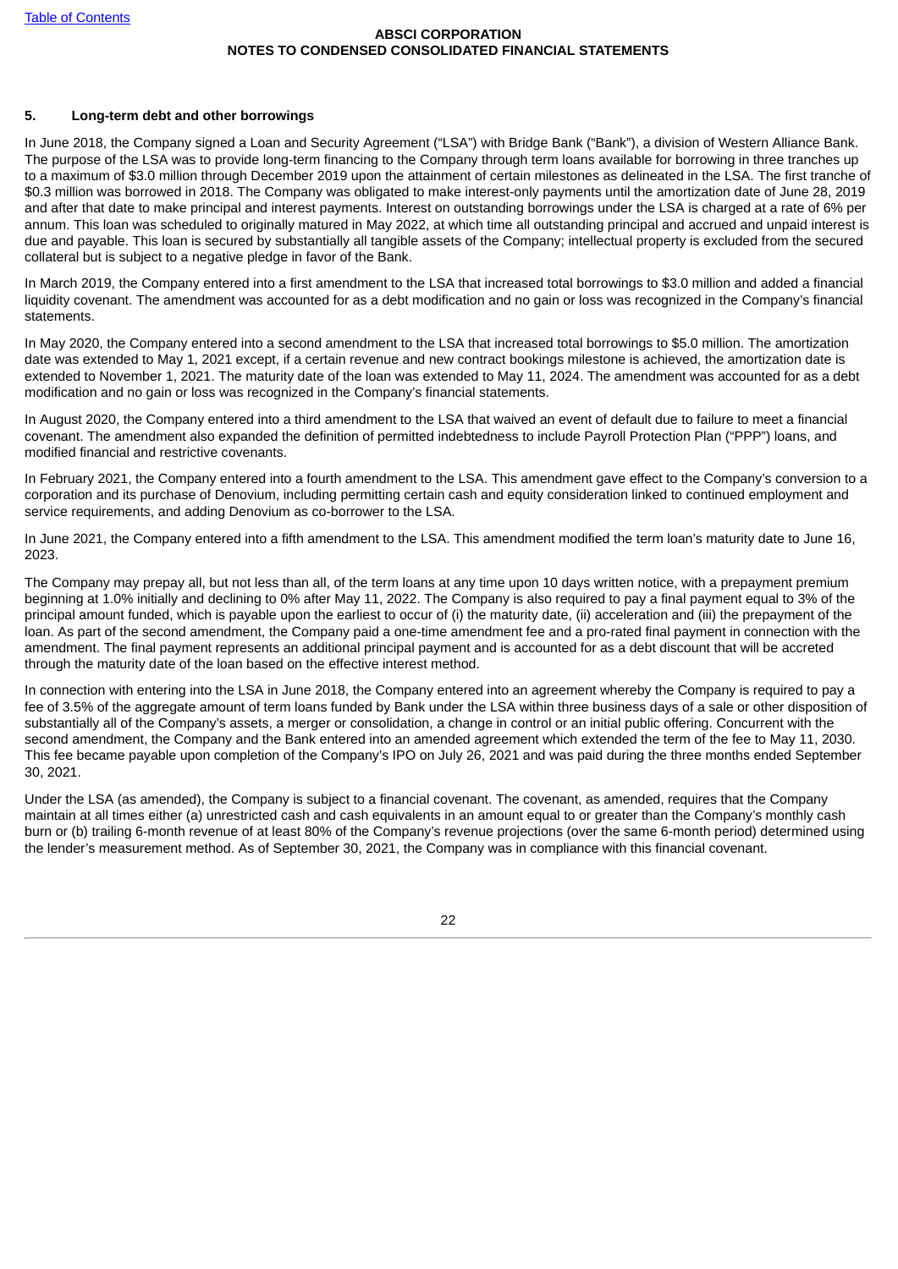# **5. Long-term debt and other borrowings**

In June 2018, the Company signed a Loan and Security Agreement ("LSA") with Bridge Bank ("Bank"), a division of Western Alliance Bank. The purpose of the LSA was to provide long-term financing to the Company through term loans available for borrowing in three tranches up to a maximum of \$3.0 million through December 2019 upon the attainment of certain milestones as delineated in the LSA. The first tranche of \$0.3 million was borrowed in 2018. The Company was obligated to make interest-only payments until the amortization date of June 28, 2019 and after that date to make principal and interest payments. Interest on outstanding borrowings under the LSA is charged at a rate of 6% per annum. This loan was scheduled to originally matured in May 2022, at which time all outstanding principal and accrued and unpaid interest is due and payable. This loan is secured by substantially all tangible assets of the Company; intellectual property is excluded from the secured collateral but is subject to a negative pledge in favor of the Bank.

In March 2019, the Company entered into a first amendment to the LSA that increased total borrowings to \$3.0 million and added a financial liquidity covenant. The amendment was accounted for as a debt modification and no gain or loss was recognized in the Company's financial statements.

In May 2020, the Company entered into a second amendment to the LSA that increased total borrowings to \$5.0 million. The amortization date was extended to May 1, 2021 except, if a certain revenue and new contract bookings milestone is achieved, the amortization date is extended to November 1, 2021. The maturity date of the loan was extended to May 11, 2024. The amendment was accounted for as a debt modification and no gain or loss was recognized in the Company's financial statements.

In August 2020, the Company entered into a third amendment to the LSA that waived an event of default due to failure to meet a financial covenant. The amendment also expanded the definition of permitted indebtedness to include Payroll Protection Plan ("PPP") loans, and modified financial and restrictive covenants.

In February 2021, the Company entered into a fourth amendment to the LSA. This amendment gave effect to the Company's conversion to a corporation and its purchase of Denovium, including permitting certain cash and equity consideration linked to continued employment and service requirements, and adding Denovium as co-borrower to the LSA.

In June 2021, the Company entered into a fifth amendment to the LSA. This amendment modified the term loan's maturity date to June 16, 2023.

The Company may prepay all, but not less than all, of the term loans at any time upon 10 days written notice, with a prepayment premium beginning at 1.0% initially and declining to 0% after May 11, 2022. The Company is also required to pay a final payment equal to 3% of the principal amount funded, which is payable upon the earliest to occur of (i) the maturity date, (ii) acceleration and (iii) the prepayment of the loan. As part of the second amendment, the Company paid a one-time amendment fee and a pro-rated final payment in connection with the amendment. The final payment represents an additional principal payment and is accounted for as a debt discount that will be accreted through the maturity date of the loan based on the effective interest method.

In connection with entering into the LSA in June 2018, the Company entered into an agreement whereby the Company is required to pay a fee of 3.5% of the aggregate amount of term loans funded by Bank under the LSA within three business days of a sale or other disposition of substantially all of the Company's assets, a merger or consolidation, a change in control or an initial public offering. Concurrent with the second amendment, the Company and the Bank entered into an amended agreement which extended the term of the fee to May 11, 2030. This fee became payable upon completion of the Company's IPO on July 26, 2021 and was paid during the three months ended September 30, 2021.

Under the LSA (as amended), the Company is subject to a financial covenant. The covenant, as amended, requires that the Company maintain at all times either (a) unrestricted cash and cash equivalents in an amount equal to or greater than the Company's monthly cash burn or (b) trailing 6-month revenue of at least 80% of the Company's revenue projections (over the same 6-month period) determined using the lender's measurement method. As of September 30, 2021, the Company was in compliance with this financial covenant.

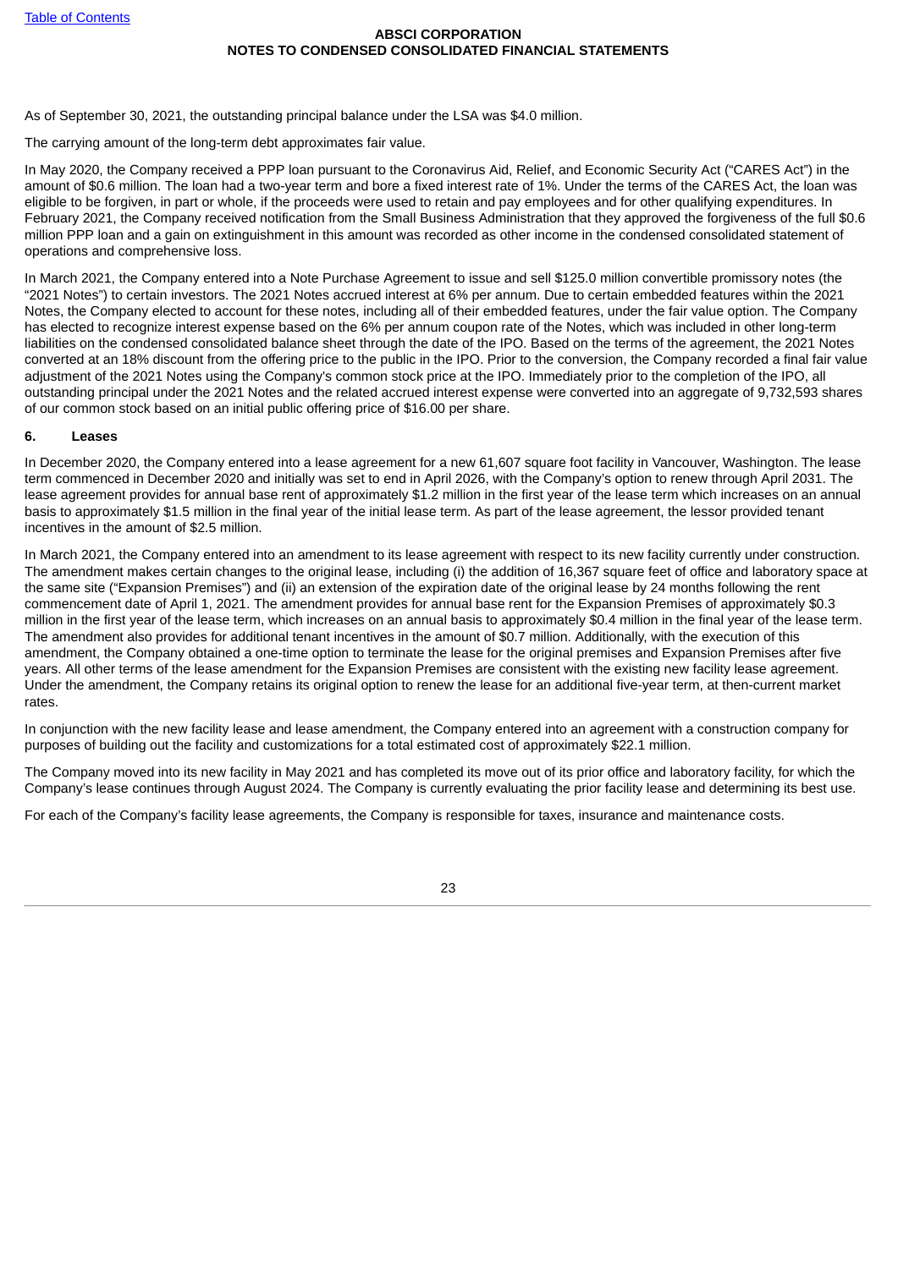As of September 30, 2021, the outstanding principal balance under the LSA was \$4.0 million.

The carrying amount of the long-term debt approximates fair value.

In May 2020, the Company received a PPP loan pursuant to the Coronavirus Aid, Relief, and Economic Security Act ("CARES Act") in the amount of \$0.6 million. The loan had a two-year term and bore a fixed interest rate of 1%. Under the terms of the CARES Act, the loan was eligible to be forgiven, in part or whole, if the proceeds were used to retain and pay employees and for other qualifying expenditures. In February 2021, the Company received notification from the Small Business Administration that they approved the forgiveness of the full \$0.6 million PPP loan and a gain on extinguishment in this amount was recorded as other income in the condensed consolidated statement of operations and comprehensive loss.

In March 2021, the Company entered into a Note Purchase Agreement to issue and sell \$125.0 million convertible promissory notes (the "2021 Notes") to certain investors. The 2021 Notes accrued interest at 6% per annum. Due to certain embedded features within the 2021 Notes, the Company elected to account for these notes, including all of their embedded features, under the fair value option. The Company has elected to recognize interest expense based on the 6% per annum coupon rate of the Notes, which was included in other long-term liabilities on the condensed consolidated balance sheet through the date of the IPO. Based on the terms of the agreement, the 2021 Notes converted at an 18% discount from the offering price to the public in the IPO. Prior to the conversion, the Company recorded a final fair value adjustment of the 2021 Notes using the Company's common stock price at the IPO. Immediately prior to the completion of the IPO, all outstanding principal under the 2021 Notes and the related accrued interest expense were converted into an aggregate of 9,732,593 shares of our common stock based on an initial public offering price of \$16.00 per share.

# **6. Leases**

In December 2020, the Company entered into a lease agreement for a new 61,607 square foot facility in Vancouver, Washington. The lease term commenced in December 2020 and initially was set to end in April 2026, with the Company's option to renew through April 2031. The lease agreement provides for annual base rent of approximately \$1.2 million in the first year of the lease term which increases on an annual basis to approximately \$1.5 million in the final year of the initial lease term. As part of the lease agreement, the lessor provided tenant incentives in the amount of \$2.5 million.

In March 2021, the Company entered into an amendment to its lease agreement with respect to its new facility currently under construction. The amendment makes certain changes to the original lease, including (i) the addition of 16,367 square feet of office and laboratory space at the same site ("Expansion Premises") and (ii) an extension of the expiration date of the original lease by 24 months following the rent commencement date of April 1, 2021. The amendment provides for annual base rent for the Expansion Premises of approximately \$0.3 million in the first year of the lease term, which increases on an annual basis to approximately \$0.4 million in the final year of the lease term. The amendment also provides for additional tenant incentives in the amount of \$0.7 million. Additionally, with the execution of this amendment, the Company obtained a one-time option to terminate the lease for the original premises and Expansion Premises after five years. All other terms of the lease amendment for the Expansion Premises are consistent with the existing new facility lease agreement. Under the amendment, the Company retains its original option to renew the lease for an additional five-year term, at then-current market rates.

In conjunction with the new facility lease and lease amendment, the Company entered into an agreement with a construction company for purposes of building out the facility and customizations for a total estimated cost of approximately \$22.1 million.

The Company moved into its new facility in May 2021 and has completed its move out of its prior office and laboratory facility, for which the Company's lease continues through August 2024. The Company is currently evaluating the prior facility lease and determining its best use.

For each of the Company's facility lease agreements, the Company is responsible for taxes, insurance and maintenance costs.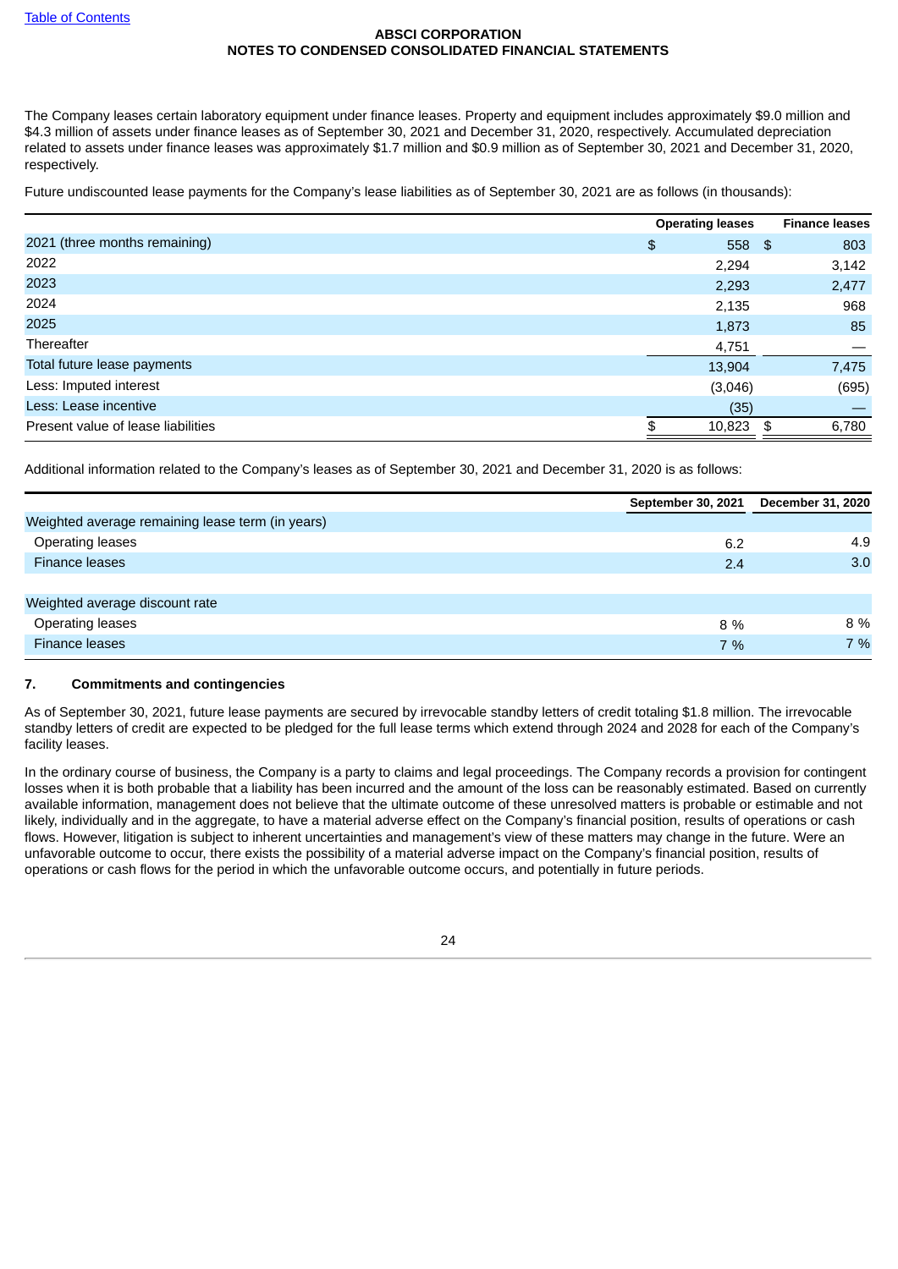The Company leases certain laboratory equipment under finance leases. Property and equipment includes approximately \$9.0 million and \$4.3 million of assets under finance leases as of September 30, 2021 and December 31, 2020, respectively. Accumulated depreciation related to assets under finance leases was approximately \$1.7 million and \$0.9 million as of September 30, 2021 and December 31, 2020, respectively.

Future undiscounted lease payments for the Company's lease liabilities as of September 30, 2021 are as follows (in thousands):

|                                    | <b>Operating leases</b>   | <b>Finance leases</b> |
|------------------------------------|---------------------------|-----------------------|
| 2021 (three months remaining)      | $\frac{1}{2}$<br>$558$ \$ | 803                   |
| 2022                               | 2,294                     | 3,142                 |
| 2023                               | 2,293                     | 2,477                 |
| 2024                               | 2,135                     | 968                   |
| 2025                               | 1,873                     | 85                    |
| Thereafter                         | 4,751                     |                       |
| Total future lease payments        | 13,904                    | 7,475                 |
| Less: Imputed interest             | (3,046)                   | (695)                 |
| Less: Lease incentive              | (35)                      |                       |
| Present value of lease liabilities | 10,823                    | 6,780<br>- \$         |

Additional information related to the Company's leases as of September 30, 2021 and December 31, 2020 is as follows:

|                                                  | <b>September 30, 2021</b> | <b>December 31, 2020</b> |
|--------------------------------------------------|---------------------------|--------------------------|
| Weighted average remaining lease term (in years) |                           |                          |
| <b>Operating leases</b>                          | 6.2                       | 4.9                      |
| <b>Finance leases</b>                            | 2.4                       | 3.0                      |
|                                                  |                           |                          |
| Weighted average discount rate                   |                           |                          |
| <b>Operating leases</b>                          | 8 %                       | 8 %                      |
| <b>Finance leases</b>                            | 7 %                       | 7 %                      |

# **7. Commitments and contingencies**

As of September 30, 2021, future lease payments are secured by irrevocable standby letters of credit totaling \$1.8 million. The irrevocable standby letters of credit are expected to be pledged for the full lease terms which extend through 2024 and 2028 for each of the Company's facility leases.

In the ordinary course of business, the Company is a party to claims and legal proceedings. The Company records a provision for contingent losses when it is both probable that a liability has been incurred and the amount of the loss can be reasonably estimated. Based on currently available information, management does not believe that the ultimate outcome of these unresolved matters is probable or estimable and not likely, individually and in the aggregate, to have a material adverse effect on the Company's financial position, results of operations or cash flows. However, litigation is subject to inherent uncertainties and management's view of these matters may change in the future. Were an unfavorable outcome to occur, there exists the possibility of a material adverse impact on the Company's financial position, results of operations or cash flows for the period in which the unfavorable outcome occurs, and potentially in future periods.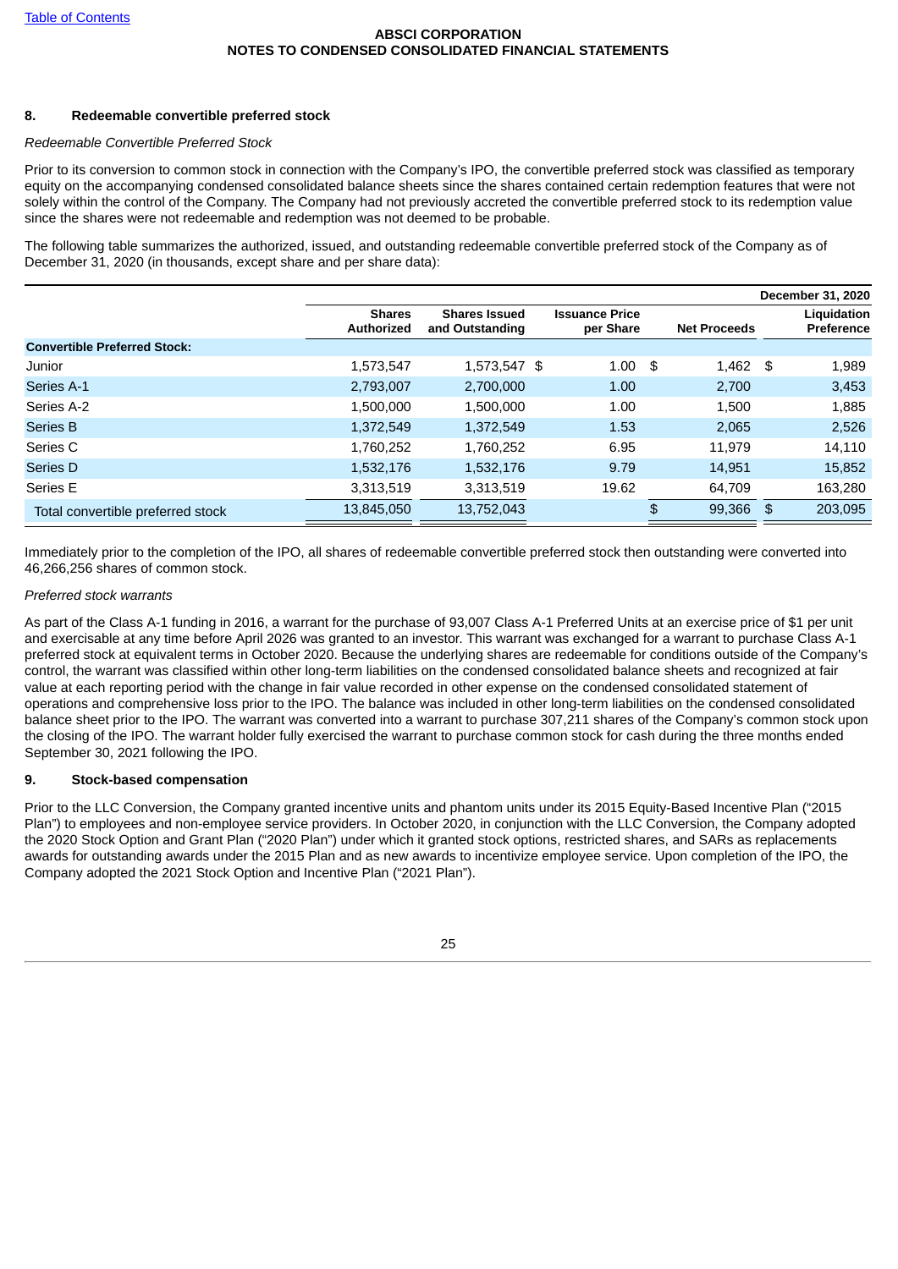# **8. Redeemable convertible preferred stock**

# *Redeemable Convertible Preferred Stock*

Prior to its conversion to common stock in connection with the Company's IPO, the convertible preferred stock was classified as temporary equity on the accompanying condensed consolidated balance sheets since the shares contained certain redemption features that were not solely within the control of the Company. The Company had not previously accreted the convertible preferred stock to its redemption value since the shares were not redeemable and redemption was not deemed to be probable.

The following table summarizes the authorized, issued, and outstanding redeemable convertible preferred stock of the Company as of December 31, 2020 (in thousands, except share and per share data):

|                                     |                                    |                                         |                                    |                     | December 31, 2020         |
|-------------------------------------|------------------------------------|-----------------------------------------|------------------------------------|---------------------|---------------------------|
|                                     | <b>Shares</b><br><b>Authorized</b> | <b>Shares Issued</b><br>and Outstanding | <b>Issuance Price</b><br>per Share | <b>Net Proceeds</b> | Liquidation<br>Preference |
| <b>Convertible Preferred Stock:</b> |                                    |                                         |                                    |                     |                           |
| Junior                              | 1,573,547                          | 1,573,547 \$                            | 1.00                               | \$<br>$1,462$ \$    | 1,989                     |
| Series A-1                          | 2,793,007                          | 2,700,000                               | 1.00                               | 2.700               | 3,453                     |
| Series A-2                          | 1,500,000                          | 1,500,000                               | 1.00                               | 1.500               | 1,885                     |
| Series B                            | 1,372,549                          | 1,372,549                               | 1.53                               | 2.065               | 2,526                     |
| Series C                            | 1,760,252                          | 1,760,252                               | 6.95                               | 11.979              | 14,110                    |
| Series D                            | 1,532,176                          | 1,532,176                               | 9.79                               | 14,951              | 15,852                    |
| Series E                            | 3,313,519                          | 3,313,519                               | 19.62                              | 64,709              | 163,280                   |
| Total convertible preferred stock   | 13,845,050                         | 13,752,043                              |                                    | \$<br>99,366        | \$<br>203,095             |

Immediately prior to the completion of the IPO, all shares of redeemable convertible preferred stock then outstanding were converted into 46,266,256 shares of common stock.

# *Preferred stock warrants*

As part of the Class A-1 funding in 2016, a warrant for the purchase of 93,007 Class A-1 Preferred Units at an exercise price of \$1 per unit and exercisable at any time before April 2026 was granted to an investor. This warrant was exchanged for a warrant to purchase Class A-1 preferred stock at equivalent terms in October 2020. Because the underlying shares are redeemable for conditions outside of the Company's control, the warrant was classified within other long-term liabilities on the condensed consolidated balance sheets and recognized at fair value at each reporting period with the change in fair value recorded in other expense on the condensed consolidated statement of operations and comprehensive loss prior to the IPO. The balance was included in other long-term liabilities on the condensed consolidated balance sheet prior to the IPO. The warrant was converted into a warrant to purchase 307,211 shares of the Company's common stock upon the closing of the IPO. The warrant holder fully exercised the warrant to purchase common stock for cash during the three months ended September 30, 2021 following the IPO.

# **9. Stock-based compensation**

Prior to the LLC Conversion, the Company granted incentive units and phantom units under its 2015 Equity-Based Incentive Plan ("2015 Plan") to employees and non-employee service providers. In October 2020, in conjunction with the LLC Conversion, the Company adopted the 2020 Stock Option and Grant Plan ("2020 Plan") under which it granted stock options, restricted shares, and SARs as replacements awards for outstanding awards under the 2015 Plan and as new awards to incentivize employee service. Upon completion of the IPO, the Company adopted the 2021 Stock Option and Incentive Plan ("2021 Plan").

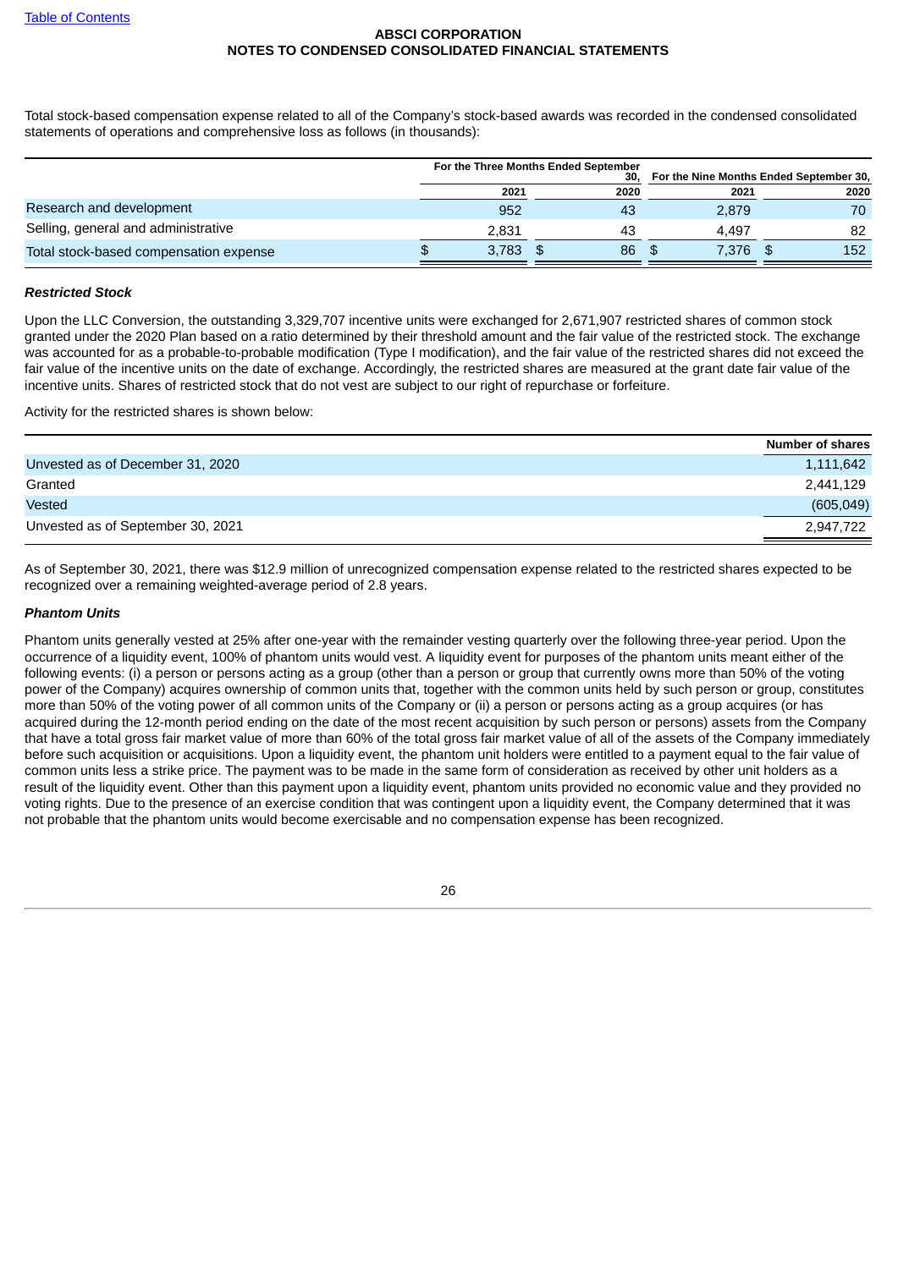Total stock-based compensation expense related to all of the Company's stock-based awards was recorded in the condensed consolidated statements of operations and comprehensive loss as follows (in thousands):

|                                        | For the Three Months Ended September<br>30. |      |               | For the Nine Months Ended September 30, |
|----------------------------------------|---------------------------------------------|------|---------------|-----------------------------------------|
|                                        | 2021                                        | 2020 | 2021          | 2020                                    |
| Research and development               | 952                                         | 43   | 2.879         | 70                                      |
| Selling, general and administrative    | 2.831                                       | 43   | 4.497         | 82                                      |
| Total stock-based compensation expense | 3.783                                       | 86   | 7.376<br>- SG | 152                                     |

#### *Restricted Stock*

Upon the LLC Conversion, the outstanding 3,329,707 incentive units were exchanged for 2,671,907 restricted shares of common stock granted under the 2020 Plan based on a ratio determined by their threshold amount and the fair value of the restricted stock. The exchange was accounted for as a probable-to-probable modification (Type I modification), and the fair value of the restricted shares did not exceed the fair value of the incentive units on the date of exchange. Accordingly, the restricted shares are measured at the grant date fair value of the incentive units. Shares of restricted stock that do not vest are subject to our right of repurchase or forfeiture.

Activity for the restricted shares is shown below:

|                                   | <b>Number of shares</b> |
|-----------------------------------|-------------------------|
| Unvested as of December 31, 2020  | 1,111,642               |
| Granted                           | 2,441,129               |
| Vested                            | (605, 049)              |
| Unvested as of September 30, 2021 | 2,947,722               |

As of September 30, 2021, there was \$12.9 million of unrecognized compensation expense related to the restricted shares expected to be recognized over a remaining weighted-average period of 2.8 years.

#### *Phantom Units*

Phantom units generally vested at 25% after one-year with the remainder vesting quarterly over the following three-year period. Upon the occurrence of a liquidity event, 100% of phantom units would vest. A liquidity event for purposes of the phantom units meant either of the following events: (i) a person or persons acting as a group (other than a person or group that currently owns more than 50% of the voting power of the Company) acquires ownership of common units that, together with the common units held by such person or group, constitutes more than 50% of the voting power of all common units of the Company or (ii) a person or persons acting as a group acquires (or has acquired during the 12-month period ending on the date of the most recent acquisition by such person or persons) assets from the Company that have a total gross fair market value of more than 60% of the total gross fair market value of all of the assets of the Company immediately before such acquisition or acquisitions. Upon a liquidity event, the phantom unit holders were entitled to a payment equal to the fair value of common units less a strike price. The payment was to be made in the same form of consideration as received by other unit holders as a result of the liquidity event. Other than this payment upon a liquidity event, phantom units provided no economic value and they provided no voting rights. Due to the presence of an exercise condition that was contingent upon a liquidity event, the Company determined that it was not probable that the phantom units would become exercisable and no compensation expense has been recognized.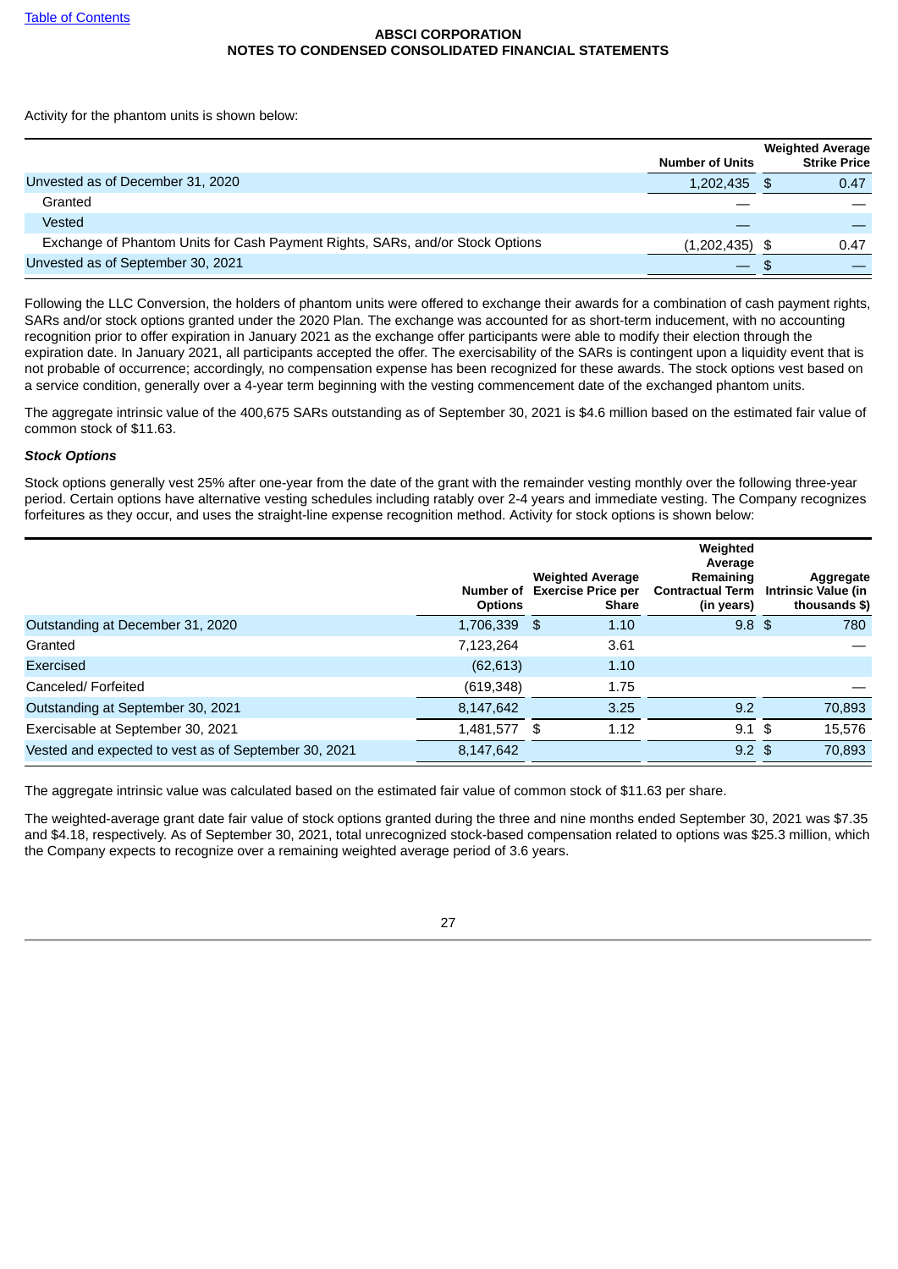Activity for the phantom units is shown below:

|                                                                               | <b>Number of Units</b>   | <b>Weighted Average</b><br><b>Strike Price</b> |
|-------------------------------------------------------------------------------|--------------------------|------------------------------------------------|
| Unvested as of December 31, 2020                                              | 1,202,435                | 0.47                                           |
| Granted                                                                       |                          |                                                |
| Vested                                                                        |                          |                                                |
| Exchange of Phantom Units for Cash Payment Rights, SARs, and/or Stock Options | $(1,202,435)$ \$         | 0.47                                           |
| Unvested as of September 30, 2021                                             | $\overline{\phantom{m}}$ |                                                |

Following the LLC Conversion, the holders of phantom units were offered to exchange their awards for a combination of cash payment rights, SARs and/or stock options granted under the 2020 Plan. The exchange was accounted for as short-term inducement, with no accounting recognition prior to offer expiration in January 2021 as the exchange offer participants were able to modify their election through the expiration date. In January 2021, all participants accepted the offer. The exercisability of the SARs is contingent upon a liquidity event that is not probable of occurrence; accordingly, no compensation expense has been recognized for these awards. The stock options vest based on a service condition, generally over a 4-year term beginning with the vesting commencement date of the exchanged phantom units.

The aggregate intrinsic value of the 400,675 SARs outstanding as of September 30, 2021 is \$4.6 million based on the estimated fair value of common stock of \$11.63.

#### *Stock Options*

Stock options generally vest 25% after one-year from the date of the grant with the remainder vesting monthly over the following three-year period. Certain options have alternative vesting schedules including ratably over 2-4 years and immediate vesting. The Company recognizes forfeitures as they occur, and uses the straight-line expense recognition method. Activity for stock options is shown below:

|                                                      | Number of<br><b>Options</b> | <b>Weighted Average</b><br><b>Exercise Price per</b><br>Share | Weighted<br>Average<br>Remaining<br><b>Contractual Term</b><br>(in years) | Aggregate<br>Intrinsic Value (in<br>thousands \$) |
|------------------------------------------------------|-----------------------------|---------------------------------------------------------------|---------------------------------------------------------------------------|---------------------------------------------------|
| Outstanding at December 31, 2020                     | 1,706,339 \$                | 1.10                                                          | $9.8$ \$                                                                  | 780                                               |
| Granted                                              | 7,123,264                   | 3.61                                                          |                                                                           |                                                   |
| Exercised                                            | (62, 613)                   | 1.10                                                          |                                                                           |                                                   |
| Canceled/Forfeited                                   | (619, 348)                  | 1.75                                                          |                                                                           |                                                   |
| Outstanding at September 30, 2021                    | 8,147,642                   | 3.25                                                          | 9.2                                                                       | 70,893                                            |
| Exercisable at September 30, 2021                    | 1,481,577                   | 1.12<br>\$                                                    | $9.1 \text{ } $$                                                          | 15,576                                            |
| Vested and expected to vest as of September 30, 2021 | 8,147,642                   |                                                               | $9.2$ \$                                                                  | 70,893                                            |

The aggregate intrinsic value was calculated based on the estimated fair value of common stock of \$11.63 per share.

The weighted-average grant date fair value of stock options granted during the three and nine months ended September 30, 2021 was \$7.35 and \$4.18, respectively. As of September 30, 2021, total unrecognized stock-based compensation related to options was \$25.3 million, which the Company expects to recognize over a remaining weighted average period of 3.6 years.

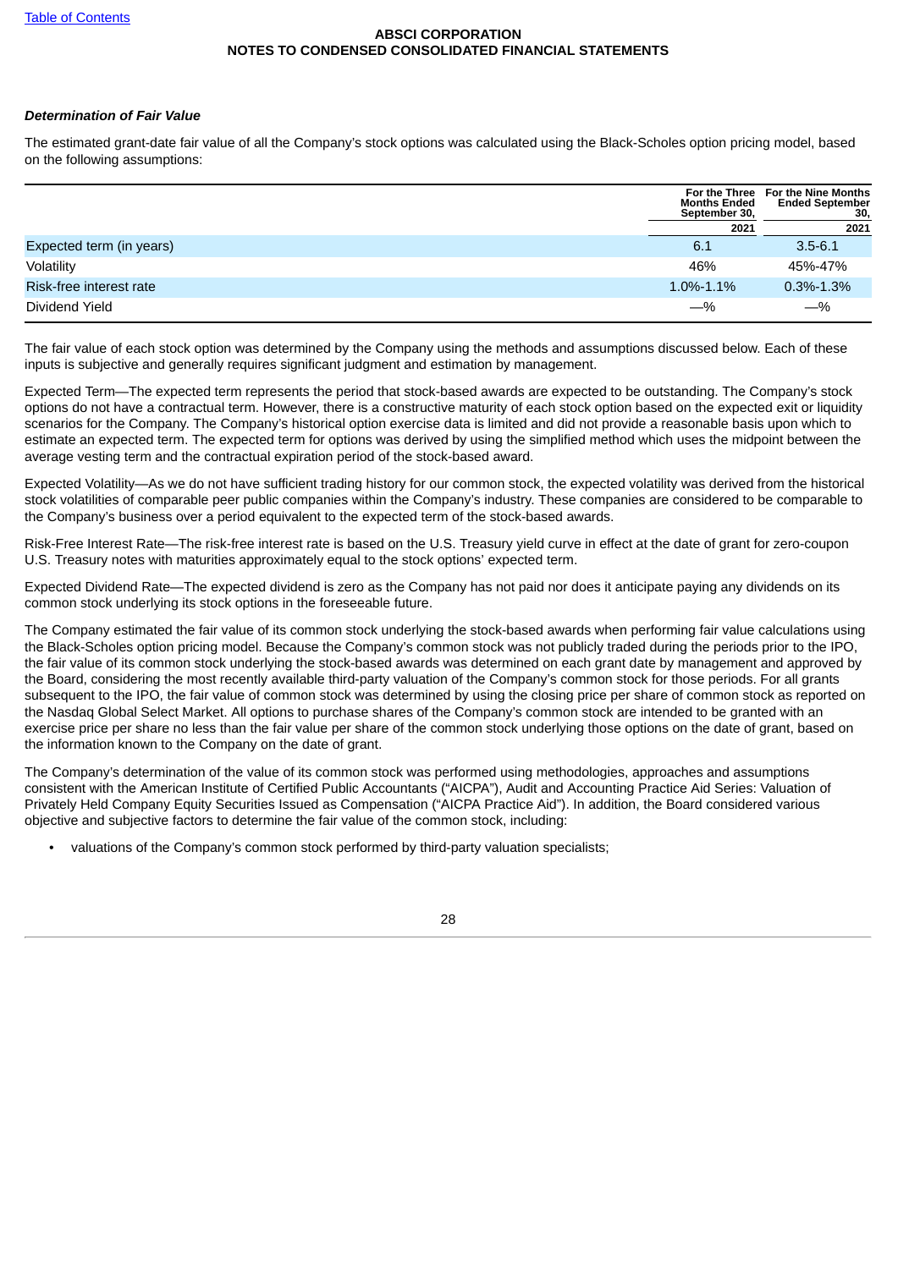# *Determination of Fair Value*

The estimated grant-date fair value of all the Company's stock options was calculated using the Black-Scholes option pricing model, based on the following assumptions:

|                          | For the Three<br><b>Months Ended</b><br>September 30, | <b>For the Nine Months</b><br><b>Ended September</b><br>30, |
|--------------------------|-------------------------------------------------------|-------------------------------------------------------------|
|                          | 2021                                                  | 2021                                                        |
| Expected term (in years) | 6.1                                                   | $3.5 - 6.1$                                                 |
| Volatility               | 46%                                                   | 45%-47%                                                     |
| Risk-free interest rate  | 1.0%-1.1%                                             | $0.3\% - 1.3\%$                                             |
| Dividend Yield           | $-$ %                                                 | $-9/6$                                                      |

The fair value of each stock option was determined by the Company using the methods and assumptions discussed below. Each of these inputs is subjective and generally requires significant judgment and estimation by management.

Expected Term—The expected term represents the period that stock-based awards are expected to be outstanding. The Company's stock options do not have a contractual term. However, there is a constructive maturity of each stock option based on the expected exit or liquidity scenarios for the Company. The Company's historical option exercise data is limited and did not provide a reasonable basis upon which to estimate an expected term. The expected term for options was derived by using the simplified method which uses the midpoint between the average vesting term and the contractual expiration period of the stock-based award.

Expected Volatility—As we do not have sufficient trading history for our common stock, the expected volatility was derived from the historical stock volatilities of comparable peer public companies within the Company's industry. These companies are considered to be comparable to the Company's business over a period equivalent to the expected term of the stock-based awards.

Risk-Free Interest Rate—The risk-free interest rate is based on the U.S. Treasury yield curve in effect at the date of grant for zero-coupon U.S. Treasury notes with maturities approximately equal to the stock options' expected term.

Expected Dividend Rate—The expected dividend is zero as the Company has not paid nor does it anticipate paying any dividends on its common stock underlying its stock options in the foreseeable future.

The Company estimated the fair value of its common stock underlying the stock-based awards when performing fair value calculations using the Black-Scholes option pricing model. Because the Company's common stock was not publicly traded during the periods prior to the IPO, the fair value of its common stock underlying the stock-based awards was determined on each grant date by management and approved by the Board, considering the most recently available third-party valuation of the Company's common stock for those periods. For all grants subsequent to the IPO, the fair value of common stock was determined by using the closing price per share of common stock as reported on the Nasdaq Global Select Market. All options to purchase shares of the Company's common stock are intended to be granted with an exercise price per share no less than the fair value per share of the common stock underlying those options on the date of grant, based on the information known to the Company on the date of grant.

The Company's determination of the value of its common stock was performed using methodologies, approaches and assumptions consistent with the American Institute of Certified Public Accountants ("AICPA"), Audit and Accounting Practice Aid Series: Valuation of Privately Held Company Equity Securities Issued as Compensation ("AICPA Practice Aid"). In addition, the Board considered various objective and subjective factors to determine the fair value of the common stock, including:

• valuations of the Company's common stock performed by third-party valuation specialists;

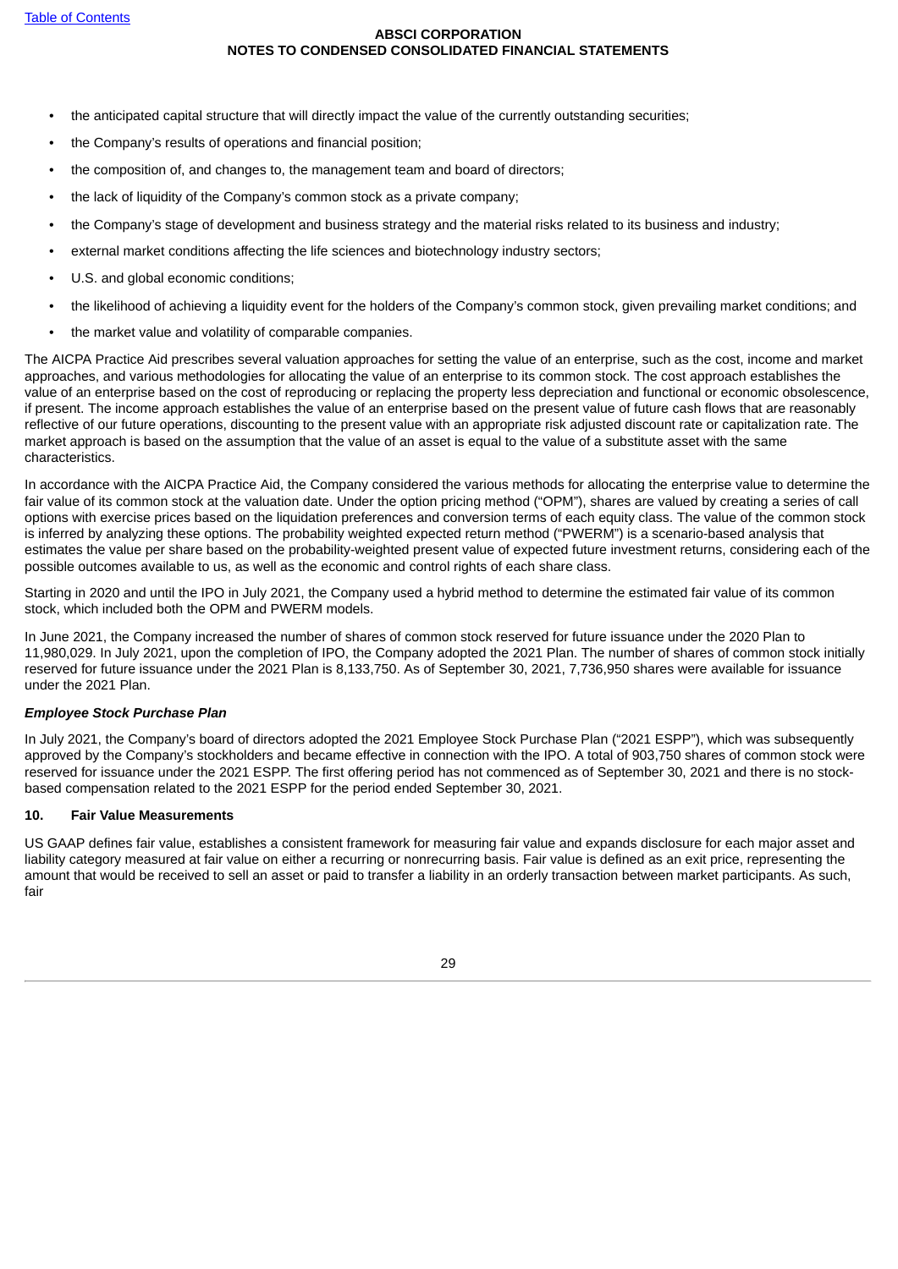- the anticipated capital structure that will directly impact the value of the currently outstanding securities;
- the Company's results of operations and financial position;
- the composition of, and changes to, the management team and board of directors;
- the lack of liquidity of the Company's common stock as a private company;
- the Company's stage of development and business strategy and the material risks related to its business and industry;
- external market conditions affecting the life sciences and biotechnology industry sectors;
- U.S. and global economic conditions;
- the likelihood of achieving a liquidity event for the holders of the Company's common stock, given prevailing market conditions; and
- the market value and volatility of comparable companies.

The AICPA Practice Aid prescribes several valuation approaches for setting the value of an enterprise, such as the cost, income and market approaches, and various methodologies for allocating the value of an enterprise to its common stock. The cost approach establishes the value of an enterprise based on the cost of reproducing or replacing the property less depreciation and functional or economic obsolescence, if present. The income approach establishes the value of an enterprise based on the present value of future cash flows that are reasonably reflective of our future operations, discounting to the present value with an appropriate risk adjusted discount rate or capitalization rate. The market approach is based on the assumption that the value of an asset is equal to the value of a substitute asset with the same characteristics.

In accordance with the AICPA Practice Aid, the Company considered the various methods for allocating the enterprise value to determine the fair value of its common stock at the valuation date. Under the option pricing method ("OPM"), shares are valued by creating a series of call options with exercise prices based on the liquidation preferences and conversion terms of each equity class. The value of the common stock is inferred by analyzing these options. The probability weighted expected return method ("PWERM") is a scenario-based analysis that estimates the value per share based on the probability-weighted present value of expected future investment returns, considering each of the possible outcomes available to us, as well as the economic and control rights of each share class.

Starting in 2020 and until the IPO in July 2021, the Company used a hybrid method to determine the estimated fair value of its common stock, which included both the OPM and PWERM models.

In June 2021, the Company increased the number of shares of common stock reserved for future issuance under the 2020 Plan to 11,980,029. In July 2021, upon the completion of IPO, the Company adopted the 2021 Plan. The number of shares of common stock initially reserved for future issuance under the 2021 Plan is 8,133,750. As of September 30, 2021, 7,736,950 shares were available for issuance under the 2021 Plan.

# *Employee Stock Purchase Plan*

In July 2021, the Company's board of directors adopted the 2021 Employee Stock Purchase Plan ("2021 ESPP"), which was subsequently approved by the Company's stockholders and became effective in connection with the IPO. A total of 903,750 shares of common stock were reserved for issuance under the 2021 ESPP. The first offering period has not commenced as of September 30, 2021 and there is no stockbased compensation related to the 2021 ESPP for the period ended September 30, 2021.

# **10. Fair Value Measurements**

US GAAP defines fair value, establishes a consistent framework for measuring fair value and expands disclosure for each major asset and liability category measured at fair value on either a recurring or nonrecurring basis. Fair value is defined as an exit price, representing the amount that would be received to sell an asset or paid to transfer a liability in an orderly transaction between market participants. As such, fair

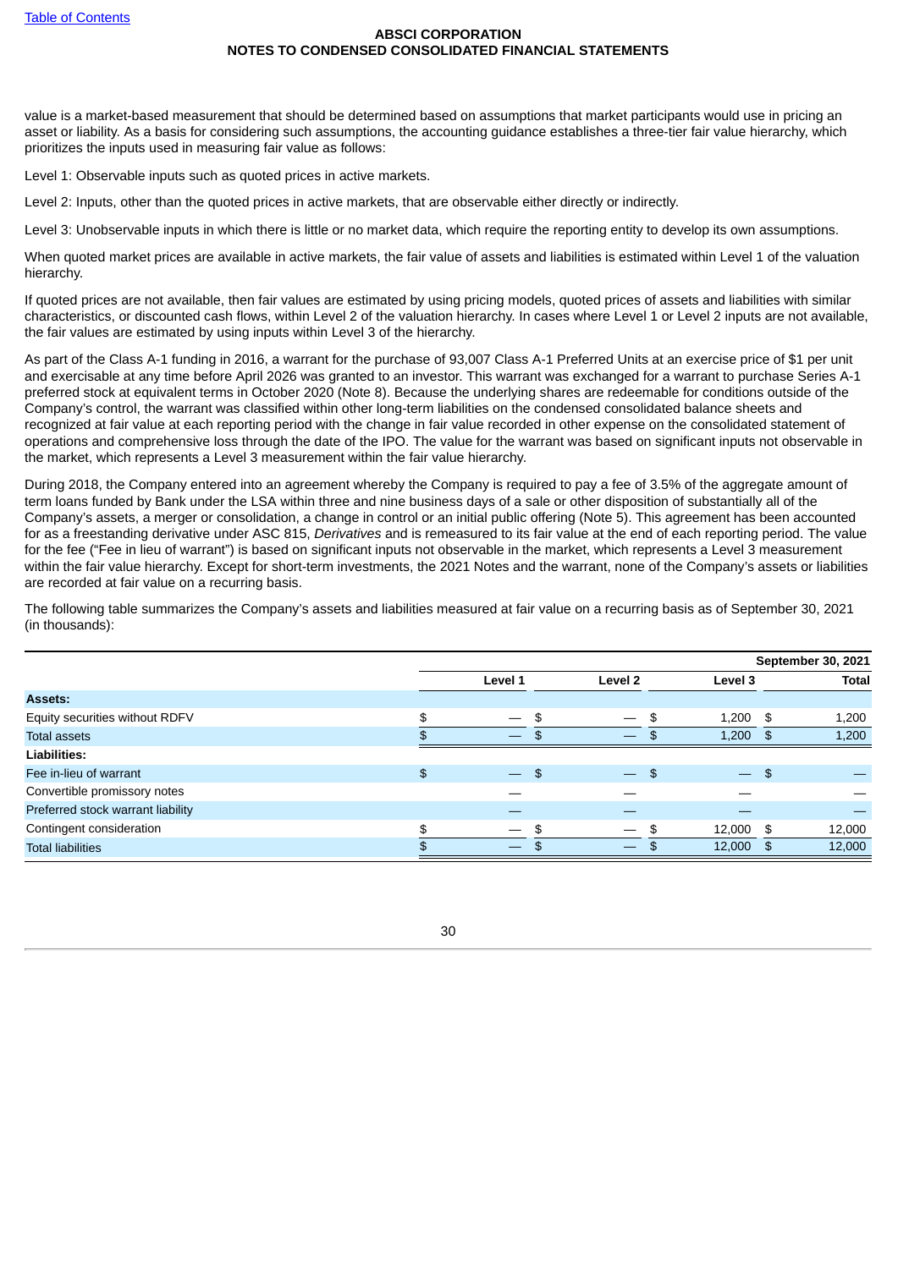value is a market-based measurement that should be determined based on assumptions that market participants would use in pricing an asset or liability. As a basis for considering such assumptions, the accounting guidance establishes a three-tier fair value hierarchy, which prioritizes the inputs used in measuring fair value as follows:

Level 1: Observable inputs such as quoted prices in active markets.

Level 2: Inputs, other than the quoted prices in active markets, that are observable either directly or indirectly.

Level 3: Unobservable inputs in which there is little or no market data, which require the reporting entity to develop its own assumptions.

When quoted market prices are available in active markets, the fair value of assets and liabilities is estimated within Level 1 of the valuation hierarchy.

If quoted prices are not available, then fair values are estimated by using pricing models, quoted prices of assets and liabilities with similar characteristics, or discounted cash flows, within Level 2 of the valuation hierarchy. In cases where Level 1 or Level 2 inputs are not available, the fair values are estimated by using inputs within Level 3 of the hierarchy.

As part of the Class A-1 funding in 2016, a warrant for the purchase of 93,007 Class A-1 Preferred Units at an exercise price of \$1 per unit and exercisable at any time before April 2026 was granted to an investor. This warrant was exchanged for a warrant to purchase Series A-1 preferred stock at equivalent terms in October 2020 (Note 8). Because the underlying shares are redeemable for conditions outside of the Company's control, the warrant was classified within other long-term liabilities on the condensed consolidated balance sheets and recognized at fair value at each reporting period with the change in fair value recorded in other expense on the consolidated statement of operations and comprehensive loss through the date of the IPO. The value for the warrant was based on significant inputs not observable in the market, which represents a Level 3 measurement within the fair value hierarchy.

During 2018, the Company entered into an agreement whereby the Company is required to pay a fee of 3.5% of the aggregate amount of term loans funded by Bank under the LSA within three and nine business days of a sale or other disposition of substantially all of the Company's assets, a merger or consolidation, a change in control or an initial public offering (Note 5). This agreement has been accounted for as a freestanding derivative under ASC 815, *Derivatives* and is remeasured to its fair value at the end of each reporting period. The value for the fee ("Fee in lieu of warrant") is based on significant inputs not observable in the market, which represents a Level 3 measurement within the fair value hierarchy. Except for short-term investments, the 2021 Notes and the warrant, none of the Company's assets or liabilities are recorded at fair value on a recurring basis.

The following table summarizes the Company's assets and liabilities measured at fair value on a recurring basis as of September 30, 2021 (in thousands):

|                                   |                                |                                |                                  | September 30, 2021   |
|-----------------------------------|--------------------------------|--------------------------------|----------------------------------|----------------------|
|                                   | Level 1                        | Level 2                        | Level 3                          | <b>Total</b>         |
| <b>Assets:</b>                    |                                |                                |                                  |                      |
| Equity securities without RDFV    | \$<br>$\overline{\phantom{m}}$ | \$                             | 1,200<br>\$                      | 1,200<br>- \$        |
| Total assets                      |                                | £.                             | 1,200                            | 1,200<br>- \$        |
| Liabilities:                      |                                |                                |                                  |                      |
| Fee in-lieu of warrant            | \$<br>$\overline{\phantom{m}}$ | \$<br>$\overline{\phantom{a}}$ | - \$<br>$\overline{\phantom{0}}$ | \$                   |
| Convertible promissory notes      |                                |                                |                                  |                      |
| Preferred stock warrant liability |                                |                                |                                  |                      |
| Contingent consideration          | ፍ                              | \$                             | 12.000                           | 12,000<br>- \$       |
| <b>Total liabilities</b>          | $\overline{\phantom{m}}$       | £.                             | 12,000<br>\$                     | 12,000<br>$\sqrt{3}$ |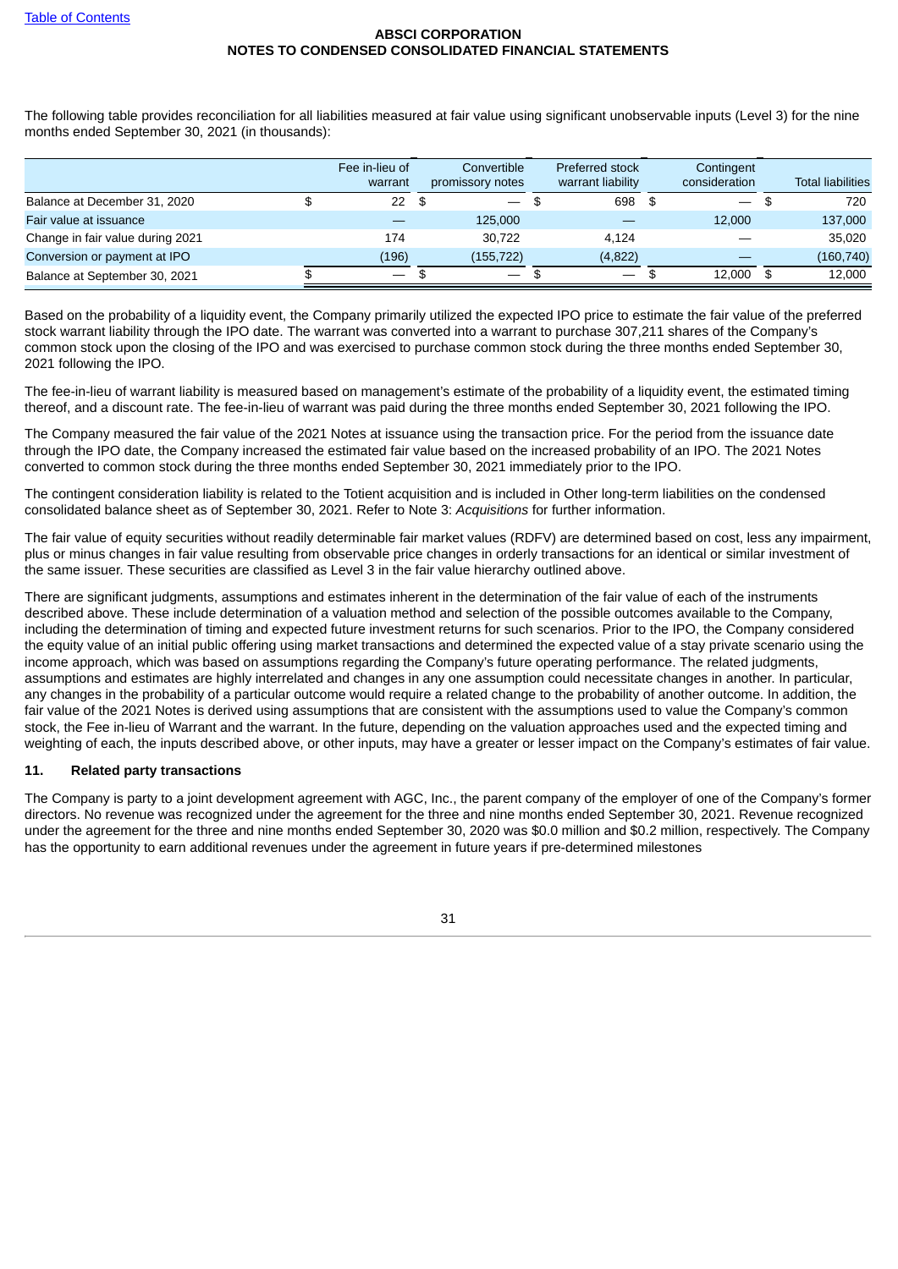The following table provides reconciliation for all liabilities measured at fair value using significant unobservable inputs (Level 3) for the nine months ended September 30, 2021 (in thousands):

|                                  | Fee in-lieu of<br>warrant | Convertible<br>promissory notes | Preferred stock<br>warrant liability |     | Contingent<br>consideration |      | <b>Total liabilities</b> |
|----------------------------------|---------------------------|---------------------------------|--------------------------------------|-----|-----------------------------|------|--------------------------|
| Balance at December 31, 2020     | 22                        | \$                              | 698                                  | -\$ | $\frac{1}{2}$               |      | 720                      |
| Fair value at issuance           |                           | 125,000                         |                                      |     | 12.000                      |      | 137,000                  |
| Change in fair value during 2021 | 174                       | 30.722                          | 4.124                                |     |                             |      | 35.020                   |
| Conversion or payment at IPO     | (196)                     | (155.722)                       | (4,822)                              |     |                             |      | (160, 740)               |
| Balance at September 30, 2021    | $\qquad \qquad$           | $\overline{\phantom{m}}$        | $\overline{\phantom{0}}$             |     | 12.000                      | - \$ | 12.000                   |

Based on the probability of a liquidity event, the Company primarily utilized the expected IPO price to estimate the fair value of the preferred stock warrant liability through the IPO date. The warrant was converted into a warrant to purchase 307,211 shares of the Company's common stock upon the closing of the IPO and was exercised to purchase common stock during the three months ended September 30, 2021 following the IPO.

The fee-in-lieu of warrant liability is measured based on management's estimate of the probability of a liquidity event, the estimated timing thereof, and a discount rate. The fee-in-lieu of warrant was paid during the three months ended September 30, 2021 following the IPO.

The Company measured the fair value of the 2021 Notes at issuance using the transaction price. For the period from the issuance date through the IPO date, the Company increased the estimated fair value based on the increased probability of an IPO. The 2021 Notes converted to common stock during the three months ended September 30, 2021 immediately prior to the IPO.

The contingent consideration liability is related to the Totient acquisition and is included in Other long-term liabilities on the condensed consolidated balance sheet as of September 30, 2021. Refer to Note 3: *Acquisitions* for further information.

The fair value of equity securities without readily determinable fair market values (RDFV) are determined based on cost, less any impairment, plus or minus changes in fair value resulting from observable price changes in orderly transactions for an identical or similar investment of the same issuer. These securities are classified as Level 3 in the fair value hierarchy outlined above.

There are significant judgments, assumptions and estimates inherent in the determination of the fair value of each of the instruments described above. These include determination of a valuation method and selection of the possible outcomes available to the Company, including the determination of timing and expected future investment returns for such scenarios. Prior to the IPO, the Company considered the equity value of an initial public offering using market transactions and determined the expected value of a stay private scenario using the income approach, which was based on assumptions regarding the Company's future operating performance. The related judgments, assumptions and estimates are highly interrelated and changes in any one assumption could necessitate changes in another. In particular, any changes in the probability of a particular outcome would require a related change to the probability of another outcome. In addition, the fair value of the 2021 Notes is derived using assumptions that are consistent with the assumptions used to value the Company's common stock, the Fee in-lieu of Warrant and the warrant. In the future, depending on the valuation approaches used and the expected timing and weighting of each, the inputs described above, or other inputs, may have a greater or lesser impact on the Company's estimates of fair value.

# **11. Related party transactions**

The Company is party to a joint development agreement with AGC, Inc., the parent company of the employer of one of the Company's former directors. No revenue was recognized under the agreement for the three and nine months ended September 30, 2021. Revenue recognized under the agreement for the three and nine months ended September 30, 2020 was \$0.0 million and \$0.2 million, respectively. The Company has the opportunity to earn additional revenues under the agreement in future years if pre-determined milestones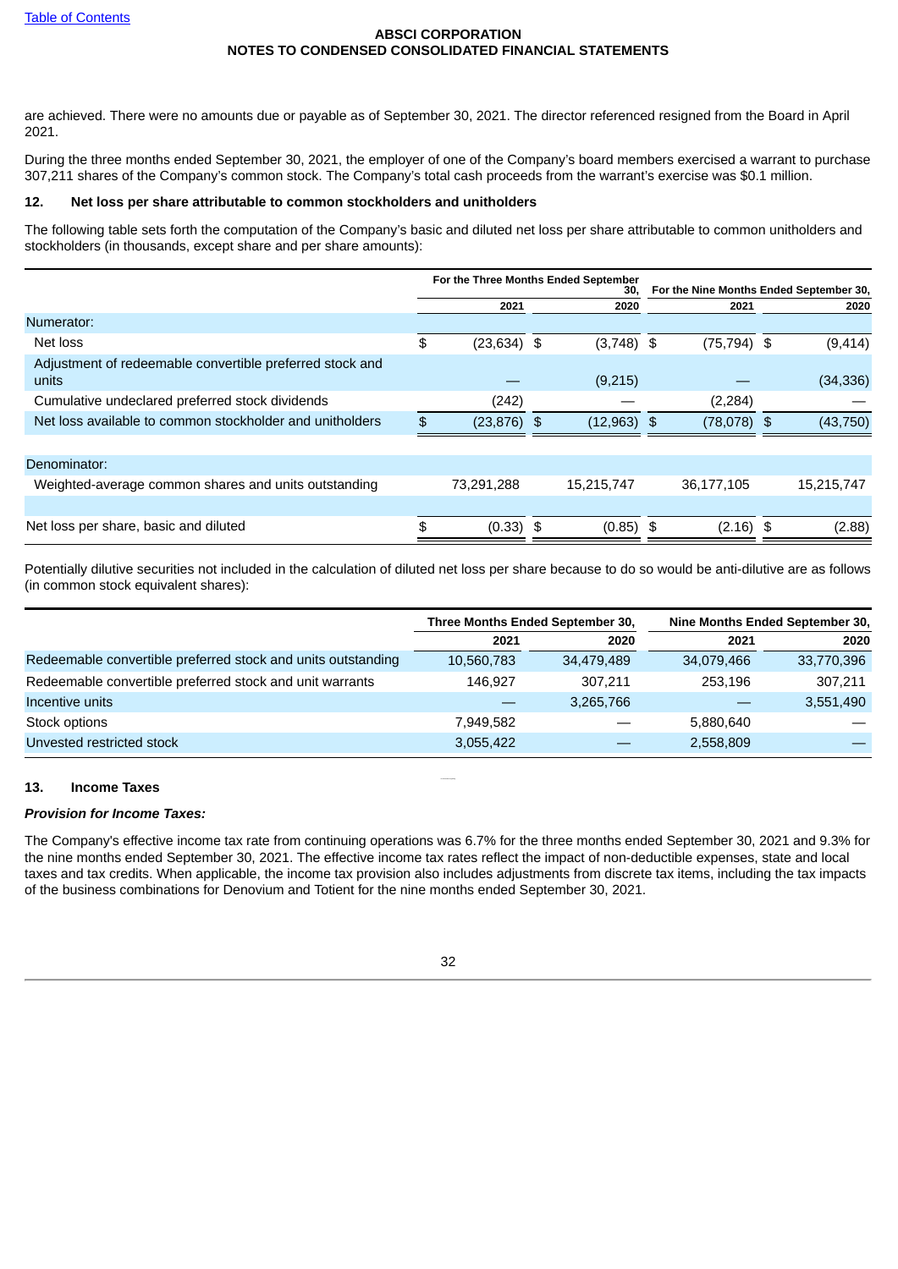are achieved. There were no amounts due or payable as of September 30, 2021. The director referenced resigned from the Board in April 2021.

During the three months ended September 30, 2021, the employer of one of the Company's board members exercised a warrant to purchase 307,211 shares of the Company's common stock. The Company's total cash proceeds from the warrant's exercise was \$0.1 million.

# **12. Net loss per share attributable to common stockholders and unitholders**

The following table sets forth the computation of the Company's basic and diluted net loss per share attributable to common unitholders and stockholders (in thousands, except share and per share amounts):

|                                                                   | For the Three Months Ended September |                |  |               |                |                                                 |
|-------------------------------------------------------------------|--------------------------------------|----------------|--|---------------|----------------|-------------------------------------------------|
|                                                                   |                                      | 2021           |  | 30,<br>2020   | 2021           | For the Nine Months Ended September 30,<br>2020 |
| Numerator:                                                        |                                      |                |  |               |                |                                                 |
| Net loss                                                          | \$                                   | (23,634) \$    |  | $(3,748)$ \$  | $(75, 794)$ \$ | (9, 414)                                        |
| Adjustment of redeemable convertible preferred stock and<br>units |                                      |                |  | (9,215)       |                | (34, 336)                                       |
| Cumulative undeclared preferred stock dividends                   |                                      | (242)          |  |               | (2, 284)       |                                                 |
| Net loss available to common stockholder and unitholders          |                                      | $(23, 876)$ \$ |  | $(12,963)$ \$ | $(78,078)$ \$  | (43, 750)                                       |
|                                                                   |                                      |                |  |               |                |                                                 |
| Denominator:                                                      |                                      |                |  |               |                |                                                 |
| Weighted-average common shares and units outstanding              |                                      | 73,291,288     |  | 15,215,747    | 36.177.105     | 15,215,747                                      |
|                                                                   |                                      |                |  |               |                |                                                 |
| Net loss per share, basic and diluted                             |                                      | $(0.33)$ \$    |  | $(0.85)$ \$   | $(2.16)$ \$    | (2.88)                                          |

Potentially dilutive securities not included in the calculation of diluted net loss per share because to do so would be anti-dilutive are as follows (in common stock equivalent shares):

|                                                              | Three Months Ended September 30, |            | Nine Months Ended September 30, |            |  |  |
|--------------------------------------------------------------|----------------------------------|------------|---------------------------------|------------|--|--|
|                                                              | 2021                             | 2020       | 2021                            | 2020       |  |  |
| Redeemable convertible preferred stock and units outstanding | 10,560,783                       | 34,479,489 | 34,079,466                      | 33,770,396 |  |  |
| Redeemable convertible preferred stock and unit warrants     | 146.927                          | 307.211    | 253.196                         | 307,211    |  |  |
| Incentive units                                              |                                  | 3,265,766  |                                 | 3,551,490  |  |  |
| Stock options                                                | 7,949,582                        |            | 5,880,640                       |            |  |  |
| Unvested restricted stock                                    | 3,055,422                        |            | 2,558,809                       |            |  |  |

# **13. Income Taxes**

# *Provision for Income Taxes:*

<span id="page-31-0"></span>The Company's effective income tax rate from continuing operations was 6.7% for the three months ended September 30, 2021 and 9.3% for the nine months ended September 30, 2021. The effective income tax rates reflect the impact of non-deductible expenses, state and local taxes and tax credits. When applicable, the income tax provision also includes adjustments from discrete tax items, including the tax impacts of the business combinations for Denovium and Totient for the nine months ended September 30, 2021.

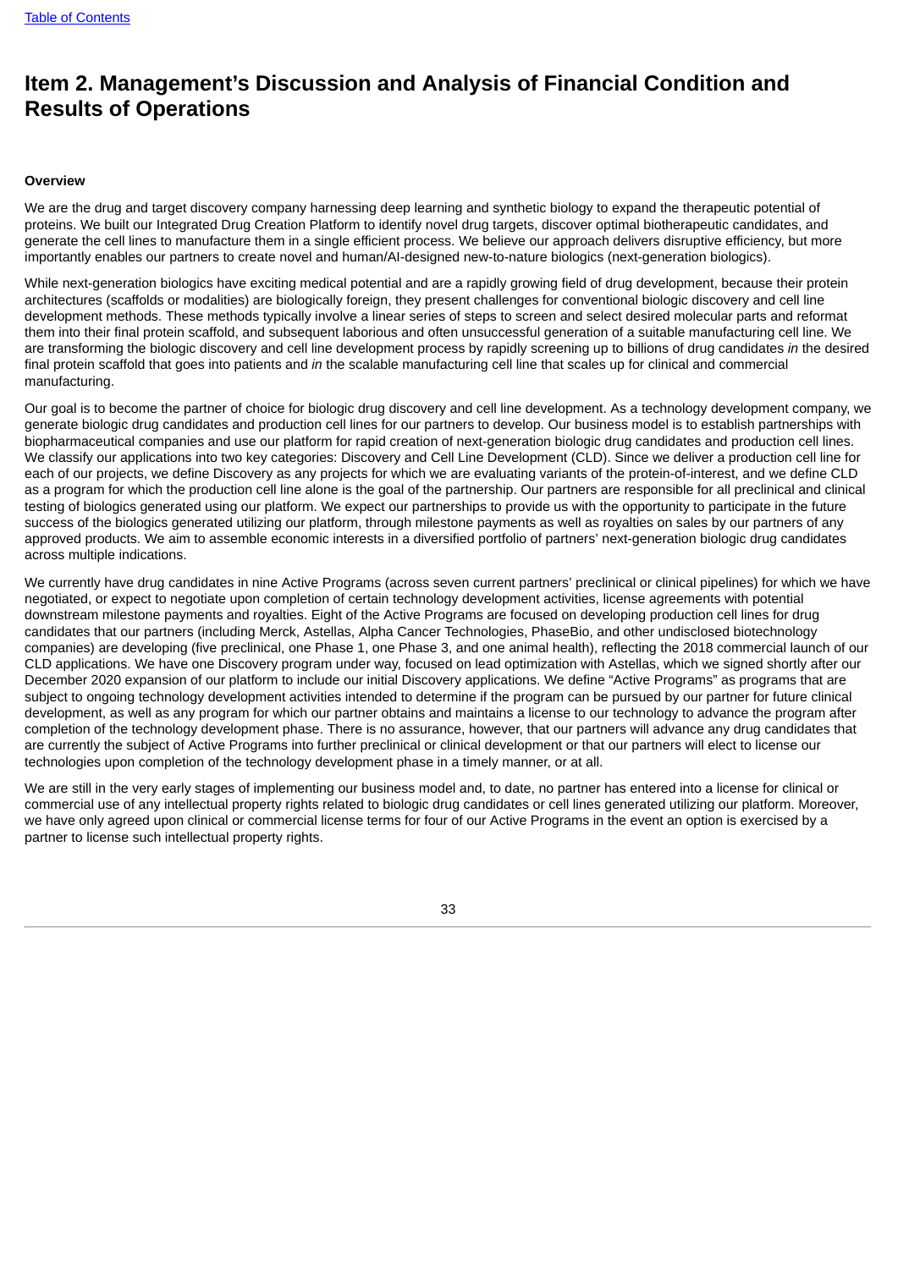# **Item 2. Management's Discussion and Analysis of Financial Condition and Results of Operations**

## **Overview**

We are the drug and target discovery company harnessing deep learning and synthetic biology to expand the therapeutic potential of proteins. We built our Integrated Drug Creation Platform to identify novel drug targets, discover optimal biotherapeutic candidates, and generate the cell lines to manufacture them in a single efficient process. We believe our approach delivers disruptive efficiency, but more importantly enables our partners to create novel and human/AI-designed new-to-nature biologics (next-generation biologics).

While next-generation biologics have exciting medical potential and are a rapidly growing field of drug development, because their protein architectures (scaffolds or modalities) are biologically foreign, they present challenges for conventional biologic discovery and cell line development methods. These methods typically involve a linear series of steps to screen and select desired molecular parts and reformat them into their final protein scaffold, and subsequent laborious and often unsuccessful generation of a suitable manufacturing cell line. We are transforming the biologic discovery and cell line development process by rapidly screening up to billions of drug candidates *in* the desired final protein scaffold that goes into patients and *in* the scalable manufacturing cell line that scales up for clinical and commercial manufacturing.

Our goal is to become the partner of choice for biologic drug discovery and cell line development. As a technology development company, we generate biologic drug candidates and production cell lines for our partners to develop. Our business model is to establish partnerships with biopharmaceutical companies and use our platform for rapid creation of next-generation biologic drug candidates and production cell lines. We classify our applications into two key categories: Discovery and Cell Line Development (CLD). Since we deliver a production cell line for each of our projects, we define Discovery as any projects for which we are evaluating variants of the protein-of-interest, and we define CLD as a program for which the production cell line alone is the goal of the partnership. Our partners are responsible for all preclinical and clinical testing of biologics generated using our platform. We expect our partnerships to provide us with the opportunity to participate in the future success of the biologics generated utilizing our platform, through milestone payments as well as royalties on sales by our partners of any approved products. We aim to assemble economic interests in a diversified portfolio of partners' next-generation biologic drug candidates across multiple indications.

We currently have drug candidates in nine Active Programs (across seven current partners' preclinical or clinical pipelines) for which we have negotiated, or expect to negotiate upon completion of certain technology development activities, license agreements with potential downstream milestone payments and royalties. Eight of the Active Programs are focused on developing production cell lines for drug candidates that our partners (including Merck, Astellas, Alpha Cancer Technologies, PhaseBio, and other undisclosed biotechnology companies) are developing (five preclinical, one Phase 1, one Phase 3, and one animal health), reflecting the 2018 commercial launch of our CLD applications. We have one Discovery program under way, focused on lead optimization with Astellas, which we signed shortly after our December 2020 expansion of our platform to include our initial Discovery applications. We define "Active Programs" as programs that are subject to ongoing technology development activities intended to determine if the program can be pursued by our partner for future clinical development, as well as any program for which our partner obtains and maintains a license to our technology to advance the program after completion of the technology development phase. There is no assurance, however, that our partners will advance any drug candidates that are currently the subject of Active Programs into further preclinical or clinical development or that our partners will elect to license our technologies upon completion of the technology development phase in a timely manner, or at all.

We are still in the very early stages of implementing our business model and, to date, no partner has entered into a license for clinical or commercial use of any intellectual property rights related to biologic drug candidates or cell lines generated utilizing our platform. Moreover, we have only agreed upon clinical or commercial license terms for four of our Active Programs in the event an option is exercised by a partner to license such intellectual property rights.

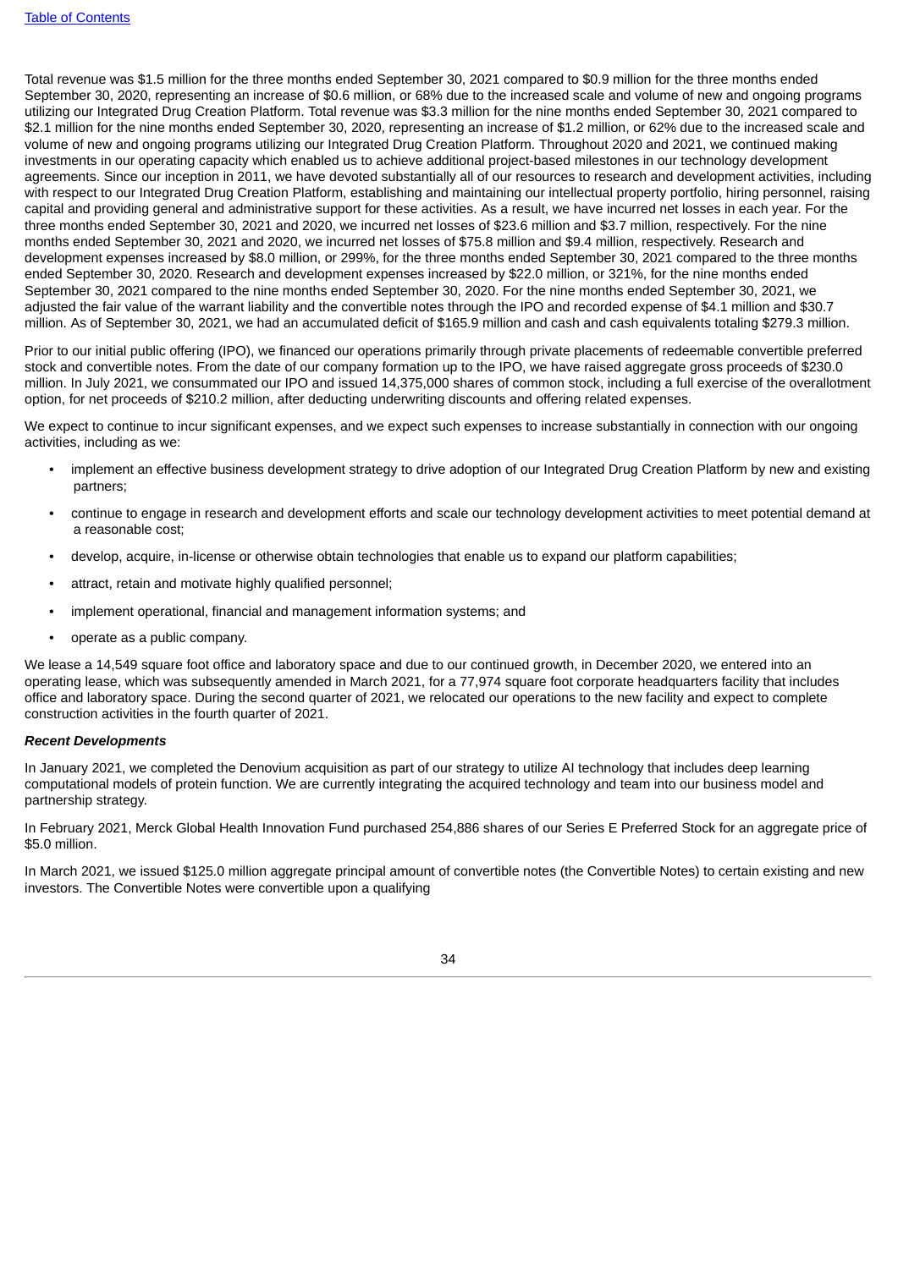Total revenue was \$1.5 million for the three months ended September 30, 2021 compared to \$0.9 million for the three months ended September 30, 2020, representing an increase of \$0.6 million, or 68% due to the increased scale and volume of new and ongoing programs utilizing our Integrated Drug Creation Platform. Total revenue was \$3.3 million for the nine months ended September 30, 2021 compared to \$2.1 million for the nine months ended September 30, 2020, representing an increase of \$1.2 million, or 62% due to the increased scale and volume of new and ongoing programs utilizing our Integrated Drug Creation Platform. Throughout 2020 and 2021, we continued making investments in our operating capacity which enabled us to achieve additional project-based milestones in our technology development agreements. Since our inception in 2011, we have devoted substantially all of our resources to research and development activities, including with respect to our Integrated Drug Creation Platform, establishing and maintaining our intellectual property portfolio, hiring personnel, raising capital and providing general and administrative support for these activities. As a result, we have incurred net losses in each year. For the three months ended September 30, 2021 and 2020, we incurred net losses of \$23.6 million and \$3.7 million, respectively. For the nine months ended September 30, 2021 and 2020, we incurred net losses of \$75.8 million and \$9.4 million, respectively. Research and development expenses increased by \$8.0 million, or 299%, for the three months ended September 30, 2021 compared to the three months ended September 30, 2020. Research and development expenses increased by \$22.0 million, or 321%, for the nine months ended September 30, 2021 compared to the nine months ended September 30, 2020. For the nine months ended September 30, 2021, we adjusted the fair value of the warrant liability and the convertible notes through the IPO and recorded expense of \$4.1 million and \$30.7 million. As of September 30, 2021, we had an accumulated deficit of \$165.9 million and cash and cash equivalents totaling \$279.3 million.

Prior to our initial public offering (IPO), we financed our operations primarily through private placements of redeemable convertible preferred stock and convertible notes. From the date of our company formation up to the IPO, we have raised aggregate gross proceeds of \$230.0 million. In July 2021, we consummated our IPO and issued 14,375,000 shares of common stock, including a full exercise of the overallotment option, for net proceeds of \$210.2 million, after deducting underwriting discounts and offering related expenses.

We expect to continue to incur significant expenses, and we expect such expenses to increase substantially in connection with our ongoing activities, including as we:

- implement an effective business development strategy to drive adoption of our Integrated Drug Creation Platform by new and existing partners;
- continue to engage in research and development efforts and scale our technology development activities to meet potential demand at a reasonable cost;
- develop, acquire, in-license or otherwise obtain technologies that enable us to expand our platform capabilities;
- attract, retain and motivate highly qualified personnel;
- implement operational, financial and management information systems; and
- operate as a public company.

We lease a 14,549 square foot office and laboratory space and due to our continued growth, in December 2020, we entered into an operating lease, which was subsequently amended in March 2021, for a 77,974 square foot corporate headquarters facility that includes office and laboratory space. During the second quarter of 2021, we relocated our operations to the new facility and expect to complete construction activities in the fourth quarter of 2021.

#### *Recent Developments*

In January 2021, we completed the Denovium acquisition as part of our strategy to utilize AI technology that includes deep learning computational models of protein function. We are currently integrating the acquired technology and team into our business model and partnership strategy.

In February 2021, Merck Global Health Innovation Fund purchased 254,886 shares of our Series E Preferred Stock for an aggregate price of \$5.0 million.

In March 2021, we issued \$125.0 million aggregate principal amount of convertible notes (the Convertible Notes) to certain existing and new investors. The Convertible Notes were convertible upon a qualifying

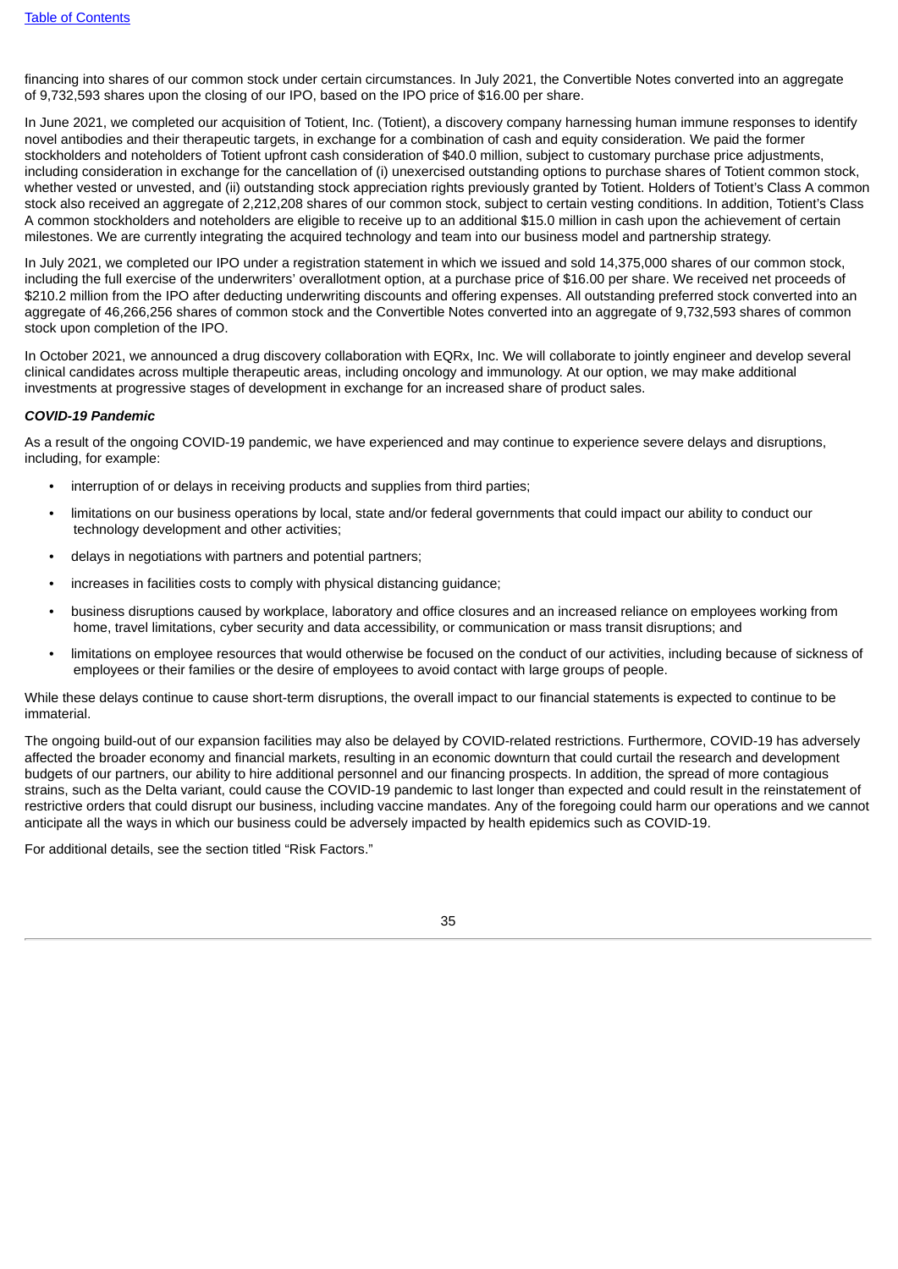financing into shares of our common stock under certain circumstances. In July 2021, the Convertible Notes converted into an aggregate of 9,732,593 shares upon the closing of our IPO, based on the IPO price of \$16.00 per share.

In June 2021, we completed our acquisition of Totient, Inc. (Totient), a discovery company harnessing human immune responses to identify novel antibodies and their therapeutic targets, in exchange for a combination of cash and equity consideration. We paid the former stockholders and noteholders of Totient upfront cash consideration of \$40.0 million, subject to customary purchase price adjustments, including consideration in exchange for the cancellation of (i) unexercised outstanding options to purchase shares of Totient common stock, whether vested or unvested, and (ii) outstanding stock appreciation rights previously granted by Totient. Holders of Totient's Class A common stock also received an aggregate of 2,212,208 shares of our common stock, subject to certain vesting conditions. In addition, Totient's Class A common stockholders and noteholders are eligible to receive up to an additional \$15.0 million in cash upon the achievement of certain milestones. We are currently integrating the acquired technology and team into our business model and partnership strategy.

In July 2021, we completed our IPO under a registration statement in which we issued and sold 14,375,000 shares of our common stock, including the full exercise of the underwriters' overallotment option, at a purchase price of \$16.00 per share. We received net proceeds of \$210.2 million from the IPO after deducting underwriting discounts and offering expenses. All outstanding preferred stock converted into an aggregate of 46,266,256 shares of common stock and the Convertible Notes converted into an aggregate of 9,732,593 shares of common stock upon completion of the IPO.

In October 2021, we announced a drug discovery collaboration with EQRx, Inc. We will collaborate to jointly engineer and develop several clinical candidates across multiple therapeutic areas, including oncology and immunology. At our option, we may make additional investments at progressive stages of development in exchange for an increased share of product sales.

#### *COVID-19 Pandemic*

As a result of the ongoing COVID-19 pandemic, we have experienced and may continue to experience severe delays and disruptions, including, for example:

- interruption of or delays in receiving products and supplies from third parties;
- limitations on our business operations by local, state and/or federal governments that could impact our ability to conduct our technology development and other activities;
- delays in negotiations with partners and potential partners;
- increases in facilities costs to comply with physical distancing guidance;
- business disruptions caused by workplace, laboratory and office closures and an increased reliance on employees working from home, travel limitations, cyber security and data accessibility, or communication or mass transit disruptions; and
- limitations on employee resources that would otherwise be focused on the conduct of our activities, including because of sickness of employees or their families or the desire of employees to avoid contact with large groups of people.

While these delays continue to cause short-term disruptions, the overall impact to our financial statements is expected to continue to be immaterial.

The ongoing build-out of our expansion facilities may also be delayed by COVID-related restrictions. Furthermore, COVID-19 has adversely affected the broader economy and financial markets, resulting in an economic downturn that could curtail the research and development budgets of our partners, our ability to hire additional personnel and our financing prospects. In addition, the spread of more contagious strains, such as the Delta variant, could cause the COVID-19 pandemic to last longer than expected and could result in the reinstatement of restrictive orders that could disrupt our business, including vaccine mandates. Any of the foregoing could harm our operations and we cannot anticipate all the ways in which our business could be adversely impacted by health epidemics such as COVID-19.

For additional details, see the section titled "Risk Factors."

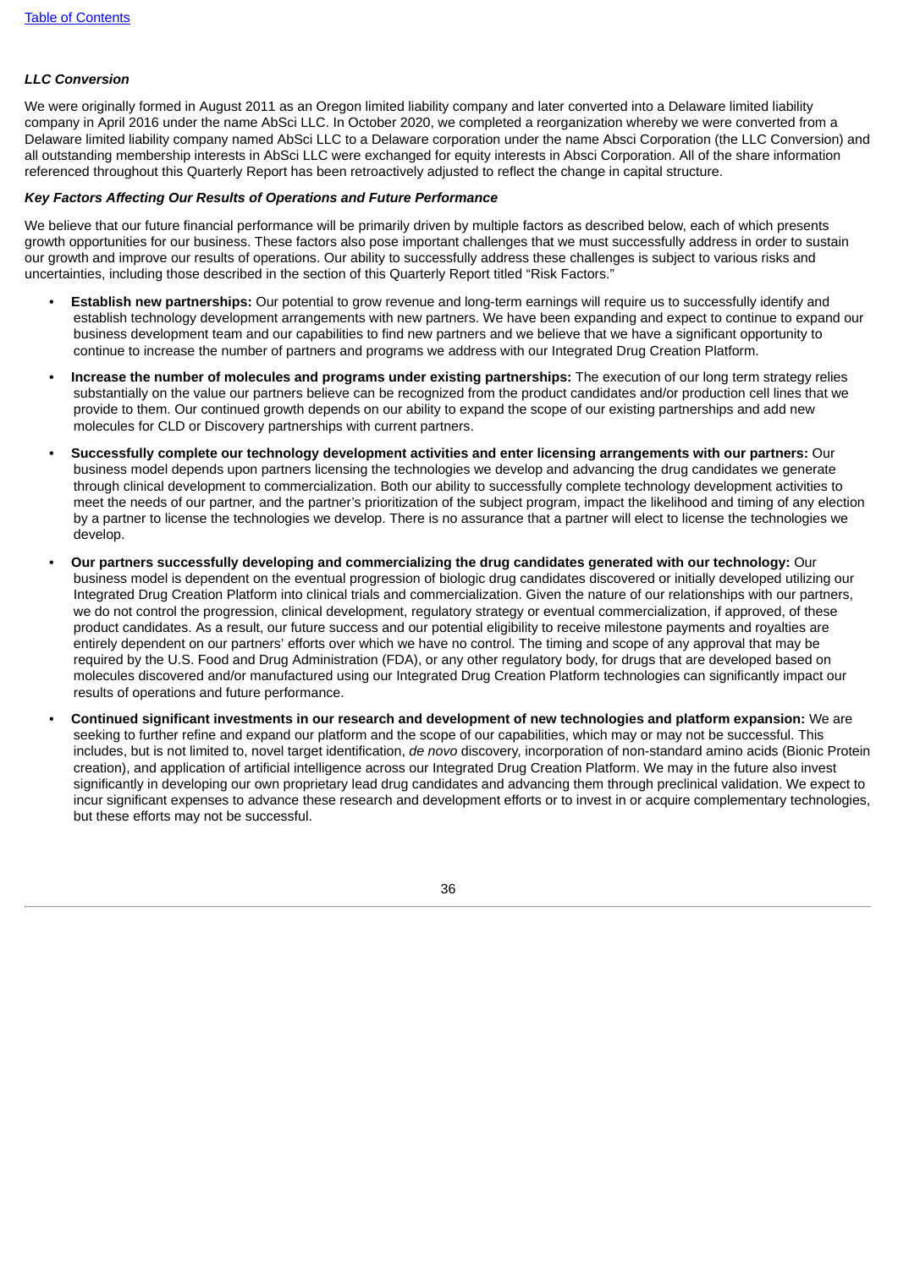# *LLC Conversion*

We were originally formed in August 2011 as an Oregon limited liability company and later converted into a Delaware limited liability company in April 2016 under the name AbSci LLC. In October 2020, we completed a reorganization whereby we were converted from a Delaware limited liability company named AbSci LLC to a Delaware corporation under the name Absci Corporation (the LLC Conversion) and all outstanding membership interests in AbSci LLC were exchanged for equity interests in Absci Corporation. All of the share information referenced throughout this Quarterly Report has been retroactively adjusted to reflect the change in capital structure.

## *Key Factors Affecting Our Results of Operations and Future Performance*

We believe that our future financial performance will be primarily driven by multiple factors as described below, each of which presents growth opportunities for our business. These factors also pose important challenges that we must successfully address in order to sustain our growth and improve our results of operations. Our ability to successfully address these challenges is subject to various risks and uncertainties, including those described in the section of this Quarterly Report titled "Risk Factors."

- **Establish new partnerships:** Our potential to grow revenue and long-term earnings will require us to successfully identify and establish technology development arrangements with new partners. We have been expanding and expect to continue to expand our business development team and our capabilities to find new partners and we believe that we have a significant opportunity to continue to increase the number of partners and programs we address with our Integrated Drug Creation Platform.
- **Increase the number of molecules and programs under existing partnerships:** The execution of our long term strategy relies substantially on the value our partners believe can be recognized from the product candidates and/or production cell lines that we provide to them. Our continued growth depends on our ability to expand the scope of our existing partnerships and add new molecules for CLD or Discovery partnerships with current partners.
- **Successfully complete our technology development activities and enter licensing arrangements with our partners:** Our business model depends upon partners licensing the technologies we develop and advancing the drug candidates we generate through clinical development to commercialization. Both our ability to successfully complete technology development activities to meet the needs of our partner, and the partner's prioritization of the subject program, impact the likelihood and timing of any election by a partner to license the technologies we develop. There is no assurance that a partner will elect to license the technologies we develop.
- **Our partners successfully developing and commercializing the drug candidates generated with our technology:** Our business model is dependent on the eventual progression of biologic drug candidates discovered or initially developed utilizing our Integrated Drug Creation Platform into clinical trials and commercialization. Given the nature of our relationships with our partners, we do not control the progression, clinical development, regulatory strategy or eventual commercialization, if approved, of these product candidates. As a result, our future success and our potential eligibility to receive milestone payments and royalties are entirely dependent on our partners' efforts over which we have no control. The timing and scope of any approval that may be required by the U.S. Food and Drug Administration (FDA), or any other regulatory body, for drugs that are developed based on molecules discovered and/or manufactured using our Integrated Drug Creation Platform technologies can significantly impact our results of operations and future performance.
- **Continued significant investments in our research and development of new technologies and platform expansion:** We are seeking to further refine and expand our platform and the scope of our capabilities, which may or may not be successful. This includes, but is not limited to, novel target identification, *de novo* discovery, incorporation of non-standard amino acids (Bionic Protein creation), and application of artificial intelligence across our Integrated Drug Creation Platform. We may in the future also invest significantly in developing our own proprietary lead drug candidates and advancing them through preclinical validation. We expect to incur significant expenses to advance these research and development efforts or to invest in or acquire complementary technologies, but these efforts may not be successful.

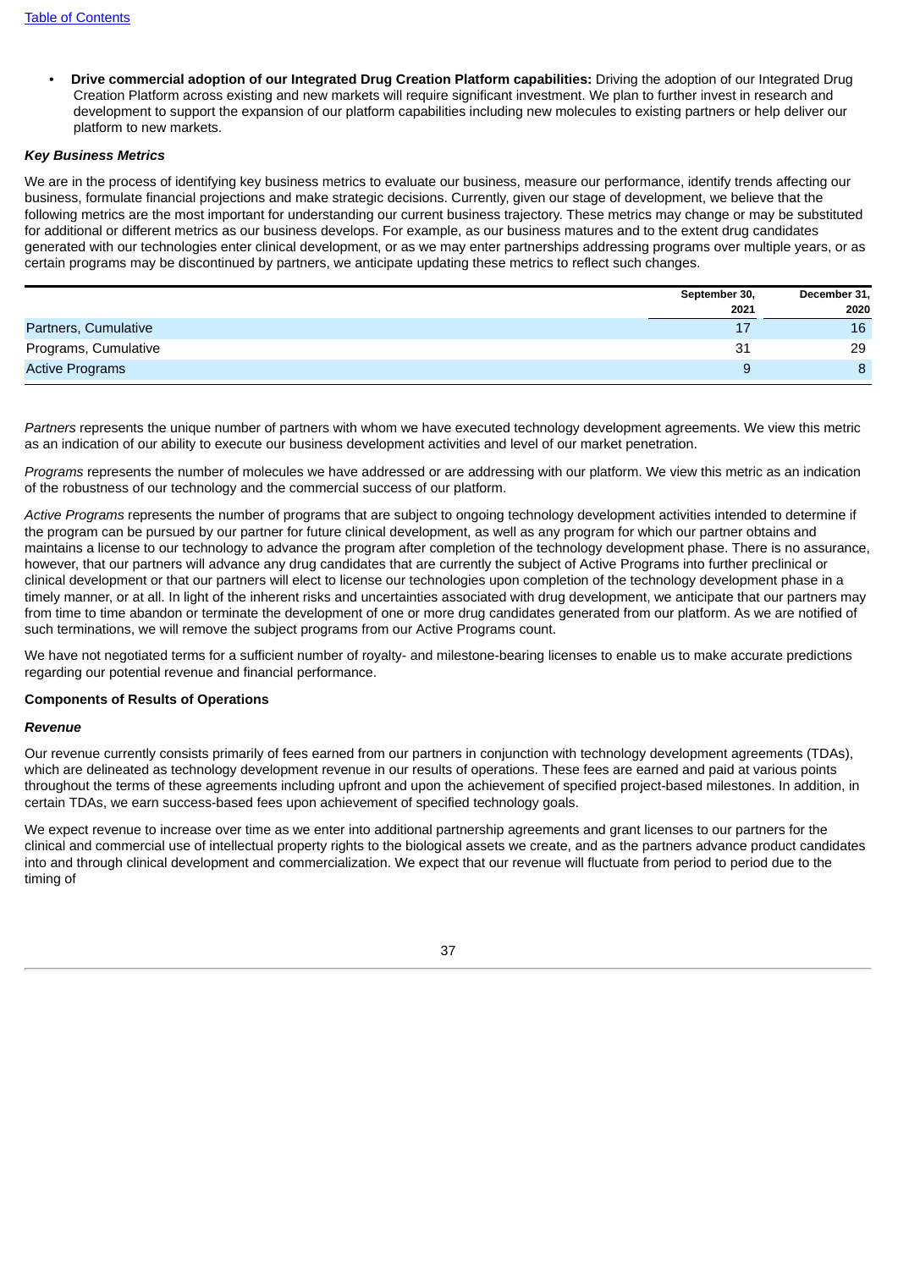• **Drive commercial adoption of our Integrated Drug Creation Platform capabilities:** Driving the adoption of our Integrated Drug Creation Platform across existing and new markets will require significant investment. We plan to further invest in research and development to support the expansion of our platform capabilities including new molecules to existing partners or help deliver our platform to new markets.

### *Key Business Metrics*

We are in the process of identifying key business metrics to evaluate our business, measure our performance, identify trends affecting our business, formulate financial projections and make strategic decisions. Currently, given our stage of development, we believe that the following metrics are the most important for understanding our current business trajectory. These metrics may change or may be substituted for additional or different metrics as our business develops. For example, as our business matures and to the extent drug candidates generated with our technologies enter clinical development, or as we may enter partnerships addressing programs over multiple years, or as certain programs may be discontinued by partners, we anticipate updating these metrics to reflect such changes.

|                        | September 30, | December 31, |
|------------------------|---------------|--------------|
|                        | 2021          | 2020         |
| Partners, Cumulative   |               | 16           |
| Programs, Cumulative   |               | 29           |
| <b>Active Programs</b> | a             | 8            |

*Partners* represents the unique number of partners with whom we have executed technology development agreements. We view this metric as an indication of our ability to execute our business development activities and level of our market penetration.

*Programs* represents the number of molecules we have addressed or are addressing with our platform. We view this metric as an indication of the robustness of our technology and the commercial success of our platform.

*Active Programs* represents the number of programs that are subject to ongoing technology development activities intended to determine if the program can be pursued by our partner for future clinical development, as well as any program for which our partner obtains and maintains a license to our technology to advance the program after completion of the technology development phase. There is no assurance, however, that our partners will advance any drug candidates that are currently the subject of Active Programs into further preclinical or clinical development or that our partners will elect to license our technologies upon completion of the technology development phase in a timely manner, or at all. In light of the inherent risks and uncertainties associated with drug development, we anticipate that our partners may from time to time abandon or terminate the development of one or more drug candidates generated from our platform. As we are notified of such terminations, we will remove the subject programs from our Active Programs count.

We have not negotiated terms for a sufficient number of royalty- and milestone-bearing licenses to enable us to make accurate predictions regarding our potential revenue and financial performance.

# **Components of Results of Operations**

#### *Revenue*

Our revenue currently consists primarily of fees earned from our partners in conjunction with technology development agreements (TDAs), which are delineated as technology development revenue in our results of operations. These fees are earned and paid at various points throughout the terms of these agreements including upfront and upon the achievement of specified project-based milestones. In addition, in certain TDAs, we earn success-based fees upon achievement of specified technology goals.

We expect revenue to increase over time as we enter into additional partnership agreements and grant licenses to our partners for the clinical and commercial use of intellectual property rights to the biological assets we create, and as the partners advance product candidates into and through clinical development and commercialization. We expect that our revenue will fluctuate from period to period due to the timing of

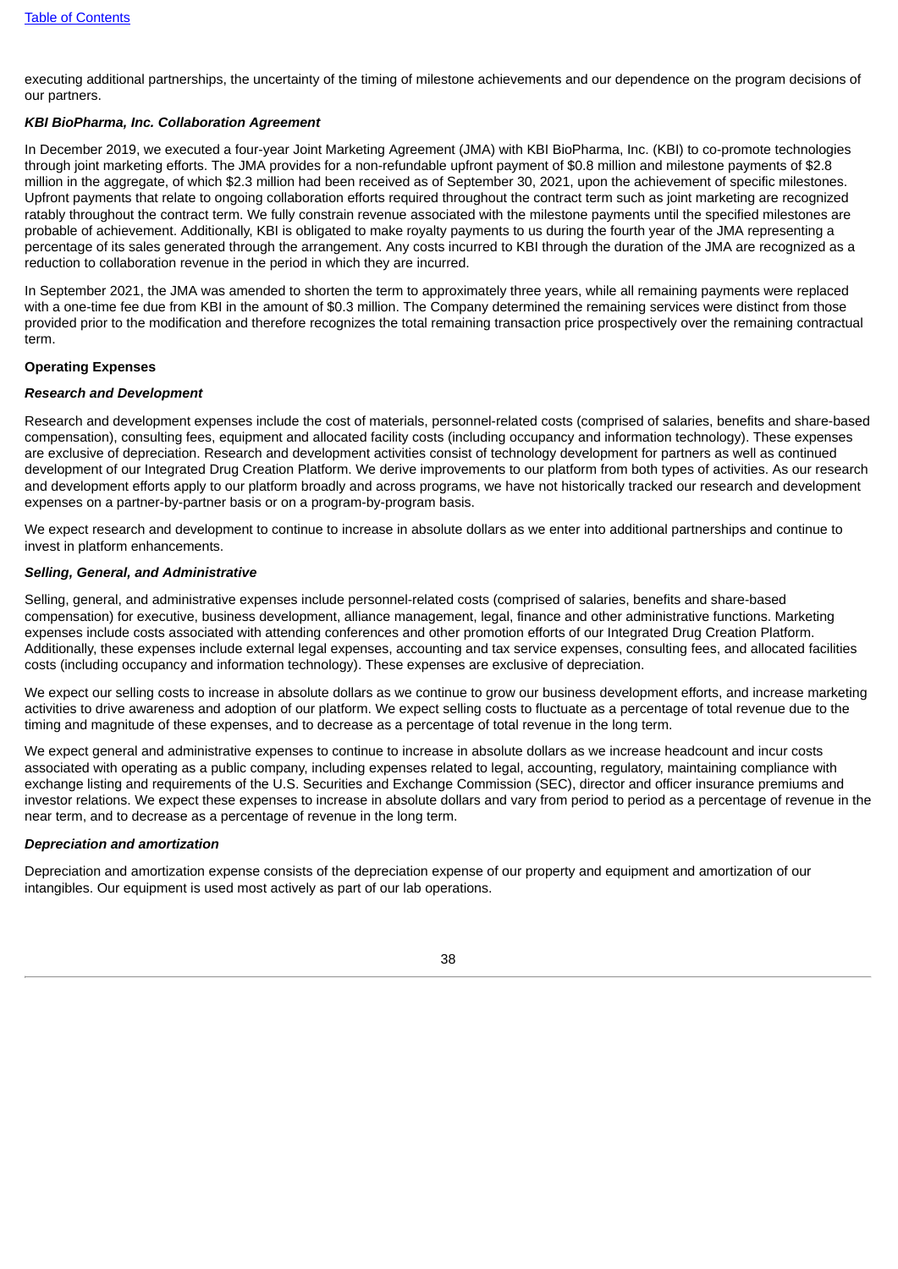executing additional partnerships, the uncertainty of the timing of milestone achievements and our dependence on the program decisions of our partners.

# *KBI BioPharma, Inc. Collaboration Agreement*

In December 2019, we executed a four-year Joint Marketing Agreement (JMA) with KBI BioPharma, Inc. (KBI) to co-promote technologies through joint marketing efforts. The JMA provides for a non-refundable upfront payment of \$0.8 million and milestone payments of \$2.8 million in the aggregate, of which \$2.3 million had been received as of September 30, 2021, upon the achievement of specific milestones. Upfront payments that relate to ongoing collaboration efforts required throughout the contract term such as joint marketing are recognized ratably throughout the contract term. We fully constrain revenue associated with the milestone payments until the specified milestones are probable of achievement. Additionally, KBI is obligated to make royalty payments to us during the fourth year of the JMA representing a percentage of its sales generated through the arrangement. Any costs incurred to KBI through the duration of the JMA are recognized as a reduction to collaboration revenue in the period in which they are incurred.

In September 2021, the JMA was amended to shorten the term to approximately three years, while all remaining payments were replaced with a one-time fee due from KBI in the amount of \$0.3 million. The Company determined the remaining services were distinct from those provided prior to the modification and therefore recognizes the total remaining transaction price prospectively over the remaining contractual term.

#### **Operating Expenses**

#### *Research and Development*

Research and development expenses include the cost of materials, personnel-related costs (comprised of salaries, benefits and share-based compensation), consulting fees, equipment and allocated facility costs (including occupancy and information technology). These expenses are exclusive of depreciation. Research and development activities consist of technology development for partners as well as continued development of our Integrated Drug Creation Platform. We derive improvements to our platform from both types of activities. As our research and development efforts apply to our platform broadly and across programs, we have not historically tracked our research and development expenses on a partner-by-partner basis or on a program-by-program basis.

We expect research and development to continue to increase in absolute dollars as we enter into additional partnerships and continue to invest in platform enhancements.

#### *Selling, General, and Administrative*

Selling, general, and administrative expenses include personnel-related costs (comprised of salaries, benefits and share-based compensation) for executive, business development, alliance management, legal, finance and other administrative functions. Marketing expenses include costs associated with attending conferences and other promotion efforts of our Integrated Drug Creation Platform. Additionally, these expenses include external legal expenses, accounting and tax service expenses, consulting fees, and allocated facilities costs (including occupancy and information technology). These expenses are exclusive of depreciation.

We expect our selling costs to increase in absolute dollars as we continue to grow our business development efforts, and increase marketing activities to drive awareness and adoption of our platform. We expect selling costs to fluctuate as a percentage of total revenue due to the timing and magnitude of these expenses, and to decrease as a percentage of total revenue in the long term.

We expect general and administrative expenses to continue to increase in absolute dollars as we increase headcount and incur costs associated with operating as a public company, including expenses related to legal, accounting, regulatory, maintaining compliance with exchange listing and requirements of the U.S. Securities and Exchange Commission (SEC), director and officer insurance premiums and investor relations. We expect these expenses to increase in absolute dollars and vary from period to period as a percentage of revenue in the near term, and to decrease as a percentage of revenue in the long term.

#### *Depreciation and amortization*

Depreciation and amortization expense consists of the depreciation expense of our property and equipment and amortization of our intangibles. Our equipment is used most actively as part of our lab operations.

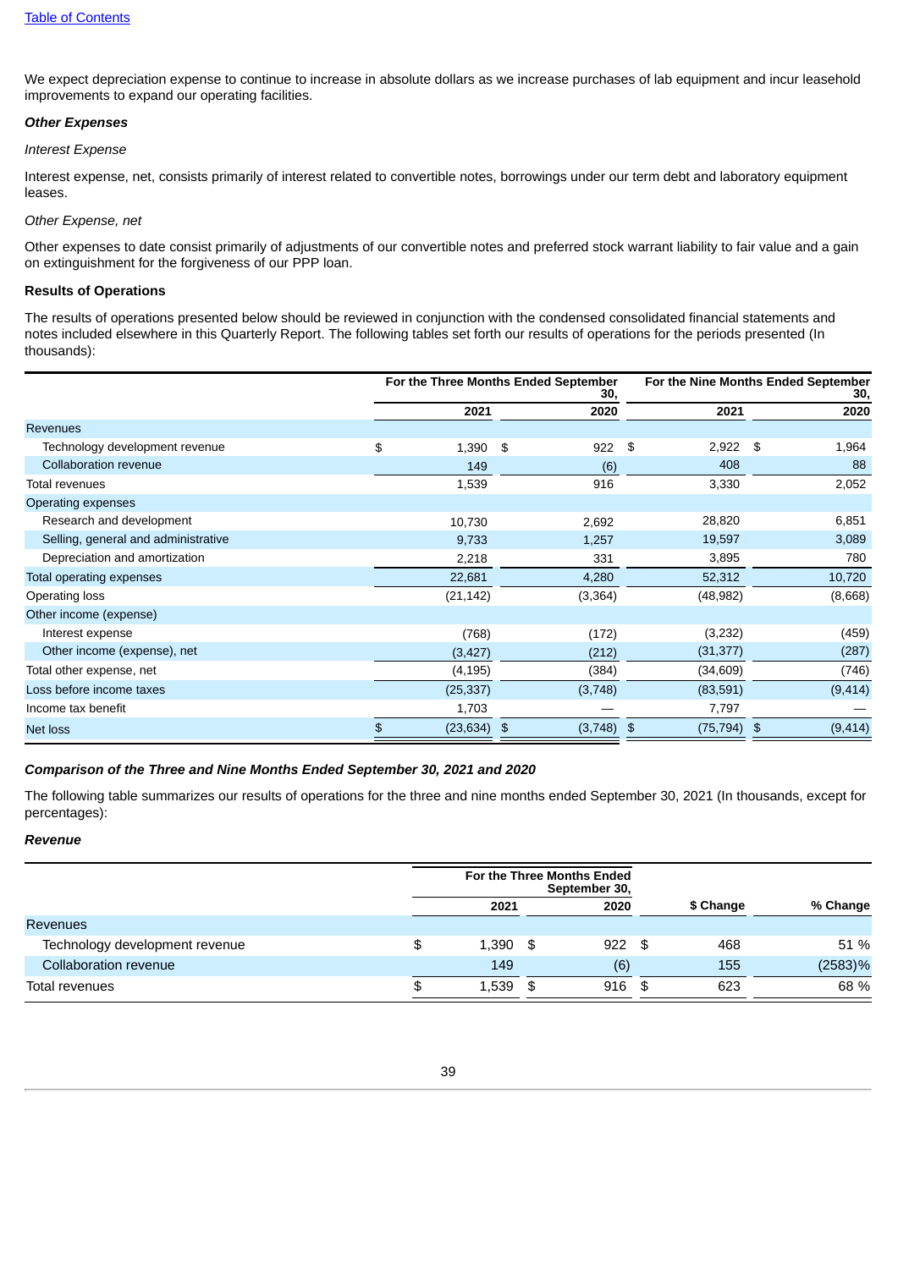We expect depreciation expense to continue to increase in absolute dollars as we increase purchases of lab equipment and incur leasehold improvements to expand our operating facilities.

# *Other Expenses*

#### *Interest Expense*

Interest expense, net, consists primarily of interest related to convertible notes, borrowings under our term debt and laboratory equipment leases.

### *Other Expense, net*

Other expenses to date consist primarily of adjustments of our convertible notes and preferred stock warrant liability to fair value and a gain on extinguishment for the forgiveness of our PPP loan.

# **Results of Operations**

The results of operations presented below should be reviewed in conjunction with the condensed consolidated financial statements and notes included elsewhere in this Quarterly Report. The following tables set forth our results of operations for the periods presented (In thousands):

|                                     |                      | For the Three Months Ended September<br>30, | For the Nine Months Ended September<br>30, |             |  |  |
|-------------------------------------|----------------------|---------------------------------------------|--------------------------------------------|-------------|--|--|
|                                     | 2021                 | 2020                                        | 2021                                       | 2020        |  |  |
| <b>Revenues</b>                     |                      |                                             |                                            |             |  |  |
| Technology development revenue      | \$<br>1,390          | 922<br>\$                                   | 2,922<br>\$                                | \$<br>1,964 |  |  |
| Collaboration revenue               | 149                  | (6)                                         | 408                                        | 88          |  |  |
| Total revenues                      | 1,539                | 916                                         | 3,330                                      | 2,052       |  |  |
| Operating expenses                  |                      |                                             |                                            |             |  |  |
| Research and development            | 10,730               | 2,692                                       | 28,820                                     | 6,851       |  |  |
| Selling, general and administrative | 9,733                | 1,257                                       | 19,597                                     | 3,089       |  |  |
| Depreciation and amortization       | 2,218                | 331                                         | 3,895                                      | 780         |  |  |
| Total operating expenses            | 22,681               | 4,280                                       | 52,312                                     | 10,720      |  |  |
| Operating loss                      | (21, 142)            | (3,364)                                     | (48, 982)                                  | (8,668)     |  |  |
| Other income (expense)              |                      |                                             |                                            |             |  |  |
| Interest expense                    | (768)                | (172)                                       | (3,232)                                    | (459)       |  |  |
| Other income (expense), net         | (3, 427)             | (212)                                       | (31, 377)                                  | (287)       |  |  |
| Total other expense, net            | (4, 195)             | (384)                                       | (34, 609)                                  | (746)       |  |  |
| Loss before income taxes            | (25, 337)            | (3,748)                                     | (83,591)                                   | (9, 414)    |  |  |
| Income tax benefit                  | 1,703                |                                             | 7,797                                      |             |  |  |
| Net loss                            | \$<br>$(23, 634)$ \$ | (3,748)                                     | $(75, 794)$ \$<br>$\sqrt{3}$               | (9, 414)    |  |  |

# *Comparison of the Three and Nine Months Ended September 30, 2021 and 2020*

The following table summarizes our results of operations for the three and nine months ended September 30, 2021 (In thousands, except for percentages):

# *Revenue*

|                                | For the Three Months Ended<br>September 30, |            |    |      |      |           |            |
|--------------------------------|---------------------------------------------|------------|----|------|------|-----------|------------|
|                                |                                             | 2021       |    | 2020 |      | \$ Change | % Change   |
| <b>Revenues</b>                |                                             |            |    |      |      |           |            |
| Technology development revenue | \$                                          | $1,390$ \$ |    | 922  | - \$ | 468       | 51 %       |
| Collaboration revenue          |                                             | 149        |    | (6)  |      | 155       | $(2583)\%$ |
| Total revenues                 | \$                                          | 1.539      | \$ | 916  | -S   | 623       | 68 %       |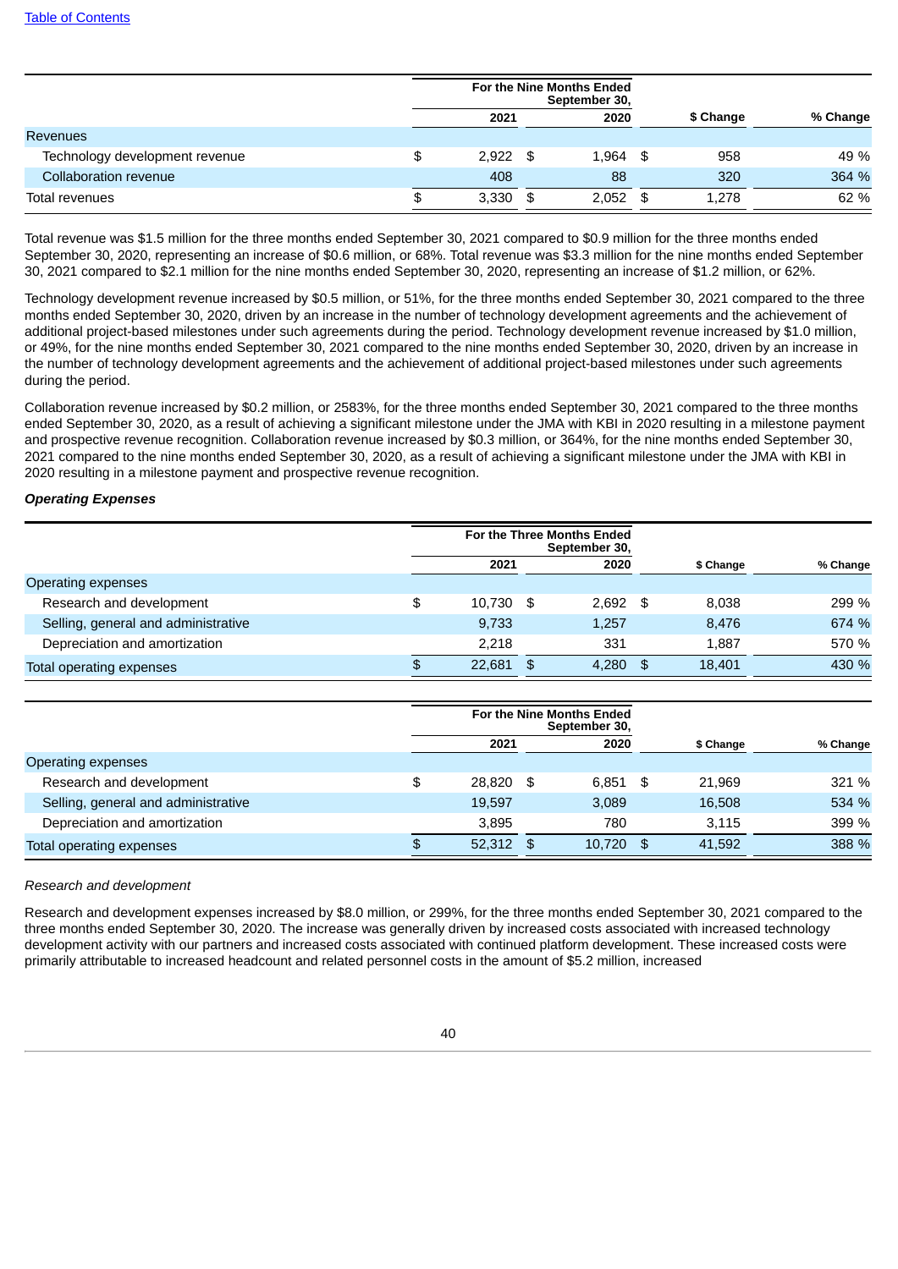|                                | For the Nine Months Ended<br>September 30, |       |      |       |      |           |          |
|--------------------------------|--------------------------------------------|-------|------|-------|------|-----------|----------|
|                                |                                            | 2021  |      | 2020  |      | \$ Change | % Change |
| <b>Revenues</b>                |                                            |       |      |       |      |           |          |
| Technology development revenue | \$                                         | 2.922 | - \$ | 1.964 | - SS | 958       | 49 %     |
| Collaboration revenue          |                                            | 408   |      | 88    |      | 320       | 364 %    |
| Total revenues                 | \$                                         | 3,330 | \$   | 2,052 | \$   | 1,278     | 62 %     |

Total revenue was \$1.5 million for the three months ended September 30, 2021 compared to \$0.9 million for the three months ended September 30, 2020, representing an increase of \$0.6 million, or 68%. Total revenue was \$3.3 million for the nine months ended September 30, 2021 compared to \$2.1 million for the nine months ended September 30, 2020, representing an increase of \$1.2 million, or 62%.

Technology development revenue increased by \$0.5 million, or 51%, for the three months ended September 30, 2021 compared to the three months ended September 30, 2020, driven by an increase in the number of technology development agreements and the achievement of additional project-based milestones under such agreements during the period. Technology development revenue increased by \$1.0 million, or 49%, for the nine months ended September 30, 2021 compared to the nine months ended September 30, 2020, driven by an increase in the number of technology development agreements and the achievement of additional project-based milestones under such agreements during the period.

Collaboration revenue increased by \$0.2 million, or 2583%, for the three months ended September 30, 2021 compared to the three months ended September 30, 2020, as a result of achieving a significant milestone under the JMA with KBI in 2020 resulting in a milestone payment and prospective revenue recognition. Collaboration revenue increased by \$0.3 million, or 364%, for the nine months ended September 30, 2021 compared to the nine months ended September 30, 2020, as a result of achieving a significant milestone under the JMA with KBI in 2020 resulting in a milestone payment and prospective revenue recognition.

# *Operating Expenses*

|                                     |              |      | For the Three Months Ended<br>September 30, |      |           |          |
|-------------------------------------|--------------|------|---------------------------------------------|------|-----------|----------|
|                                     | 2021         |      | 2020                                        |      | \$ Change | % Change |
| Operating expenses                  |              |      |                                             |      |           |          |
| Research and development            | \$<br>10,730 | - \$ | $2.692$ \$                                  |      | 8,038     | 299 %    |
| Selling, general and administrative | 9,733        |      | 1,257                                       |      | 8,476     | 674 %    |
| Depreciation and amortization       | 2.218        |      | 331                                         |      | 1.887     | 570 %    |
| Total operating expenses            | \$<br>22,681 | -\$  | 4.280                                       | - \$ | 18.401    | 430 %    |

|                                     | For the Nine Months Ended<br>September 30, |        |      |        |      |           |          |
|-------------------------------------|--------------------------------------------|--------|------|--------|------|-----------|----------|
|                                     |                                            | 2021   |      | 2020   |      | \$ Change | % Change |
| Operating expenses                  |                                            |        |      |        |      |           |          |
| Research and development            | \$                                         | 28,820 | - \$ | 6,851  | - \$ | 21,969    | 321 %    |
| Selling, general and administrative |                                            | 19.597 |      | 3,089  |      | 16,508    | 534 %    |
| Depreciation and amortization       |                                            | 3.895  |      | 780    |      | 3.115     | 399 %    |
| Total operating expenses            | \$                                         | 52,312 | - \$ | 10,720 | - \$ | 41,592    | 388 %    |

#### *Research and development*

Research and development expenses increased by \$8.0 million, or 299%, for the three months ended September 30, 2021 compared to the three months ended September 30, 2020. The increase was generally driven by increased costs associated with increased technology development activity with our partners and increased costs associated with continued platform development. These increased costs were primarily attributable to increased headcount and related personnel costs in the amount of \$5.2 million, increased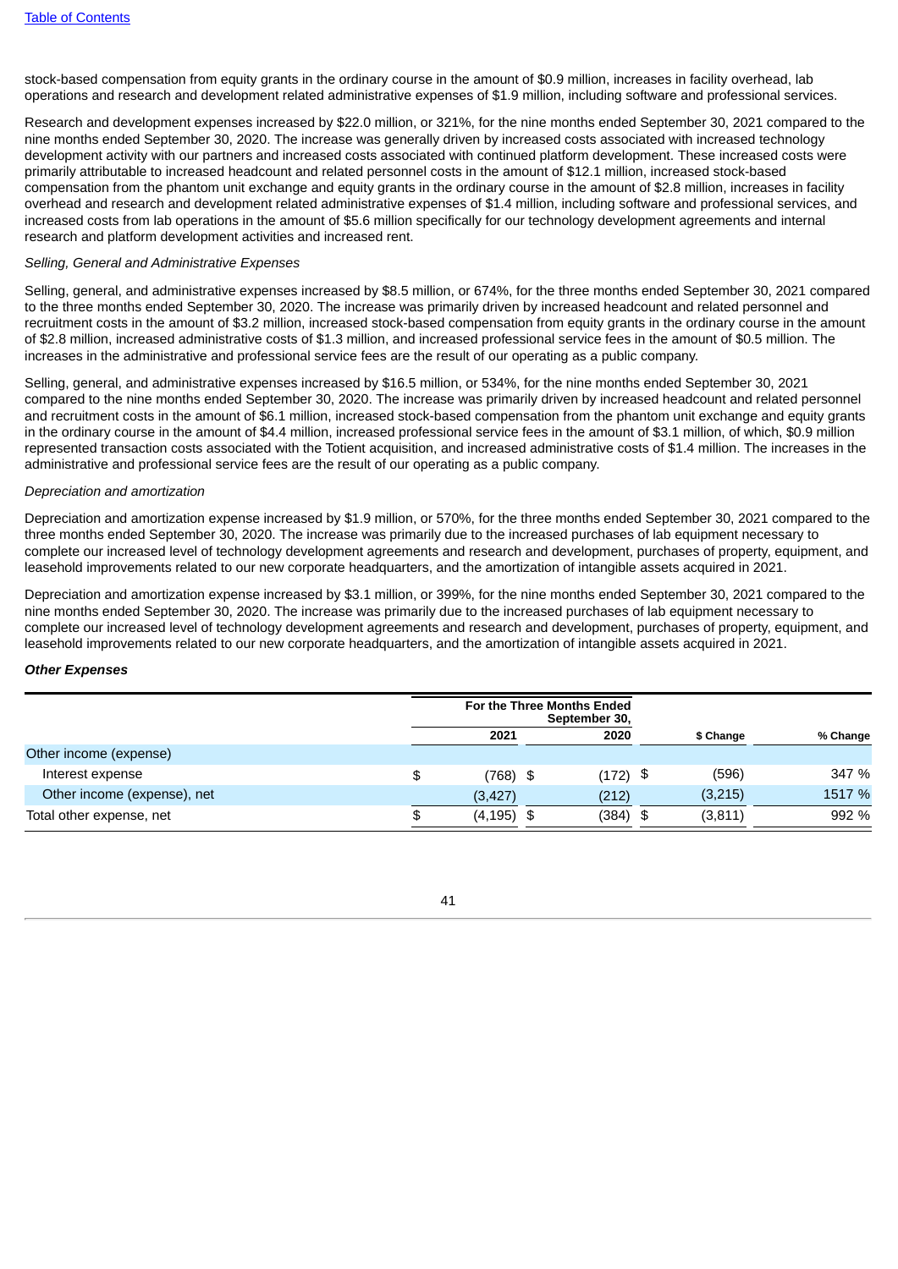stock-based compensation from equity grants in the ordinary course in the amount of \$0.9 million, increases in facility overhead, lab operations and research and development related administrative expenses of \$1.9 million, including software and professional services.

Research and development expenses increased by \$22.0 million, or 321%, for the nine months ended September 30, 2021 compared to the nine months ended September 30, 2020. The increase was generally driven by increased costs associated with increased technology development activity with our partners and increased costs associated with continued platform development. These increased costs were primarily attributable to increased headcount and related personnel costs in the amount of \$12.1 million, increased stock-based compensation from the phantom unit exchange and equity grants in the ordinary course in the amount of \$2.8 million, increases in facility overhead and research and development related administrative expenses of \$1.4 million, including software and professional services, and increased costs from lab operations in the amount of \$5.6 million specifically for our technology development agreements and internal research and platform development activities and increased rent.

## *Selling, General and Administrative Expenses*

Selling, general, and administrative expenses increased by \$8.5 million, or 674%, for the three months ended September 30, 2021 compared to the three months ended September 30, 2020. The increase was primarily driven by increased headcount and related personnel and recruitment costs in the amount of \$3.2 million, increased stock-based compensation from equity grants in the ordinary course in the amount of \$2.8 million, increased administrative costs of \$1.3 million, and increased professional service fees in the amount of \$0.5 million. The increases in the administrative and professional service fees are the result of our operating as a public company.

Selling, general, and administrative expenses increased by \$16.5 million, or 534%, for the nine months ended September 30, 2021 compared to the nine months ended September 30, 2020. The increase was primarily driven by increased headcount and related personnel and recruitment costs in the amount of \$6.1 million, increased stock-based compensation from the phantom unit exchange and equity grants in the ordinary course in the amount of \$4.4 million, increased professional service fees in the amount of \$3.1 million, of which, \$0.9 million represented transaction costs associated with the Totient acquisition, and increased administrative costs of \$1.4 million. The increases in the administrative and professional service fees are the result of our operating as a public company.

#### *Depreciation and amortization*

Depreciation and amortization expense increased by \$1.9 million, or 570%, for the three months ended September 30, 2021 compared to the three months ended September 30, 2020. The increase was primarily due to the increased purchases of lab equipment necessary to complete our increased level of technology development agreements and research and development, purchases of property, equipment, and leasehold improvements related to our new corporate headquarters, and the amortization of intangible assets acquired in 2021.

Depreciation and amortization expense increased by \$3.1 million, or 399%, for the nine months ended September 30, 2021 compared to the nine months ended September 30, 2020. The increase was primarily due to the increased purchases of lab equipment necessary to complete our increased level of technology development agreements and research and development, purchases of property, equipment, and leasehold improvements related to our new corporate headquarters, and the amortization of intangible assets acquired in 2021.

# *Other Expenses*

|                             | For the Three Months Ended<br>September 30, |  |            |      |           |          |
|-----------------------------|---------------------------------------------|--|------------|------|-----------|----------|
|                             | 2021                                        |  | 2020       |      | \$ Change | % Change |
| Other income (expense)      |                                             |  |            |      |           |          |
| Interest expense            | \$<br>(768) \$                              |  | (172)      | - \$ | (596)     | 347 %    |
| Other income (expense), net | (3, 427)                                    |  | (212)      |      | (3,215)   | 1517 %   |
| Total other expense, net    | \$<br>$(4, 195)$ \$                         |  | $(384)$ \$ |      | (3,811)   | 992 %    |

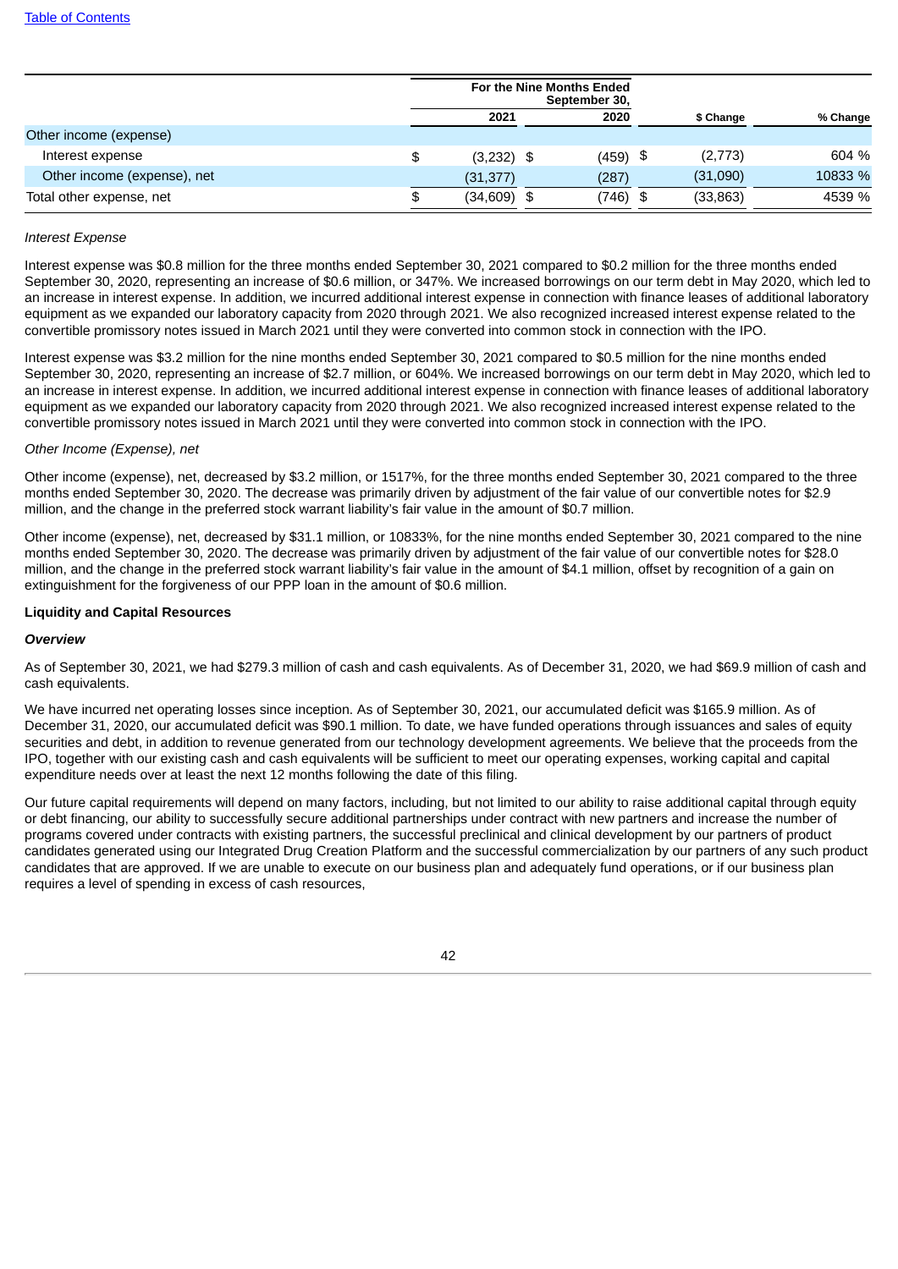|                             | For the Nine Months Ended<br>September 30, |      |          |      |           |          |
|-----------------------------|--------------------------------------------|------|----------|------|-----------|----------|
|                             | 2021                                       |      | 2020     |      | \$ Change | % Change |
| Other income (expense)      |                                            |      |          |      |           |          |
| Interest expense            | \$<br>$(3,232)$ \$                         |      | (459)    | - \$ | (2,773)   | 604 %    |
| Other income (expense), net | (31, 377)                                  |      | (287)    |      | (31,090)  | 10833 %  |
| Total other expense, net    | \$<br>(34, 609)                            | - \$ | (746) \$ |      | (33, 863) | 4539 %   |

## *Interest Expense*

Interest expense was \$0.8 million for the three months ended September 30, 2021 compared to \$0.2 million for the three months ended September 30, 2020, representing an increase of \$0.6 million, or 347%. We increased borrowings on our term debt in May 2020, which led to an increase in interest expense. In addition, we incurred additional interest expense in connection with finance leases of additional laboratory equipment as we expanded our laboratory capacity from 2020 through 2021. We also recognized increased interest expense related to the convertible promissory notes issued in March 2021 until they were converted into common stock in connection with the IPO.

Interest expense was \$3.2 million for the nine months ended September 30, 2021 compared to \$0.5 million for the nine months ended September 30, 2020, representing an increase of \$2.7 million, or 604%. We increased borrowings on our term debt in May 2020, which led to an increase in interest expense. In addition, we incurred additional interest expense in connection with finance leases of additional laboratory equipment as we expanded our laboratory capacity from 2020 through 2021. We also recognized increased interest expense related to the convertible promissory notes issued in March 2021 until they were converted into common stock in connection with the IPO.

#### *Other Income (Expense), net*

Other income (expense), net, decreased by \$3.2 million, or 1517%, for the three months ended September 30, 2021 compared to the three months ended September 30, 2020. The decrease was primarily driven by adjustment of the fair value of our convertible notes for \$2.9 million, and the change in the preferred stock warrant liability's fair value in the amount of \$0.7 million.

Other income (expense), net, decreased by \$31.1 million, or 10833%, for the nine months ended September 30, 2021 compared to the nine months ended September 30, 2020. The decrease was primarily driven by adjustment of the fair value of our convertible notes for \$28.0 million, and the change in the preferred stock warrant liability's fair value in the amount of \$4.1 million, offset by recognition of a gain on extinguishment for the forgiveness of our PPP loan in the amount of \$0.6 million.

#### **Liquidity and Capital Resources**

#### *Overview*

As of September 30, 2021, we had \$279.3 million of cash and cash equivalents. As of December 31, 2020, we had \$69.9 million of cash and cash equivalents.

We have incurred net operating losses since inception. As of September 30, 2021, our accumulated deficit was \$165.9 million. As of December 31, 2020, our accumulated deficit was \$90.1 million. To date, we have funded operations through issuances and sales of equity securities and debt, in addition to revenue generated from our technology development agreements. We believe that the proceeds from the IPO, together with our existing cash and cash equivalents will be sufficient to meet our operating expenses, working capital and capital expenditure needs over at least the next 12 months following the date of this filing.

Our future capital requirements will depend on many factors, including, but not limited to our ability to raise additional capital through equity or debt financing, our ability to successfully secure additional partnerships under contract with new partners and increase the number of programs covered under contracts with existing partners, the successful preclinical and clinical development by our partners of product candidates generated using our Integrated Drug Creation Platform and the successful commercialization by our partners of any such product candidates that are approved. If we are unable to execute on our business plan and adequately fund operations, or if our business plan requires a level of spending in excess of cash resources,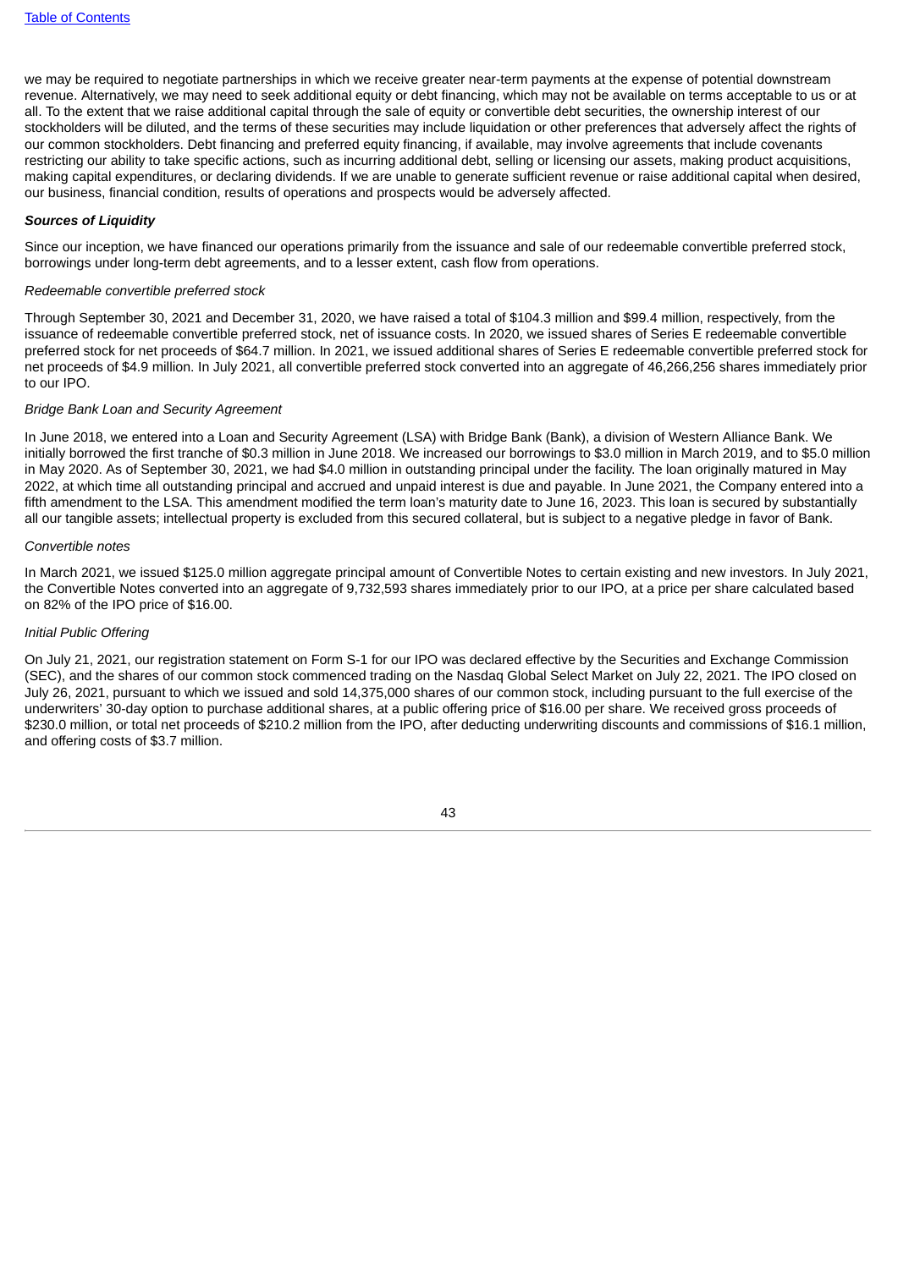we may be required to negotiate partnerships in which we receive greater near-term payments at the expense of potential downstream revenue. Alternatively, we may need to seek additional equity or debt financing, which may not be available on terms acceptable to us or at all. To the extent that we raise additional capital through the sale of equity or convertible debt securities, the ownership interest of our stockholders will be diluted, and the terms of these securities may include liquidation or other preferences that adversely affect the rights of our common stockholders. Debt financing and preferred equity financing, if available, may involve agreements that include covenants restricting our ability to take specific actions, such as incurring additional debt, selling or licensing our assets, making product acquisitions, making capital expenditures, or declaring dividends. If we are unable to generate sufficient revenue or raise additional capital when desired, our business, financial condition, results of operations and prospects would be adversely affected.

# *Sources of Liquidity*

Since our inception, we have financed our operations primarily from the issuance and sale of our redeemable convertible preferred stock, borrowings under long-term debt agreements, and to a lesser extent, cash flow from operations.

# *Redeemable convertible preferred stock*

Through September 30, 2021 and December 31, 2020, we have raised a total of \$104.3 million and \$99.4 million, respectively, from the issuance of redeemable convertible preferred stock, net of issuance costs. In 2020, we issued shares of Series E redeemable convertible preferred stock for net proceeds of \$64.7 million. In 2021, we issued additional shares of Series E redeemable convertible preferred stock for net proceeds of \$4.9 million. In July 2021, all convertible preferred stock converted into an aggregate of 46,266,256 shares immediately prior to our IPO.

#### *Bridge Bank Loan and Security Agreement*

In June 2018, we entered into a Loan and Security Agreement (LSA) with Bridge Bank (Bank), a division of Western Alliance Bank. We initially borrowed the first tranche of \$0.3 million in June 2018. We increased our borrowings to \$3.0 million in March 2019, and to \$5.0 million in May 2020. As of September 30, 2021, we had \$4.0 million in outstanding principal under the facility. The loan originally matured in May 2022, at which time all outstanding principal and accrued and unpaid interest is due and payable. In June 2021, the Company entered into a fifth amendment to the LSA. This amendment modified the term loan's maturity date to June 16, 2023. This loan is secured by substantially all our tangible assets; intellectual property is excluded from this secured collateral, but is subject to a negative pledge in favor of Bank.

#### *Convertible notes*

In March 2021, we issued \$125.0 million aggregate principal amount of Convertible Notes to certain existing and new investors. In July 2021, the Convertible Notes converted into an aggregate of 9,732,593 shares immediately prior to our IPO, at a price per share calculated based on 82% of the IPO price of \$16.00.

## *Initial Public Offering*

On July 21, 2021, our registration statement on Form S-1 for our IPO was declared effective by the Securities and Exchange Commission (SEC), and the shares of our common stock commenced trading on the Nasdaq Global Select Market on July 22, 2021. The IPO closed on July 26, 2021, pursuant to which we issued and sold 14,375,000 shares of our common stock, including pursuant to the full exercise of the underwriters' 30-day option to purchase additional shares, at a public offering price of \$16.00 per share. We received gross proceeds of \$230.0 million, or total net proceeds of \$210.2 million from the IPO, after deducting underwriting discounts and commissions of \$16.1 million, and offering costs of \$3.7 million.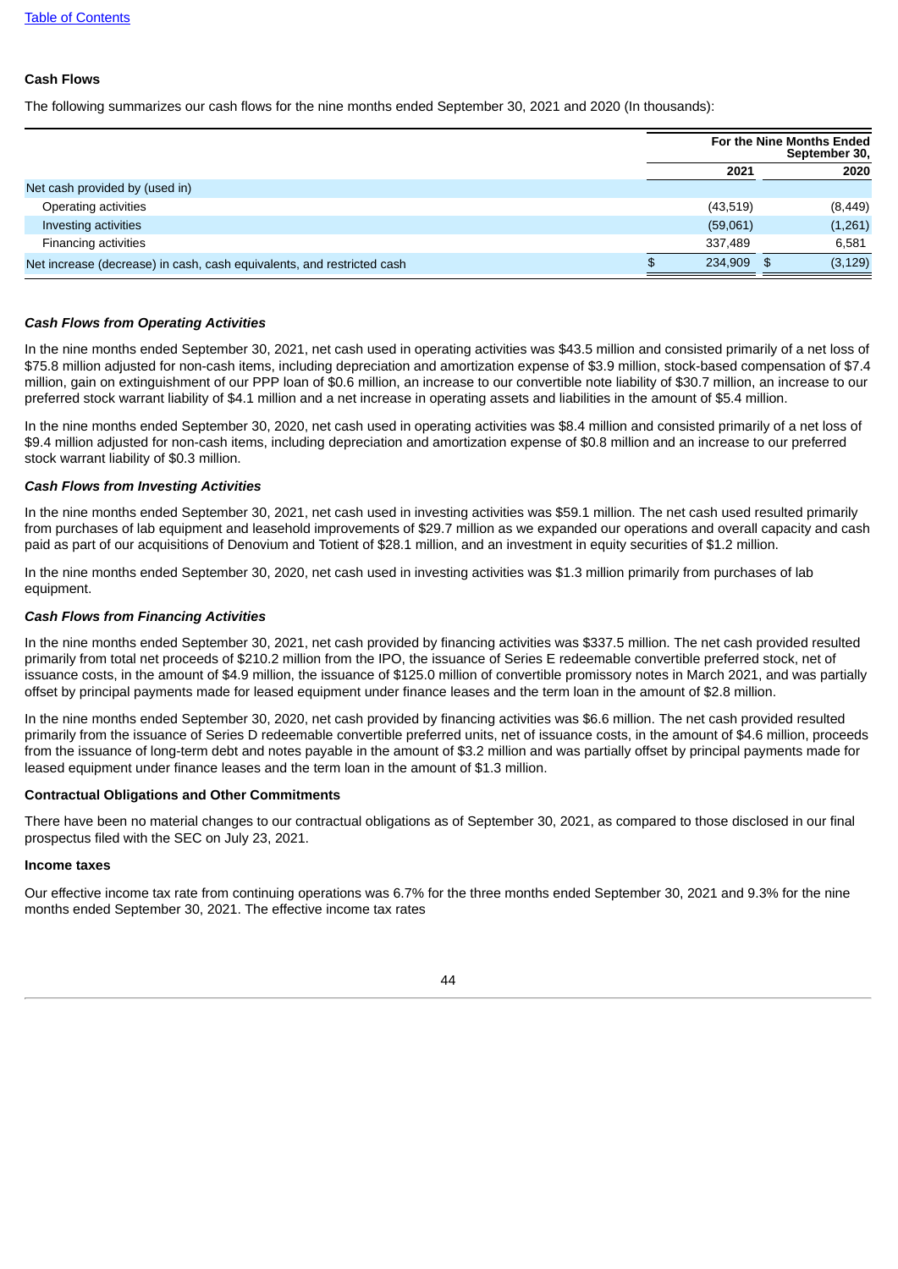# **Cash Flows**

The following summarizes our cash flows for the nine months ended September 30, 2021 and 2020 (In thousands):

|                                                                        | For the Nine Months Ended<br>September 30, |    |          |
|------------------------------------------------------------------------|--------------------------------------------|----|----------|
|                                                                        | 2021                                       |    | 2020     |
| Net cash provided by (used in)                                         |                                            |    |          |
| Operating activities                                                   | (43,519)                                   |    | (8, 449) |
| Investing activities                                                   | (59,061)                                   |    | (1,261)  |
| Financing activities                                                   | 337.489                                    |    | 6,581    |
| Net increase (decrease) in cash, cash equivalents, and restricted cash | 234.909                                    | \$ | (3, 129) |

# *Cash Flows from Operating Activities*

In the nine months ended September 30, 2021, net cash used in operating activities was \$43.5 million and consisted primarily of a net loss of \$75.8 million adjusted for non-cash items, including depreciation and amortization expense of \$3.9 million, stock-based compensation of \$7.4 million, gain on extinguishment of our PPP loan of \$0.6 million, an increase to our convertible note liability of \$30.7 million, an increase to our preferred stock warrant liability of \$4.1 million and a net increase in operating assets and liabilities in the amount of \$5.4 million.

In the nine months ended September 30, 2020, net cash used in operating activities was \$8.4 million and consisted primarily of a net loss of \$9.4 million adjusted for non-cash items, including depreciation and amortization expense of \$0.8 million and an increase to our preferred stock warrant liability of \$0.3 million.

# *Cash Flows from Investing Activities*

In the nine months ended September 30, 2021, net cash used in investing activities was \$59.1 million. The net cash used resulted primarily from purchases of lab equipment and leasehold improvements of \$29.7 million as we expanded our operations and overall capacity and cash paid as part of our acquisitions of Denovium and Totient of \$28.1 million, and an investment in equity securities of \$1.2 million.

In the nine months ended September 30, 2020, net cash used in investing activities was \$1.3 million primarily from purchases of lab equipment.

# *Cash Flows from Financing Activities*

In the nine months ended September 30, 2021, net cash provided by financing activities was \$337.5 million. The net cash provided resulted primarily from total net proceeds of \$210.2 million from the IPO, the issuance of Series E redeemable convertible preferred stock, net of issuance costs, in the amount of \$4.9 million, the issuance of \$125.0 million of convertible promissory notes in March 2021, and was partially offset by principal payments made for leased equipment under finance leases and the term loan in the amount of \$2.8 million.

In the nine months ended September 30, 2020, net cash provided by financing activities was \$6.6 million. The net cash provided resulted primarily from the issuance of Series D redeemable convertible preferred units, net of issuance costs, in the amount of \$4.6 million, proceeds from the issuance of long-term debt and notes payable in the amount of \$3.2 million and was partially offset by principal payments made for leased equipment under finance leases and the term loan in the amount of \$1.3 million.

#### **Contractual Obligations and Other Commitments**

There have been no material changes to our contractual obligations as of September 30, 2021, as compared to those disclosed in our final prospectus filed with the SEC on July 23, 2021.

#### **Income taxes**

Our effective income tax rate from continuing operations was 6.7% for the three months ended September 30, 2021 and 9.3% for the nine months ended September 30, 2021. The effective income tax rates

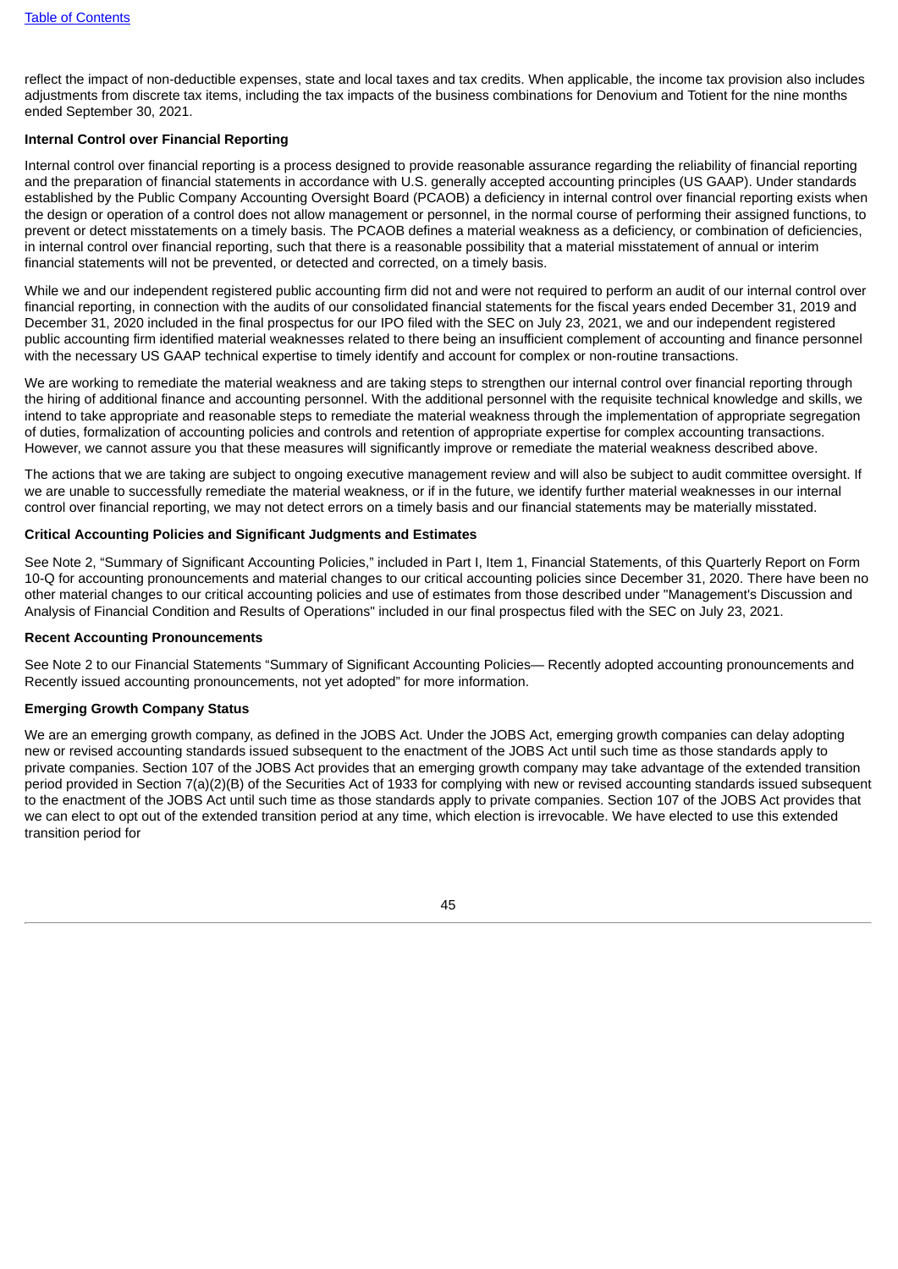reflect the impact of non-deductible expenses, state and local taxes and tax credits. When applicable, the income tax provision also includes adjustments from discrete tax items, including the tax impacts of the business combinations for Denovium and Totient for the nine months ended September 30, 2021.

# **Internal Control over Financial Reporting**

Internal control over financial reporting is a process designed to provide reasonable assurance regarding the reliability of financial reporting and the preparation of financial statements in accordance with U.S. generally accepted accounting principles (US GAAP). Under standards established by the Public Company Accounting Oversight Board (PCAOB) a deficiency in internal control over financial reporting exists when the design or operation of a control does not allow management or personnel, in the normal course of performing their assigned functions, to prevent or detect misstatements on a timely basis. The PCAOB defines a material weakness as a deficiency, or combination of deficiencies, in internal control over financial reporting, such that there is a reasonable possibility that a material misstatement of annual or interim financial statements will not be prevented, or detected and corrected, on a timely basis.

While we and our independent registered public accounting firm did not and were not required to perform an audit of our internal control over financial reporting, in connection with the audits of our consolidated financial statements for the fiscal years ended December 31, 2019 and December 31, 2020 included in the final prospectus for our IPO filed with the SEC on July 23, 2021, we and our independent registered public accounting firm identified material weaknesses related to there being an insufficient complement of accounting and finance personnel with the necessary US GAAP technical expertise to timely identify and account for complex or non-routine transactions.

We are working to remediate the material weakness and are taking steps to strengthen our internal control over financial reporting through the hiring of additional finance and accounting personnel. With the additional personnel with the requisite technical knowledge and skills, we intend to take appropriate and reasonable steps to remediate the material weakness through the implementation of appropriate segregation of duties, formalization of accounting policies and controls and retention of appropriate expertise for complex accounting transactions. However, we cannot assure you that these measures will significantly improve or remediate the material weakness described above.

The actions that we are taking are subject to ongoing executive management review and will also be subiect to audit committee oversight. If we are unable to successfully remediate the material weakness, or if in the future, we identify further material weaknesses in our internal control over financial reporting, we may not detect errors on a timely basis and our financial statements may be materially misstated.

# **Critical Accounting Policies and Significant Judgments and Estimates**

See Note 2, "Summary of Significant Accounting Policies," included in Part I, Item 1, Financial Statements, of this Quarterly Report on Form 10-Q for accounting pronouncements and material changes to our critical accounting policies since December 31, 2020. There have been no other material changes to our critical accounting policies and use of estimates from those described under "Management's Discussion and Analysis of Financial Condition and Results of Operations" included in our final prospectus filed with the SEC on July 23, 2021.

# **Recent Accounting Pronouncements**

See Note 2 to our Financial Statements "Summary of Significant Accounting Policies— Recently adopted accounting pronouncements and Recently issued accounting pronouncements, not yet adopted" for more information.

# **Emerging Growth Company Status**

We are an emerging growth company, as defined in the JOBS Act. Under the JOBS Act, emerging growth companies can delay adopting new or revised accounting standards issued subsequent to the enactment of the JOBS Act until such time as those standards apply to private companies. Section 107 of the JOBS Act provides that an emerging growth company may take advantage of the extended transition period provided in Section 7(a)(2)(B) of the Securities Act of 1933 for complying with new or revised accounting standards issued subsequent to the enactment of the JOBS Act until such time as those standards apply to private companies. Section 107 of the JOBS Act provides that we can elect to opt out of the extended transition period at any time, which election is irrevocable. We have elected to use this extended transition period for

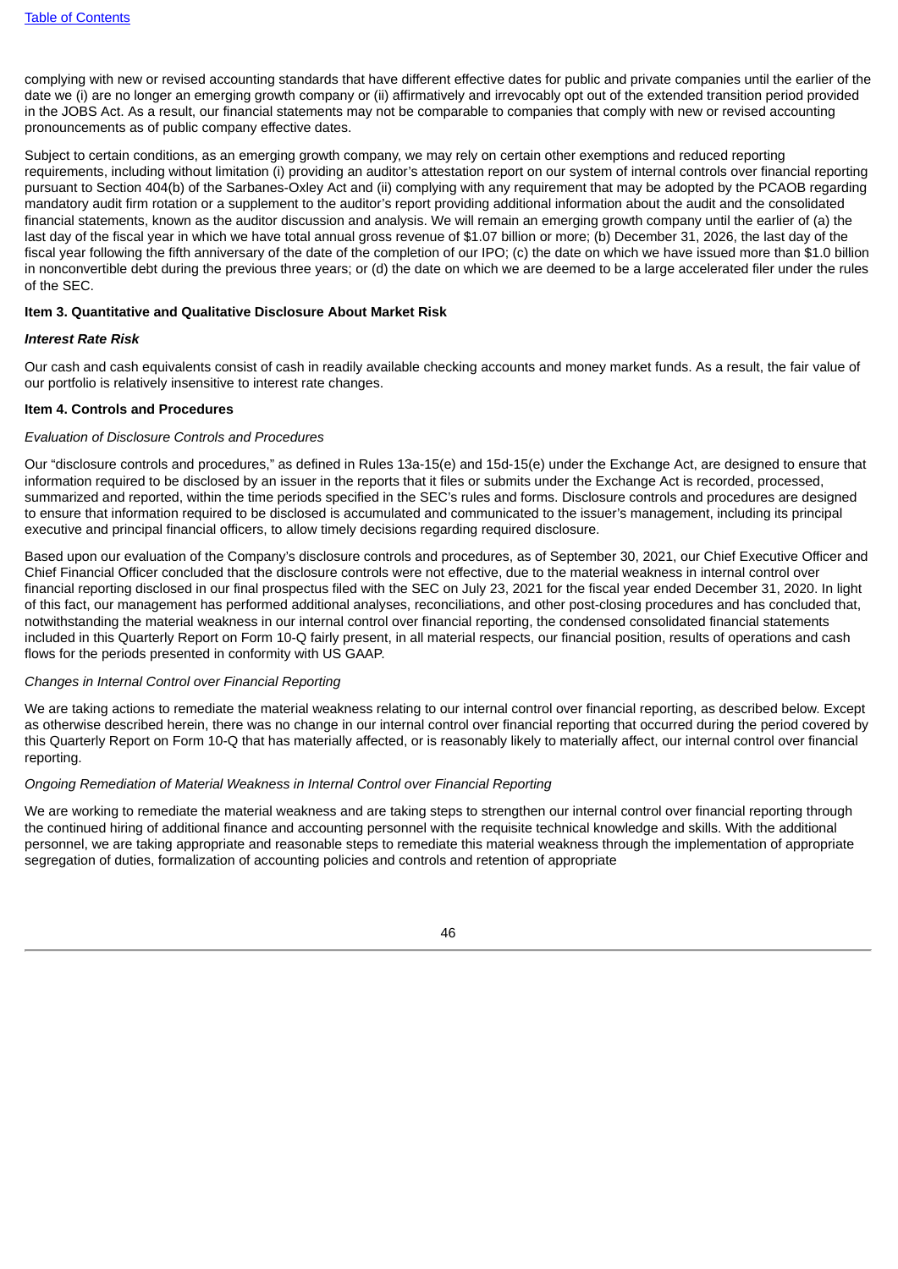complying with new or revised accounting standards that have different effective dates for public and private companies until the earlier of the date we (i) are no longer an emerging growth company or (ii) affirmatively and irrevocably opt out of the extended transition period provided in the JOBS Act. As a result, our financial statements may not be comparable to companies that comply with new or revised accounting pronouncements as of public company effective dates.

Subject to certain conditions, as an emerging growth company, we may rely on certain other exemptions and reduced reporting requirements, including without limitation (i) providing an auditor's attestation report on our system of internal controls over financial reporting pursuant to Section 404(b) of the Sarbanes-Oxley Act and (ii) complying with any requirement that may be adopted by the PCAOB regarding mandatory audit firm rotation or a supplement to the auditor's report providing additional information about the audit and the consolidated financial statements, known as the auditor discussion and analysis. We will remain an emerging growth company until the earlier of (a) the last day of the fiscal year in which we have total annual gross revenue of \$1.07 billion or more; (b) December 31, 2026, the last day of the fiscal year following the fifth anniversary of the date of the completion of our IPO; (c) the date on which we have issued more than \$1.0 billion in nonconvertible debt during the previous three years; or (d) the date on which we are deemed to be a large accelerated filer under the rules of the SEC.

# **Item 3. Quantitative and Qualitative Disclosure About Market Risk**

# *Interest Rate Risk*

Our cash and cash equivalents consist of cash in readily available checking accounts and money market funds. As a result, the fair value of our portfolio is relatively insensitive to interest rate changes.

# **Item 4. Controls and Procedures**

# *Evaluation of Disclosure Controls and Procedures*

Our "disclosure controls and procedures," as defined in Rules 13a-15(e) and 15d-15(e) under the Exchange Act, are designed to ensure that information required to be disclosed by an issuer in the reports that it files or submits under the Exchange Act is recorded, processed, summarized and reported, within the time periods specified in the SEC's rules and forms. Disclosure controls and procedures are designed to ensure that information required to be disclosed is accumulated and communicated to the issuer's management, including its principal executive and principal financial officers, to allow timely decisions regarding required disclosure.

Based upon our evaluation of the Company's disclosure controls and procedures, as of September 30, 2021, our Chief Executive Officer and Chief Financial Officer concluded that the disclosure controls were not effective, due to the material weakness in internal control over financial reporting disclosed in our final prospectus filed with the SEC on July 23, 2021 for the fiscal year ended December 31, 2020. In light of this fact, our management has performed additional analyses, reconciliations, and other post-closing procedures and has concluded that, notwithstanding the material weakness in our internal control over financial reporting, the condensed consolidated financial statements included in this Quarterly Report on Form 10-Q fairly present, in all material respects, our financial position, results of operations and cash flows for the periods presented in conformity with US GAAP.

# *Changes in Internal Control over Financial Reporting*

We are taking actions to remediate the material weakness relating to our internal control over financial reporting, as described below. Except as otherwise described herein, there was no change in our internal control over financial reporting that occurred during the period covered by this Quarterly Report on Form 10-Q that has materially affected, or is reasonably likely to materially affect, our internal control over financial reporting.

# *Ongoing Remediation of Material Weakness in Internal Control over Financial Reporting*

We are working to remediate the material weakness and are taking steps to strengthen our internal control over financial reporting through the continued hiring of additional finance and accounting personnel with the requisite technical knowledge and skills. With the additional personnel, we are taking appropriate and reasonable steps to remediate this material weakness through the implementation of appropriate segregation of duties, formalization of accounting policies and controls and retention of appropriate

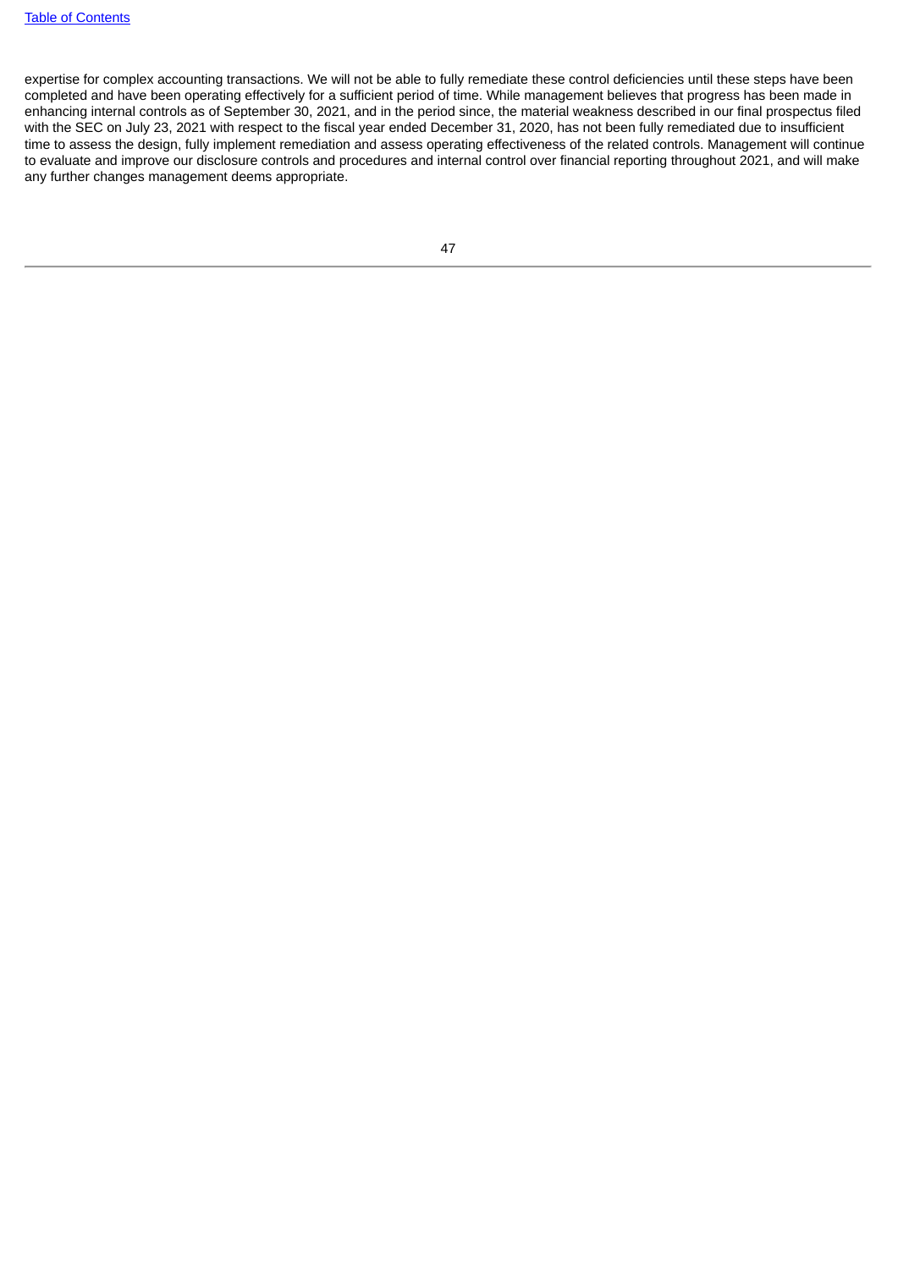expertise for complex accounting transactions. We will not be able to fully remediate these control deficiencies until these steps have been completed and have been operating effectively for a sufficient period of time. While management believes that progress has been made in enhancing internal controls as of September 30, 2021, and in the period since, the material weakness described in our final prospectus filed with the SEC on July 23, 2021 with respect to the fiscal year ended December 31, 2020, has not been fully remediated due to insufficient time to assess the design, fully implement remediation and assess operating effectiveness of the related controls. Management will continue to evaluate and improve our disclosure controls and procedures and internal control over financial reporting throughout 2021, and will make any further changes management deems appropriate.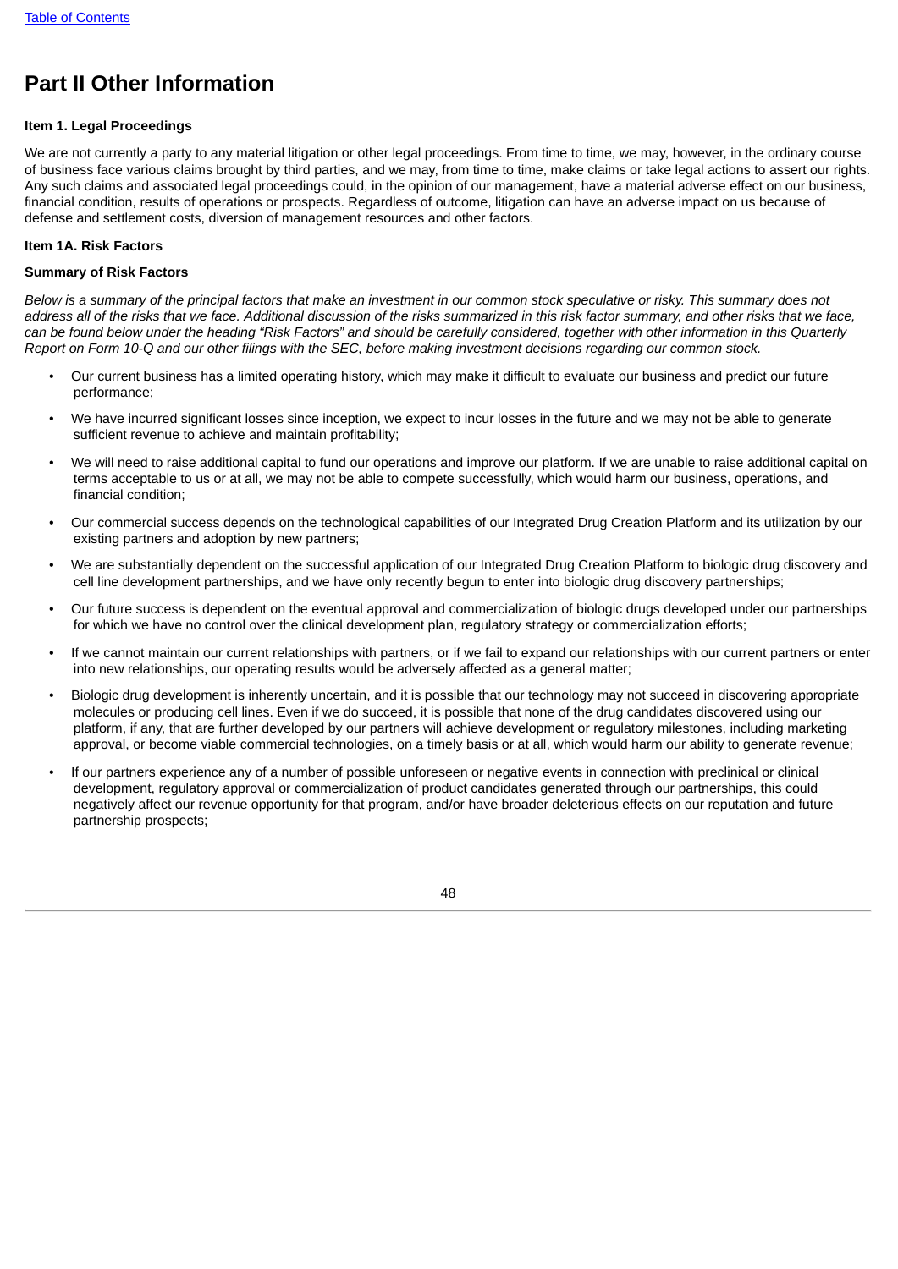# **Part II Other Information**

# **Item 1. Legal Proceedings**

We are not currently a party to any material litigation or other legal proceedings. From time to time, we may, however, in the ordinary course of business face various claims brought by third parties, and we may, from time to time, make claims or take legal actions to assert our rights. Any such claims and associated legal proceedings could, in the opinion of our management, have a material adverse effect on our business, financial condition, results of operations or prospects. Regardless of outcome, litigation can have an adverse impact on us because of defense and settlement costs, diversion of management resources and other factors.

## **Item 1A. Risk Factors**

# **Summary of Risk Factors**

Below is a summary of the principal factors that make an investment in our common stock speculative or risky. This summary does not address all of the risks that we face. Additional discussion of the risks summarized in this risk factor summary, and other risks that we face, can be found below under the heading "Risk Factors" and should be carefully considered, together with other information in this Quarterly Report on Form 10-Q and our other filings with the SEC, before making investment decisions regarding our common stock.

- Our current business has a limited operating history, which may make it difficult to evaluate our business and predict our future performance;
- We have incurred significant losses since inception, we expect to incur losses in the future and we may not be able to generate sufficient revenue to achieve and maintain profitability;
- We will need to raise additional capital to fund our operations and improve our platform. If we are unable to raise additional capital on terms acceptable to us or at all, we may not be able to compete successfully, which would harm our business, operations, and financial condition;
- Our commercial success depends on the technological capabilities of our Integrated Drug Creation Platform and its utilization by our existing partners and adoption by new partners;
- We are substantially dependent on the successful application of our Integrated Drug Creation Platform to biologic drug discovery and cell line development partnerships, and we have only recently begun to enter into biologic drug discovery partnerships;
- Our future success is dependent on the eventual approval and commercialization of biologic drugs developed under our partnerships for which we have no control over the clinical development plan, regulatory strategy or commercialization efforts;
- If we cannot maintain our current relationships with partners, or if we fail to expand our relationships with our current partners or enter into new relationships, our operating results would be adversely affected as a general matter;
- Biologic drug development is inherently uncertain, and it is possible that our technology may not succeed in discovering appropriate molecules or producing cell lines. Even if we do succeed, it is possible that none of the drug candidates discovered using our platform, if any, that are further developed by our partners will achieve development or regulatory milestones, including marketing approval, or become viable commercial technologies, on a timely basis or at all, which would harm our ability to generate revenue;
- If our partners experience any of a number of possible unforeseen or negative events in connection with preclinical or clinical development, regulatory approval or commercialization of product candidates generated through our partnerships, this could negatively affect our revenue opportunity for that program, and/or have broader deleterious effects on our reputation and future partnership prospects;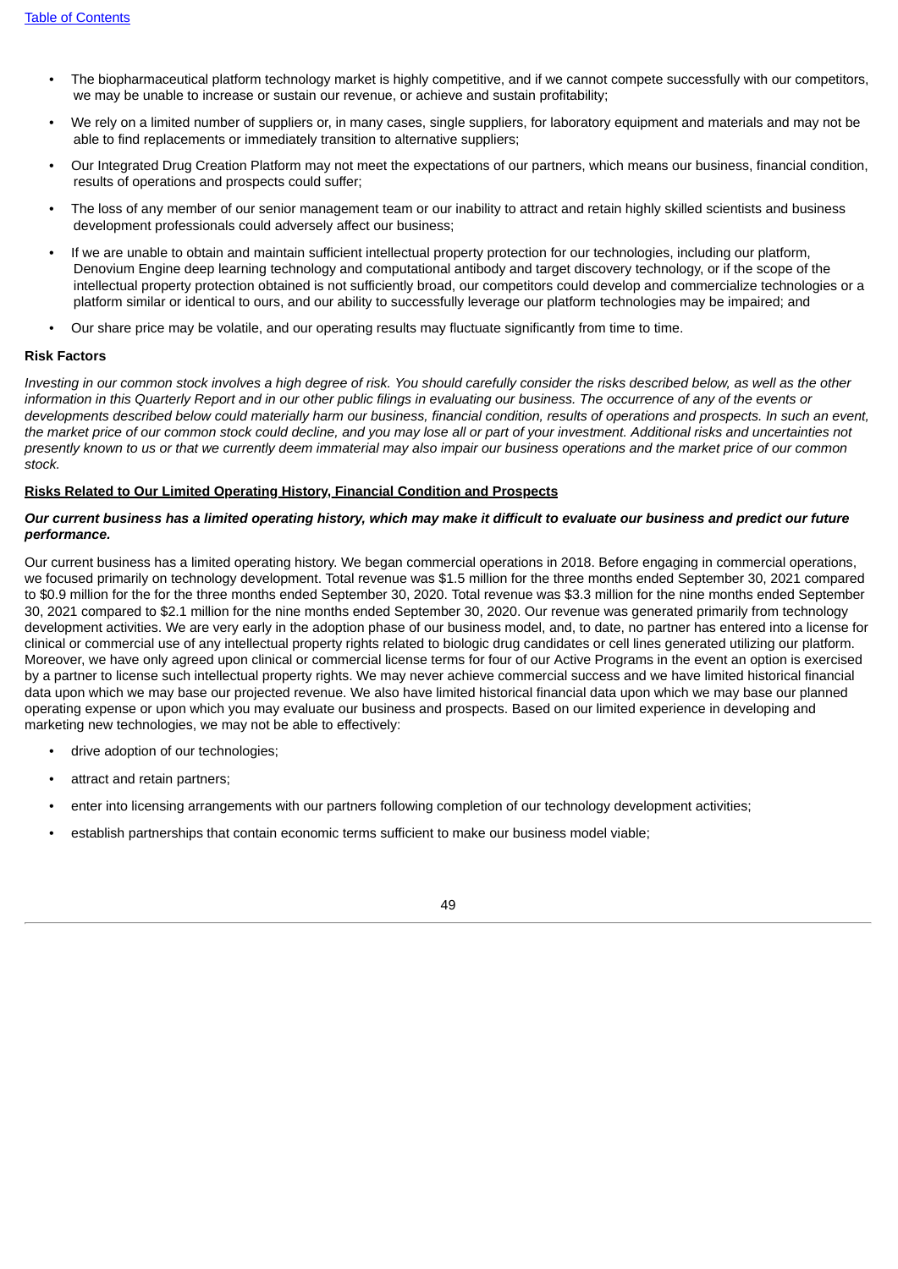- The biopharmaceutical platform technology market is highly competitive, and if we cannot compete successfully with our competitors, we may be unable to increase or sustain our revenue, or achieve and sustain profitability;
- We rely on a limited number of suppliers or, in many cases, single suppliers, for laboratory equipment and materials and may not be able to find replacements or immediately transition to alternative suppliers;
- Our Integrated Drug Creation Platform may not meet the expectations of our partners, which means our business, financial condition, results of operations and prospects could suffer;
- The loss of any member of our senior management team or our inability to attract and retain highly skilled scientists and business development professionals could adversely affect our business;
- If we are unable to obtain and maintain sufficient intellectual property protection for our technologies, including our platform, Denovium Engine deep learning technology and computational antibody and target discovery technology, or if the scope of the intellectual property protection obtained is not sufficiently broad, our competitors could develop and commercialize technologies or a platform similar or identical to ours, and our ability to successfully leverage our platform technologies may be impaired; and
- Our share price may be volatile, and our operating results may fluctuate significantly from time to time.

# **Risk Factors**

Investing in our common stock involves a high degree of risk. You should carefully consider the risks described below, as well as the other information in this Quarterly Report and in our other public filings in evaluating our business. The occurrence of any of the events or developments described below could materially harm our business, financial condition, results of operations and prospects. In such an event, the market price of our common stock could decline, and you may lose all or part of your investment. Additional risks and uncertainties not presently known to us or that we currently deem immaterial may also impair our business operations and the market price of our common *stock.*

#### **Risks Related to Our Limited Operating History, Financial Condition and Prospects**

# Our current business has a limited operating history, which may make it difficult to evaluate our business and predict our future *performance.*

Our current business has a limited operating history. We began commercial operations in 2018. Before engaging in commercial operations, we focused primarily on technology development. Total revenue was \$1.5 million for the three months ended September 30, 2021 compared to \$0.9 million for the for the three months ended September 30, 2020. Total revenue was \$3.3 million for the nine months ended September 30, 2021 compared to \$2.1 million for the nine months ended September 30, 2020. Our revenue was generated primarily from technology development activities. We are very early in the adoption phase of our business model, and, to date, no partner has entered into a license for clinical or commercial use of any intellectual property rights related to biologic drug candidates or cell lines generated utilizing our platform. Moreover, we have only agreed upon clinical or commercial license terms for four of our Active Programs in the event an option is exercised by a partner to license such intellectual property rights. We may never achieve commercial success and we have limited historical financial data upon which we may base our projected revenue. We also have limited historical financial data upon which we may base our planned operating expense or upon which you may evaluate our business and prospects. Based on our limited experience in developing and marketing new technologies, we may not be able to effectively:

- drive adoption of our technologies;
- attract and retain partners;
- enter into licensing arrangements with our partners following completion of our technology development activities;
- establish partnerships that contain economic terms sufficient to make our business model viable;

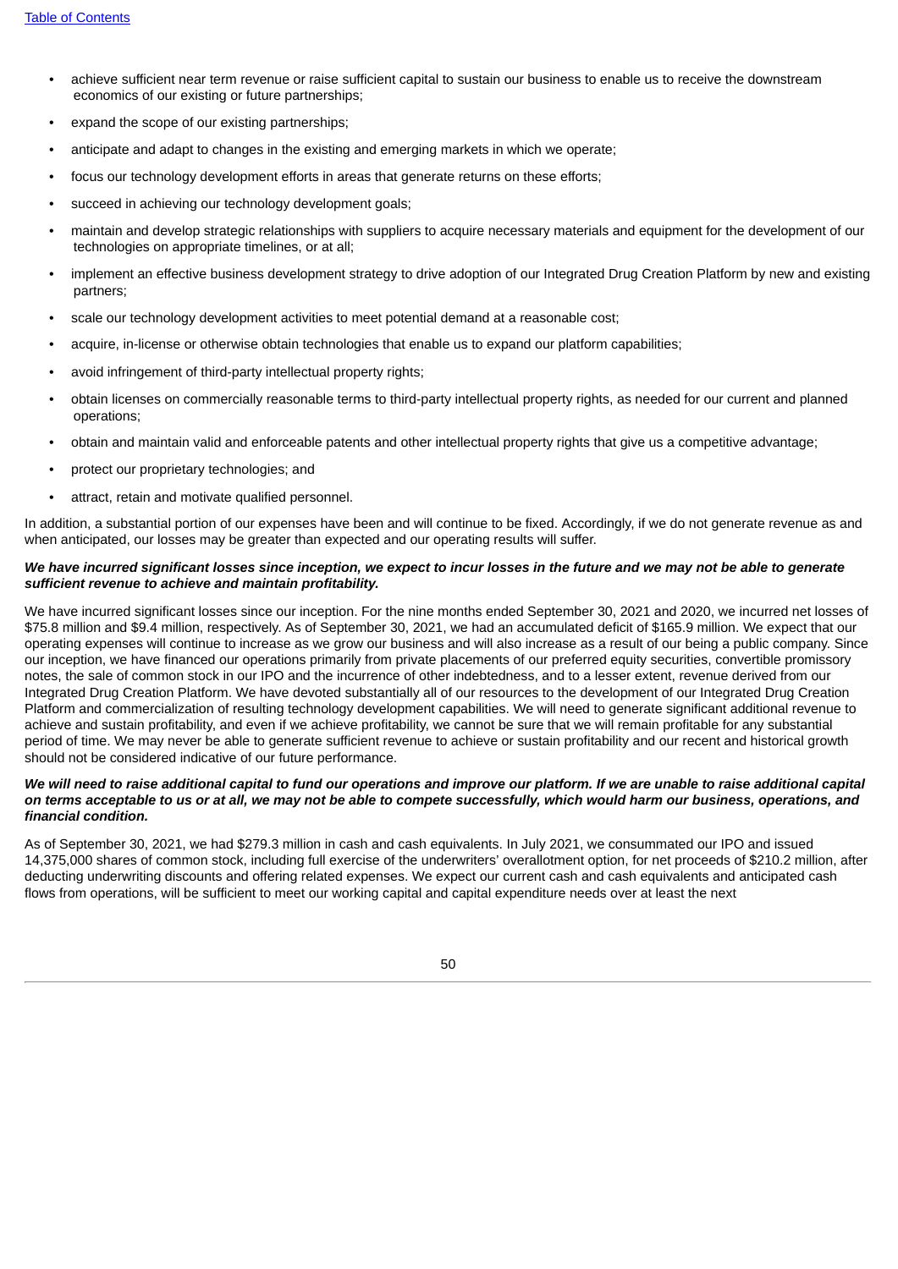- achieve sufficient near term revenue or raise sufficient capital to sustain our business to enable us to receive the downstream economics of our existing or future partnerships;
- expand the scope of our existing partnerships;
- anticipate and adapt to changes in the existing and emerging markets in which we operate;
- focus our technology development efforts in areas that generate returns on these efforts;
- succeed in achieving our technology development goals;
- maintain and develop strategic relationships with suppliers to acquire necessary materials and equipment for the development of our technologies on appropriate timelines, or at all;
- implement an effective business development strategy to drive adoption of our Integrated Drug Creation Platform by new and existing partners;
- scale our technology development activities to meet potential demand at a reasonable cost;
- acquire, in-license or otherwise obtain technologies that enable us to expand our platform capabilities;
- avoid infringement of third-party intellectual property rights;
- obtain licenses on commercially reasonable terms to third-party intellectual property rights, as needed for our current and planned operations;
- obtain and maintain valid and enforceable patents and other intellectual property rights that give us a competitive advantage;
- protect our proprietary technologies; and
- attract, retain and motivate qualified personnel.

In addition, a substantial portion of our expenses have been and will continue to be fixed. Accordingly, if we do not generate revenue as and when anticipated, our losses may be greater than expected and our operating results will suffer.

# We have incurred significant losses since inception, we expect to incur losses in the future and we may not be able to generate *sufficient revenue to achieve and maintain profitability.*

We have incurred significant losses since our inception. For the nine months ended September 30, 2021 and 2020, we incurred net losses of \$75.8 million and \$9.4 million, respectively. As of September 30, 2021, we had an accumulated deficit of \$165.9 million. We expect that our operating expenses will continue to increase as we grow our business and will also increase as a result of our being a public company. Since our inception, we have financed our operations primarily from private placements of our preferred equity securities, convertible promissory notes, the sale of common stock in our IPO and the incurrence of other indebtedness, and to a lesser extent, revenue derived from our Integrated Drug Creation Platform. We have devoted substantially all of our resources to the development of our Integrated Drug Creation Platform and commercialization of resulting technology development capabilities. We will need to generate significant additional revenue to achieve and sustain profitability, and even if we achieve profitability, we cannot be sure that we will remain profitable for any substantial period of time. We may never be able to generate sufficient revenue to achieve or sustain profitability and our recent and historical growth should not be considered indicative of our future performance.

# We will need to raise additional capital to fund our operations and improve our platform. If we are unable to raise additional capital on terms acceptable to us or at all, we may not be able to compete successfully, which would harm our business, operations, and *financial condition.*

As of September 30, 2021, we had \$279.3 million in cash and cash equivalents. In July 2021, we consummated our IPO and issued 14,375,000 shares of common stock, including full exercise of the underwriters' overallotment option, for net proceeds of \$210.2 million, after deducting underwriting discounts and offering related expenses. We expect our current cash and cash equivalents and anticipated cash flows from operations, will be sufficient to meet our working capital and capital expenditure needs over at least the next

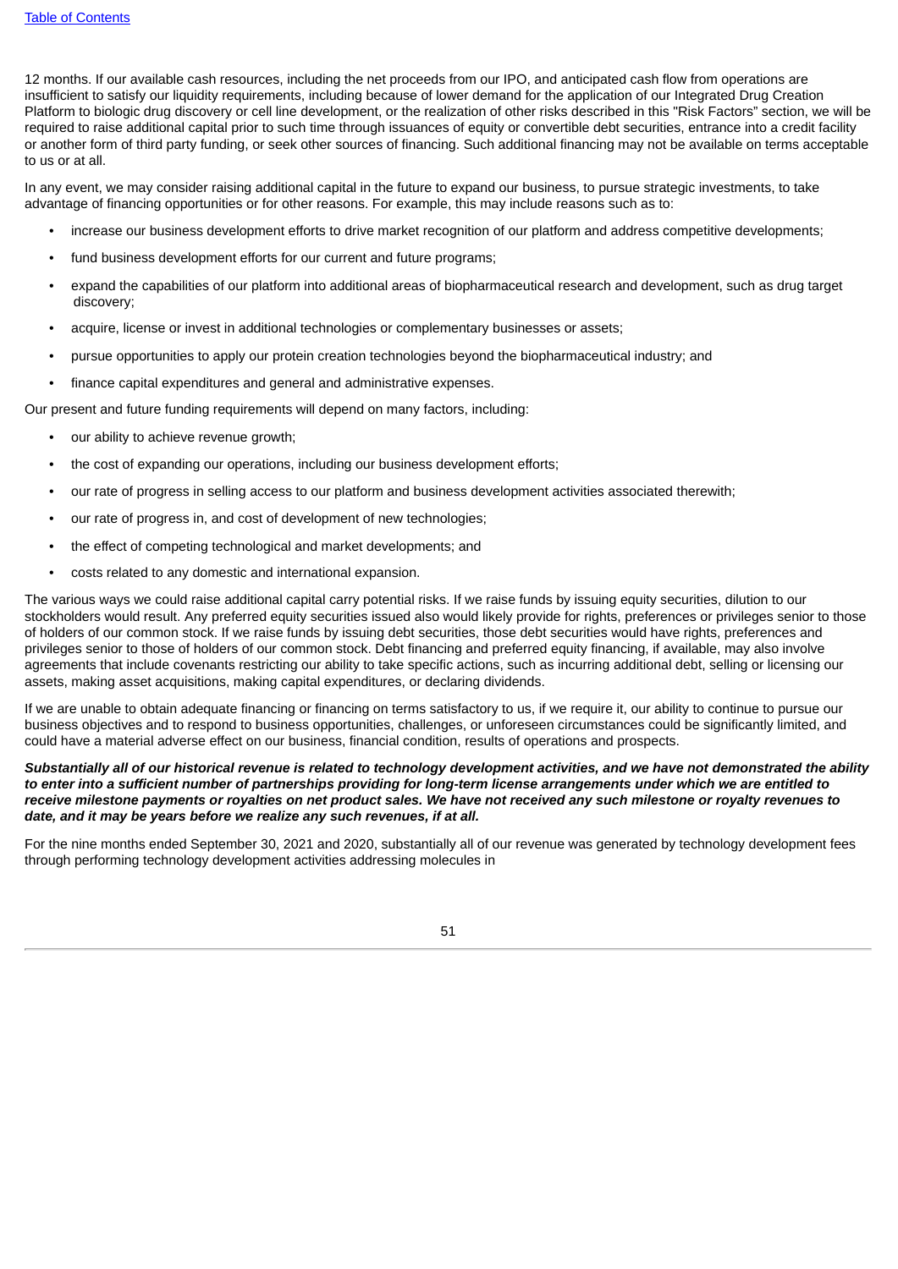12 months. If our available cash resources, including the net proceeds from our IPO, and anticipated cash flow from operations are insufficient to satisfy our liquidity requirements, including because of lower demand for the application of our Integrated Drug Creation Platform to biologic drug discovery or cell line development, or the realization of other risks described in this "Risk Factors" section, we will be required to raise additional capital prior to such time through issuances of equity or convertible debt securities, entrance into a credit facility or another form of third party funding, or seek other sources of financing. Such additional financing may not be available on terms acceptable to us or at all.

In any event, we may consider raising additional capital in the future to expand our business, to pursue strategic investments, to take advantage of financing opportunities or for other reasons. For example, this may include reasons such as to:

- increase our business development efforts to drive market recognition of our platform and address competitive developments;
- fund business development efforts for our current and future programs:
- expand the capabilities of our platform into additional areas of biopharmaceutical research and development, such as drug target discovery;
- acquire, license or invest in additional technologies or complementary businesses or assets;
- pursue opportunities to apply our protein creation technologies beyond the biopharmaceutical industry; and
- finance capital expenditures and general and administrative expenses.

Our present and future funding requirements will depend on many factors, including:

- our ability to achieve revenue growth;
- the cost of expanding our operations, including our business development efforts;
- our rate of progress in selling access to our platform and business development activities associated therewith;
- our rate of progress in, and cost of development of new technologies;
- the effect of competing technological and market developments; and
- costs related to any domestic and international expansion.

The various ways we could raise additional capital carry potential risks. If we raise funds by issuing equity securities, dilution to our stockholders would result. Any preferred equity securities issued also would likely provide for rights, preferences or privileges senior to those of holders of our common stock. If we raise funds by issuing debt securities, those debt securities would have rights, preferences and privileges senior to those of holders of our common stock. Debt financing and preferred equity financing, if available, may also involve agreements that include covenants restricting our ability to take specific actions, such as incurring additional debt, selling or licensing our assets, making asset acquisitions, making capital expenditures, or declaring dividends.

If we are unable to obtain adequate financing or financing on terms satisfactory to us, if we require it, our ability to continue to pursue our business objectives and to respond to business opportunities, challenges, or unforeseen circumstances could be significantly limited, and could have a material adverse effect on our business, financial condition, results of operations and prospects.

# Substantially all of our historical revenue is related to technology development activities, and we have not demonstrated the ability to enter into a sufficient number of partnerships providing for long-term license arrangements under which we are entitled to receive milestone payments or royalties on net product sales. We have not received any such milestone or royalty revenues to *date, and it may be years before we realize any such revenues, if at all.*

For the nine months ended September 30, 2021 and 2020, substantially all of our revenue was generated by technology development fees through performing technology development activities addressing molecules in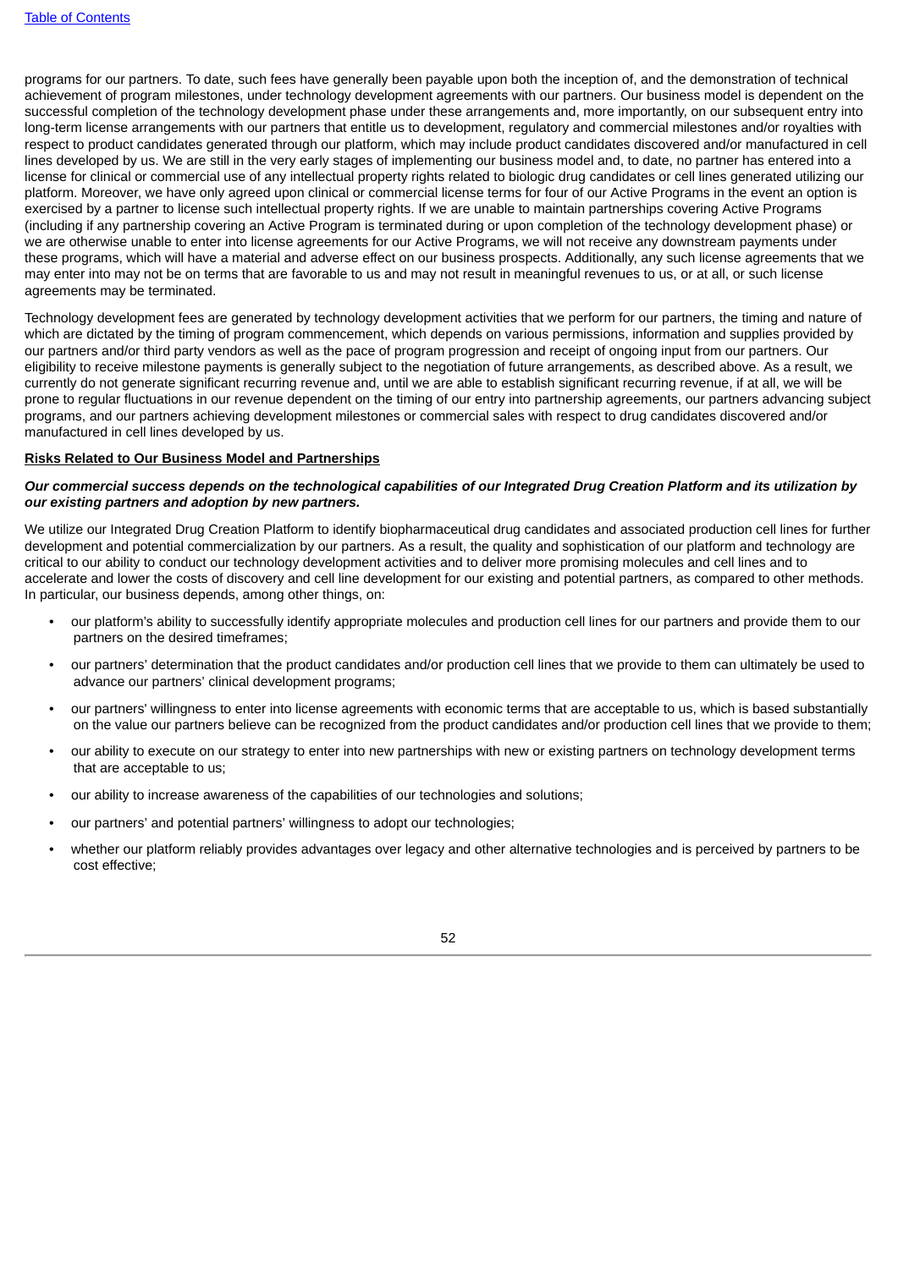programs for our partners. To date, such fees have generally been payable upon both the inception of, and the demonstration of technical achievement of program milestones, under technology development agreements with our partners. Our business model is dependent on the successful completion of the technology development phase under these arrangements and, more importantly, on our subsequent entry into long-term license arrangements with our partners that entitle us to development, regulatory and commercial milestones and/or royalties with respect to product candidates generated through our platform, which may include product candidates discovered and/or manufactured in cell lines developed by us. We are still in the very early stages of implementing our business model and, to date, no partner has entered into a license for clinical or commercial use of any intellectual property rights related to biologic drug candidates or cell lines generated utilizing our platform. Moreover, we have only agreed upon clinical or commercial license terms for four of our Active Programs in the event an option is exercised by a partner to license such intellectual property rights. If we are unable to maintain partnerships covering Active Programs (including if any partnership covering an Active Program is terminated during or upon completion of the technology development phase) or we are otherwise unable to enter into license agreements for our Active Programs, we will not receive any downstream payments under these programs, which will have a material and adverse effect on our business prospects. Additionally, any such license agreements that we may enter into may not be on terms that are favorable to us and may not result in meaningful revenues to us, or at all, or such license agreements may be terminated.

Technology development fees are generated by technology development activities that we perform for our partners, the timing and nature of which are dictated by the timing of program commencement, which depends on various permissions, information and supplies provided by our partners and/or third party vendors as well as the pace of program progression and receipt of ongoing input from our partners. Our eligibility to receive milestone payments is generally subject to the negotiation of future arrangements, as described above. As a result, we currently do not generate significant recurring revenue and, until we are able to establish significant recurring revenue, if at all, we will be prone to regular fluctuations in our revenue dependent on the timing of our entry into partnership agreements, our partners advancing subject programs, and our partners achieving development milestones or commercial sales with respect to drug candidates discovered and/or manufactured in cell lines developed by us.

#### **Risks Related to Our Business Model and Partnerships**

# Our commercial success depends on the technological capabilities of our Integrated Drug Creation Platform and its utilization by *our existing partners and adoption by new partners.*

We utilize our Integrated Drug Creation Platform to identify biopharmaceutical drug candidates and associated production cell lines for further development and potential commercialization by our partners. As a result, the quality and sophistication of our platform and technology are critical to our ability to conduct our technology development activities and to deliver more promising molecules and cell lines and to accelerate and lower the costs of discovery and cell line development for our existing and potential partners, as compared to other methods. In particular, our business depends, among other things, on:

- our platform's ability to successfully identify appropriate molecules and production cell lines for our partners and provide them to our partners on the desired timeframes;
- our partners' determination that the product candidates and/or production cell lines that we provide to them can ultimately be used to advance our partners' clinical development programs;
- our partners' willingness to enter into license agreements with economic terms that are acceptable to us, which is based substantially on the value our partners believe can be recognized from the product candidates and/or production cell lines that we provide to them;
- our ability to execute on our strategy to enter into new partnerships with new or existing partners on technology development terms that are acceptable to us;
- our ability to increase awareness of the capabilities of our technologies and solutions;
- our partners' and potential partners' willingness to adopt our technologies;
- whether our platform reliably provides advantages over legacy and other alternative technologies and is perceived by partners to be cost effective;

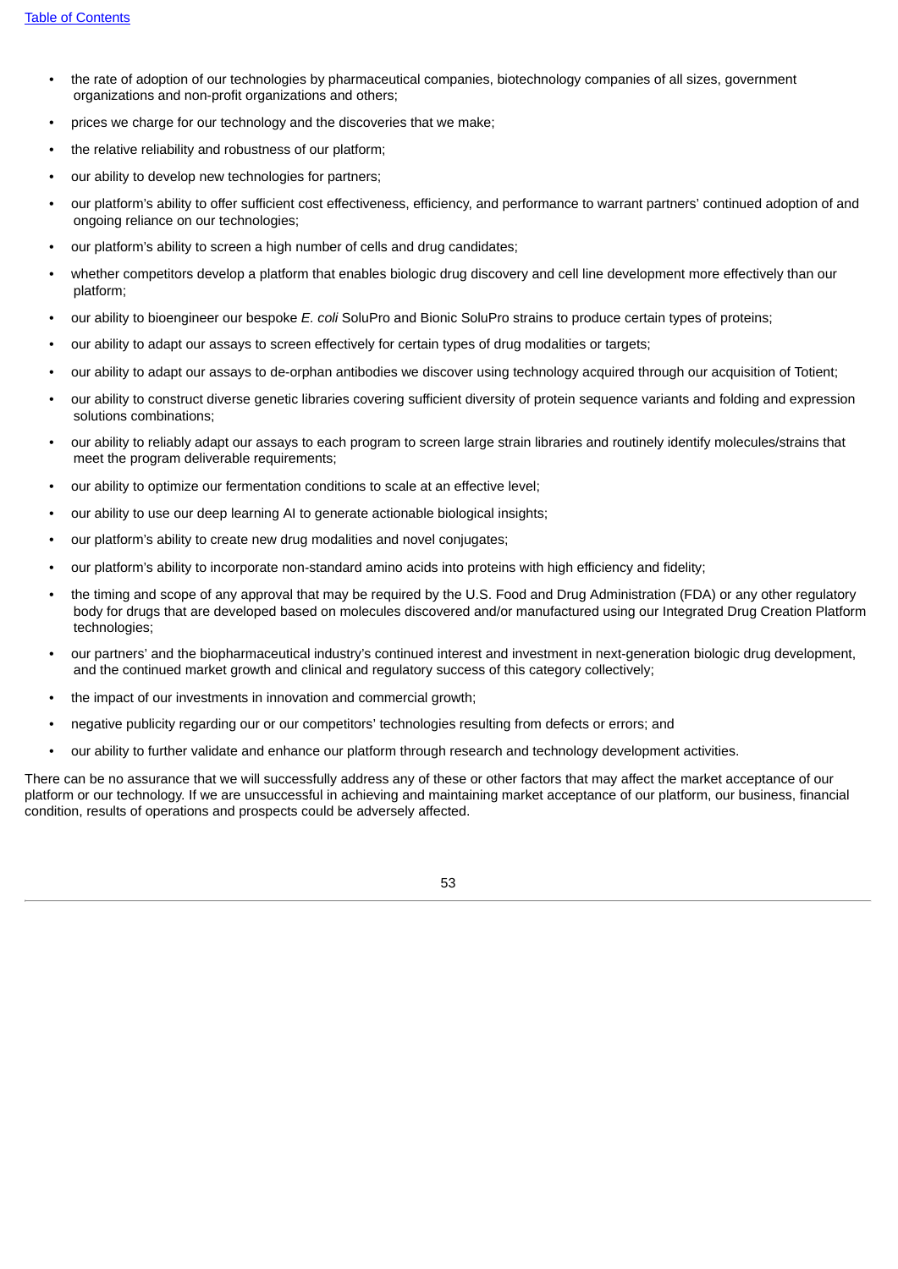- the rate of adoption of our technologies by pharmaceutical companies, biotechnology companies of all sizes, government organizations and non-profit organizations and others;
- prices we charge for our technology and the discoveries that we make;
- the relative reliability and robustness of our platform:
- our ability to develop new technologies for partners;
- our platform's ability to offer sufficient cost effectiveness, efficiency, and performance to warrant partners' continued adoption of and ongoing reliance on our technologies;
- our platform's ability to screen a high number of cells and drug candidates;
- whether competitors develop a platform that enables biologic drug discovery and cell line development more effectively than our platform;
- our ability to bioengineer our bespoke *E. coli* SoluPro and Bionic SoluPro strains to produce certain types of proteins;
- our ability to adapt our assays to screen effectively for certain types of drug modalities or targets;
- our ability to adapt our assays to de-orphan antibodies we discover using technology acquired through our acquisition of Totient;
- our ability to construct diverse genetic libraries covering sufficient diversity of protein sequence variants and folding and expression solutions combinations;
- our ability to reliably adapt our assays to each program to screen large strain libraries and routinely identify molecules/strains that meet the program deliverable requirements;
- our ability to optimize our fermentation conditions to scale at an effective level;
- our ability to use our deep learning AI to generate actionable biological insights;
- our platform's ability to create new drug modalities and novel conjugates;
- our platform's ability to incorporate non-standard amino acids into proteins with high efficiency and fidelity;
- the timing and scope of any approval that may be required by the U.S. Food and Drug Administration (FDA) or any other regulatory body for drugs that are developed based on molecules discovered and/or manufactured using our Integrated Drug Creation Platform technologies;
- our partners' and the biopharmaceutical industry's continued interest and investment in next-generation biologic drug development, and the continued market growth and clinical and regulatory success of this category collectively;
- the impact of our investments in innovation and commercial growth;
- negative publicity regarding our or our competitors' technologies resulting from defects or errors; and
- our ability to further validate and enhance our platform through research and technology development activities.

There can be no assurance that we will successfully address any of these or other factors that may affect the market acceptance of our platform or our technology. If we are unsuccessful in achieving and maintaining market acceptance of our platform, our business, financial condition, results of operations and prospects could be adversely affected.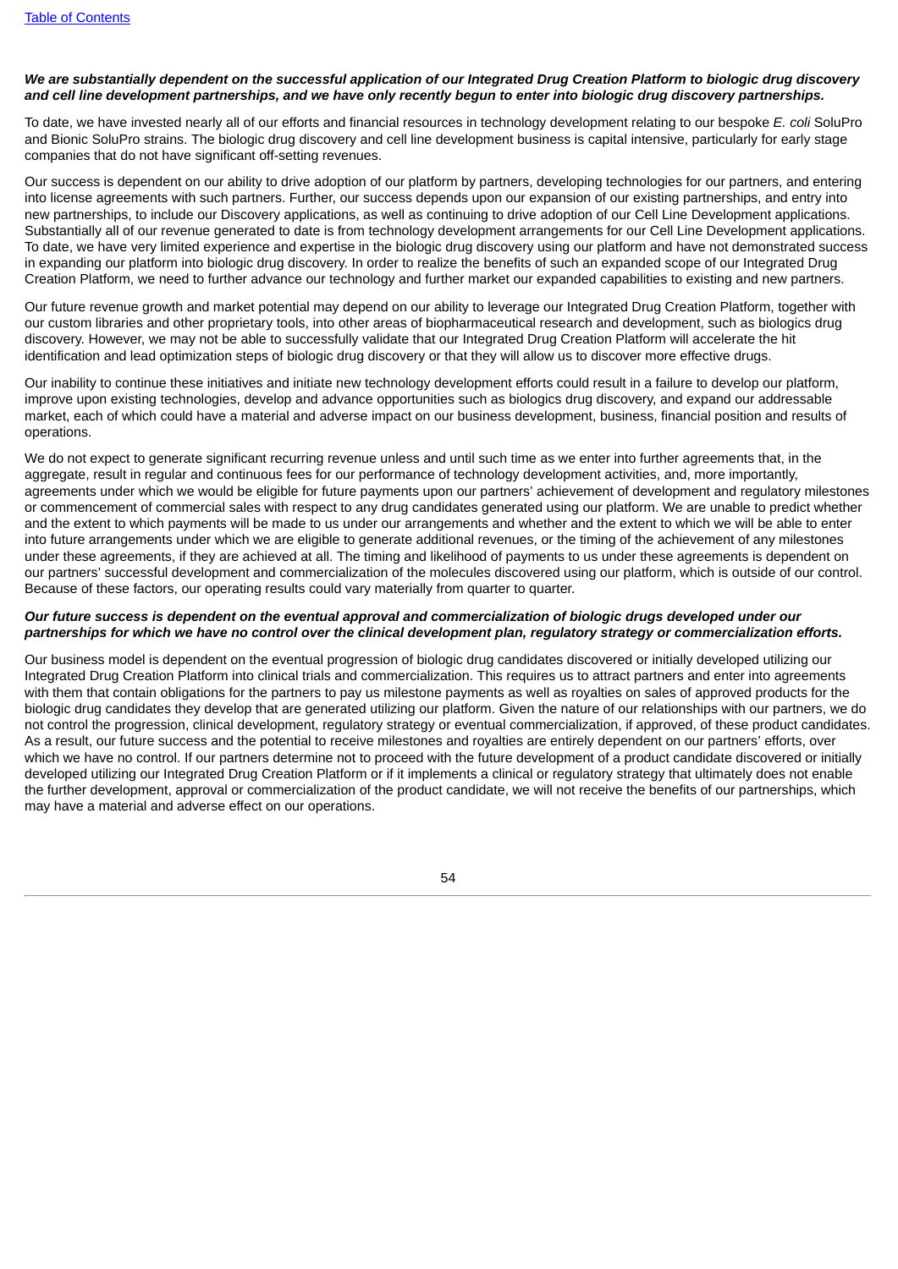# We are substantially dependent on the successful application of our Integrated Drug Creation Platform to biologic drug discovery and cell line development partnerships, and we have only recently begun to enter into biologic drug discovery partnerships.

To date, we have invested nearly all of our efforts and financial resources in technology development relating to our bespoke *E. coli* SoluPro and Bionic SoluPro strains. The biologic drug discovery and cell line development business is capital intensive, particularly for early stage companies that do not have significant off-setting revenues.

Our success is dependent on our ability to drive adoption of our platform by partners, developing technologies for our partners, and entering into license agreements with such partners. Further, our success depends upon our expansion of our existing partnerships, and entry into new partnerships, to include our Discovery applications, as well as continuing to drive adoption of our Cell Line Development applications. Substantially all of our revenue generated to date is from technology development arrangements for our Cell Line Development applications. To date, we have very limited experience and expertise in the biologic drug discovery using our platform and have not demonstrated success in expanding our platform into biologic drug discovery. In order to realize the benefits of such an expanded scope of our Integrated Drug Creation Platform, we need to further advance our technology and further market our expanded capabilities to existing and new partners.

Our future revenue growth and market potential may depend on our ability to leverage our Integrated Drug Creation Platform, together with our custom libraries and other proprietary tools, into other areas of biopharmaceutical research and development, such as biologics drug discovery. However, we may not be able to successfully validate that our Integrated Drug Creation Platform will accelerate the hit identification and lead optimization steps of biologic drug discovery or that they will allow us to discover more effective drugs.

Our inability to continue these initiatives and initiate new technology development efforts could result in a failure to develop our platform, improve upon existing technologies, develop and advance opportunities such as biologics drug discovery, and expand our addressable market, each of which could have a material and adverse impact on our business development, business, financial position and results of operations.

We do not expect to generate significant recurring revenue unless and until such time as we enter into further agreements that, in the aggregate, result in regular and continuous fees for our performance of technology development activities, and, more importantly, agreements under which we would be eligible for future payments upon our partners' achievement of development and regulatory milestones or commencement of commercial sales with respect to any drug candidates generated using our platform. We are unable to predict whether and the extent to which payments will be made to us under our arrangements and whether and the extent to which we will be able to enter into future arrangements under which we are eligible to generate additional revenues, or the timing of the achievement of any milestones under these agreements, if they are achieved at all. The timing and likelihood of payments to us under these agreements is dependent on our partners' successful development and commercialization of the molecules discovered using our platform, which is outside of our control. Because of these factors, our operating results could vary materially from quarter to quarter.

# Our future success is dependent on the eventual approval and commercialization of biologic drugs developed under our partnerships for which we have no control over the clinical development plan, regulatory strategy or commercialization efforts.

Our business model is dependent on the eventual progression of biologic drug candidates discovered or initially developed utilizing our Integrated Drug Creation Platform into clinical trials and commercialization. This requires us to attract partners and enter into agreements with them that contain obligations for the partners to pay us milestone payments as well as royalties on sales of approved products for the biologic drug candidates they develop that are generated utilizing our platform. Given the nature of our relationships with our partners, we do not control the progression, clinical development, regulatory strategy or eventual commercialization, if approved, of these product candidates. As a result, our future success and the potential to receive milestones and royalties are entirely dependent on our partners' efforts, over which we have no control. If our partners determine not to proceed with the future development of a product candidate discovered or initially developed utilizing our Integrated Drug Creation Platform or if it implements a clinical or regulatory strategy that ultimately does not enable the further development, approval or commercialization of the product candidate, we will not receive the benefits of our partnerships, which may have a material and adverse effect on our operations.

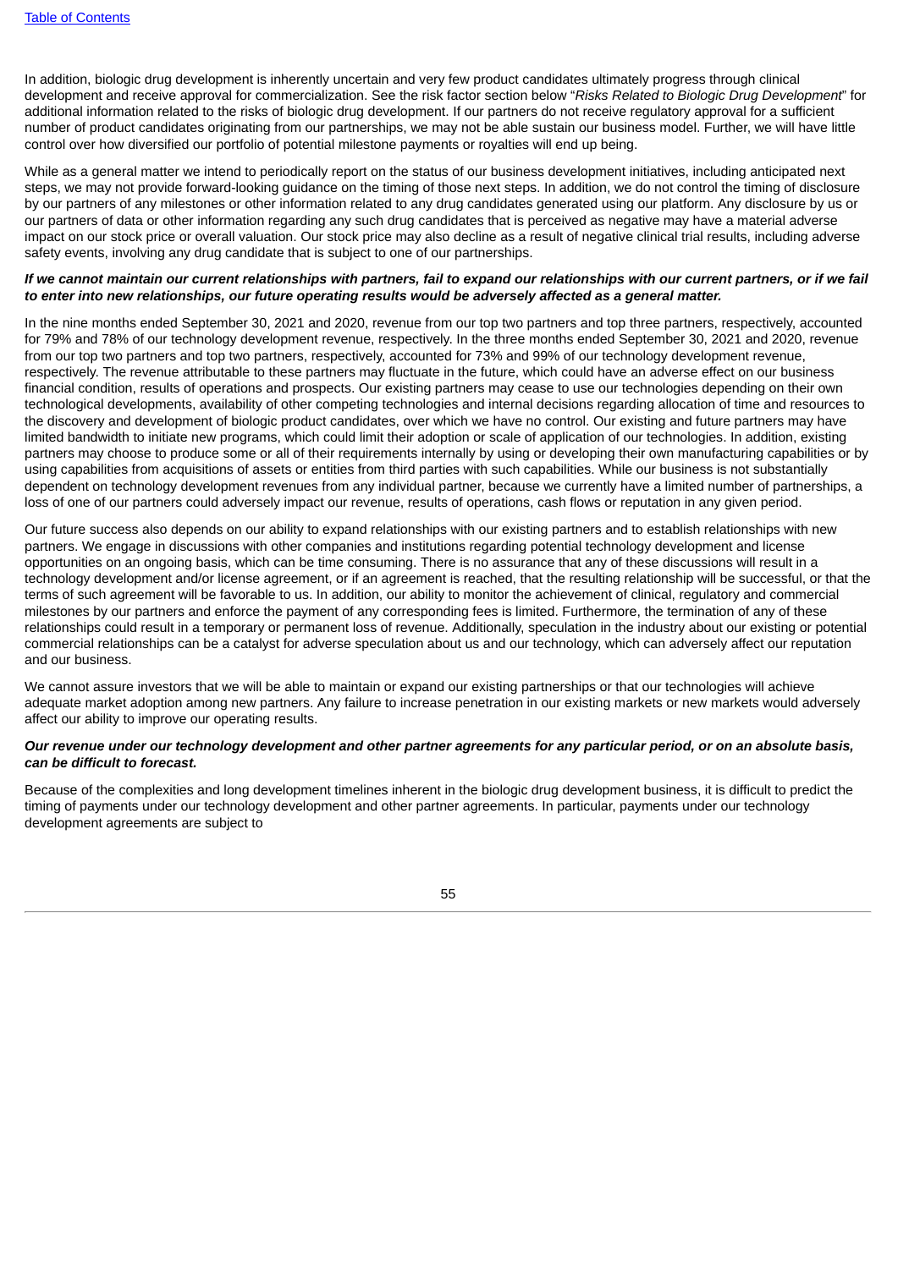In addition, biologic drug development is inherently uncertain and very few product candidates ultimately progress through clinical development and receive approval for commercialization. See the risk factor section below "*Risks Related to Biologic Drug Development*" for additional information related to the risks of biologic drug development. If our partners do not receive regulatory approval for a sufficient number of product candidates originating from our partnerships, we may not be able sustain our business model. Further, we will have little control over how diversified our portfolio of potential milestone payments or royalties will end up being.

While as a general matter we intend to periodically report on the status of our business development initiatives, including anticipated next steps, we may not provide forward-looking guidance on the timing of those next steps. In addition, we do not control the timing of disclosure by our partners of any milestones or other information related to any drug candidates generated using our platform. Any disclosure by us or our partners of data or other information regarding any such drug candidates that is perceived as negative may have a material adverse impact on our stock price or overall valuation. Our stock price may also decline as a result of negative clinical trial results, including adverse safety events, involving any drug candidate that is subject to one of our partnerships.

# If we cannot maintain our current relationships with partners, fail to expand our relationships with our current partners, or if we fail to enter into new relationships, our future operating results would be adversely affected as a general matter.

In the nine months ended September 30, 2021 and 2020, revenue from our top two partners and top three partners, respectively, accounted for 79% and 78% of our technology development revenue, respectively. In the three months ended September 30, 2021 and 2020, revenue from our top two partners and top two partners, respectively, accounted for 73% and 99% of our technology development revenue, respectively. The revenue attributable to these partners may fluctuate in the future, which could have an adverse effect on our business financial condition, results of operations and prospects. Our existing partners may cease to use our technologies depending on their own technological developments, availability of other competing technologies and internal decisions regarding allocation of time and resources to the discovery and development of biologic product candidates, over which we have no control. Our existing and future partners may have limited bandwidth to initiate new programs, which could limit their adoption or scale of application of our technologies. In addition, existing partners may choose to produce some or all of their requirements internally by using or developing their own manufacturing capabilities or by using capabilities from acquisitions of assets or entities from third parties with such capabilities. While our business is not substantially dependent on technology development revenues from any individual partner, because we currently have a limited number of partnerships, a loss of one of our partners could adversely impact our revenue, results of operations, cash flows or reputation in any given period.

Our future success also depends on our ability to expand relationships with our existing partners and to establish relationships with new partners. We engage in discussions with other companies and institutions regarding potential technology development and license opportunities on an ongoing basis, which can be time consuming. There is no assurance that any of these discussions will result in a technology development and/or license agreement, or if an agreement is reached, that the resulting relationship will be successful, or that the terms of such agreement will be favorable to us. In addition, our ability to monitor the achievement of clinical, regulatory and commercial milestones by our partners and enforce the payment of any corresponding fees is limited. Furthermore, the termination of any of these relationships could result in a temporary or permanent loss of revenue. Additionally, speculation in the industry about our existing or potential commercial relationships can be a catalyst for adverse speculation about us and our technology, which can adversely affect our reputation and our business.

We cannot assure investors that we will be able to maintain or expand our existing partnerships or that our technologies will achieve adequate market adoption among new partners. Any failure to increase penetration in our existing markets or new markets would adversely affect our ability to improve our operating results.

# Our revenue under our technology development and other partner agreements for any particular period, or on an absolute basis, *can be difficult to forecast.*

Because of the complexities and long development timelines inherent in the biologic drug development business, it is difficult to predict the timing of payments under our technology development and other partner agreements. In particular, payments under our technology development agreements are subject to

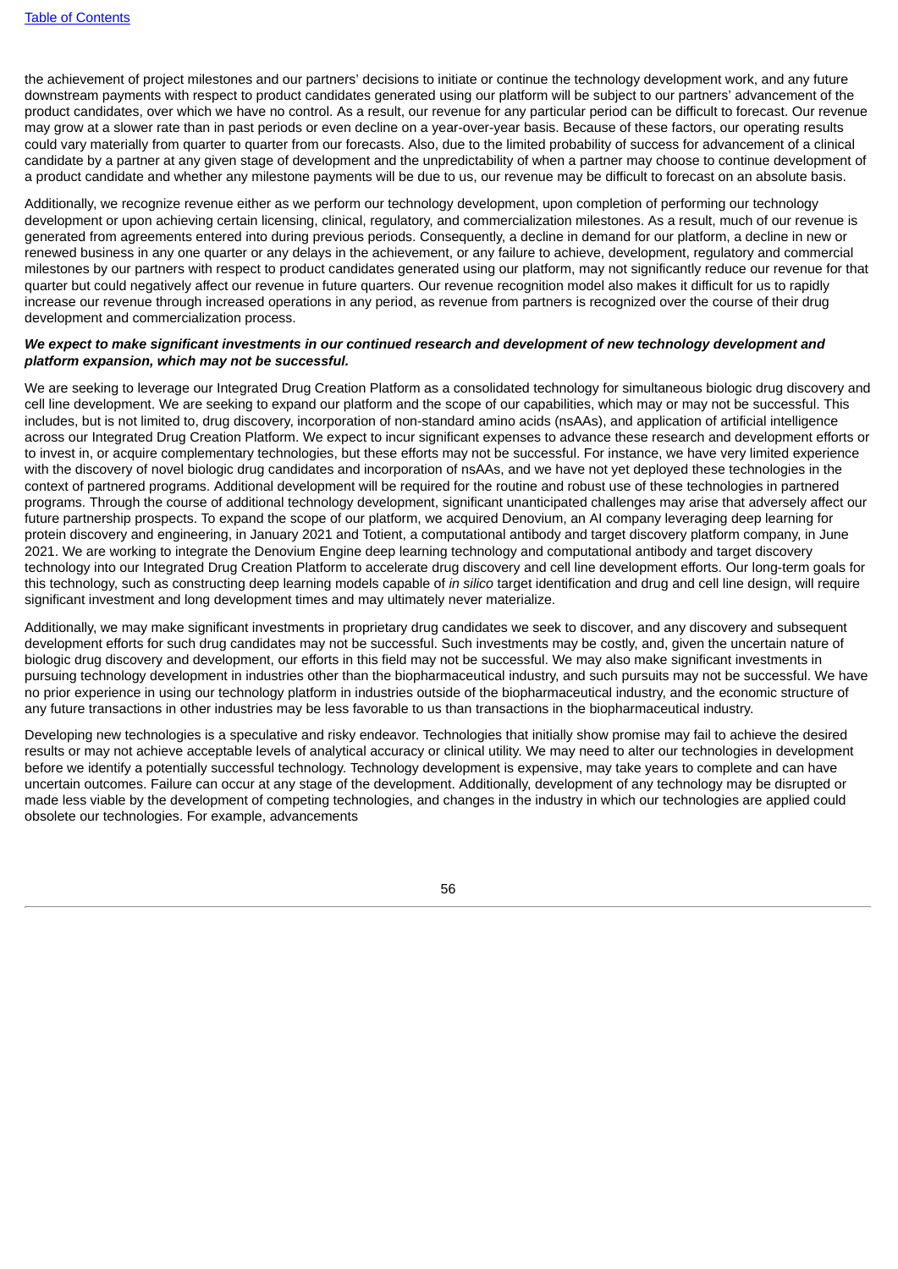the achievement of project milestones and our partners' decisions to initiate or continue the technology development work, and any future downstream payments with respect to product candidates generated using our platform will be subject to our partners' advancement of the product candidates, over which we have no control. As a result, our revenue for any particular period can be difficult to forecast. Our revenue may grow at a slower rate than in past periods or even decline on a year-over-year basis. Because of these factors, our operating results could vary materially from quarter to quarter from our forecasts. Also, due to the limited probability of success for advancement of a clinical candidate by a partner at any given stage of development and the unpredictability of when a partner may choose to continue development of a product candidate and whether any milestone payments will be due to us, our revenue may be difficult to forecast on an absolute basis.

Additionally, we recognize revenue either as we perform our technology development, upon completion of performing our technology development or upon achieving certain licensing, clinical, regulatory, and commercialization milestones. As a result, much of our revenue is generated from agreements entered into during previous periods. Consequently, a decline in demand for our platform, a decline in new or renewed business in any one quarter or any delays in the achievement, or any failure to achieve, development, regulatory and commercial milestones by our partners with respect to product candidates generated using our platform, may not significantly reduce our revenue for that quarter but could negatively affect our revenue in future quarters. Our revenue recognition model also makes it difficult for us to rapidly increase our revenue through increased operations in any period, as revenue from partners is recognized over the course of their drug development and commercialization process.

# We expect to make significant investments in our continued research and development of new technology development and *platform expansion, which may not be successful.*

We are seeking to leverage our Integrated Drug Creation Platform as a consolidated technology for simultaneous biologic drug discovery and cell line development. We are seeking to expand our platform and the scope of our capabilities, which may or may not be successful. This includes, but is not limited to, drug discovery, incorporation of non-standard amino acids (nsAAs), and application of artificial intelligence across our Integrated Drug Creation Platform. We expect to incur significant expenses to advance these research and development efforts or to invest in, or acquire complementary technologies, but these efforts may not be successful. For instance, we have very limited experience with the discovery of novel biologic drug candidates and incorporation of nsAAs, and we have not yet deployed these technologies in the context of partnered programs. Additional development will be required for the routine and robust use of these technologies in partnered programs. Through the course of additional technology development, significant unanticipated challenges may arise that adversely affect our future partnership prospects. To expand the scope of our platform, we acquired Denovium, an AI company leveraging deep learning for protein discovery and engineering, in January 2021 and Totient, a computational antibody and target discovery platform company, in June 2021. We are working to integrate the Denovium Engine deep learning technology and computational antibody and target discovery technology into our Integrated Drug Creation Platform to accelerate drug discovery and cell line development efforts. Our long-term goals for this technology, such as constructing deep learning models capable of *in silico* target identification and drug and cell line design, will require significant investment and long development times and may ultimately never materialize.

Additionally, we may make significant investments in proprietary drug candidates we seek to discover, and any discovery and subsequent development efforts for such drug candidates may not be successful. Such investments may be costly, and, given the uncertain nature of biologic drug discovery and development, our efforts in this field may not be successful. We may also make significant investments in pursuing technology development in industries other than the biopharmaceutical industry, and such pursuits may not be successful. We have no prior experience in using our technology platform in industries outside of the biopharmaceutical industry, and the economic structure of any future transactions in other industries may be less favorable to us than transactions in the biopharmaceutical industry.

Developing new technologies is a speculative and risky endeavor. Technologies that initially show promise may fail to achieve the desired results or may not achieve acceptable levels of analytical accuracy or clinical utility. We may need to alter our technologies in development before we identify a potentially successful technology. Technology development is expensive, may take years to complete and can have uncertain outcomes. Failure can occur at any stage of the development. Additionally, development of any technology may be disrupted or made less viable by the development of competing technologies, and changes in the industry in which our technologies are applied could obsolete our technologies. For example, advancements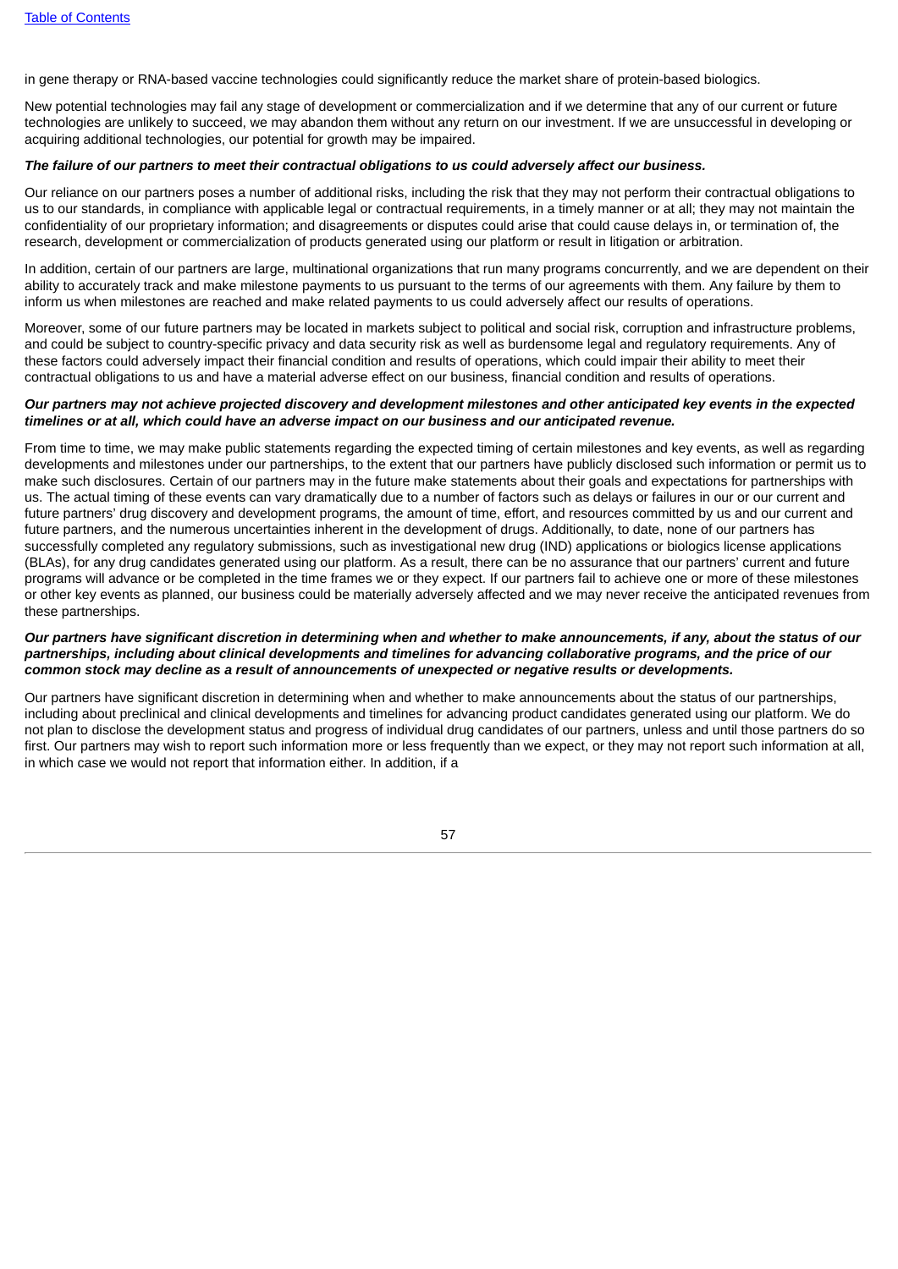in gene therapy or RNA-based vaccine technologies could significantly reduce the market share of protein-based biologics.

New potential technologies may fail any stage of development or commercialization and if we determine that any of our current or future technologies are unlikely to succeed, we may abandon them without any return on our investment. If we are unsuccessful in developing or acquiring additional technologies, our potential for growth may be impaired.

#### The failure of our partners to meet their contractual obligations to us could adversely affect our business.

Our reliance on our partners poses a number of additional risks, including the risk that they may not perform their contractual obligations to us to our standards, in compliance with applicable legal or contractual requirements, in a timely manner or at all; they may not maintain the confidentiality of our proprietary information; and disagreements or disputes could arise that could cause delays in, or termination of, the research, development or commercialization of products generated using our platform or result in litigation or arbitration.

In addition, certain of our partners are large, multinational organizations that run many programs concurrently, and we are dependent on their ability to accurately track and make milestone payments to us pursuant to the terms of our agreements with them. Any failure by them to inform us when milestones are reached and make related payments to us could adversely affect our results of operations.

Moreover, some of our future partners may be located in markets subject to political and social risk, corruption and infrastructure problems, and could be subject to country-specific privacy and data security risk as well as burdensome legal and regulatory requirements. Any of these factors could adversely impact their financial condition and results of operations, which could impair their ability to meet their contractual obligations to us and have a material adverse effect on our business, financial condition and results of operations.

# Our partners may not achieve projected discovery and development milestones and other anticipated key events in the expected *timelines or at all, which could have an adverse impact on our business and our anticipated revenue.*

From time to time, we may make public statements regarding the expected timing of certain milestones and key events, as well as regarding developments and milestones under our partnerships, to the extent that our partners have publicly disclosed such information or permit us to make such disclosures. Certain of our partners may in the future make statements about their goals and expectations for partnerships with us. The actual timing of these events can vary dramatically due to a number of factors such as delays or failures in our or our current and future partners' drug discovery and development programs, the amount of time, effort, and resources committed by us and our current and future partners, and the numerous uncertainties inherent in the development of drugs. Additionally, to date, none of our partners has successfully completed any regulatory submissions, such as investigational new drug (IND) applications or biologics license applications (BLAs), for any drug candidates generated using our platform. As a result, there can be no assurance that our partners' current and future programs will advance or be completed in the time frames we or they expect. If our partners fail to achieve one or more of these milestones or other key events as planned, our business could be materially adversely affected and we may never receive the anticipated revenues from these partnerships.

# Our partners have significant discretion in determining when and whether to make announcements, if any, about the status of our partnerships, including about clinical developments and timelines for advancing collaborative programs, and the price of our *common stock may decline as a result of announcements of unexpected or negative results or developments.*

Our partners have significant discretion in determining when and whether to make announcements about the status of our partnerships, including about preclinical and clinical developments and timelines for advancing product candidates generated using our platform. We do not plan to disclose the development status and progress of individual drug candidates of our partners, unless and until those partners do so first. Our partners may wish to report such information more or less frequently than we expect, or they may not report such information at all, in which case we would not report that information either. In addition, if a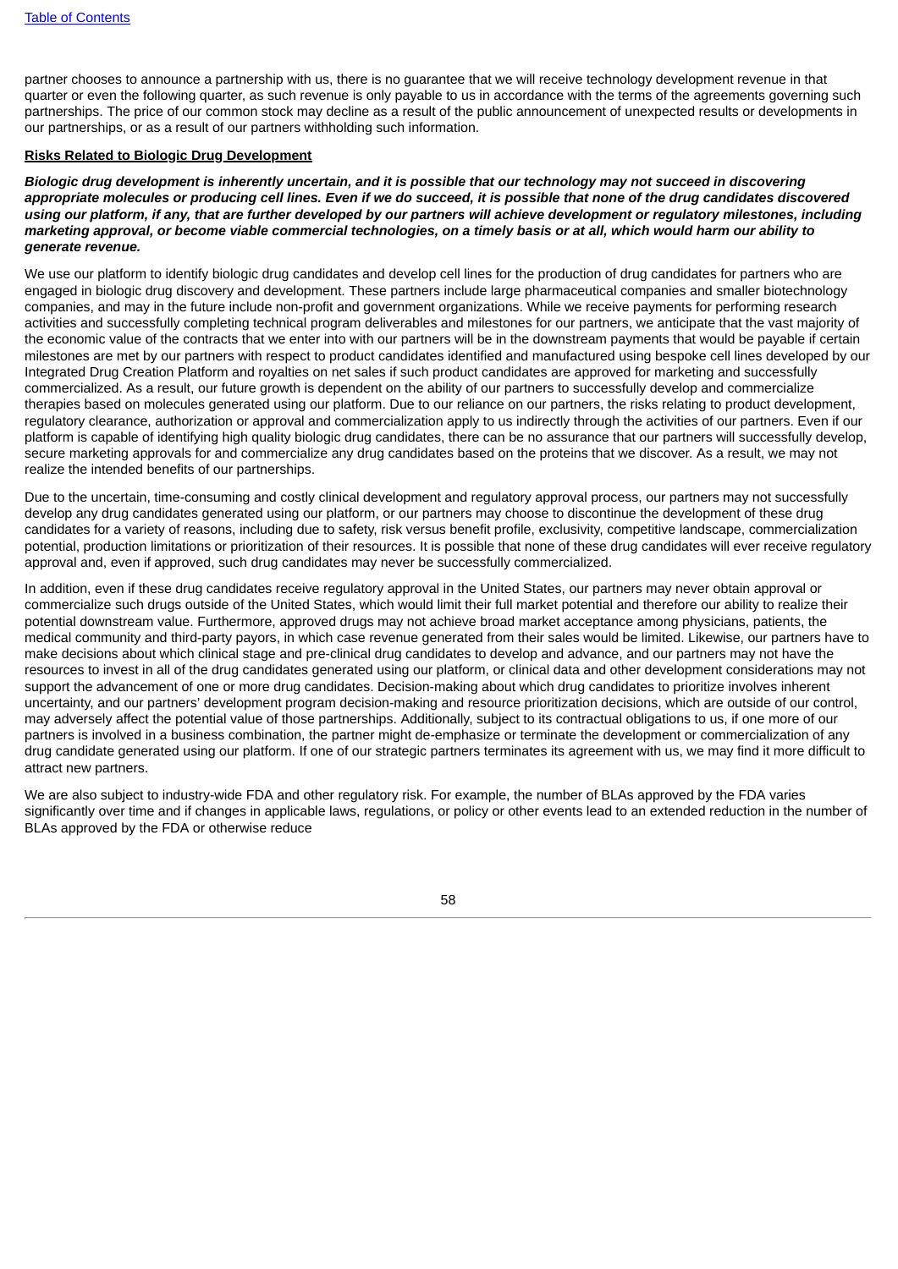partner chooses to announce a partnership with us, there is no guarantee that we will receive technology development revenue in that quarter or even the following quarter, as such revenue is only payable to us in accordance with the terms of the agreements governing such partnerships. The price of our common stock may decline as a result of the public announcement of unexpected results or developments in our partnerships, or as a result of our partners withholding such information.

# **Risks Related to Biologic Drug Development**

Biologic drug development is inherently uncertain, and it is possible that our technology may not succeed in discovering appropriate molecules or producing cell lines. Even if we do succeed, it is possible that none of the drug candidates discovered using our platform, if any, that are further developed by our partners will achieve development or regulatory milestones, including marketing approval, or become viable commercial technologies, on a timely basis or at all, which would harm our ability to *generate revenue.*

We use our platform to identify biologic drug candidates and develop cell lines for the production of drug candidates for partners who are engaged in biologic drug discovery and development. These partners include large pharmaceutical companies and smaller biotechnology companies, and may in the future include non-profit and government organizations. While we receive payments for performing research activities and successfully completing technical program deliverables and milestones for our partners, we anticipate that the vast majority of the economic value of the contracts that we enter into with our partners will be in the downstream payments that would be payable if certain milestones are met by our partners with respect to product candidates identified and manufactured using bespoke cell lines developed by our Integrated Drug Creation Platform and royalties on net sales if such product candidates are approved for marketing and successfully commercialized. As a result, our future growth is dependent on the ability of our partners to successfully develop and commercialize therapies based on molecules generated using our platform. Due to our reliance on our partners, the risks relating to product development, regulatory clearance, authorization or approval and commercialization apply to us indirectly through the activities of our partners. Even if our platform is capable of identifying high quality biologic drug candidates, there can be no assurance that our partners will successfully develop, secure marketing approvals for and commercialize any drug candidates based on the proteins that we discover. As a result, we may not realize the intended benefits of our partnerships.

Due to the uncertain, time-consuming and costly clinical development and regulatory approval process, our partners may not successfully develop any drug candidates generated using our platform, or our partners may choose to discontinue the development of these drug candidates for a variety of reasons, including due to safety, risk versus benefit profile, exclusivity, competitive landscape, commercialization potential, production limitations or prioritization of their resources. It is possible that none of these drug candidates will ever receive regulatory approval and, even if approved, such drug candidates may never be successfully commercialized.

In addition, even if these drug candidates receive regulatory approval in the United States, our partners may never obtain approval or commercialize such drugs outside of the United States, which would limit their full market potential and therefore our ability to realize their potential downstream value. Furthermore, approved drugs may not achieve broad market acceptance among physicians, patients, the medical community and third-party payors, in which case revenue generated from their sales would be limited. Likewise, our partners have to make decisions about which clinical stage and pre-clinical drug candidates to develop and advance, and our partners may not have the resources to invest in all of the drug candidates generated using our platform, or clinical data and other development considerations may not support the advancement of one or more drug candidates. Decision-making about which drug candidates to prioritize involves inherent uncertainty, and our partners' development program decision-making and resource prioritization decisions, which are outside of our control, may adversely affect the potential value of those partnerships. Additionally, subject to its contractual obligations to us, if one more of our partners is involved in a business combination, the partner might de-emphasize or terminate the development or commercialization of any drug candidate generated using our platform. If one of our strategic partners terminates its agreement with us, we may find it more difficult to attract new partners.

We are also subject to industry-wide FDA and other regulatory risk. For example, the number of BLAs approved by the FDA varies significantly over time and if changes in applicable laws, regulations, or policy or other events lead to an extended reduction in the number of BLAs approved by the FDA or otherwise reduce

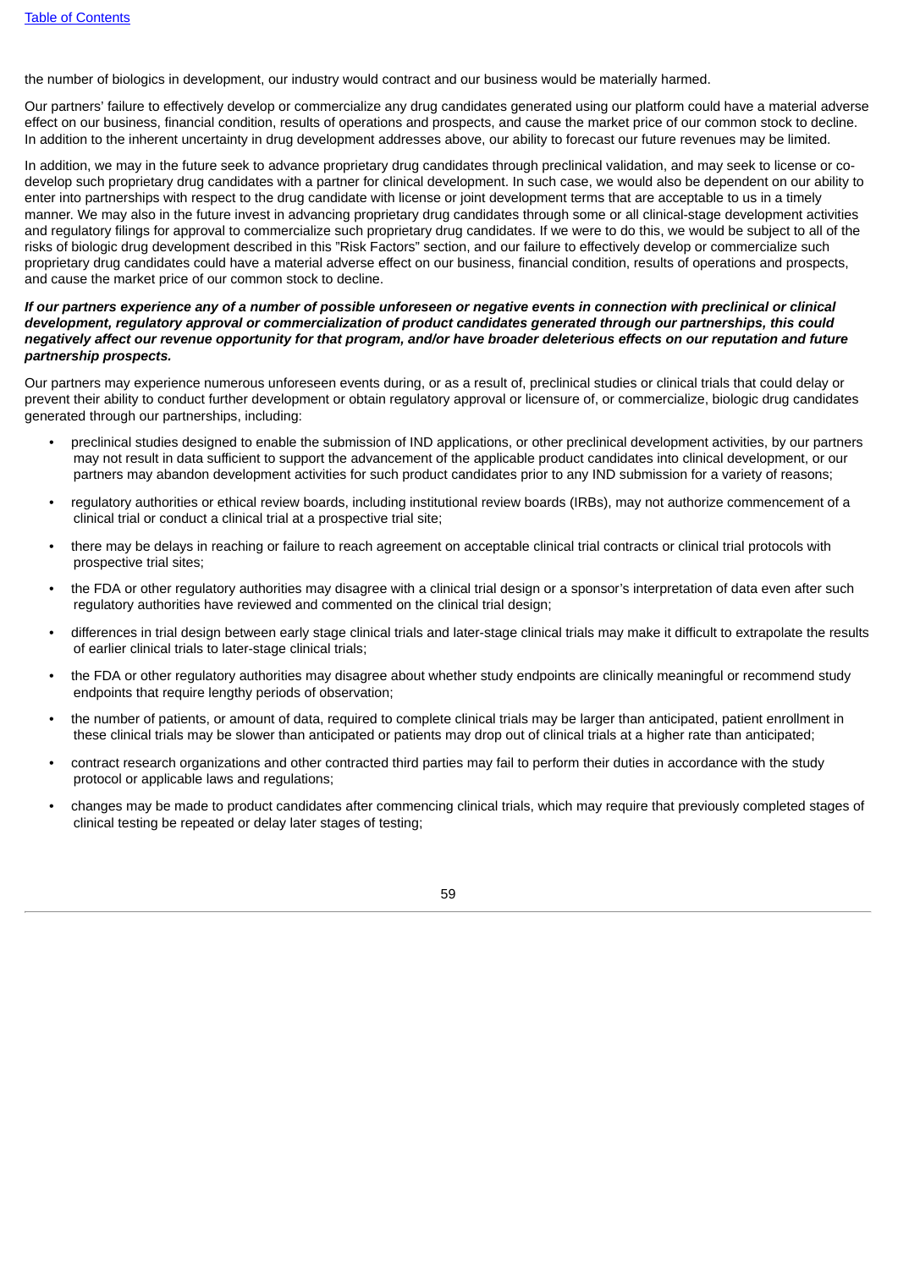the number of biologics in development, our industry would contract and our business would be materially harmed.

Our partners' failure to effectively develop or commercialize any drug candidates generated using our platform could have a material adverse effect on our business, financial condition, results of operations and prospects, and cause the market price of our common stock to decline. In addition to the inherent uncertainty in drug development addresses above, our ability to forecast our future revenues may be limited.

In addition, we may in the future seek to advance proprietary drug candidates through preclinical validation, and may seek to license or codevelop such proprietary drug candidates with a partner for clinical development. In such case, we would also be dependent on our ability to enter into partnerships with respect to the drug candidate with license or joint development terms that are acceptable to us in a timely manner. We may also in the future invest in advancing proprietary drug candidates through some or all clinical-stage development activities and regulatory filings for approval to commercialize such proprietary drug candidates. If we were to do this, we would be subject to all of the risks of biologic drug development described in this "Risk Factors" section, and our failure to effectively develop or commercialize such proprietary drug candidates could have a material adverse effect on our business, financial condition, results of operations and prospects, and cause the market price of our common stock to decline.

# If our partners experience any of a number of possible unforeseen or negative events in connection with preclinical or clinical *development, regulatory approval or commercialization of product candidates generated through our partnerships, this could* negatively affect our revenue opportunity for that program, and/or have broader deleterious effects on our reputation and future *partnership prospects.*

Our partners may experience numerous unforeseen events during, or as a result of, preclinical studies or clinical trials that could delay or prevent their ability to conduct further development or obtain regulatory approval or licensure of, or commercialize, biologic drug candidates generated through our partnerships, including:

- preclinical studies designed to enable the submission of IND applications, or other preclinical development activities, by our partners may not result in data sufficient to support the advancement of the applicable product candidates into clinical development, or our partners may abandon development activities for such product candidates prior to any IND submission for a variety of reasons;
- regulatory authorities or ethical review boards, including institutional review boards (IRBs), may not authorize commencement of a clinical trial or conduct a clinical trial at a prospective trial site;
- there may be delays in reaching or failure to reach agreement on acceptable clinical trial contracts or clinical trial protocols with prospective trial sites;
- the FDA or other regulatory authorities may disagree with a clinical trial design or a sponsor's interpretation of data even after such regulatory authorities have reviewed and commented on the clinical trial design;
- differences in trial design between early stage clinical trials and later-stage clinical trials may make it difficult to extrapolate the results of earlier clinical trials to later-stage clinical trials;
- the FDA or other regulatory authorities may disagree about whether study endpoints are clinically meaningful or recommend study endpoints that require lengthy periods of observation;
- the number of patients, or amount of data, required to complete clinical trials may be larger than anticipated, patient enrollment in these clinical trials may be slower than anticipated or patients may drop out of clinical trials at a higher rate than anticipated;
- contract research organizations and other contracted third parties may fail to perform their duties in accordance with the study protocol or applicable laws and regulations;
- changes may be made to product candidates after commencing clinical trials, which may require that previously completed stages of clinical testing be repeated or delay later stages of testing;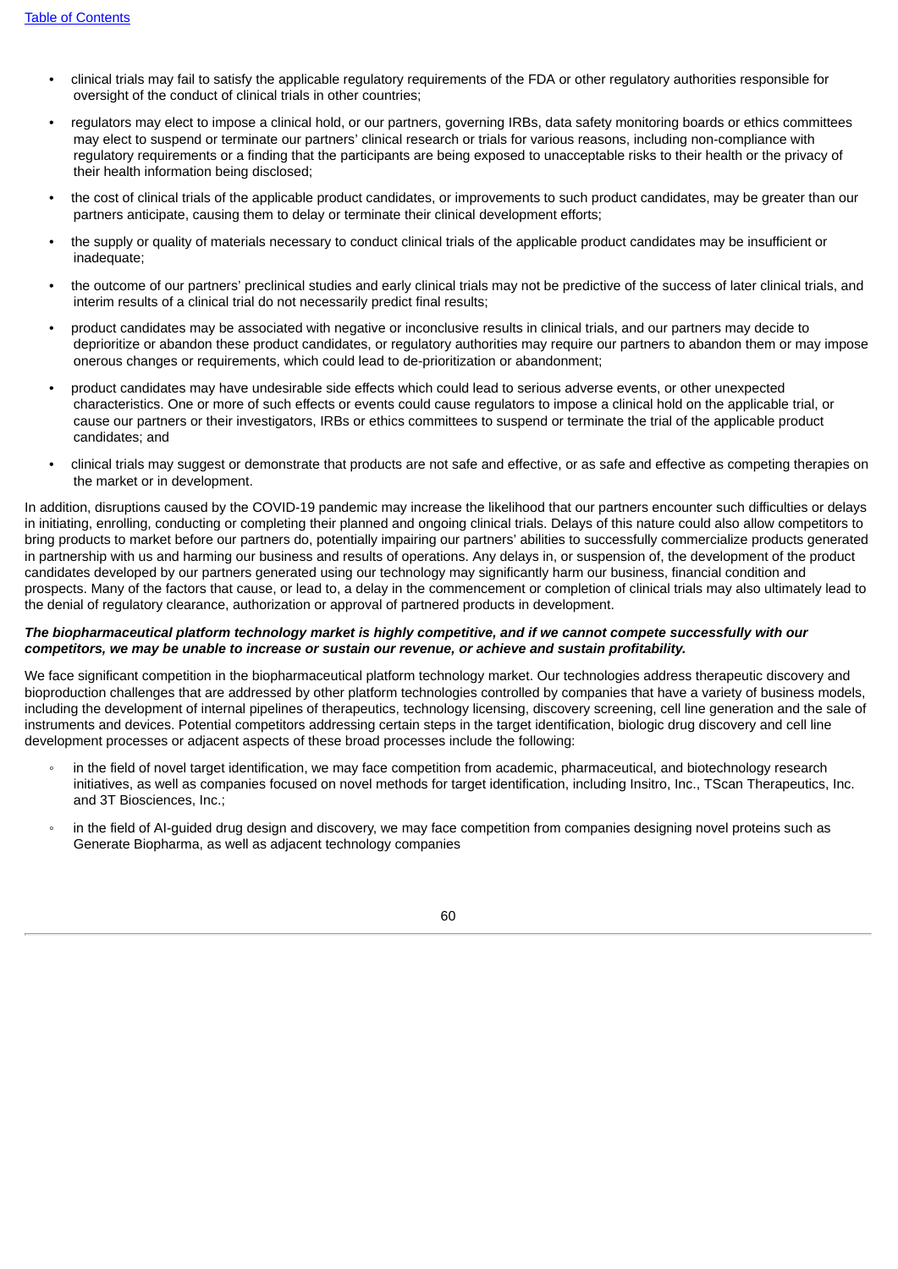- clinical trials may fail to satisfy the applicable regulatory requirements of the FDA or other regulatory authorities responsible for oversight of the conduct of clinical trials in other countries;
- regulators may elect to impose a clinical hold, or our partners, governing IRBs, data safety monitoring boards or ethics committees may elect to suspend or terminate our partners' clinical research or trials for various reasons, including non-compliance with regulatory requirements or a finding that the participants are being exposed to unacceptable risks to their health or the privacy of their health information being disclosed;
- the cost of clinical trials of the applicable product candidates, or improvements to such product candidates, may be greater than our partners anticipate, causing them to delay or terminate their clinical development efforts;
- the supply or quality of materials necessary to conduct clinical trials of the applicable product candidates may be insufficient or inadequate:
- the outcome of our partners' preclinical studies and early clinical trials may not be predictive of the success of later clinical trials, and interim results of a clinical trial do not necessarily predict final results;
- product candidates may be associated with negative or inconclusive results in clinical trials, and our partners may decide to deprioritize or abandon these product candidates, or regulatory authorities may require our partners to abandon them or may impose onerous changes or requirements, which could lead to de-prioritization or abandonment;
- product candidates may have undesirable side effects which could lead to serious adverse events, or other unexpected characteristics. One or more of such effects or events could cause regulators to impose a clinical hold on the applicable trial, or cause our partners or their investigators, IRBs or ethics committees to suspend or terminate the trial of the applicable product candidates; and
- clinical trials may suggest or demonstrate that products are not safe and effective, or as safe and effective as competing therapies on the market or in development.

In addition, disruptions caused by the COVID-19 pandemic may increase the likelihood that our partners encounter such difficulties or delays in initiating, enrolling, conducting or completing their planned and ongoing clinical trials. Delays of this nature could also allow competitors to bring products to market before our partners do, potentially impairing our partners' abilities to successfully commercialize products generated in partnership with us and harming our business and results of operations. Any delays in, or suspension of, the development of the product candidates developed by our partners generated using our technology may significantly harm our business, financial condition and prospects. Many of the factors that cause, or lead to, a delay in the commencement or completion of clinical trials may also ultimately lead to the denial of regulatory clearance, authorization or approval of partnered products in development.

# The biopharmaceutical platform technology market is highly competitive, and if we cannot compete successfully with our *competitors, we may be unable to increase or sustain our revenue, or achieve and sustain profitability.*

We face significant competition in the biopharmaceutical platform technology market. Our technologies address therapeutic discovery and bioproduction challenges that are addressed by other platform technologies controlled by companies that have a variety of business models, including the development of internal pipelines of therapeutics, technology licensing, discovery screening, cell line generation and the sale of instruments and devices. Potential competitors addressing certain steps in the target identification, biologic drug discovery and cell line development processes or adjacent aspects of these broad processes include the following:

- in the field of novel target identification, we may face competition from academic, pharmaceutical, and biotechnology research initiatives, as well as companies focused on novel methods for target identification, including Insitro, Inc., TScan Therapeutics, Inc. and 3T Biosciences, Inc.;
- in the field of AI-guided drug design and discovery, we may face competition from companies designing novel proteins such as Generate Biopharma, as well as adjacent technology companies

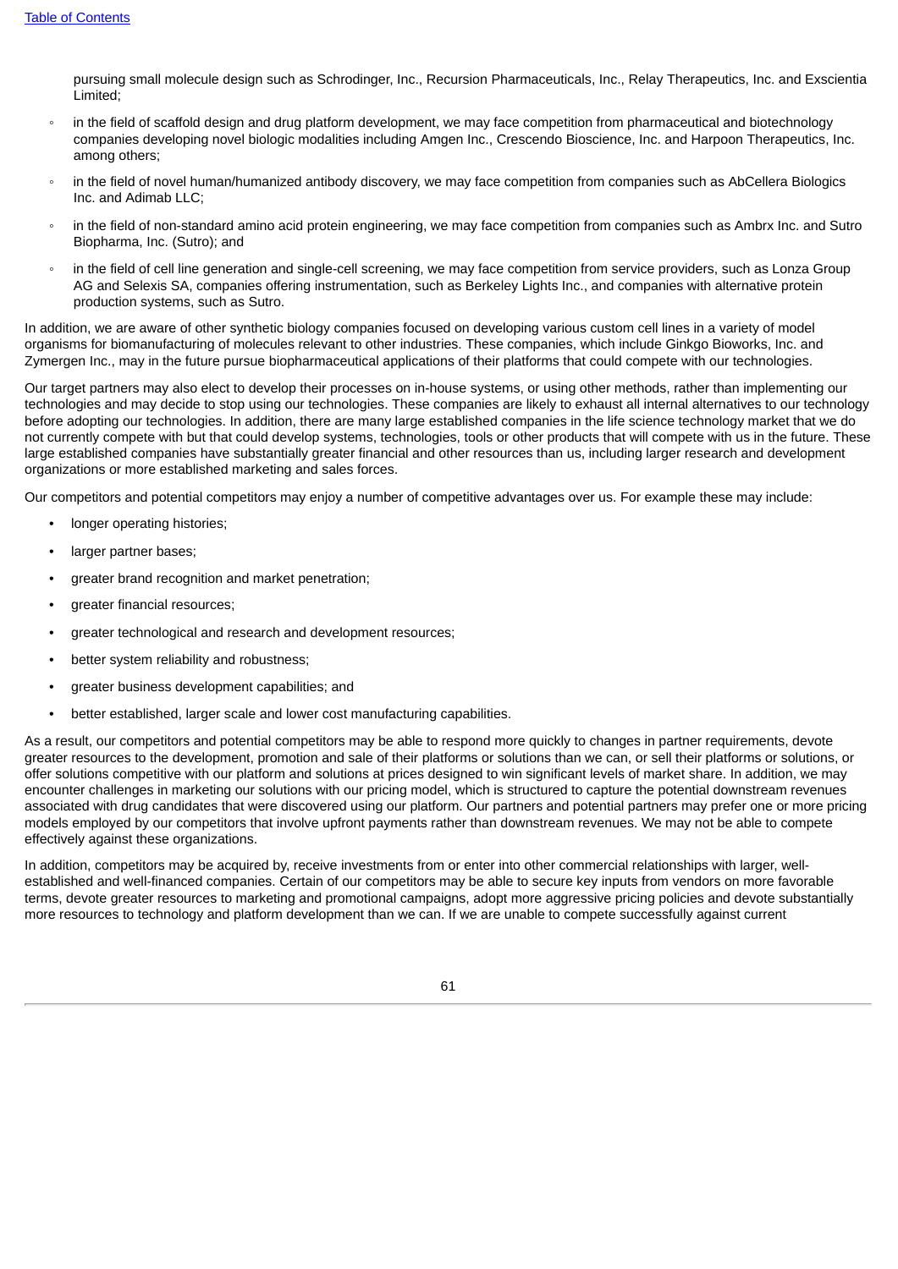pursuing small molecule design such as Schrodinger, Inc., Recursion Pharmaceuticals, Inc., Relay Therapeutics, Inc. and Exscientia Limited;

- in the field of scaffold design and drug platform development, we may face competition from pharmaceutical and biotechnology companies developing novel biologic modalities including Amgen Inc., Crescendo Bioscience, Inc. and Harpoon Therapeutics, Inc. among others;
- in the field of novel human/humanized antibody discovery, we may face competition from companies such as AbCellera Biologics Inc. and Adimab LLC;
- in the field of non-standard amino acid protein engineering, we may face competition from companies such as Ambrx Inc. and Sutro Biopharma, Inc. (Sutro); and
- in the field of cell line generation and single-cell screening, we may face competition from service providers, such as Lonza Group AG and Selexis SA, companies offering instrumentation, such as Berkeley Lights Inc., and companies with alternative protein production systems, such as Sutro.

In addition, we are aware of other synthetic biology companies focused on developing various custom cell lines in a variety of model organisms for biomanufacturing of molecules relevant to other industries. These companies, which include Ginkgo Bioworks, Inc. and Zymergen Inc., may in the future pursue biopharmaceutical applications of their platforms that could compete with our technologies.

Our target partners may also elect to develop their processes on in-house systems, or using other methods, rather than implementing our technologies and may decide to stop using our technologies. These companies are likely to exhaust all internal alternatives to our technology before adopting our technologies. In addition, there are many large established companies in the life science technology market that we do not currently compete with but that could develop systems, technologies, tools or other products that will compete with us in the future. These large established companies have substantially greater financial and other resources than us, including larger research and development organizations or more established marketing and sales forces.

Our competitors and potential competitors may enjoy a number of competitive advantages over us. For example these may include:

- longer operating histories;
- larger partner bases;
- greater brand recognition and market penetration;
- qreater financial resources:
- greater technological and research and development resources;
- better system reliability and robustness:
- greater business development capabilities; and
- better established, larger scale and lower cost manufacturing capabilities.

As a result, our competitors and potential competitors may be able to respond more quickly to changes in partner requirements, devote greater resources to the development, promotion and sale of their platforms or solutions than we can, or sell their platforms or solutions, or offer solutions competitive with our platform and solutions at prices designed to win significant levels of market share. In addition, we may encounter challenges in marketing our solutions with our pricing model, which is structured to capture the potential downstream revenues associated with drug candidates that were discovered using our platform. Our partners and potential partners may prefer one or more pricing models employed by our competitors that involve upfront payments rather than downstream revenues. We may not be able to compete effectively against these organizations.

In addition, competitors may be acquired by, receive investments from or enter into other commercial relationships with larger, wellestablished and well-financed companies. Certain of our competitors may be able to secure key inputs from vendors on more favorable terms, devote greater resources to marketing and promotional campaigns, adopt more aggressive pricing policies and devote substantially more resources to technology and platform development than we can. If we are unable to compete successfully against current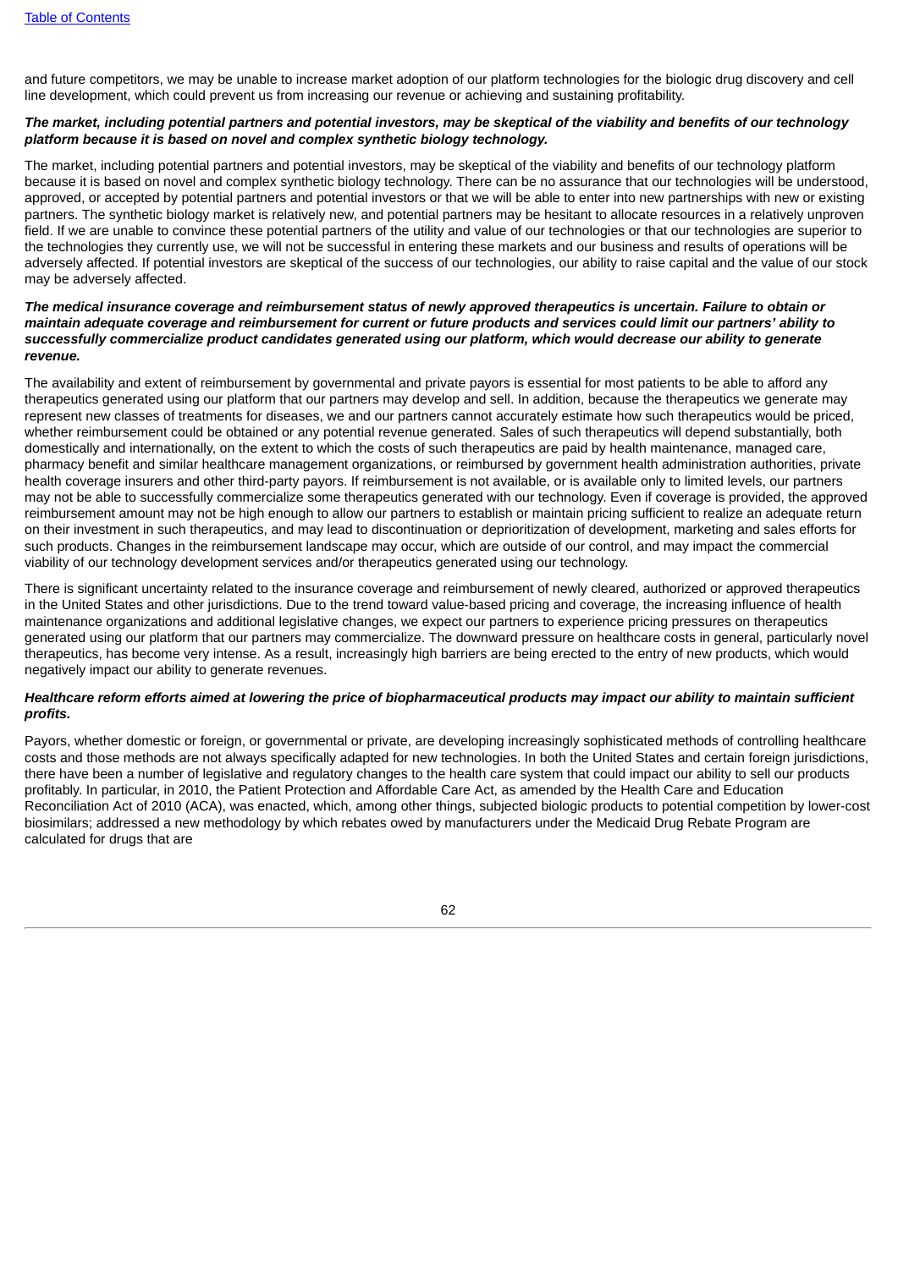and future competitors, we may be unable to increase market adoption of our platform technologies for the biologic drug discovery and cell line development, which could prevent us from increasing our revenue or achieving and sustaining profitability.

# The market, including potential partners and potential investors, may be skeptical of the viability and benefits of our technology *platform because it is based on novel and complex synthetic biology technology.*

The market, including potential partners and potential investors, may be skeptical of the viability and benefits of our technology platform because it is based on novel and complex synthetic biology technology. There can be no assurance that our technologies will be understood, approved, or accepted by potential partners and potential investors or that we will be able to enter into new partnerships with new or existing partners. The synthetic biology market is relatively new, and potential partners may be hesitant to allocate resources in a relatively unproven field. If we are unable to convince these potential partners of the utility and value of our technologies or that our technologies are superior to the technologies they currently use, we will not be successful in entering these markets and our business and results of operations will be adversely affected. If potential investors are skeptical of the success of our technologies, our ability to raise capital and the value of our stock may be adversely affected.

# The medical insurance coverage and reimbursement status of newly approved therapeutics is uncertain. Failure to obtain or maintain adequate coverage and reimbursement for current or future products and services could limit our partners' ability to successfully commercialize product candidates generated using our platform, which would decrease our ability to generate *revenue.*

The availability and extent of reimbursement by governmental and private payors is essential for most patients to be able to afford any therapeutics generated using our platform that our partners may develop and sell. In addition, because the therapeutics we generate may represent new classes of treatments for diseases, we and our partners cannot accurately estimate how such therapeutics would be priced, whether reimbursement could be obtained or any potential revenue generated. Sales of such therapeutics will depend substantially, both domestically and internationally, on the extent to which the costs of such therapeutics are paid by health maintenance, managed care, pharmacy benefit and similar healthcare management organizations, or reimbursed by government health administration authorities, private health coverage insurers and other third-party payors. If reimbursement is not available, or is available only to limited levels, our partners may not be able to successfully commercialize some therapeutics generated with our technology. Even if coverage is provided, the approved reimbursement amount may not be high enough to allow our partners to establish or maintain pricing sufficient to realize an adequate return on their investment in such therapeutics, and may lead to discontinuation or deprioritization of development, marketing and sales efforts for such products. Changes in the reimbursement landscape may occur, which are outside of our control, and may impact the commercial viability of our technology development services and/or therapeutics generated using our technology.

There is significant uncertainty related to the insurance coverage and reimbursement of newly cleared, authorized or approved therapeutics in the United States and other jurisdictions. Due to the trend toward value-based pricing and coverage, the increasing influence of health maintenance organizations and additional legislative changes, we expect our partners to experience pricing pressures on therapeutics generated using our platform that our partners may commercialize. The downward pressure on healthcare costs in general, particularly novel therapeutics, has become very intense. As a result, increasingly high barriers are being erected to the entry of new products, which would negatively impact our ability to generate revenues.

# Healthcare reform efforts aimed at lowering the price of biopharmaceutical products may impact our ability to maintain sufficient *profits.*

Payors, whether domestic or foreign, or governmental or private, are developing increasingly sophisticated methods of controlling healthcare costs and those methods are not always specifically adapted for new technologies. In both the United States and certain foreign jurisdictions, there have been a number of legislative and regulatory changes to the health care system that could impact our ability to sell our products profitably. In particular, in 2010, the Patient Protection and Affordable Care Act, as amended by the Health Care and Education Reconciliation Act of 2010 (ACA), was enacted, which, among other things, subjected biologic products to potential competition by lower-cost biosimilars; addressed a new methodology by which rebates owed by manufacturers under the Medicaid Drug Rebate Program are calculated for drugs that are

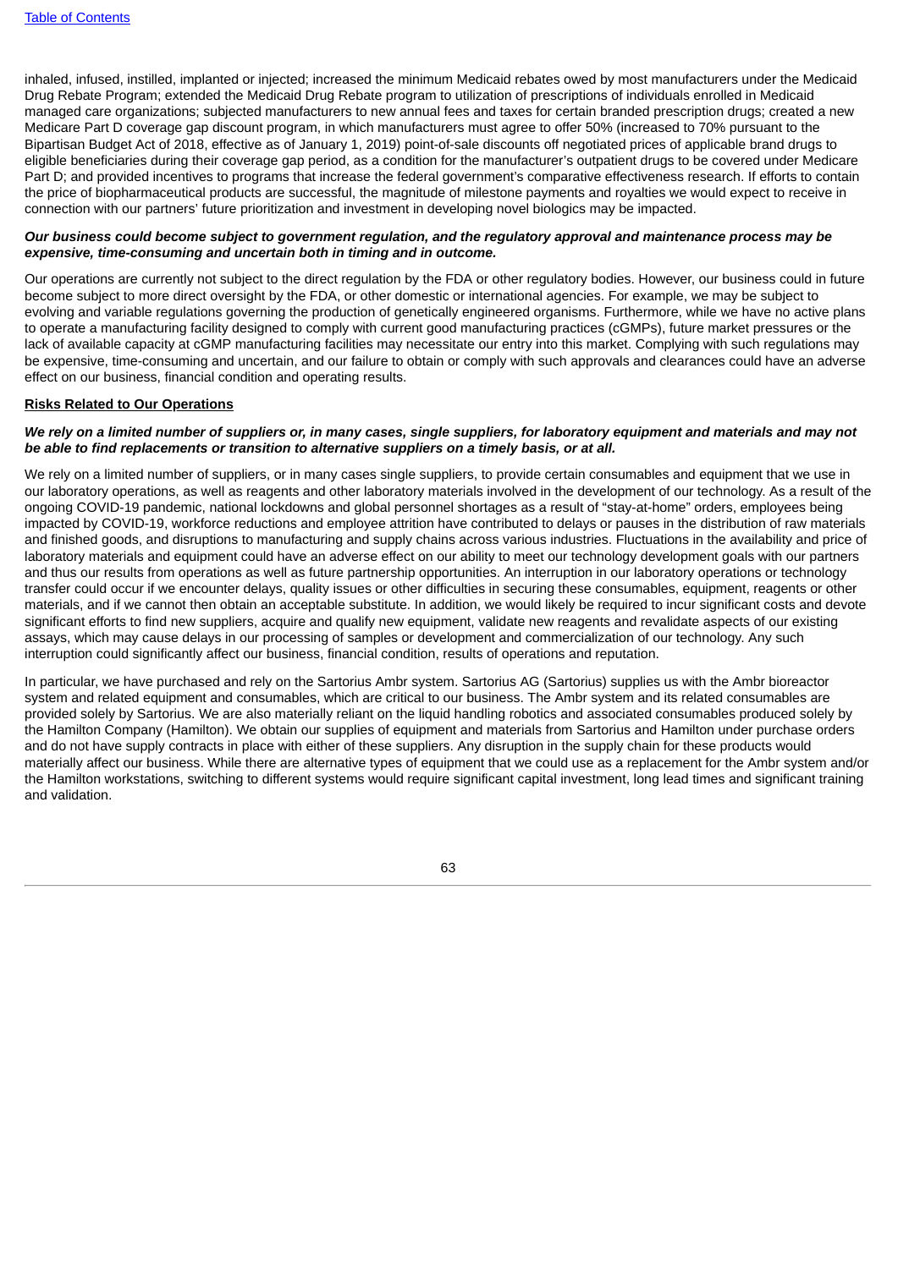inhaled, infused, instilled, implanted or injected; increased the minimum Medicaid rebates owed by most manufacturers under the Medicaid Drug Rebate Program; extended the Medicaid Drug Rebate program to utilization of prescriptions of individuals enrolled in Medicaid managed care organizations; subjected manufacturers to new annual fees and taxes for certain branded prescription drugs; created a new Medicare Part D coverage gap discount program, in which manufacturers must agree to offer 50% (increased to 70% pursuant to the Bipartisan Budget Act of 2018, effective as of January 1, 2019) point-of-sale discounts off negotiated prices of applicable brand drugs to eligible beneficiaries during their coverage gap period, as a condition for the manufacturer's outpatient drugs to be covered under Medicare Part D; and provided incentives to programs that increase the federal government's comparative effectiveness research. If efforts to contain the price of biopharmaceutical products are successful, the magnitude of milestone payments and royalties we would expect to receive in connection with our partners' future prioritization and investment in developing novel biologics may be impacted.

# Our business could become subject to government regulation, and the regulatory approval and maintenance process may be *expensive, time-consuming and uncertain both in timing and in outcome.*

Our operations are currently not subject to the direct regulation by the FDA or other regulatory bodies. However, our business could in future become subject to more direct oversight by the FDA, or other domestic or international agencies. For example, we may be subject to evolving and variable regulations governing the production of genetically engineered organisms. Furthermore, while we have no active plans to operate a manufacturing facility designed to comply with current good manufacturing practices (cGMPs), future market pressures or the lack of available capacity at cGMP manufacturing facilities may necessitate our entry into this market. Complying with such regulations may be expensive, time-consuming and uncertain, and our failure to obtain or comply with such approvals and clearances could have an adverse effect on our business, financial condition and operating results.

# **Risks Related to Our Operations**

# We rely on a limited number of suppliers or, in many cases, single suppliers, for laboratory equipment and materials and may not *be able to find replacements or transition to alternative suppliers on a timely basis, or at all.*

We rely on a limited number of suppliers, or in many cases single suppliers, to provide certain consumables and equipment that we use in our laboratory operations, as well as reagents and other laboratory materials involved in the development of our technology. As a result of the ongoing COVID-19 pandemic, national lockdowns and global personnel shortages as a result of "stay-at-home" orders, employees being impacted by COVID-19, workforce reductions and employee attrition have contributed to delays or pauses in the distribution of raw materials and finished goods, and disruptions to manufacturing and supply chains across various industries. Fluctuations in the availability and price of laboratory materials and equipment could have an adverse effect on our ability to meet our technology development goals with our partners and thus our results from operations as well as future partnership opportunities. An interruption in our laboratory operations or technology transfer could occur if we encounter delays, quality issues or other difficulties in securing these consumables, equipment, reagents or other materials, and if we cannot then obtain an acceptable substitute. In addition, we would likely be required to incur significant costs and devote significant efforts to find new suppliers, acquire and qualify new equipment, validate new reagents and revalidate aspects of our existing assays, which may cause delays in our processing of samples or development and commercialization of our technology. Any such interruption could significantly affect our business, financial condition, results of operations and reputation.

In particular, we have purchased and rely on the Sartorius Ambr system. Sartorius AG (Sartorius) supplies us with the Ambr bioreactor system and related equipment and consumables, which are critical to our business. The Ambr system and its related consumables are provided solely by Sartorius. We are also materially reliant on the liquid handling robotics and associated consumables produced solely by the Hamilton Company (Hamilton). We obtain our supplies of equipment and materials from Sartorius and Hamilton under purchase orders and do not have supply contracts in place with either of these suppliers. Any disruption in the supply chain for these products would materially affect our business. While there are alternative types of equipment that we could use as a replacement for the Ambr system and/or the Hamilton workstations, switching to different systems would require significant capital investment, long lead times and significant training and validation.

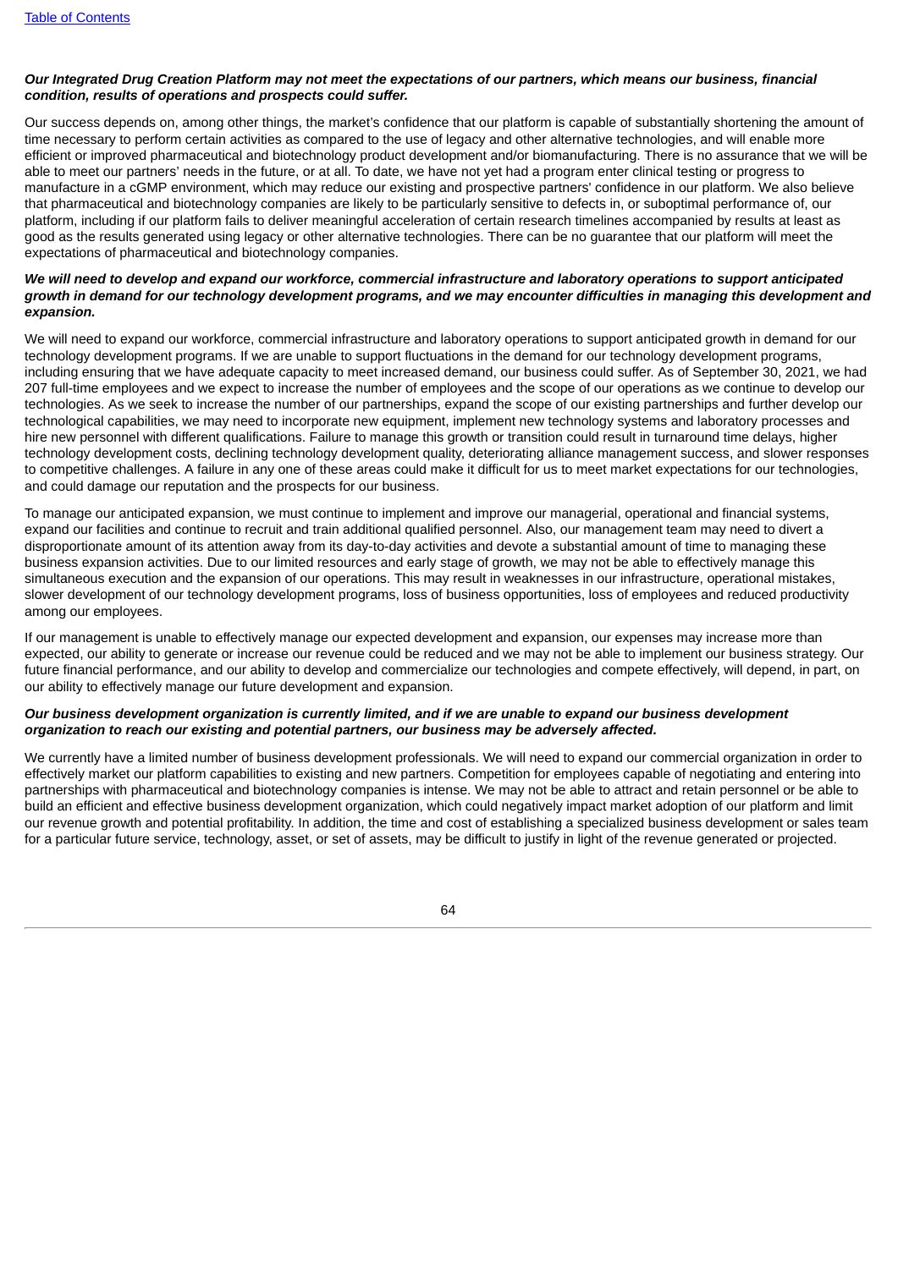# Our Integrated Drug Creation Platform may not meet the expectations of our partners, which means our business, financial *condition, results of operations and prospects could suffer.*

Our success depends on, among other things, the market's confidence that our platform is capable of substantially shortening the amount of time necessary to perform certain activities as compared to the use of legacy and other alternative technologies, and will enable more efficient or improved pharmaceutical and biotechnology product development and/or biomanufacturing. There is no assurance that we will be able to meet our partners' needs in the future, or at all. To date, we have not yet had a program enter clinical testing or progress to manufacture in a cGMP environment, which may reduce our existing and prospective partners' confidence in our platform. We also believe that pharmaceutical and biotechnology companies are likely to be particularly sensitive to defects in, or suboptimal performance of, our platform, including if our platform fails to deliver meaningful acceleration of certain research timelines accompanied by results at least as good as the results generated using legacy or other alternative technologies. There can be no guarantee that our platform will meet the expectations of pharmaceutical and biotechnology companies.

# We will need to develop and expand our workforce, commercial infrastructure and laboratory operations to support anticipated growth in demand for our technology development programs, and we may encounter difficulties in managing this development and *expansion.*

We will need to expand our workforce, commercial infrastructure and laboratory operations to support anticipated growth in demand for our technology development programs. If we are unable to support fluctuations in the demand for our technology development programs, including ensuring that we have adequate capacity to meet increased demand, our business could suffer. As of September 30, 2021, we had 207 full-time employees and we expect to increase the number of employees and the scope of our operations as we continue to develop our technologies. As we seek to increase the number of our partnerships, expand the scope of our existing partnerships and further develop our technological capabilities, we may need to incorporate new equipment, implement new technology systems and laboratory processes and hire new personnel with different qualifications. Failure to manage this growth or transition could result in turnaround time delays, higher technology development costs, declining technology development quality, deteriorating alliance management success, and slower responses to competitive challenges. A failure in any one of these areas could make it difficult for us to meet market expectations for our technologies, and could damage our reputation and the prospects for our business.

To manage our anticipated expansion, we must continue to implement and improve our managerial, operational and financial systems, expand our facilities and continue to recruit and train additional qualified personnel. Also, our management team may need to divert a disproportionate amount of its attention away from its day-to-day activities and devote a substantial amount of time to managing these business expansion activities. Due to our limited resources and early stage of growth, we may not be able to effectively manage this simultaneous execution and the expansion of our operations. This may result in weaknesses in our infrastructure, operational mistakes, slower development of our technology development programs, loss of business opportunities, loss of employees and reduced productivity among our employees.

If our management is unable to effectively manage our expected development and expansion, our expenses may increase more than expected, our ability to generate or increase our revenue could be reduced and we may not be able to implement our business strategy. Our future financial performance, and our ability to develop and commercialize our technologies and compete effectively, will depend, in part, on our ability to effectively manage our future development and expansion.

# Our business development organization is currently limited, and if we are unable to expand our business development *organization to reach our existing and potential partners, our business may be adversely affected.*

We currently have a limited number of business development professionals. We will need to expand our commercial organization in order to effectively market our platform capabilities to existing and new partners. Competition for employees capable of negotiating and entering into partnerships with pharmaceutical and biotechnology companies is intense. We may not be able to attract and retain personnel or be able to build an efficient and effective business development organization, which could negatively impact market adoption of our platform and limit our revenue growth and potential profitability. In addition, the time and cost of establishing a specialized business development or sales team for a particular future service, technology, asset, or set of assets, may be difficult to justify in light of the revenue generated or projected.

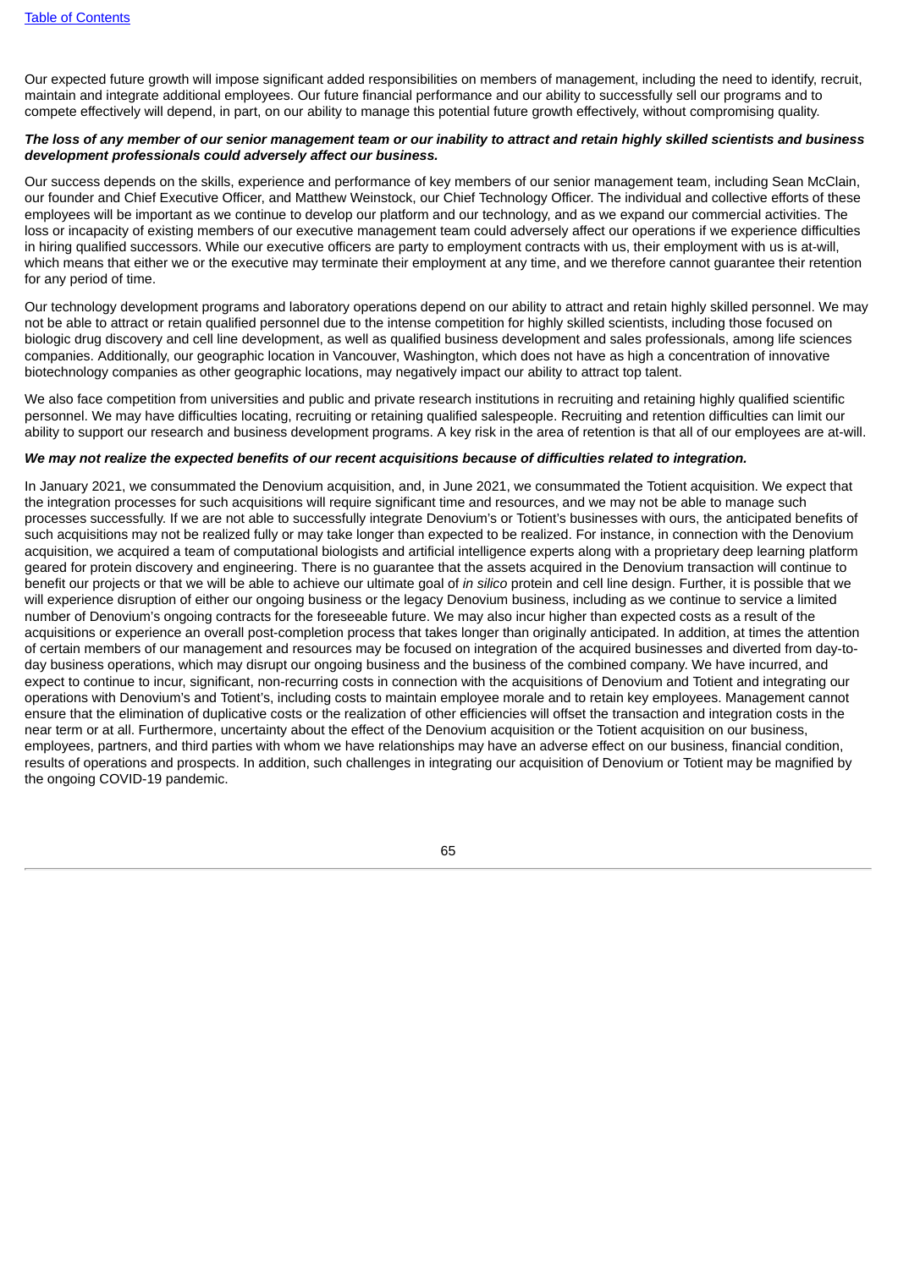Our expected future growth will impose significant added responsibilities on members of management, including the need to identify, recruit, maintain and integrate additional employees. Our future financial performance and our ability to successfully sell our programs and to compete effectively will depend, in part, on our ability to manage this potential future growth effectively, without compromising quality.

# The loss of any member of our senior management team or our inability to attract and retain highly skilled scientists and business *development professionals could adversely affect our business.*

Our success depends on the skills, experience and performance of key members of our senior management team, including Sean McClain, our founder and Chief Executive Officer, and Matthew Weinstock, our Chief Technology Officer. The individual and collective efforts of these employees will be important as we continue to develop our platform and our technology, and as we expand our commercial activities. The loss or incapacity of existing members of our executive management team could adversely affect our operations if we experience difficulties in hiring qualified successors. While our executive officers are party to employment contracts with us, their employment with us is at-will, which means that either we or the executive may terminate their employment at any time, and we therefore cannot guarantee their retention for any period of time.

Our technology development programs and laboratory operations depend on our ability to attract and retain highly skilled personnel. We may not be able to attract or retain qualified personnel due to the intense competition for highly skilled scientists, including those focused on biologic drug discovery and cell line development, as well as qualified business development and sales professionals, among life sciences companies. Additionally, our geographic location in Vancouver, Washington, which does not have as high a concentration of innovative biotechnology companies as other geographic locations, may negatively impact our ability to attract top talent.

We also face competition from universities and public and private research institutions in recruiting and retaining highly qualified scientific personnel. We may have difficulties locating, recruiting or retaining qualified salespeople. Recruiting and retention difficulties can limit our ability to support our research and business development programs. A key risk in the area of retention is that all of our employees are at-will.

# We may not realize the expected benefits of our recent acquisitions because of difficulties related to integration.

In January 2021, we consummated the Denovium acquisition, and, in June 2021, we consummated the Totient acquisition. We expect that the integration processes for such acquisitions will require significant time and resources, and we may not be able to manage such processes successfully. If we are not able to successfully integrate Denovium's or Totient's businesses with ours, the anticipated benefits of such acquisitions may not be realized fully or may take longer than expected to be realized. For instance, in connection with the Denovium acquisition, we acquired a team of computational biologists and artificial intelligence experts along with a proprietary deep learning platform geared for protein discovery and engineering. There is no guarantee that the assets acquired in the Denovium transaction will continue to benefit our projects or that we will be able to achieve our ultimate goal of *in silico* protein and cell line design. Further, it is possible that we will experience disruption of either our ongoing business or the legacy Denovium business, including as we continue to service a limited number of Denovium's ongoing contracts for the foreseeable future. We may also incur higher than expected costs as a result of the acquisitions or experience an overall post-completion process that takes longer than originally anticipated. In addition, at times the attention of certain members of our management and resources may be focused on integration of the acquired businesses and diverted from day-today business operations, which may disrupt our ongoing business and the business of the combined company. We have incurred, and expect to continue to incur, significant, non-recurring costs in connection with the acquisitions of Denovium and Totient and integrating our operations with Denovium's and Totient's, including costs to maintain employee morale and to retain key employees. Management cannot ensure that the elimination of duplicative costs or the realization of other efficiencies will offset the transaction and integration costs in the near term or at all. Furthermore, uncertainty about the effect of the Denovium acquisition or the Totient acquisition on our business, employees, partners, and third parties with whom we have relationships may have an adverse effect on our business, financial condition, results of operations and prospects. In addition, such challenges in integrating our acquisition of Denovium or Totient may be magnified by the ongoing COVID-19 pandemic.

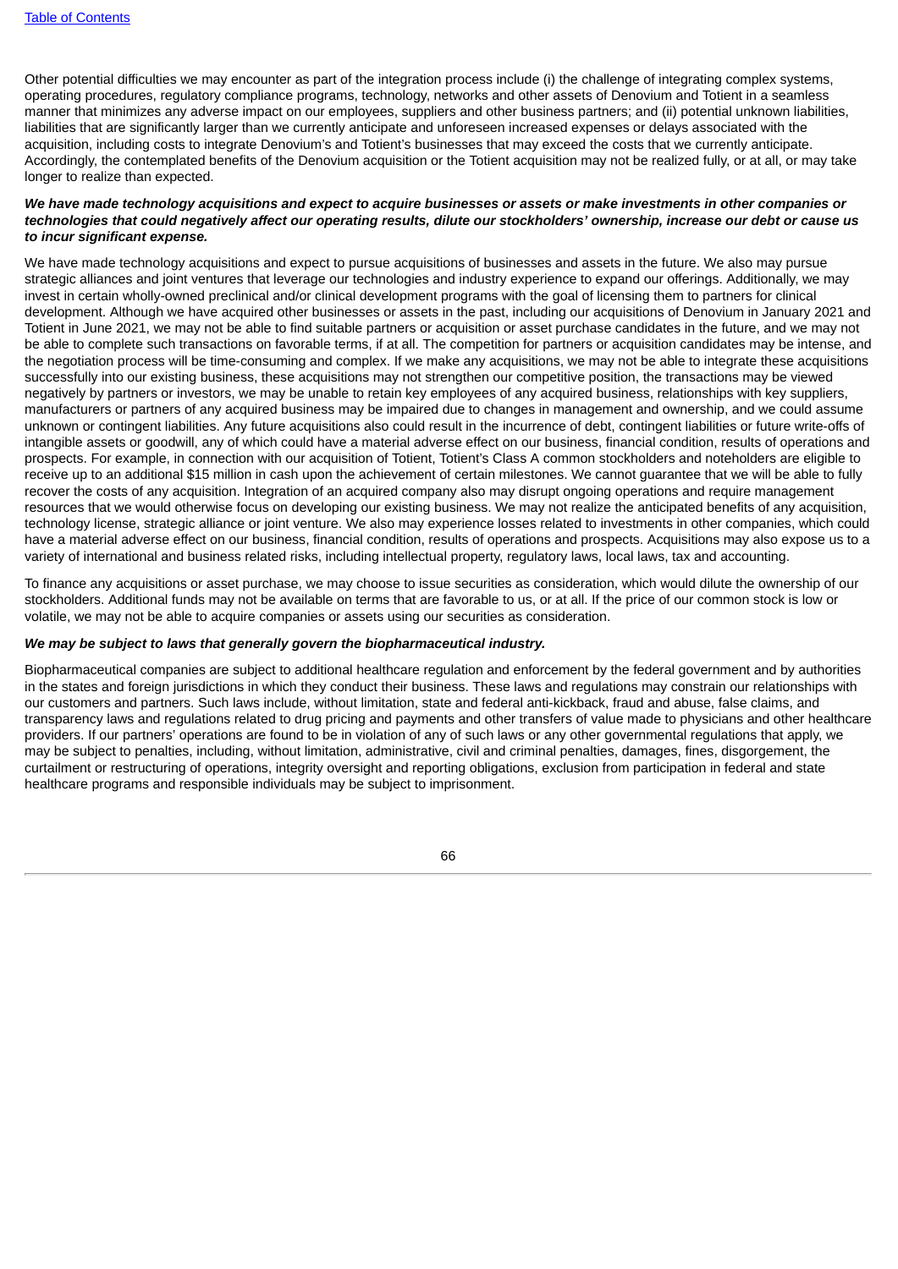Other potential difficulties we may encounter as part of the integration process include (i) the challenge of integrating complex systems, operating procedures, regulatory compliance programs, technology, networks and other assets of Denovium and Totient in a seamless manner that minimizes any adverse impact on our employees, suppliers and other business partners; and (ii) potential unknown liabilities, liabilities that are significantly larger than we currently anticipate and unforeseen increased expenses or delays associated with the acquisition, including costs to integrate Denovium's and Totient's businesses that may exceed the costs that we currently anticipate. Accordingly, the contemplated benefits of the Denovium acquisition or the Totient acquisition may not be realized fully, or at all, or may take longer to realize than expected.

# We have made technology acquisitions and expect to acquire businesses or assets or make investments in other companies or technologies that could negatively affect our operating results, dilute our stockholders' ownership, increase our debt or cause us *to incur significant expense.*

We have made technology acquisitions and expect to pursue acquisitions of businesses and assets in the future. We also may pursue strategic alliances and joint ventures that leverage our technologies and industry experience to expand our offerings. Additionally, we may invest in certain wholly-owned preclinical and/or clinical development programs with the goal of licensing them to partners for clinical development. Although we have acquired other businesses or assets in the past, including our acquisitions of Denovium in January 2021 and Totient in June 2021, we may not be able to find suitable partners or acquisition or asset purchase candidates in the future, and we may not be able to complete such transactions on favorable terms, if at all. The competition for partners or acquisition candidates may be intense, and the negotiation process will be time-consuming and complex. If we make any acquisitions, we may not be able to integrate these acquisitions successfully into our existing business, these acquisitions may not strengthen our competitive position, the transactions may be viewed negatively by partners or investors, we may be unable to retain key employees of any acquired business, relationships with key suppliers, manufacturers or partners of any acquired business may be impaired due to changes in management and ownership, and we could assume unknown or contingent liabilities. Any future acquisitions also could result in the incurrence of debt, contingent liabilities or future write-offs of intangible assets or goodwill, any of which could have a material adverse effect on our business, financial condition, results of operations and prospects. For example, in connection with our acquisition of Totient, Totient's Class A common stockholders and noteholders are eligible to receive up to an additional \$15 million in cash upon the achievement of certain milestones. We cannot guarantee that we will be able to fully recover the costs of any acquisition. Integration of an acquired company also may disrupt ongoing operations and require management resources that we would otherwise focus on developing our existing business. We may not realize the anticipated benefits of any acquisition, technology license, strategic alliance or joint venture. We also may experience losses related to investments in other companies, which could have a material adverse effect on our business, financial condition, results of operations and prospects. Acquisitions may also expose us to a variety of international and business related risks, including intellectual property, regulatory laws, local laws, tax and accounting.

To finance any acquisitions or asset purchase, we may choose to issue securities as consideration, which would dilute the ownership of our stockholders. Additional funds may not be available on terms that are favorable to us, or at all. If the price of our common stock is low or volatile, we may not be able to acquire companies or assets using our securities as consideration.

# *We may be subject to laws that generally govern the biopharmaceutical industry.*

Biopharmaceutical companies are subject to additional healthcare regulation and enforcement by the federal government and by authorities in the states and foreign jurisdictions in which they conduct their business. These laws and regulations may constrain our relationships with our customers and partners. Such laws include, without limitation, state and federal anti-kickback, fraud and abuse, false claims, and transparency laws and regulations related to drug pricing and payments and other transfers of value made to physicians and other healthcare providers. If our partners' operations are found to be in violation of any of such laws or any other governmental regulations that apply, we may be subject to penalties, including, without limitation, administrative, civil and criminal penalties, damages, fines, disgorgement, the curtailment or restructuring of operations, integrity oversight and reporting obligations, exclusion from participation in federal and state healthcare programs and responsible individuals may be subject to imprisonment.

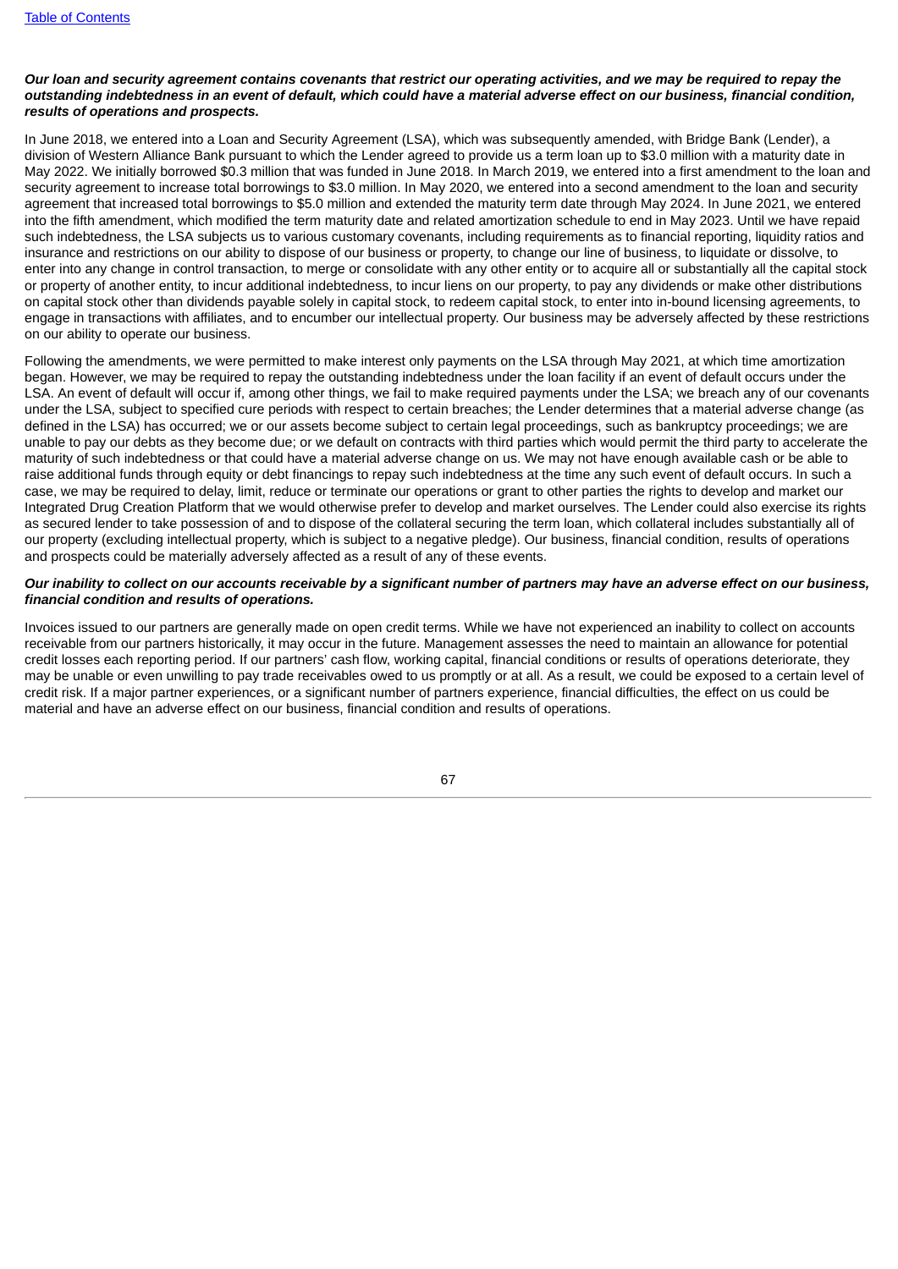# Our loan and security agreement contains covenants that restrict our operating activities, and we may be required to repay the outstanding indebtedness in an event of default, which could have a material adverse effect on our business, financial condition, *results of operations and prospects.*

In June 2018, we entered into a Loan and Security Agreement (LSA), which was subsequently amended, with Bridge Bank (Lender), a division of Western Alliance Bank pursuant to which the Lender agreed to provide us a term loan up to \$3.0 million with a maturity date in May 2022. We initially borrowed \$0.3 million that was funded in June 2018. In March 2019, we entered into a first amendment to the loan and security agreement to increase total borrowings to \$3.0 million. In May 2020, we entered into a second amendment to the loan and security agreement that increased total borrowings to \$5.0 million and extended the maturity term date through May 2024. In June 2021, we entered into the fifth amendment, which modified the term maturity date and related amortization schedule to end in May 2023. Until we have repaid such indebtedness, the LSA subjects us to various customary covenants, including requirements as to financial reporting, liquidity ratios and insurance and restrictions on our ability to dispose of our business or property, to change our line of business, to liquidate or dissolve, to enter into any change in control transaction, to merge or consolidate with any other entity or to acquire all or substantially all the capital stock or property of another entity, to incur additional indebtedness, to incur liens on our property, to pay any dividends or make other distributions on capital stock other than dividends payable solely in capital stock, to redeem capital stock, to enter into in-bound licensing agreements, to engage in transactions with affiliates, and to encumber our intellectual property. Our business may be adversely affected by these restrictions on our ability to operate our business.

Following the amendments, we were permitted to make interest only payments on the LSA through May 2021, at which time amortization began. However, we may be required to repay the outstanding indebtedness under the loan facility if an event of default occurs under the LSA. An event of default will occur if, among other things, we fail to make required payments under the LSA; we breach any of our covenants under the LSA, subject to specified cure periods with respect to certain breaches; the Lender determines that a material adverse change (as defined in the LSA) has occurred; we or our assets become subject to certain legal proceedings, such as bankruptcy proceedings; we are unable to pay our debts as they become due; or we default on contracts with third parties which would permit the third party to accelerate the maturity of such indebtedness or that could have a material adverse change on us. We may not have enough available cash or be able to raise additional funds through equity or debt financings to repay such indebtedness at the time any such event of default occurs. In such a case, we may be required to delay, limit, reduce or terminate our operations or grant to other parties the rights to develop and market our Integrated Drug Creation Platform that we would otherwise prefer to develop and market ourselves. The Lender could also exercise its rights as secured lender to take possession of and to dispose of the collateral securing the term loan, which collateral includes substantially all of our property (excluding intellectual property, which is subject to a negative pledge). Our business, financial condition, results of operations and prospects could be materially adversely affected as a result of any of these events.

# Our inability to collect on our accounts receivable by a significant number of partners may have an adverse effect on our business, *financial condition and results of operations.*

Invoices issued to our partners are generally made on open credit terms. While we have not experienced an inability to collect on accounts receivable from our partners historically, it may occur in the future. Management assesses the need to maintain an allowance for potential credit losses each reporting period. If our partners' cash flow, working capital, financial conditions or results of operations deteriorate, they may be unable or even unwilling to pay trade receivables owed to us promptly or at all. As a result, we could be exposed to a certain level of credit risk. If a major partner experiences, or a significant number of partners experience, financial difficulties, the effect on us could be material and have an adverse effect on our business, financial condition and results of operations.

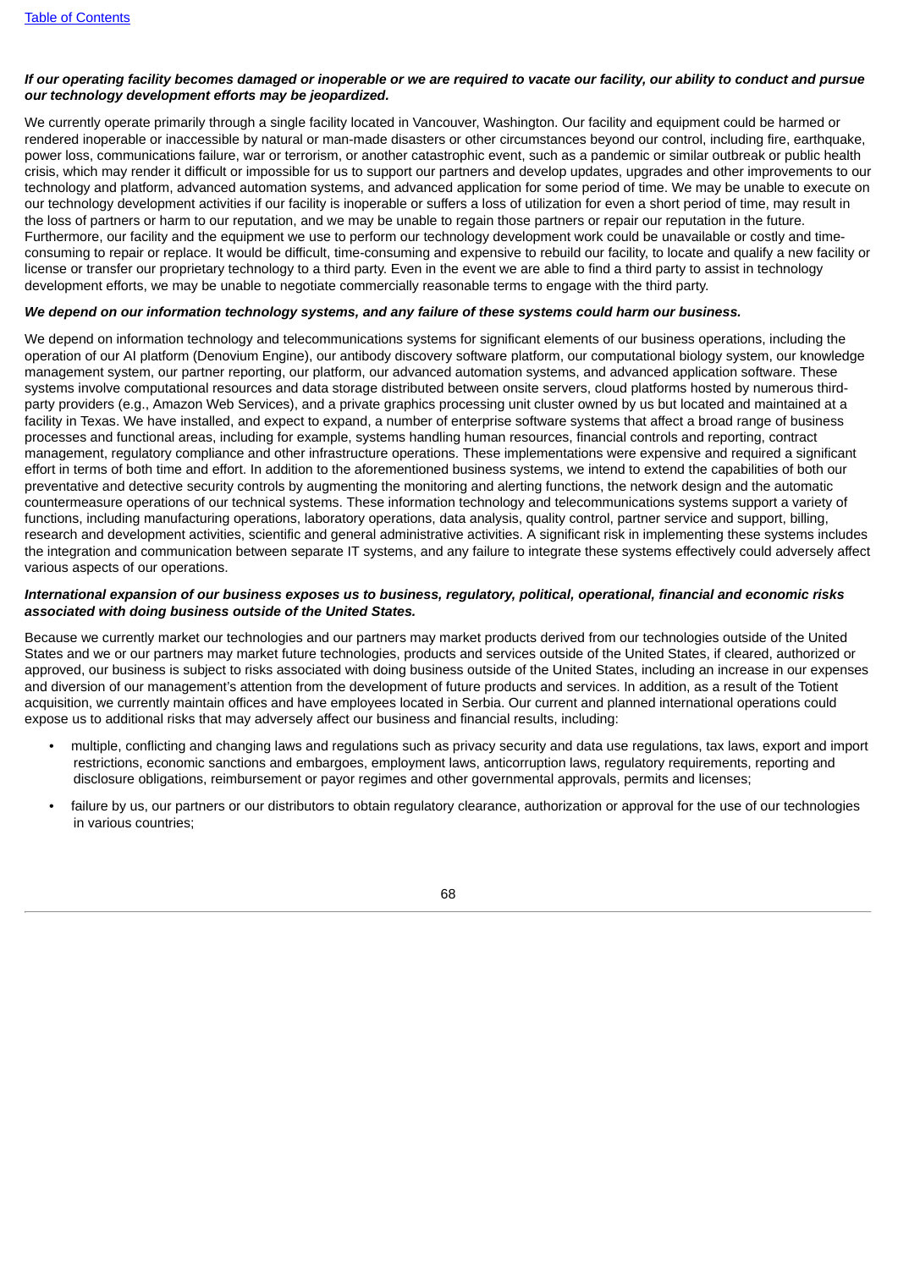# If our operating facility becomes damaged or inoperable or we are required to vacate our facility, our ability to conduct and pursue *our technology development efforts may be jeopardized.*

We currently operate primarily through a single facility located in Vancouver, Washington. Our facility and equipment could be harmed or rendered inoperable or inaccessible by natural or man-made disasters or other circumstances beyond our control, including fire, earthquake, power loss, communications failure, war or terrorism, or another catastrophic event, such as a pandemic or similar outbreak or public health crisis, which may render it difficult or impossible for us to support our partners and develop updates, upgrades and other improvements to our technology and platform, advanced automation systems, and advanced application for some period of time. We may be unable to execute on our technology development activities if our facility is inoperable or suffers a loss of utilization for even a short period of time, may result in the loss of partners or harm to our reputation, and we may be unable to regain those partners or repair our reputation in the future. Furthermore, our facility and the equipment we use to perform our technology development work could be unavailable or costly and timeconsuming to repair or replace. It would be difficult, time-consuming and expensive to rebuild our facility, to locate and qualify a new facility or license or transfer our proprietary technology to a third party. Even in the event we are able to find a third party to assist in technology development efforts, we may be unable to negotiate commercially reasonable terms to engage with the third party.

# We depend on our information technology systems, and any failure of these systems could harm our business.

We depend on information technology and telecommunications systems for significant elements of our business operations, including the operation of our AI platform (Denovium Engine), our antibody discovery software platform, our computational biology system, our knowledge management system, our partner reporting, our platform, our advanced automation systems, and advanced application software. These systems involve computational resources and data storage distributed between onsite servers, cloud platforms hosted by numerous thirdparty providers (e.g., Amazon Web Services), and a private graphics processing unit cluster owned by us but located and maintained at a facility in Texas. We have installed, and expect to expand, a number of enterprise software systems that affect a broad range of business processes and functional areas, including for example, systems handling human resources, financial controls and reporting, contract management, regulatory compliance and other infrastructure operations. These implementations were expensive and required a significant effort in terms of both time and effort. In addition to the aforementioned business systems, we intend to extend the capabilities of both our preventative and detective security controls by augmenting the monitoring and alerting functions, the network design and the automatic countermeasure operations of our technical systems. These information technology and telecommunications systems support a variety of functions, including manufacturing operations, laboratory operations, data analysis, quality control, partner service and support, billing, research and development activities, scientific and general administrative activities. A significant risk in implementing these systems includes the integration and communication between separate IT systems, and any failure to integrate these systems effectively could adversely affect various aspects of our operations.

# International expansion of our business exposes us to business, regulatory, political, operational, financial and economic risks *associated with doing business outside of the United States.*

Because we currently market our technologies and our partners may market products derived from our technologies outside of the United States and we or our partners may market future technologies, products and services outside of the United States, if cleared, authorized or approved, our business is subject to risks associated with doing business outside of the United States, including an increase in our expenses and diversion of our management's attention from the development of future products and services. In addition, as a result of the Totient acquisition, we currently maintain offices and have employees located in Serbia. Our current and planned international operations could expose us to additional risks that may adversely affect our business and financial results, including:

- multiple, conflicting and changing laws and regulations such as privacy security and data use regulations, tax laws, export and import restrictions, economic sanctions and embargoes, employment laws, anticorruption laws, regulatory requirements, reporting and disclosure obligations, reimbursement or payor regimes and other governmental approvals, permits and licenses;
- failure by us, our partners or our distributors to obtain regulatory clearance, authorization or approval for the use of our technologies in various countries;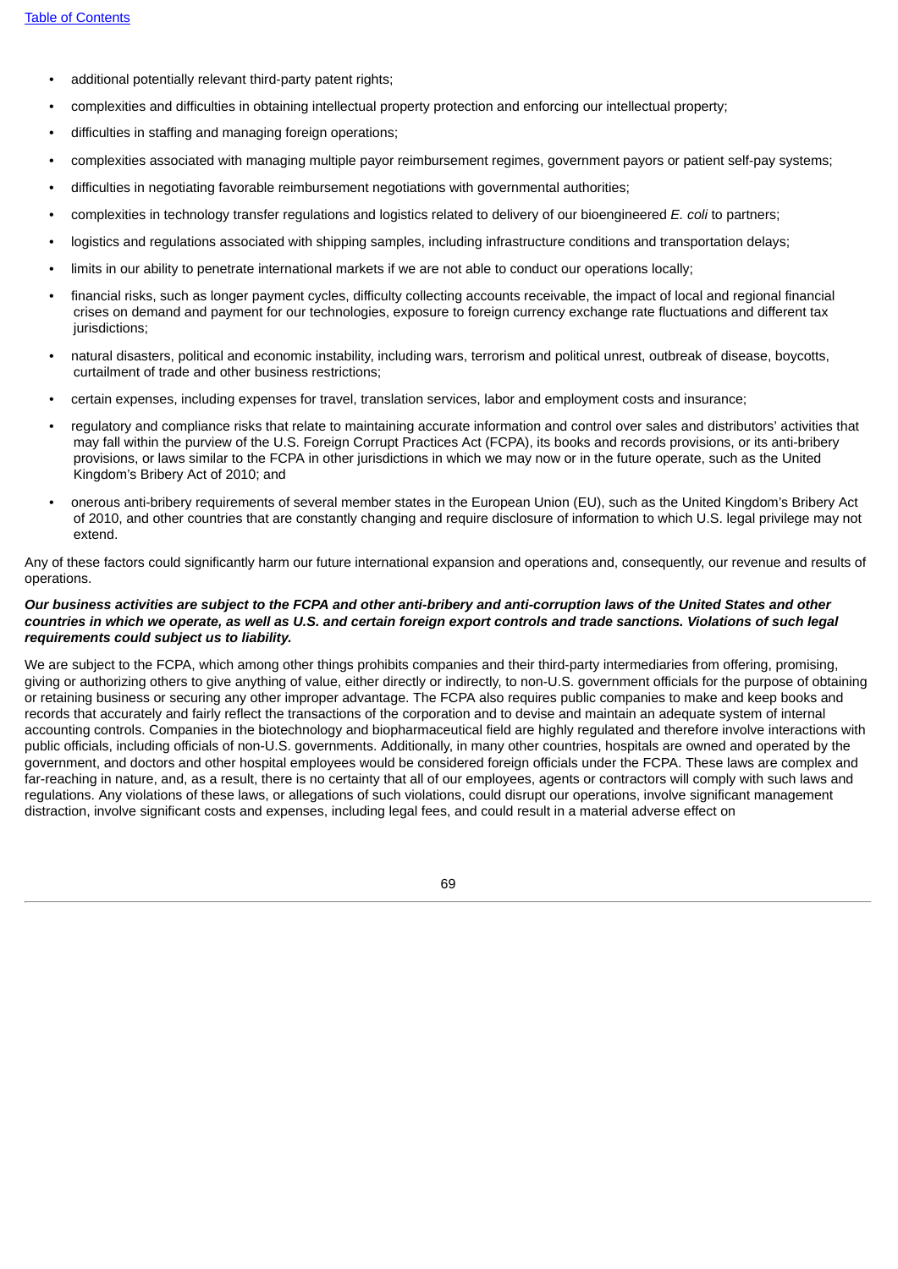- additional potentially relevant third-party patent rights;
- complexities and difficulties in obtaining intellectual property protection and enforcing our intellectual property;
- difficulties in staffing and managing foreign operations;
- complexities associated with managing multiple payor reimbursement regimes, government payors or patient self-pay systems;
- difficulties in negotiating favorable reimbursement negotiations with governmental authorities;
- complexities in technology transfer regulations and logistics related to delivery of our bioengineered *E. coli* to partners;
- logistics and regulations associated with shipping samples, including infrastructure conditions and transportation delays;
- limits in our ability to penetrate international markets if we are not able to conduct our operations locally;
- financial risks, such as longer payment cycles, difficulty collecting accounts receivable, the impact of local and regional financial crises on demand and payment for our technologies, exposure to foreign currency exchange rate fluctuations and different tax jurisdictions;
- natural disasters, political and economic instability, including wars, terrorism and political unrest, outbreak of disease, boycotts, curtailment of trade and other business restrictions;
- certain expenses, including expenses for travel, translation services, labor and employment costs and insurance;
- regulatory and compliance risks that relate to maintaining accurate information and control over sales and distributors' activities that may fall within the purview of the U.S. Foreign Corrupt Practices Act (FCPA), its books and records provisions, or its anti-bribery provisions, or laws similar to the FCPA in other jurisdictions in which we may now or in the future operate, such as the United Kingdom's Bribery Act of 2010; and
- onerous anti-bribery requirements of several member states in the European Union (EU), such as the United Kingdom's Bribery Act of 2010, and other countries that are constantly changing and require disclosure of information to which U.S. legal privilege may not extend.

Any of these factors could significantly harm our future international expansion and operations and, consequently, our revenue and results of operations.

# Our business activities are subject to the FCPA and other anti-bribery and anti-corruption laws of the United States and other countries in which we operate, as well as U.S. and certain foreign export controls and trade sanctions. Violations of such legal *requirements could subject us to liability.*

We are subject to the FCPA, which among other things prohibits companies and their third-party intermediaries from offering, promising, giving or authorizing others to give anything of value, either directly or indirectly, to non-U.S. government officials for the purpose of obtaining or retaining business or securing any other improper advantage. The FCPA also requires public companies to make and keep books and records that accurately and fairly reflect the transactions of the corporation and to devise and maintain an adequate system of internal accounting controls. Companies in the biotechnology and biopharmaceutical field are highly regulated and therefore involve interactions with public officials, including officials of non-U.S. governments. Additionally, in many other countries, hospitals are owned and operated by the government, and doctors and other hospital employees would be considered foreign officials under the FCPA. These laws are complex and far-reaching in nature, and, as a result, there is no certainty that all of our employees, agents or contractors will comply with such laws and regulations. Any violations of these laws, or allegations of such violations, could disrupt our operations, involve significant management distraction, involve significant costs and expenses, including legal fees, and could result in a material adverse effect on

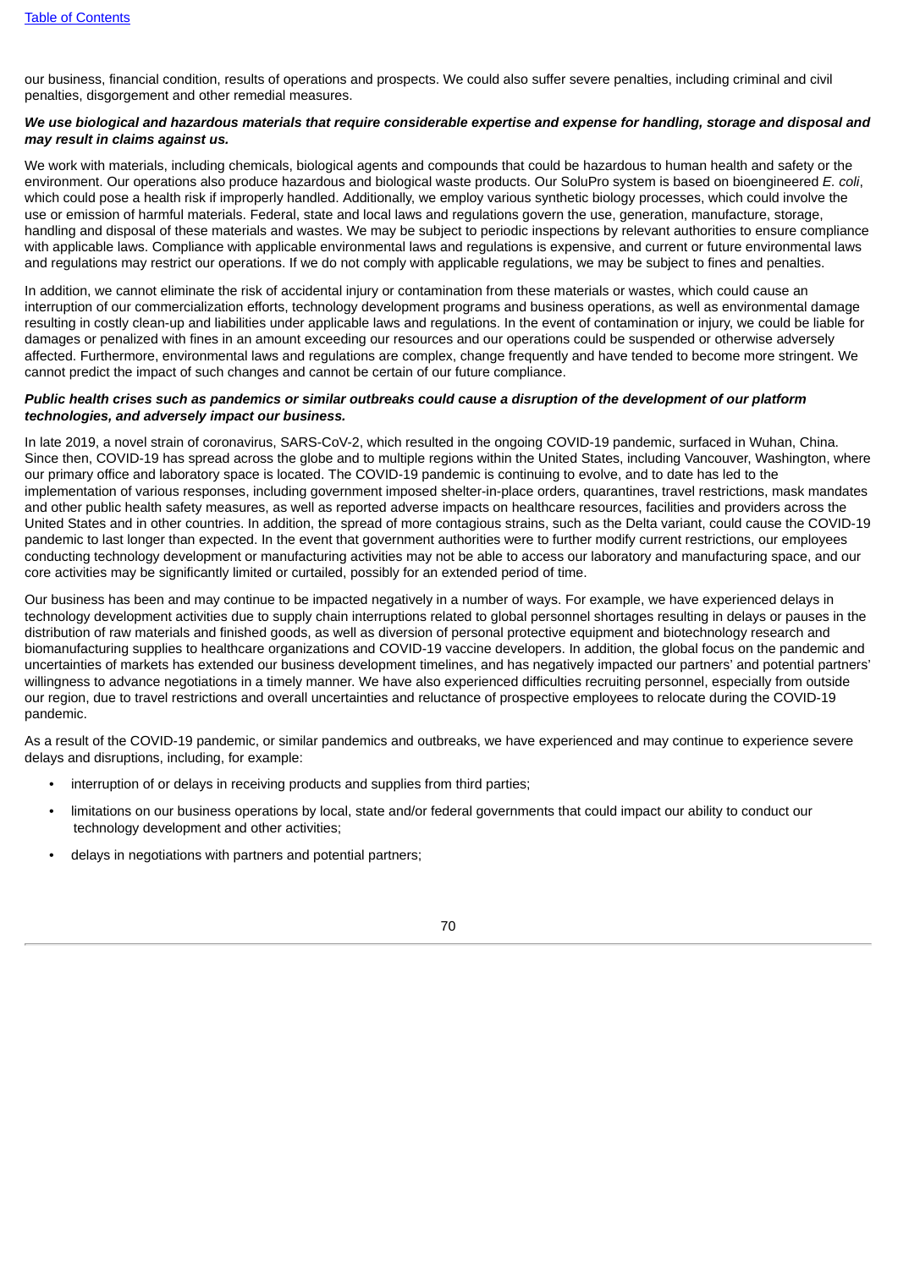our business, financial condition, results of operations and prospects. We could also suffer severe penalties, including criminal and civil penalties, disgorgement and other remedial measures.

# We use biological and hazardous materials that require considerable expertise and expense for handling, storage and disposal and *may result in claims against us.*

We work with materials, including chemicals, biological agents and compounds that could be hazardous to human health and safety or the environment. Our operations also produce hazardous and biological waste products. Our SoluPro system is based on bioengineered *E. coli*, which could pose a health risk if improperly handled. Additionally, we employ various synthetic biology processes, which could involve the use or emission of harmful materials. Federal, state and local laws and regulations govern the use, generation, manufacture, storage, handling and disposal of these materials and wastes. We may be subject to periodic inspections by relevant authorities to ensure compliance with applicable laws. Compliance with applicable environmental laws and regulations is expensive, and current or future environmental laws and regulations may restrict our operations. If we do not comply with applicable regulations, we may be subject to fines and penalties.

In addition, we cannot eliminate the risk of accidental injury or contamination from these materials or wastes, which could cause an interruption of our commercialization efforts, technology development programs and business operations, as well as environmental damage resulting in costly clean-up and liabilities under applicable laws and regulations. In the event of contamination or injury, we could be liable for damages or penalized with fines in an amount exceeding our resources and our operations could be suspended or otherwise adversely affected. Furthermore, environmental laws and regulations are complex, change frequently and have tended to become more stringent. We cannot predict the impact of such changes and cannot be certain of our future compliance.

# Public health crises such as pandemics or similar outbreaks could cause a disruption of the development of our platform *technologies, and adversely impact our business.*

In late 2019, a novel strain of coronavirus, SARS-CoV-2, which resulted in the ongoing COVID-19 pandemic, surfaced in Wuhan, China. Since then, COVID-19 has spread across the globe and to multiple regions within the United States, including Vancouver, Washington, where our primary office and laboratory space is located. The COVID-19 pandemic is continuing to evolve, and to date has led to the implementation of various responses, including government imposed shelter-in-place orders, quarantines, travel restrictions, mask mandates and other public health safety measures, as well as reported adverse impacts on healthcare resources, facilities and providers across the United States and in other countries. In addition, the spread of more contagious strains, such as the Delta variant, could cause the COVID-19 pandemic to last longer than expected. In the event that government authorities were to further modify current restrictions, our employees conducting technology development or manufacturing activities may not be able to access our laboratory and manufacturing space, and our core activities may be significantly limited or curtailed, possibly for an extended period of time.

Our business has been and may continue to be impacted negatively in a number of ways. For example, we have experienced delays in technology development activities due to supply chain interruptions related to global personnel shortages resulting in delays or pauses in the distribution of raw materials and finished goods, as well as diversion of personal protective equipment and biotechnology research and biomanufacturing supplies to healthcare organizations and COVID-19 vaccine developers. In addition, the global focus on the pandemic and uncertainties of markets has extended our business development timelines, and has negatively impacted our partners' and potential partners' willingness to advance negotiations in a timely manner. We have also experienced difficulties recruiting personnel, especially from outside our region, due to travel restrictions and overall uncertainties and reluctance of prospective employees to relocate during the COVID-19 pandemic.

As a result of the COVID-19 pandemic, or similar pandemics and outbreaks, we have experienced and may continue to experience severe delays and disruptions, including, for example:

- interruption of or delays in receiving products and supplies from third parties;
- limitations on our business operations by local, state and/or federal governments that could impact our ability to conduct our technology development and other activities;
- delays in negotiations with partners and potential partners;

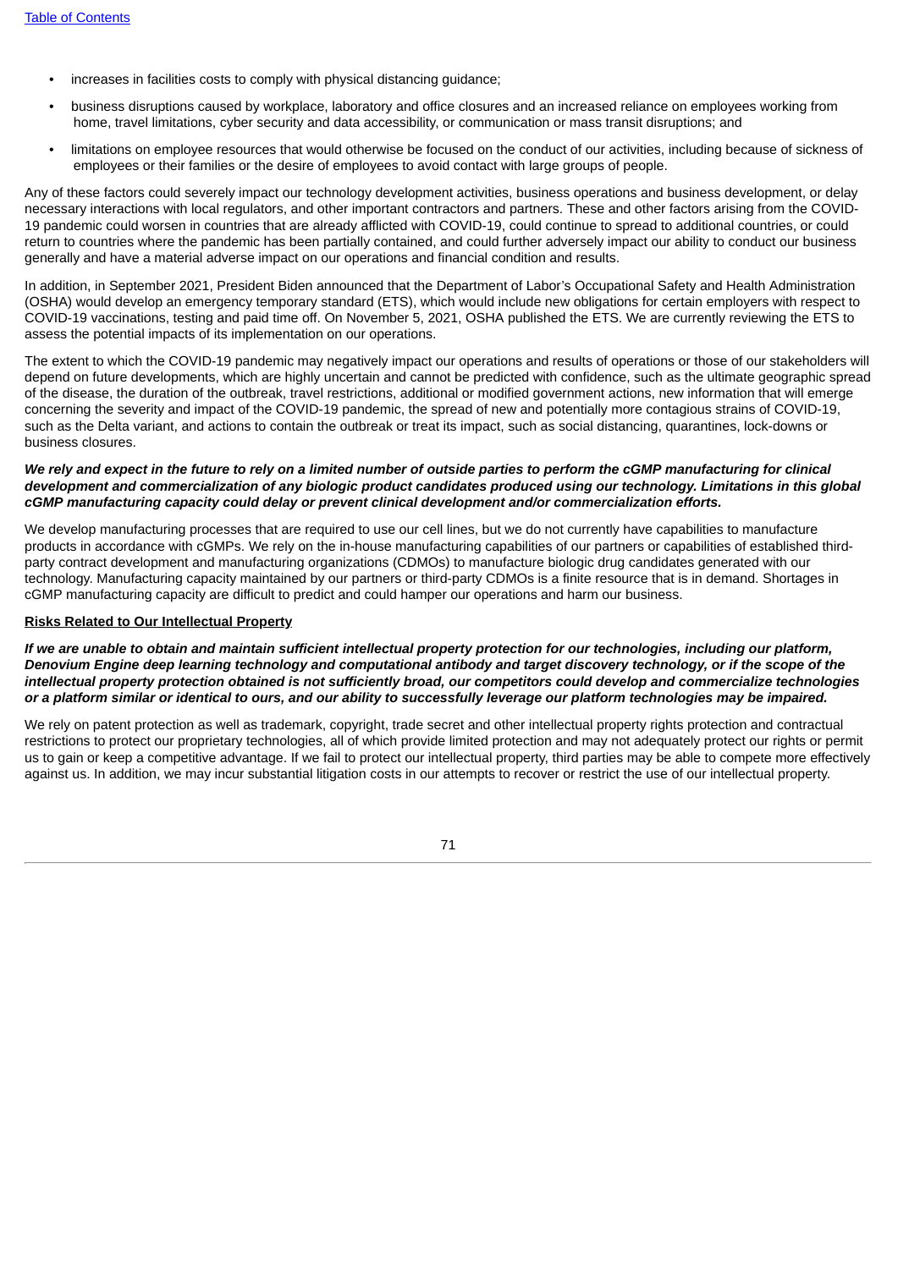- increases in facilities costs to comply with physical distancing quidance;
- business disruptions caused by workplace, laboratory and office closures and an increased reliance on employees working from home, travel limitations, cyber security and data accessibility, or communication or mass transit disruptions; and
- limitations on employee resources that would otherwise be focused on the conduct of our activities, including because of sickness of employees or their families or the desire of employees to avoid contact with large groups of people.

Any of these factors could severely impact our technology development activities, business operations and business development, or delay necessary interactions with local regulators, and other important contractors and partners. These and other factors arising from the COVID-19 pandemic could worsen in countries that are already afflicted with COVID-19, could continue to spread to additional countries, or could return to countries where the pandemic has been partially contained, and could further adversely impact our ability to conduct our business generally and have a material adverse impact on our operations and financial condition and results.

In addition, in September 2021, President Biden announced that the Department of Labor's Occupational Safety and Health Administration (OSHA) would develop an emergency temporary standard (ETS), which would include new obligations for certain employers with respect to COVID-19 vaccinations, testing and paid time off. On November 5, 2021, OSHA published the ETS. We are currently reviewing the ETS to assess the potential impacts of its implementation on our operations.

The extent to which the COVID-19 pandemic may negatively impact our operations and results of operations or those of our stakeholders will depend on future developments, which are highly uncertain and cannot be predicted with confidence, such as the ultimate geographic spread of the disease, the duration of the outbreak, travel restrictions, additional or modified government actions, new information that will emerge concerning the severity and impact of the COVID-19 pandemic, the spread of new and potentially more contagious strains of COVID-19, such as the Delta variant, and actions to contain the outbreak or treat its impact, such as social distancing, quarantines, lock-downs or business closures.

# We rely and expect in the future to rely on a limited number of outside parties to perform the cGMP manufacturing for clinical development and commercialization of any biologic product candidates produced using our technology. Limitations in this global *cGMP manufacturing capacity could delay or prevent clinical development and/or commercialization efforts.*

We develop manufacturing processes that are required to use our cell lines, but we do not currently have capabilities to manufacture products in accordance with cGMPs. We rely on the in-house manufacturing capabilities of our partners or capabilities of established thirdparty contract development and manufacturing organizations (CDMOs) to manufacture biologic drug candidates generated with our technology. Manufacturing capacity maintained by our partners or third-party CDMOs is a finite resource that is in demand. Shortages in cGMP manufacturing capacity are difficult to predict and could hamper our operations and harm our business.

# **Risks Related to Our Intellectual Property**

If we are unable to obtain and maintain sufficient intellectual property protection for our technologies, including our platform, Denovium Engine deep learning technology and computational antibody and target discovery technology, or if the scope of the intellectual property protection obtained is not sufficiently broad, our competitors could develop and commercialize technologies or a platform similar or identical to ours, and our ability to successfully leverage our platform technologies may be impaired.

We rely on patent protection as well as trademark, copyright, trade secret and other intellectual property rights protection and contractual restrictions to protect our proprietary technologies, all of which provide limited protection and may not adequately protect our rights or permit us to gain or keep a competitive advantage. If we fail to protect our intellectual property, third parties may be able to compete more effectively against us. In addition, we may incur substantial litigation costs in our attempts to recover or restrict the use of our intellectual property.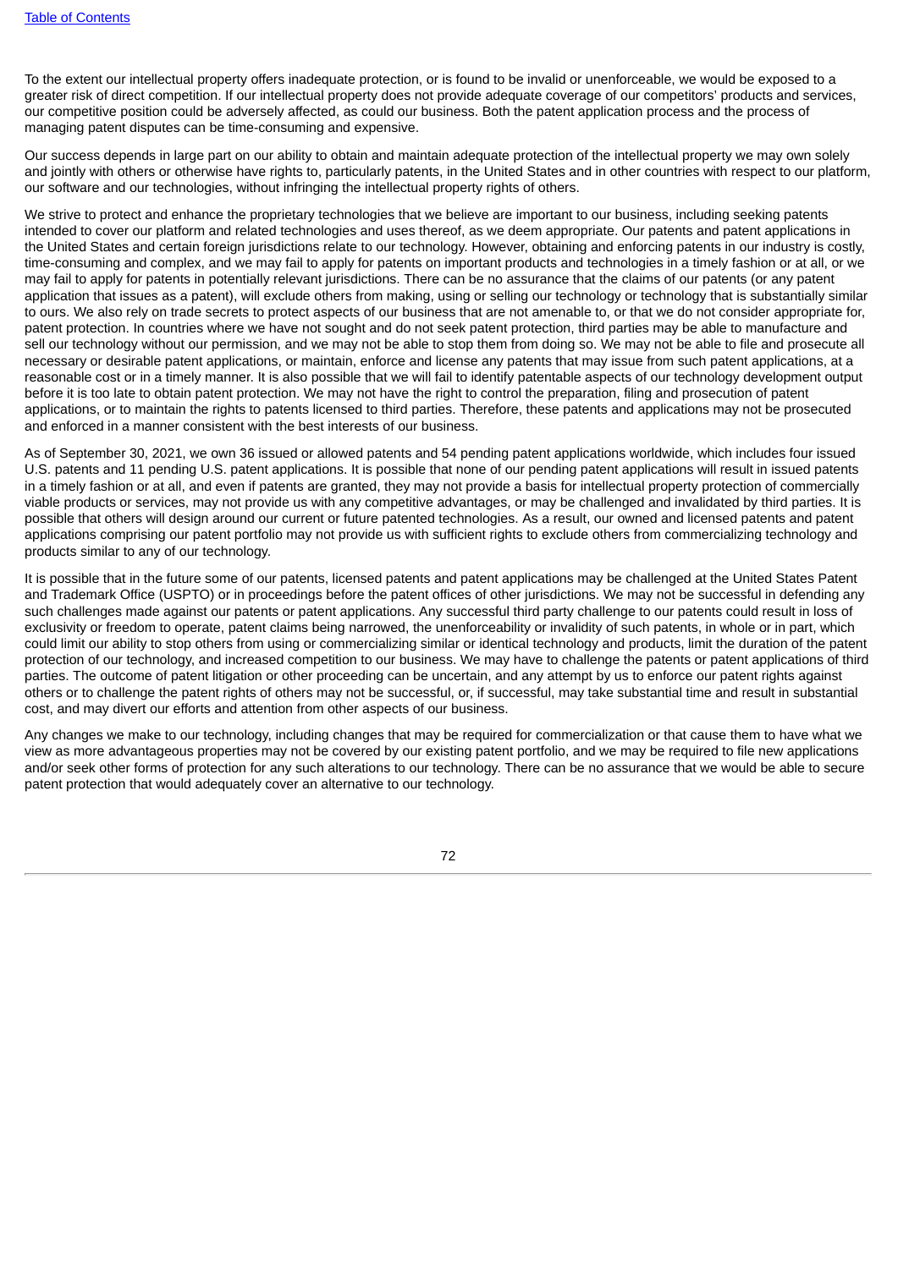To the extent our intellectual property offers inadequate protection, or is found to be invalid or unenforceable, we would be exposed to a greater risk of direct competition. If our intellectual property does not provide adequate coverage of our competitors' products and services, our competitive position could be adversely affected, as could our business. Both the patent application process and the process of managing patent disputes can be time-consuming and expensive.

Our success depends in large part on our ability to obtain and maintain adequate protection of the intellectual property we may own solely and jointly with others or otherwise have rights to, particularly patents, in the United States and in other countries with respect to our platform, our software and our technologies, without infringing the intellectual property rights of others.

We strive to protect and enhance the proprietary technologies that we believe are important to our business, including seeking patents intended to cover our platform and related technologies and uses thereof, as we deem appropriate. Our patents and patent applications in the United States and certain foreign jurisdictions relate to our technology. However, obtaining and enforcing patents in our industry is costly, time-consuming and complex, and we may fail to apply for patents on important products and technologies in a timely fashion or at all, or we may fail to apply for patents in potentially relevant jurisdictions. There can be no assurance that the claims of our patents (or any patent application that issues as a patent), will exclude others from making, using or selling our technology or technology that is substantially similar to ours. We also rely on trade secrets to protect aspects of our business that are not amenable to, or that we do not consider appropriate for, patent protection. In countries where we have not sought and do not seek patent protection, third parties may be able to manufacture and sell our technology without our permission, and we may not be able to stop them from doing so. We may not be able to file and prosecute all necessary or desirable patent applications, or maintain, enforce and license any patents that may issue from such patent applications, at a reasonable cost or in a timely manner. It is also possible that we will fail to identify patentable aspects of our technology development output before it is too late to obtain patent protection. We may not have the right to control the preparation, filing and prosecution of patent applications, or to maintain the rights to patents licensed to third parties. Therefore, these patents and applications may not be prosecuted and enforced in a manner consistent with the best interests of our business.

As of September 30, 2021, we own 36 issued or allowed patents and 54 pending patent applications worldwide, which includes four issued U.S. patents and 11 pending U.S. patent applications. It is possible that none of our pending patent applications will result in issued patents in a timely fashion or at all, and even if patents are granted, they may not provide a basis for intellectual property protection of commercially viable products or services, may not provide us with any competitive advantages, or may be challenged and invalidated by third parties. It is possible that others will design around our current or future patented technologies. As a result, our owned and licensed patents and patent applications comprising our patent portfolio may not provide us with sufficient rights to exclude others from commercializing technology and products similar to any of our technology.

It is possible that in the future some of our patents, licensed patents and patent applications may be challenged at the United States Patent and Trademark Office (USPTO) or in proceedings before the patent offices of other jurisdictions. We may not be successful in defending any such challenges made against our patents or patent applications. Any successful third party challenge to our patents could result in loss of exclusivity or freedom to operate, patent claims being narrowed, the unenforceability or invalidity of such patents, in whole or in part, which could limit our ability to stop others from using or commercializing similar or identical technology and products, limit the duration of the patent protection of our technology, and increased competition to our business. We may have to challenge the patents or patent applications of third parties. The outcome of patent litigation or other proceeding can be uncertain, and any attempt by us to enforce our patent rights against others or to challenge the patent rights of others may not be successful, or, if successful, may take substantial time and result in substantial cost, and may divert our efforts and attention from other aspects of our business.

Any changes we make to our technology, including changes that may be required for commercialization or that cause them to have what we view as more advantageous properties may not be covered by our existing patent portfolio, and we may be required to file new applications and/or seek other forms of protection for any such alterations to our technology. There can be no assurance that we would be able to secure patent protection that would adequately cover an alternative to our technology.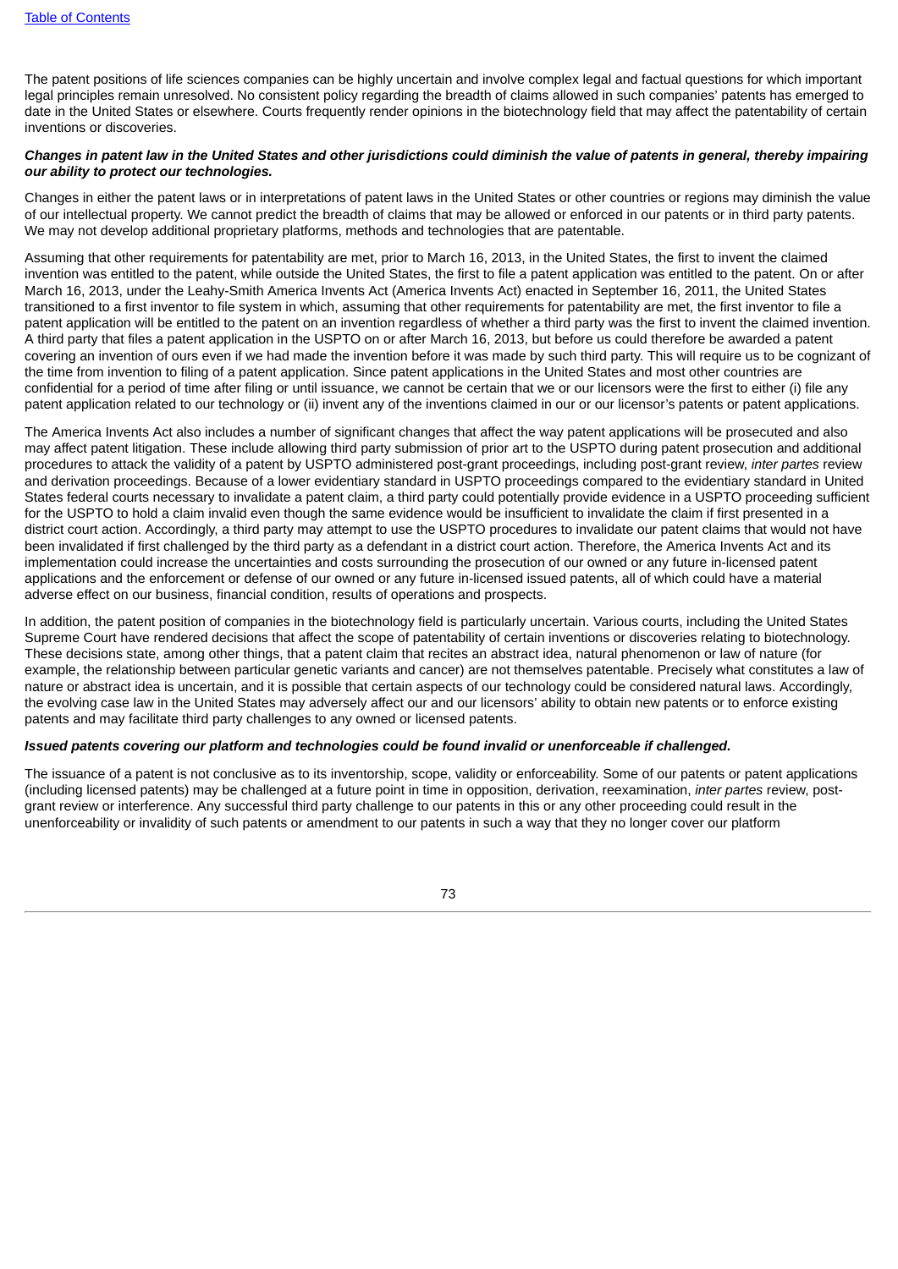The patent positions of life sciences companies can be highly uncertain and involve complex legal and factual questions for which important legal principles remain unresolved. No consistent policy regarding the breadth of claims allowed in such companies' patents has emerged to date in the United States or elsewhere. Courts frequently render opinions in the biotechnology field that may affect the patentability of certain inventions or discoveries.

### Changes in patent law in the United States and other jurisdictions could diminish the value of patents in general, thereby impairing *our ability to protect our technologies.*

Changes in either the patent laws or in interpretations of patent laws in the United States or other countries or regions may diminish the value of our intellectual property. We cannot predict the breadth of claims that may be allowed or enforced in our patents or in third party patents. We may not develop additional proprietary platforms, methods and technologies that are patentable.

Assuming that other requirements for patentability are met, prior to March 16, 2013, in the United States, the first to invent the claimed invention was entitled to the patent, while outside the United States, the first to file a patent application was entitled to the patent. On or after March 16, 2013, under the Leahy-Smith America Invents Act (America Invents Act) enacted in September 16, 2011, the United States transitioned to a first inventor to file system in which, assuming that other requirements for patentability are met, the first inventor to file a patent application will be entitled to the patent on an invention regardless of whether a third party was the first to invent the claimed invention. A third party that files a patent application in the USPTO on or after March 16, 2013, but before us could therefore be awarded a patent covering an invention of ours even if we had made the invention before it was made by such third party. This will require us to be cognizant of the time from invention to filing of a patent application. Since patent applications in the United States and most other countries are confidential for a period of time after filing or until issuance, we cannot be certain that we or our licensors were the first to either (i) file any patent application related to our technology or (ii) invent any of the inventions claimed in our or our licensor's patents or patent applications.

The America Invents Act also includes a number of significant changes that affect the way patent applications will be prosecuted and also may affect patent litigation. These include allowing third party submission of prior art to the USPTO during patent prosecution and additional procedures to attack the validity of a patent by USPTO administered post-grant proceedings, including post-grant review, *inter partes* review and derivation proceedings. Because of a lower evidentiary standard in USPTO proceedings compared to the evidentiary standard in United States federal courts necessary to invalidate a patent claim, a third party could potentially provide evidence in a USPTO proceeding sufficient for the USPTO to hold a claim invalid even though the same evidence would be insufficient to invalidate the claim if first presented in a district court action. Accordingly, a third party may attempt to use the USPTO procedures to invalidate our patent claims that would not have been invalidated if first challenged by the third party as a defendant in a district court action. Therefore, the America Invents Act and its implementation could increase the uncertainties and costs surrounding the prosecution of our owned or any future in-licensed patent applications and the enforcement or defense of our owned or any future in-licensed issued patents, all of which could have a material adverse effect on our business, financial condition, results of operations and prospects.

In addition, the patent position of companies in the biotechnology field is particularly uncertain. Various courts, including the United States Supreme Court have rendered decisions that affect the scope of patentability of certain inventions or discoveries relating to biotechnology. These decisions state, among other things, that a patent claim that recites an abstract idea, natural phenomenon or law of nature (for example, the relationship between particular genetic variants and cancer) are not themselves patentable. Precisely what constitutes a law of nature or abstract idea is uncertain, and it is possible that certain aspects of our technology could be considered natural laws. Accordingly, the evolving case law in the United States may adversely affect our and our licensors' ability to obtain new patents or to enforce existing patents and may facilitate third party challenges to any owned or licensed patents.

# *Issued patents covering our platform and technologies could be found invalid or unenforceable if challenged.*

The issuance of a patent is not conclusive as to its inventorship, scope, validity or enforceability. Some of our patents or patent applications (including licensed patents) may be challenged at a future point in time in opposition, derivation, reexamination, *inter partes* review, postgrant review or interference. Any successful third party challenge to our patents in this or any other proceeding could result in the unenforceability or invalidity of such patents or amendment to our patents in such a way that they no longer cover our platform

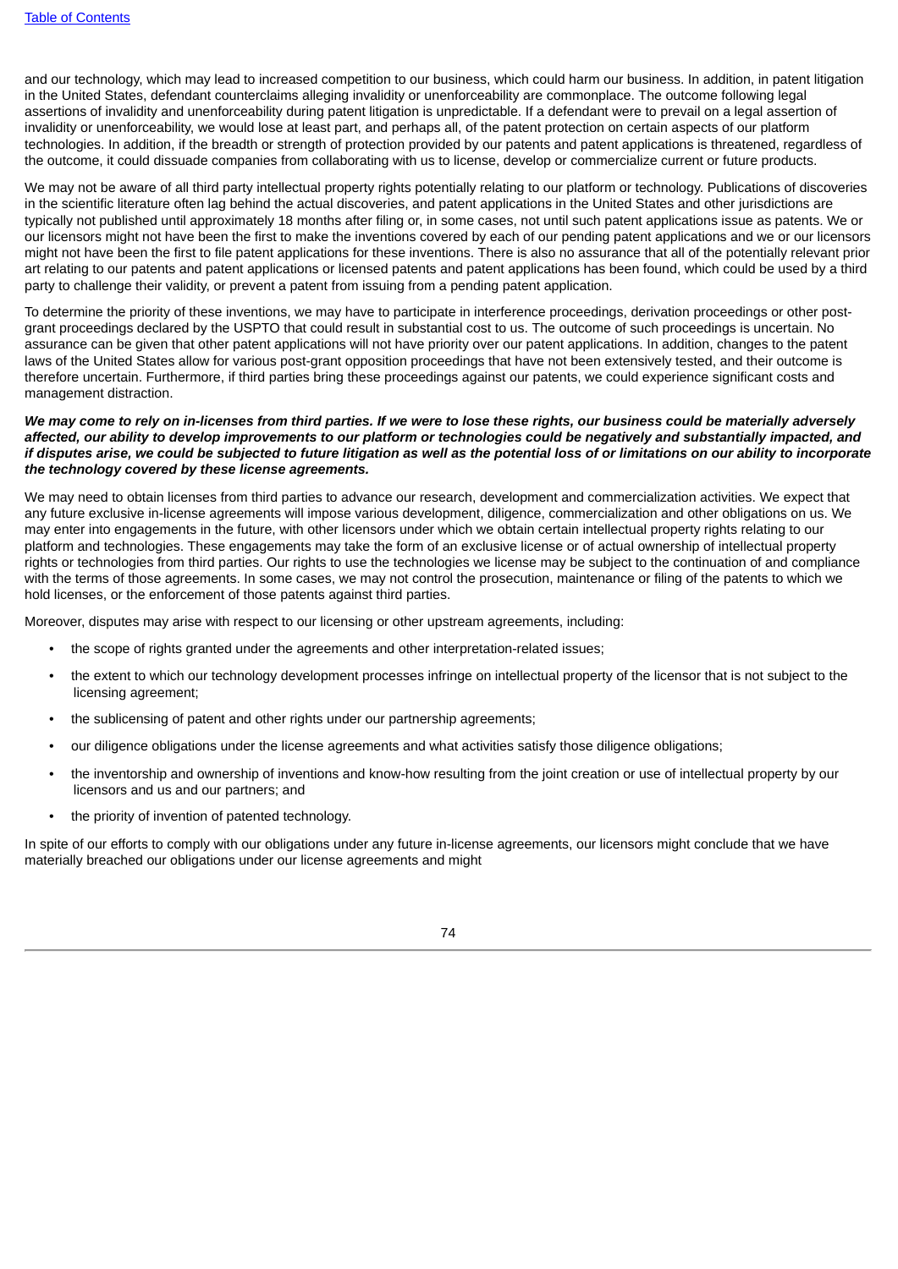and our technology, which may lead to increased competition to our business, which could harm our business. In addition, in patent litigation in the United States, defendant counterclaims alleging invalidity or unenforceability are commonplace. The outcome following legal assertions of invalidity and unenforceability during patent litigation is unpredictable. If a defendant were to prevail on a legal assertion of invalidity or unenforceability, we would lose at least part, and perhaps all, of the patent protection on certain aspects of our platform technologies. In addition, if the breadth or strength of protection provided by our patents and patent applications is threatened, regardless of the outcome, it could dissuade companies from collaborating with us to license, develop or commercialize current or future products.

We may not be aware of all third party intellectual property rights potentially relating to our platform or technology. Publications of discoveries in the scientific literature often lag behind the actual discoveries, and patent applications in the United States and other jurisdictions are typically not published until approximately 18 months after filing or, in some cases, not until such patent applications issue as patents. We or our licensors might not have been the first to make the inventions covered by each of our pending patent applications and we or our licensors might not have been the first to file patent applications for these inventions. There is also no assurance that all of the potentially relevant prior art relating to our patents and patent applications or licensed patents and patent applications has been found, which could be used by a third party to challenge their validity, or prevent a patent from issuing from a pending patent application.

To determine the priority of these inventions, we may have to participate in interference proceedings, derivation proceedings or other postgrant proceedings declared by the USPTO that could result in substantial cost to us. The outcome of such proceedings is uncertain. No assurance can be given that other patent applications will not have priority over our patent applications. In addition, changes to the patent laws of the United States allow for various post-grant opposition proceedings that have not been extensively tested, and their outcome is therefore uncertain. Furthermore, if third parties bring these proceedings against our patents, we could experience significant costs and management distraction.

#### We may come to rely on in-licenses from third parties. If we were to lose these rights, our business could be materially adversely affected, our ability to develop improvements to our platform or technologies could be negatively and substantially impacted, and if disputes arise, we could be subjected to future litigation as well as the potential loss of or limitations on our ability to incorporate *the technology covered by these license agreements.*

We may need to obtain licenses from third parties to advance our research, development and commercialization activities. We expect that any future exclusive in-license agreements will impose various development, diligence, commercialization and other obligations on us. We may enter into engagements in the future, with other licensors under which we obtain certain intellectual property rights relating to our platform and technologies. These engagements may take the form of an exclusive license or of actual ownership of intellectual property rights or technologies from third parties. Our rights to use the technologies we license may be subject to the continuation of and compliance with the terms of those agreements. In some cases, we may not control the prosecution, maintenance or filing of the patents to which we hold licenses, or the enforcement of those patents against third parties.

Moreover, disputes may arise with respect to our licensing or other upstream agreements, including:

- the scope of rights granted under the agreements and other interpretation-related issues;
- the extent to which our technology development processes infringe on intellectual property of the licensor that is not subject to the licensing agreement;
- the sublicensing of patent and other rights under our partnership agreements:
- our diligence obligations under the license agreements and what activities satisfy those diligence obligations;
- the inventorship and ownership of inventions and know-how resulting from the joint creation or use of intellectual property by our licensors and us and our partners; and
- the priority of invention of patented technology.

In spite of our efforts to comply with our obligations under any future in-license agreements, our licensors might conclude that we have materially breached our obligations under our license agreements and might

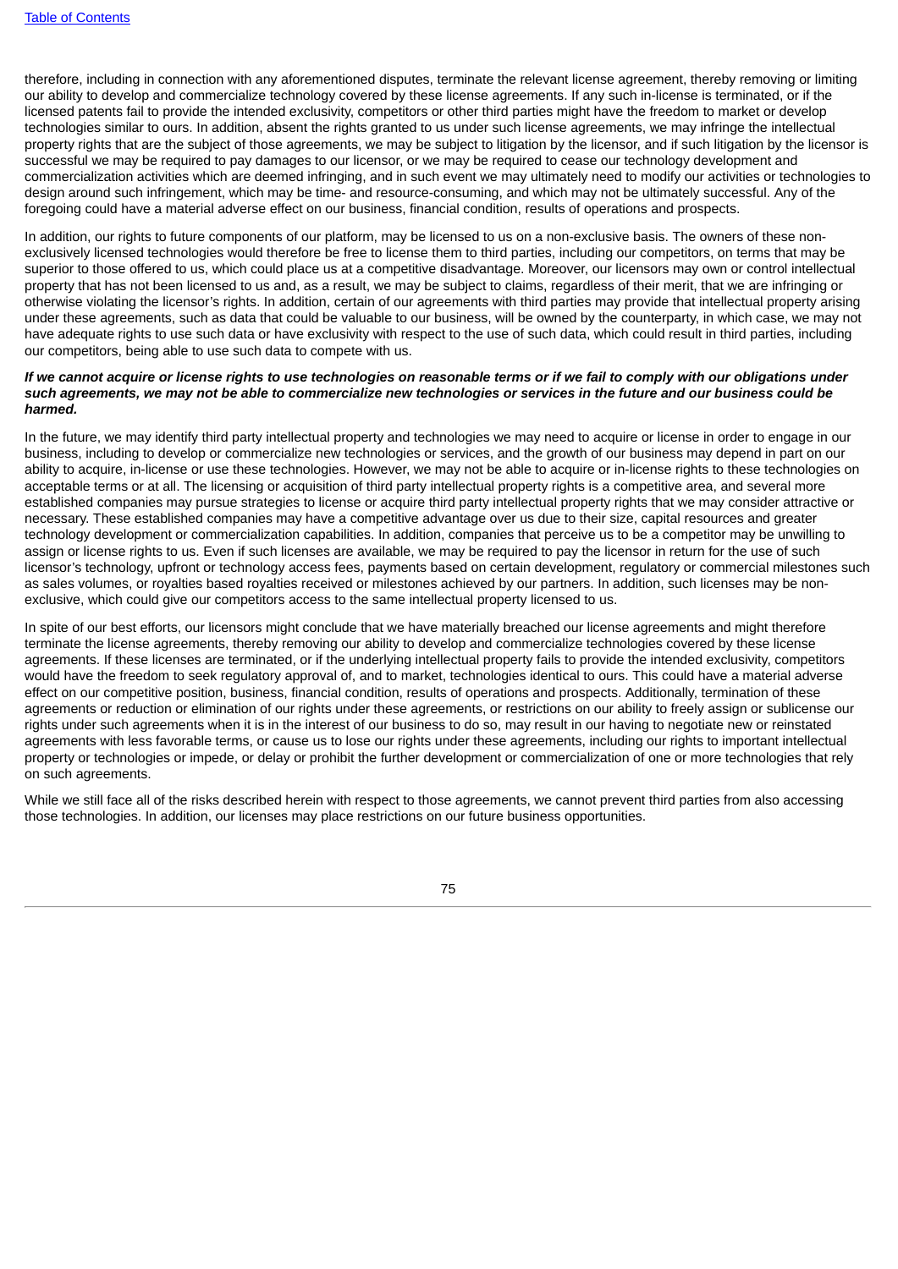therefore, including in connection with any aforementioned disputes, terminate the relevant license agreement, thereby removing or limiting our ability to develop and commercialize technology covered by these license agreements. If any such in-license is terminated, or if the licensed patents fail to provide the intended exclusivity, competitors or other third parties might have the freedom to market or develop technologies similar to ours. In addition, absent the rights granted to us under such license agreements, we may infringe the intellectual property rights that are the subject of those agreements, we may be subject to litigation by the licensor, and if such litigation by the licensor is successful we may be required to pay damages to our licensor, or we may be required to cease our technology development and commercialization activities which are deemed infringing, and in such event we may ultimately need to modify our activities or technologies to design around such infringement, which may be time- and resource-consuming, and which may not be ultimately successful. Any of the foregoing could have a material adverse effect on our business, financial condition, results of operations and prospects.

In addition, our rights to future components of our platform, may be licensed to us on a non-exclusive basis. The owners of these nonexclusively licensed technologies would therefore be free to license them to third parties, including our competitors, on terms that may be superior to those offered to us, which could place us at a competitive disadvantage. Moreover, our licensors may own or control intellectual property that has not been licensed to us and, as a result, we may be subject to claims, regardless of their merit, that we are infringing or otherwise violating the licensor's rights. In addition, certain of our agreements with third parties may provide that intellectual property arising under these agreements, such as data that could be valuable to our business, will be owned by the counterparty, in which case, we may not have adequate rights to use such data or have exclusivity with respect to the use of such data, which could result in third parties, including our competitors, being able to use such data to compete with us.

#### If we cannot acquire or license rights to use technologies on reasonable terms or if we fail to comply with our obligations under such agreements, we may not be able to commercialize new technologies or services in the future and our business could be *harmed.*

In the future, we may identify third party intellectual property and technologies we may need to acquire or license in order to engage in our business, including to develop or commercialize new technologies or services, and the growth of our business may depend in part on our ability to acquire, in-license or use these technologies. However, we may not be able to acquire or in-license rights to these technologies on acceptable terms or at all. The licensing or acquisition of third party intellectual property rights is a competitive area, and several more established companies may pursue strategies to license or acquire third party intellectual property rights that we may consider attractive or necessary. These established companies may have a competitive advantage over us due to their size, capital resources and greater technology development or commercialization capabilities. In addition, companies that perceive us to be a competitor may be unwilling to assign or license rights to us. Even if such licenses are available, we may be required to pay the licensor in return for the use of such licensor's technology, upfront or technology access fees, payments based on certain development, regulatory or commercial milestones such as sales volumes, or royalties based royalties received or milestones achieved by our partners. In addition, such licenses may be nonexclusive, which could give our competitors access to the same intellectual property licensed to us.

In spite of our best efforts, our licensors might conclude that we have materially breached our license agreements and might therefore terminate the license agreements, thereby removing our ability to develop and commercialize technologies covered by these license agreements. If these licenses are terminated, or if the underlying intellectual property fails to provide the intended exclusivity, competitors would have the freedom to seek regulatory approval of, and to market, technologies identical to ours. This could have a material adverse effect on our competitive position, business, financial condition, results of operations and prospects. Additionally, termination of these agreements or reduction or elimination of our rights under these agreements, or restrictions on our ability to freely assign or sublicense our rights under such agreements when it is in the interest of our business to do so, may result in our having to negotiate new or reinstated agreements with less favorable terms, or cause us to lose our rights under these agreements, including our rights to important intellectual property or technologies or impede, or delay or prohibit the further development or commercialization of one or more technologies that rely on such agreements.

While we still face all of the risks described herein with respect to those agreements, we cannot prevent third parties from also accessing those technologies. In addition, our licenses may place restrictions on our future business opportunities.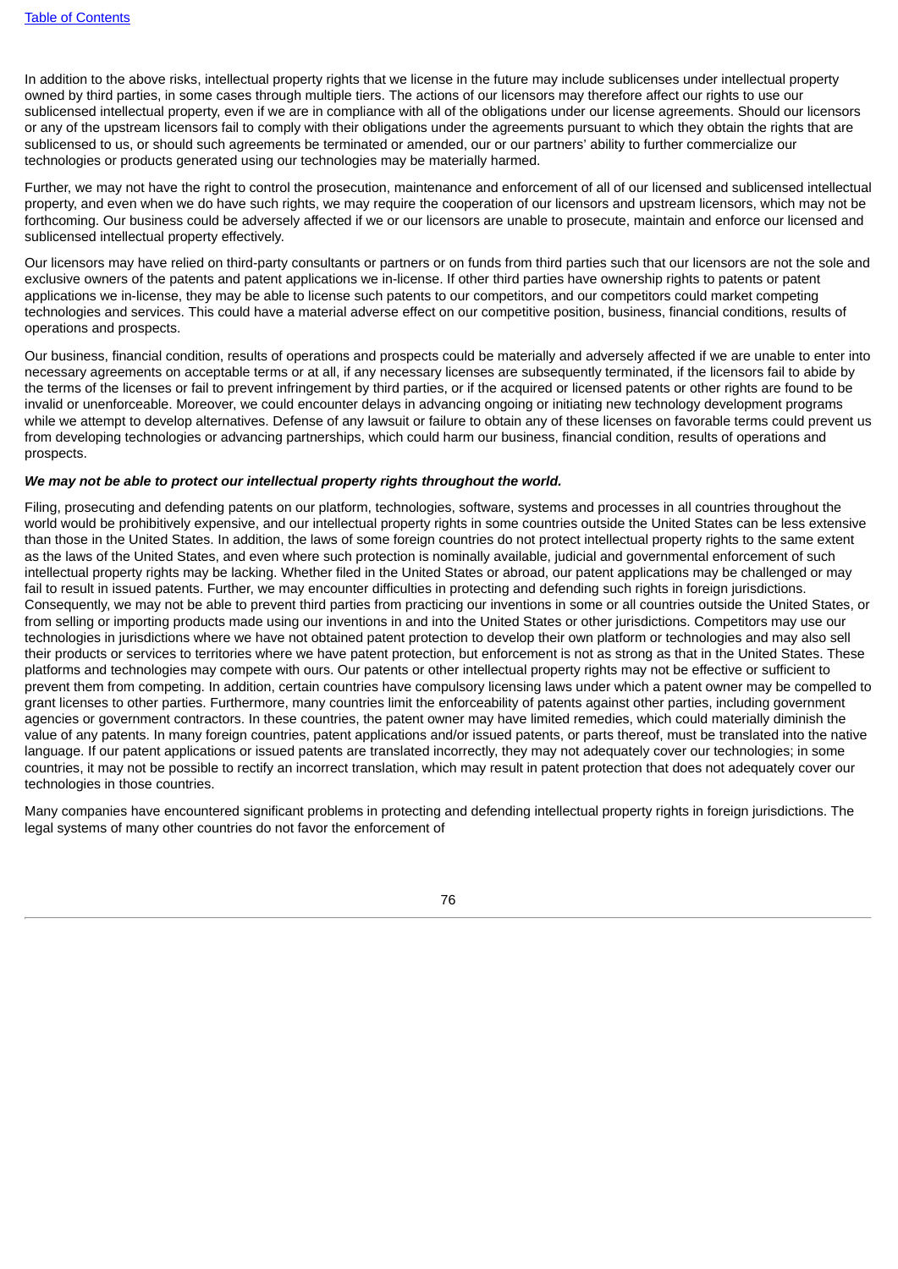In addition to the above risks, intellectual property rights that we license in the future may include sublicenses under intellectual property owned by third parties, in some cases through multiple tiers. The actions of our licensors may therefore affect our rights to use our sublicensed intellectual property, even if we are in compliance with all of the obligations under our license agreements. Should our licensors or any of the upstream licensors fail to comply with their obligations under the agreements pursuant to which they obtain the rights that are sublicensed to us, or should such agreements be terminated or amended, our or our partners' ability to further commercialize our technologies or products generated using our technologies may be materially harmed.

Further, we may not have the right to control the prosecution, maintenance and enforcement of all of our licensed and sublicensed intellectual property, and even when we do have such rights, we may require the cooperation of our licensors and upstream licensors, which may not be forthcoming. Our business could be adversely affected if we or our licensors are unable to prosecute, maintain and enforce our licensed and sublicensed intellectual property effectively.

Our licensors may have relied on third-party consultants or partners or on funds from third parties such that our licensors are not the sole and exclusive owners of the patents and patent applications we in-license. If other third parties have ownership rights to patents or patent applications we in-license, they may be able to license such patents to our competitors, and our competitors could market competing technologies and services. This could have a material adverse effect on our competitive position, business, financial conditions, results of operations and prospects.

Our business, financial condition, results of operations and prospects could be materially and adversely affected if we are unable to enter into necessary agreements on acceptable terms or at all, if any necessary licenses are subsequently terminated, if the licensors fail to abide by the terms of the licenses or fail to prevent infringement by third parties, or if the acquired or licensed patents or other rights are found to be invalid or unenforceable. Moreover, we could encounter delays in advancing ongoing or initiating new technology development programs while we attempt to develop alternatives. Defense of any lawsuit or failure to obtain any of these licenses on favorable terms could prevent us from developing technologies or advancing partnerships, which could harm our business, financial condition, results of operations and prospects.

#### *We may not be able to protect our intellectual property rights throughout the world.*

Filing, prosecuting and defending patents on our platform, technologies, software, systems and processes in all countries throughout the world would be prohibitively expensive, and our intellectual property rights in some countries outside the United States can be less extensive than those in the United States. In addition, the laws of some foreign countries do not protect intellectual property rights to the same extent as the laws of the United States, and even where such protection is nominally available, judicial and governmental enforcement of such intellectual property rights may be lacking. Whether filed in the United States or abroad, our patent applications may be challenged or may fail to result in issued patents. Further, we may encounter difficulties in protecting and defending such rights in foreign jurisdictions. Consequently, we may not be able to prevent third parties from practicing our inventions in some or all countries outside the United States, or from selling or importing products made using our inventions in and into the United States or other jurisdictions. Competitors may use our technologies in jurisdictions where we have not obtained patent protection to develop their own platform or technologies and may also sell their products or services to territories where we have patent protection, but enforcement is not as strong as that in the United States. These platforms and technologies may compete with ours. Our patents or other intellectual property rights may not be effective or sufficient to prevent them from competing. In addition, certain countries have compulsory licensing laws under which a patent owner may be compelled to grant licenses to other parties. Furthermore, many countries limit the enforceability of patents against other parties, including government agencies or government contractors. In these countries, the patent owner may have limited remedies, which could materially diminish the value of any patents. In many foreign countries, patent applications and/or issued patents, or parts thereof, must be translated into the native language. If our patent applications or issued patents are translated incorrectly, they may not adequately cover our technologies; in some countries, it may not be possible to rectify an incorrect translation, which may result in patent protection that does not adequately cover our technologies in those countries.

Many companies have encountered significant problems in protecting and defending intellectual property rights in foreign jurisdictions. The legal systems of many other countries do not favor the enforcement of

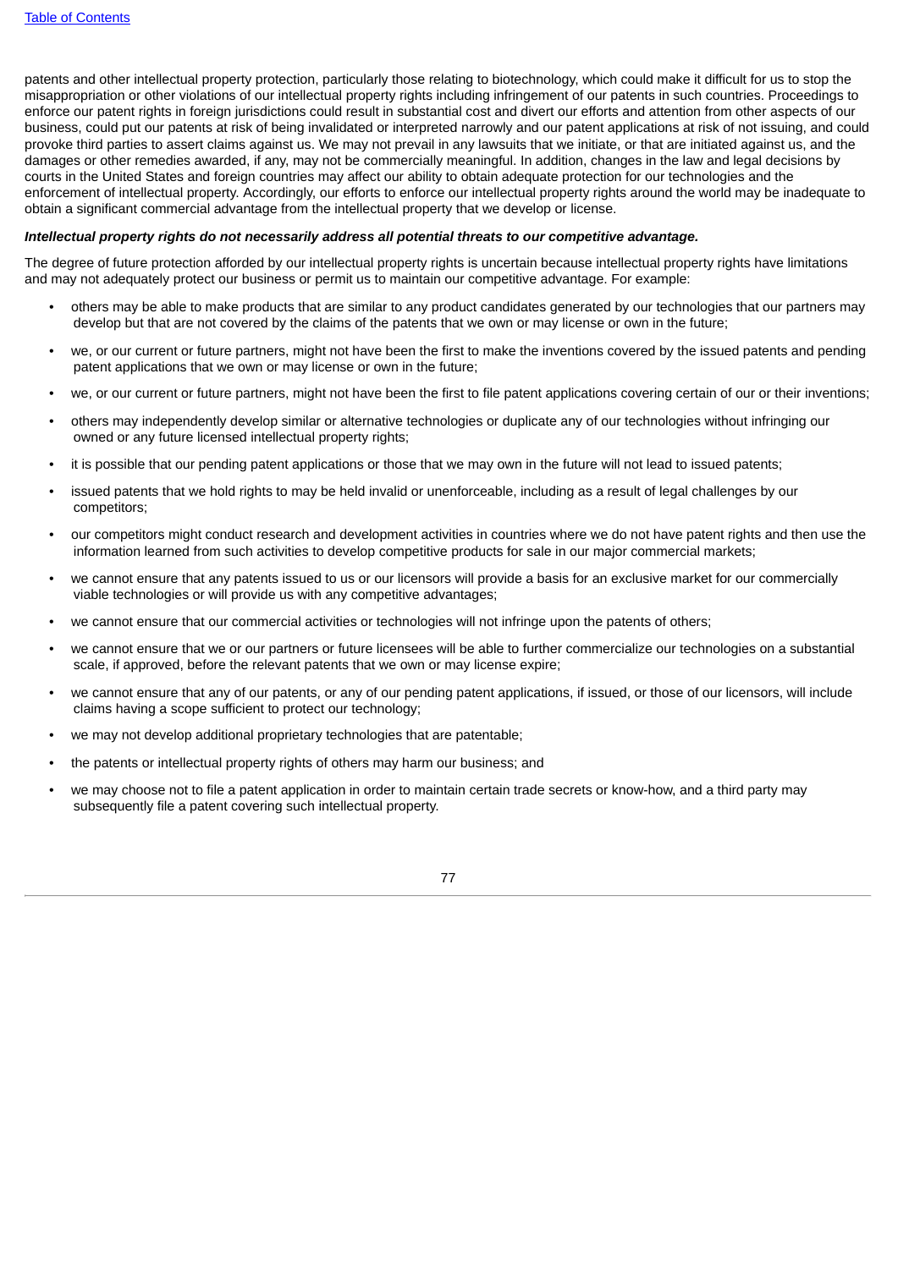patents and other intellectual property protection, particularly those relating to biotechnology, which could make it difficult for us to stop the misappropriation or other violations of our intellectual property rights including infringement of our patents in such countries. Proceedings to enforce our patent rights in foreign jurisdictions could result in substantial cost and divert our efforts and attention from other aspects of our business, could put our patents at risk of being invalidated or interpreted narrowly and our patent applications at risk of not issuing, and could provoke third parties to assert claims against us. We may not prevail in any lawsuits that we initiate, or that are initiated against us, and the damages or other remedies awarded, if any, may not be commercially meaningful. In addition, changes in the law and legal decisions by courts in the United States and foreign countries may affect our ability to obtain adequate protection for our technologies and the enforcement of intellectual property. Accordingly, our efforts to enforce our intellectual property rights around the world may be inadequate to obtain a significant commercial advantage from the intellectual property that we develop or license.

#### *Intellectual property rights do not necessarily address all potential threats to our competitive advantage.*

The degree of future protection afforded by our intellectual property rights is uncertain because intellectual property rights have limitations and may not adequately protect our business or permit us to maintain our competitive advantage. For example:

- others may be able to make products that are similar to any product candidates generated by our technologies that our partners may develop but that are not covered by the claims of the patents that we own or may license or own in the future;
- we, or our current or future partners, might not have been the first to make the inventions covered by the issued patents and pending patent applications that we own or may license or own in the future;
- we, or our current or future partners, might not have been the first to file patent applications covering certain of our or their inventions;
- others may independently develop similar or alternative technologies or duplicate any of our technologies without infringing our owned or any future licensed intellectual property rights;
- it is possible that our pending patent applications or those that we may own in the future will not lead to issued patents:
- issued patents that we hold rights to may be held invalid or unenforceable, including as a result of legal challenges by our competitors;
- our competitors might conduct research and development activities in countries where we do not have patent rights and then use the information learned from such activities to develop competitive products for sale in our major commercial markets;
- we cannot ensure that any patents issued to us or our licensors will provide a basis for an exclusive market for our commercially viable technologies or will provide us with any competitive advantages;
- we cannot ensure that our commercial activities or technologies will not infringe upon the patents of others;
- we cannot ensure that we or our partners or future licensees will be able to further commercialize our technologies on a substantial scale, if approved, before the relevant patents that we own or may license expire;
- we cannot ensure that any of our patents, or any of our pending patent applications, if issued, or those of our licensors, will include claims having a scope sufficient to protect our technology;
- we may not develop additional proprietary technologies that are patentable;
- the patents or intellectual property rights of others may harm our business; and
- we may choose not to file a patent application in order to maintain certain trade secrets or know-how, and a third party may subsequently file a patent covering such intellectual property.

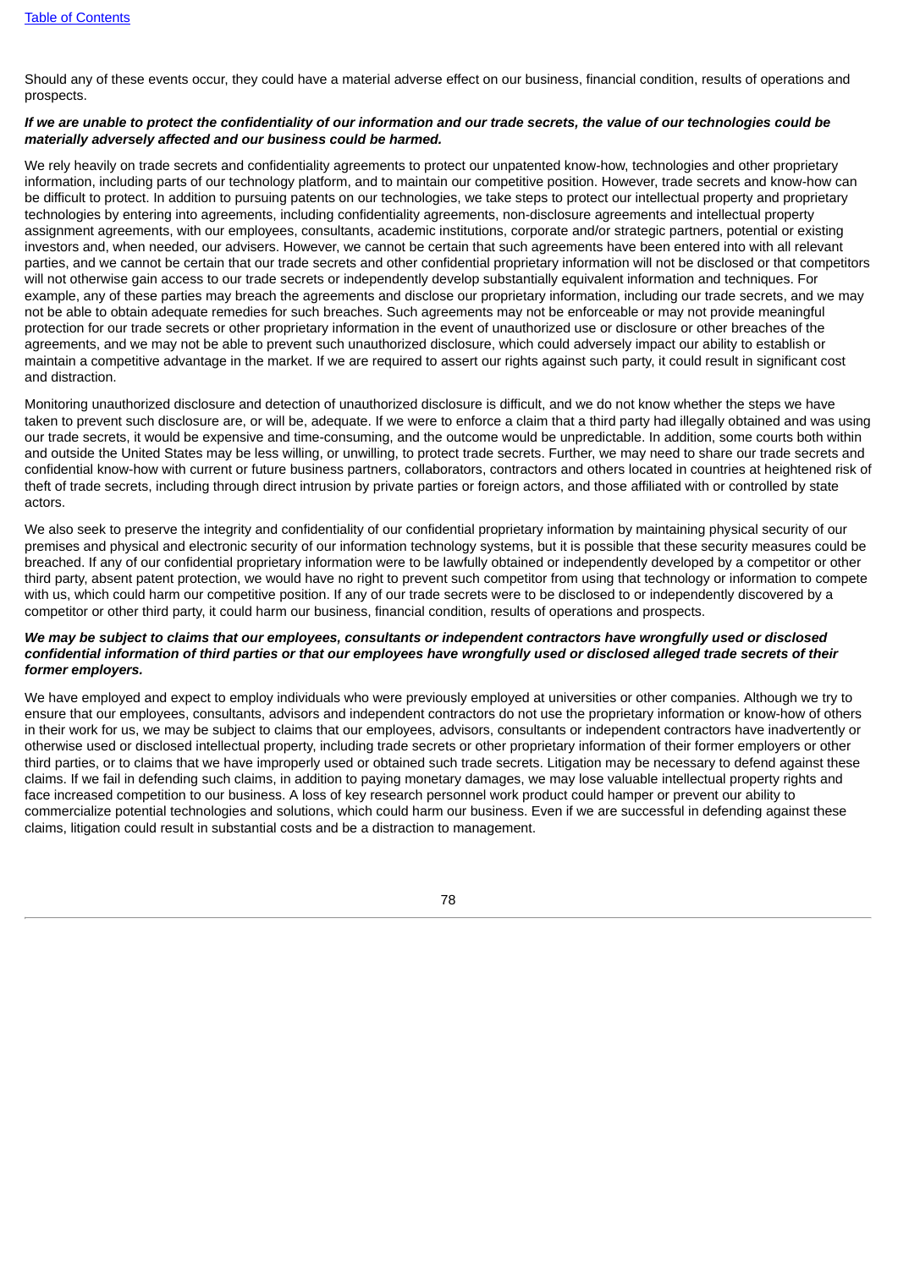Should any of these events occur, they could have a material adverse effect on our business, financial condition, results of operations and prospects.

### If we are unable to protect the confidentiality of our information and our trade secrets, the value of our technologies could be *materially adversely affected and our business could be harmed.*

We rely heavily on trade secrets and confidentiality agreements to protect our unpatented know-how, technologies and other proprietary information, including parts of our technology platform, and to maintain our competitive position. However, trade secrets and know-how can be difficult to protect. In addition to pursuing patents on our technologies, we take steps to protect our intellectual property and proprietary technologies by entering into agreements, including confidentiality agreements, non-disclosure agreements and intellectual property assignment agreements, with our employees, consultants, academic institutions, corporate and/or strategic partners, potential or existing investors and, when needed, our advisers. However, we cannot be certain that such agreements have been entered into with all relevant parties, and we cannot be certain that our trade secrets and other confidential proprietary information will not be disclosed or that competitors will not otherwise gain access to our trade secrets or independently develop substantially equivalent information and techniques. For example, any of these parties may breach the agreements and disclose our proprietary information, including our trade secrets, and we may not be able to obtain adequate remedies for such breaches. Such agreements may not be enforceable or may not provide meaningful protection for our trade secrets or other proprietary information in the event of unauthorized use or disclosure or other breaches of the agreements, and we may not be able to prevent such unauthorized disclosure, which could adversely impact our ability to establish or maintain a competitive advantage in the market. If we are required to assert our rights against such party, it could result in significant cost and distraction.

Monitoring unauthorized disclosure and detection of unauthorized disclosure is difficult, and we do not know whether the steps we have taken to prevent such disclosure are, or will be, adequate. If we were to enforce a claim that a third party had illegally obtained and was using our trade secrets, it would be expensive and time-consuming, and the outcome would be unpredictable. In addition, some courts both within and outside the United States may be less willing, or unwilling, to protect trade secrets. Further, we may need to share our trade secrets and confidential know-how with current or future business partners, collaborators, contractors and others located in countries at heightened risk of theft of trade secrets, including through direct intrusion by private parties or foreign actors, and those affiliated with or controlled by state actors.

We also seek to preserve the integrity and confidentiality of our confidential proprietary information by maintaining physical security of our premises and physical and electronic security of our information technology systems, but it is possible that these security measures could be breached. If any of our confidential proprietary information were to be lawfully obtained or independently developed by a competitor or other third party, absent patent protection, we would have no right to prevent such competitor from using that technology or information to compete with us, which could harm our competitive position. If any of our trade secrets were to be disclosed to or independently discovered by a competitor or other third party, it could harm our business, financial condition, results of operations and prospects.

# We may be subject to claims that our employees, consultants or independent contractors have wrongfully used or disclosed confidential information of third parties or that our employees have wrongfully used or disclosed alleged trade secrets of their *former employers.*

We have employed and expect to employ individuals who were previously employed at universities or other companies. Although we try to ensure that our employees, consultants, advisors and independent contractors do not use the proprietary information or know-how of others in their work for us, we may be subject to claims that our employees, advisors, consultants or independent contractors have inadvertently or otherwise used or disclosed intellectual property, including trade secrets or other proprietary information of their former employers or other third parties, or to claims that we have improperly used or obtained such trade secrets. Litigation may be necessary to defend against these claims. If we fail in defending such claims, in addition to paying monetary damages, we may lose valuable intellectual property rights and face increased competition to our business. A loss of key research personnel work product could hamper or prevent our ability to commercialize potential technologies and solutions, which could harm our business. Even if we are successful in defending against these claims, litigation could result in substantial costs and be a distraction to management.

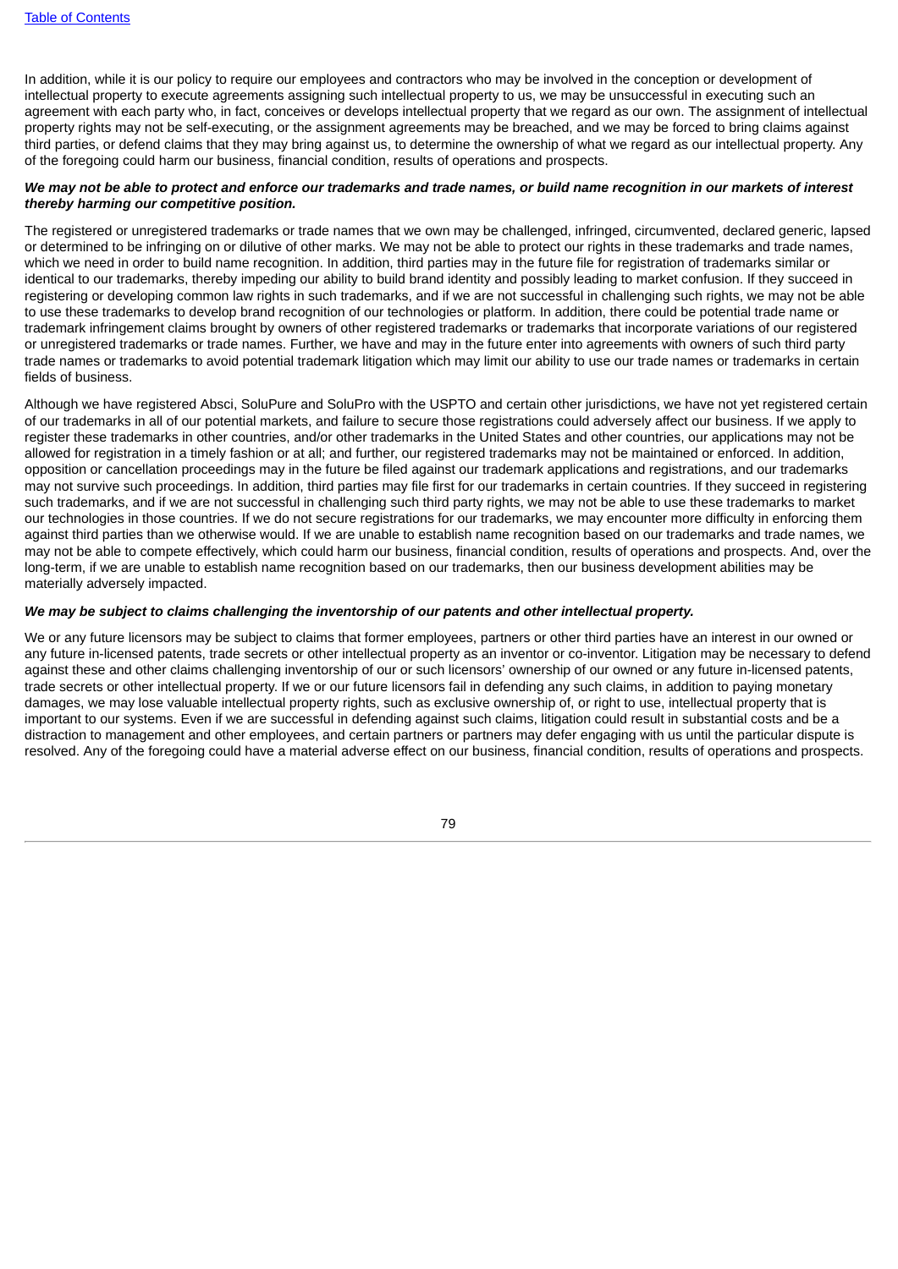In addition, while it is our policy to require our employees and contractors who may be involved in the conception or development of intellectual property to execute agreements assigning such intellectual property to us, we may be unsuccessful in executing such an agreement with each party who, in fact, conceives or develops intellectual property that we regard as our own. The assignment of intellectual property rights may not be self-executing, or the assignment agreements may be breached, and we may be forced to bring claims against third parties, or defend claims that they may bring against us, to determine the ownership of what we regard as our intellectual property. Any of the foregoing could harm our business, financial condition, results of operations and prospects.

#### We may not be able to protect and enforce our trademarks and trade names, or build name recognition in our markets of interest *thereby harming our competitive position.*

The registered or unregistered trademarks or trade names that we own may be challenged, infringed, circumvented, declared generic, lapsed or determined to be infringing on or dilutive of other marks. We may not be able to protect our rights in these trademarks and trade names, which we need in order to build name recognition. In addition, third parties may in the future file for registration of trademarks similar or identical to our trademarks, thereby impeding our ability to build brand identity and possibly leading to market confusion. If they succeed in registering or developing common law rights in such trademarks, and if we are not successful in challenging such rights, we may not be able to use these trademarks to develop brand recognition of our technologies or platform. In addition, there could be potential trade name or trademark infringement claims brought by owners of other registered trademarks or trademarks that incorporate variations of our registered or unregistered trademarks or trade names. Further, we have and may in the future enter into agreements with owners of such third party trade names or trademarks to avoid potential trademark litigation which may limit our ability to use our trade names or trademarks in certain fields of business.

Although we have registered Absci, SoluPure and SoluPro with the USPTO and certain other jurisdictions, we have not yet registered certain of our trademarks in all of our potential markets, and failure to secure those registrations could adversely affect our business. If we apply to register these trademarks in other countries, and/or other trademarks in the United States and other countries, our applications may not be allowed for registration in a timely fashion or at all; and further, our registered trademarks may not be maintained or enforced. In addition, opposition or cancellation proceedings may in the future be filed against our trademark applications and registrations, and our trademarks may not survive such proceedings. In addition, third parties may file first for our trademarks in certain countries. If they succeed in registering such trademarks, and if we are not successful in challenging such third party rights, we may not be able to use these trademarks to market our technologies in those countries. If we do not secure registrations for our trademarks, we may encounter more difficulty in enforcing them against third parties than we otherwise would. If we are unable to establish name recognition based on our trademarks and trade names, we may not be able to compete effectively, which could harm our business, financial condition, results of operations and prospects. And, over the long-term, if we are unable to establish name recognition based on our trademarks, then our business development abilities may be materially adversely impacted.

# *We may be subject to claims challenging the inventorship of our patents and other intellectual property.*

We or any future licensors may be subject to claims that former employees, partners or other third parties have an interest in our owned or any future in-licensed patents, trade secrets or other intellectual property as an inventor or co-inventor. Litigation may be necessary to defend against these and other claims challenging inventorship of our or such licensors' ownership of our owned or any future in-licensed patents, trade secrets or other intellectual property. If we or our future licensors fail in defending any such claims, in addition to paying monetary damages, we may lose valuable intellectual property rights, such as exclusive ownership of, or right to use, intellectual property that is important to our systems. Even if we are successful in defending against such claims, litigation could result in substantial costs and be a distraction to management and other employees, and certain partners or partners may defer engaging with us until the particular dispute is resolved. Any of the foregoing could have a material adverse effect on our business, financial condition, results of operations and prospects.

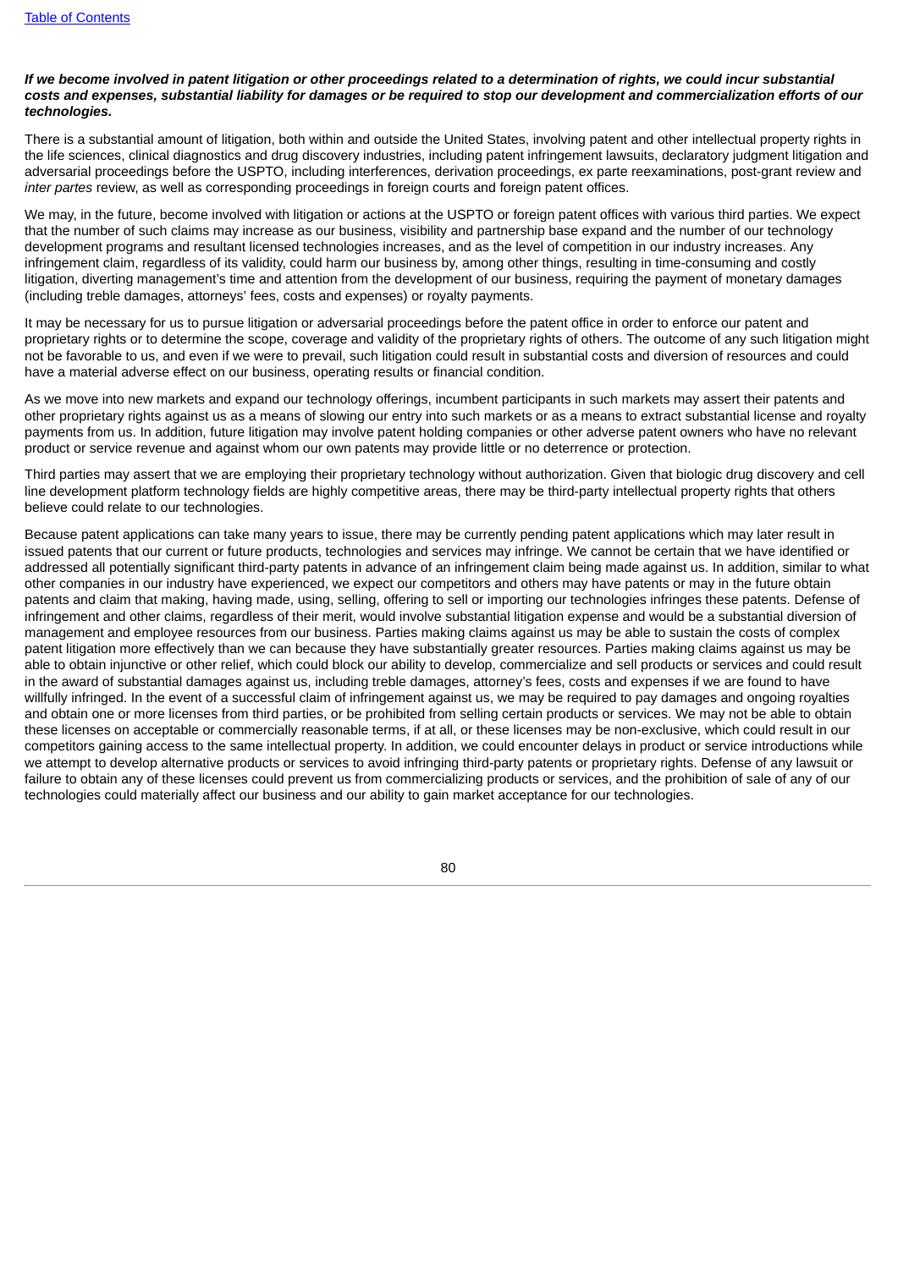#### If we become involved in patent litigation or other proceedings related to a determination of rights, we could incur substantial costs and expenses, substantial liability for damages or be required to stop our development and commercialization efforts of our *technologies.*

There is a substantial amount of litigation, both within and outside the United States, involving patent and other intellectual property rights in the life sciences, clinical diagnostics and drug discovery industries, including patent infringement lawsuits, declaratory judgment litigation and adversarial proceedings before the USPTO, including interferences, derivation proceedings, ex parte reexaminations, post-grant review and *inter partes* review, as well as corresponding proceedings in foreign courts and foreign patent offices.

We may, in the future, become involved with litigation or actions at the USPTO or foreign patent offices with various third parties. We expect that the number of such claims may increase as our business, visibility and partnership base expand and the number of our technology development programs and resultant licensed technologies increases, and as the level of competition in our industry increases. Any infringement claim, regardless of its validity, could harm our business by, among other things, resulting in time-consuming and costly litigation, diverting management's time and attention from the development of our business, requiring the payment of monetary damages (including treble damages, attorneys' fees, costs and expenses) or royalty payments.

It may be necessary for us to pursue litigation or adversarial proceedings before the patent office in order to enforce our patent and proprietary rights or to determine the scope, coverage and validity of the proprietary rights of others. The outcome of any such litigation might not be favorable to us, and even if we were to prevail, such litigation could result in substantial costs and diversion of resources and could have a material adverse effect on our business, operating results or financial condition.

As we move into new markets and expand our technology offerings, incumbent participants in such markets may assert their patents and other proprietary rights against us as a means of slowing our entry into such markets or as a means to extract substantial license and royalty payments from us. In addition, future litigation may involve patent holding companies or other adverse patent owners who have no relevant product or service revenue and against whom our own patents may provide little or no deterrence or protection.

Third parties may assert that we are employing their proprietary technology without authorization. Given that biologic drug discovery and cell line development platform technology fields are highly competitive areas, there may be third-party intellectual property rights that others believe could relate to our technologies.

Because patent applications can take many years to issue, there may be currently pending patent applications which may later result in issued patents that our current or future products, technologies and services may infringe. We cannot be certain that we have identified or addressed all potentially significant third-party patents in advance of an infringement claim being made against us. In addition, similar to what other companies in our industry have experienced, we expect our competitors and others may have patents or may in the future obtain patents and claim that making, having made, using, selling, offering to sell or importing our technologies infringes these patents. Defense of infringement and other claims, regardless of their merit, would involve substantial litigation expense and would be a substantial diversion of management and employee resources from our business. Parties making claims against us may be able to sustain the costs of complex patent litigation more effectively than we can because they have substantially greater resources. Parties making claims against us may be able to obtain injunctive or other relief, which could block our ability to develop, commercialize and sell products or services and could result in the award of substantial damages against us, including treble damages, attorney's fees, costs and expenses if we are found to have willfully infringed. In the event of a successful claim of infringement against us, we may be required to pay damages and ongoing royalties and obtain one or more licenses from third parties, or be prohibited from selling certain products or services. We may not be able to obtain these licenses on acceptable or commercially reasonable terms, if at all, or these licenses may be non-exclusive, which could result in our competitors gaining access to the same intellectual property. In addition, we could encounter delays in product or service introductions while we attempt to develop alternative products or services to avoid infringing third-party patents or proprietary rights. Defense of any lawsuit or failure to obtain any of these licenses could prevent us from commercializing products or services, and the prohibition of sale of any of our technologies could materially affect our business and our ability to gain market acceptance for our technologies.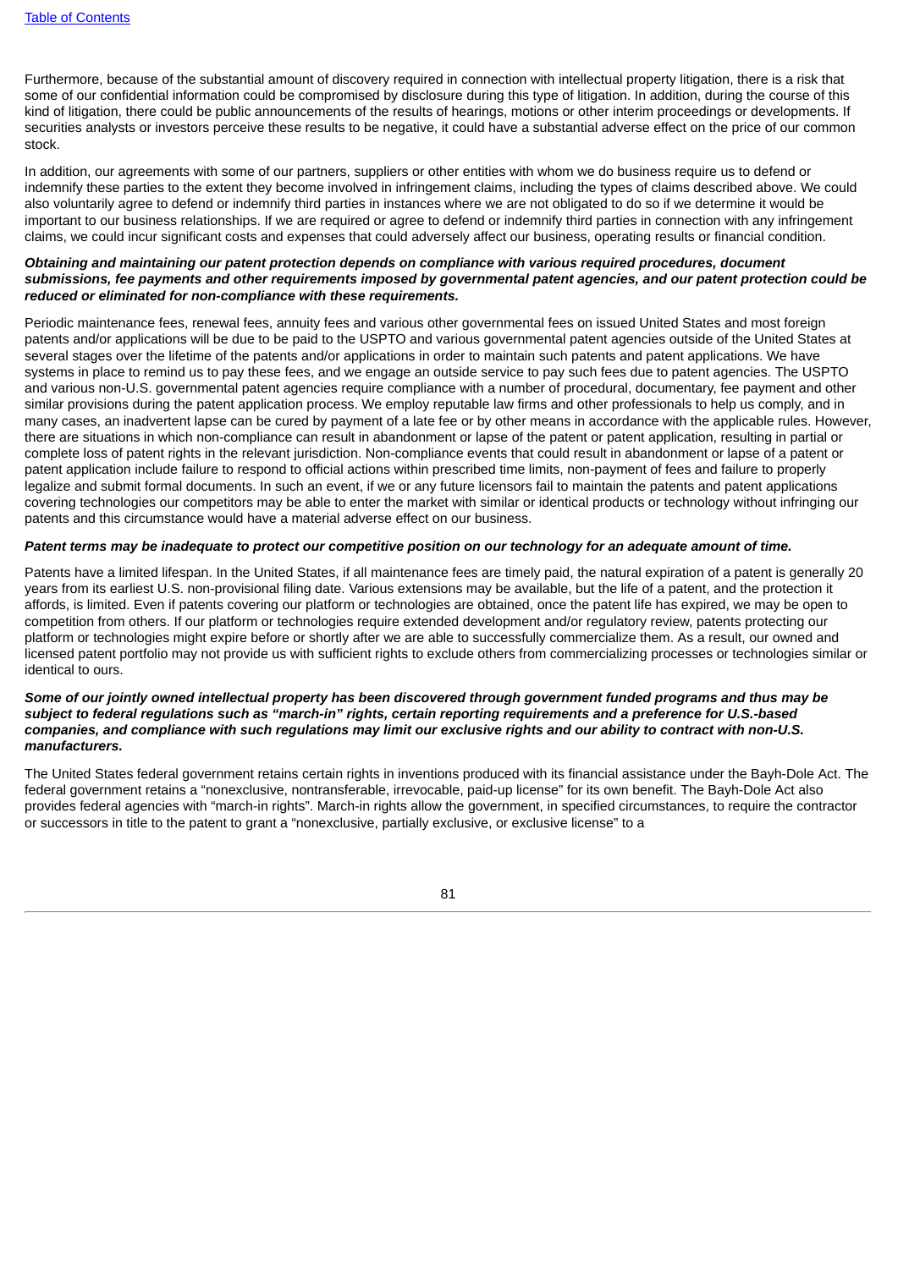Furthermore, because of the substantial amount of discovery required in connection with intellectual property litigation, there is a risk that some of our confidential information could be compromised by disclosure during this type of litigation. In addition, during the course of this kind of litigation, there could be public announcements of the results of hearings, motions or other interim proceedings or developments. If securities analysts or investors perceive these results to be negative, it could have a substantial adverse effect on the price of our common stock.

In addition, our agreements with some of our partners, suppliers or other entities with whom we do business require us to defend or indemnify these parties to the extent they become involved in infringement claims, including the types of claims described above. We could also voluntarily agree to defend or indemnify third parties in instances where we are not obligated to do so if we determine it would be important to our business relationships. If we are required or agree to defend or indemnify third parties in connection with any infringement claims, we could incur significant costs and expenses that could adversely affect our business, operating results or financial condition.

# *Obtaining and maintaining our patent protection depends on compliance with various required procedures, document* submissions, fee payments and other requirements imposed by governmental patent agencies, and our patent protection could be *reduced or eliminated for non-compliance with these requirements.*

Periodic maintenance fees, renewal fees, annuity fees and various other governmental fees on issued United States and most foreign patents and/or applications will be due to be paid to the USPTO and various governmental patent agencies outside of the United States at several stages over the lifetime of the patents and/or applications in order to maintain such patents and patent applications. We have systems in place to remind us to pay these fees, and we engage an outside service to pay such fees due to patent agencies. The USPTO and various non-U.S. governmental patent agencies require compliance with a number of procedural, documentary, fee payment and other similar provisions during the patent application process. We employ reputable law firms and other professionals to help us comply, and in many cases, an inadvertent lapse can be cured by payment of a late fee or by other means in accordance with the applicable rules. However, there are situations in which non-compliance can result in abandonment or lapse of the patent or patent application, resulting in partial or complete loss of patent rights in the relevant jurisdiction. Non-compliance events that could result in abandonment or lapse of a patent or patent application include failure to respond to official actions within prescribed time limits, non-payment of fees and failure to properly legalize and submit formal documents. In such an event, if we or any future licensors fail to maintain the patents and patent applications covering technologies our competitors may be able to enter the market with similar or identical products or technology without infringing our patents and this circumstance would have a material adverse effect on our business.

#### Patent terms may be inadequate to protect our competitive position on our technology for an adequate amount of time.

Patents have a limited lifespan. In the United States, if all maintenance fees are timely paid, the natural expiration of a patent is generally 20 years from its earliest U.S. non-provisional filing date. Various extensions may be available, but the life of a patent, and the protection it affords, is limited. Even if patents covering our platform or technologies are obtained, once the patent life has expired, we may be open to competition from others. If our platform or technologies require extended development and/or regulatory review, patents protecting our platform or technologies might expire before or shortly after we are able to successfully commercialize them. As a result, our owned and licensed patent portfolio may not provide us with sufficient rights to exclude others from commercializing processes or technologies similar or identical to ours.

#### Some of our jointly owned intellectual property has been discovered through government funded programs and thus may be subject to federal regulations such as "march-in" rights, certain reporting reguirements and a preference for U.S.-based companies, and compliance with such regulations may limit our exclusive rights and our ability to contract with non-U.S. *manufacturers.*

The United States federal government retains certain rights in inventions produced with its financial assistance under the Bayh-Dole Act. The federal government retains a "nonexclusive, nontransferable, irrevocable, paid-up license" for its own benefit. The Bayh-Dole Act also provides federal agencies with "march-in rights". March-in rights allow the government, in specified circumstances, to require the contractor or successors in title to the patent to grant a "nonexclusive, partially exclusive, or exclusive license" to a

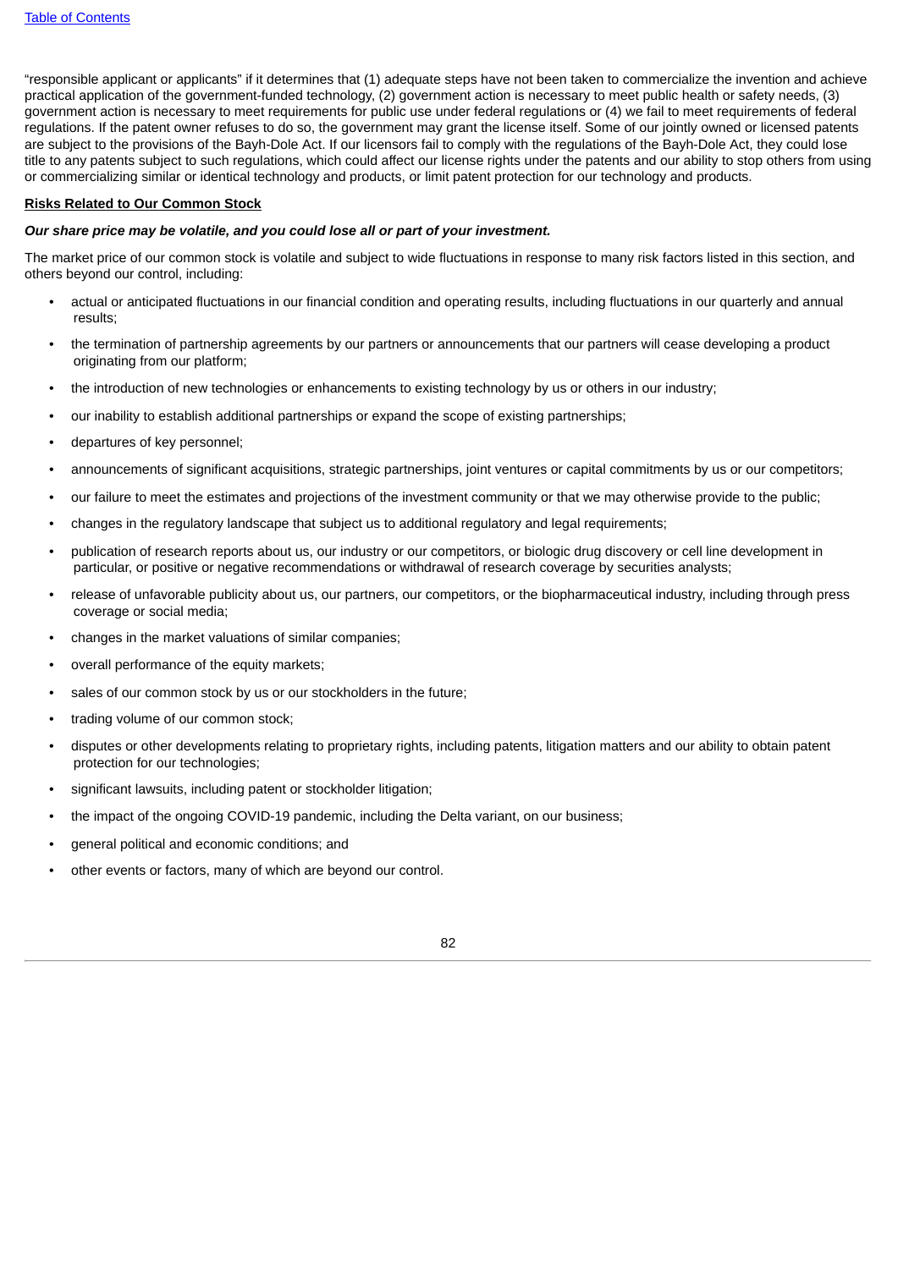"responsible applicant or applicants" if it determines that (1) adequate steps have not been taken to commercialize the invention and achieve practical application of the government-funded technology, (2) government action is necessary to meet public health or safety needs, (3) government action is necessary to meet requirements for public use under federal regulations or (4) we fail to meet requirements of federal regulations. If the patent owner refuses to do so, the government may grant the license itself. Some of our jointly owned or licensed patents are subject to the provisions of the Bayh-Dole Act. If our licensors fail to comply with the regulations of the Bayh-Dole Act, they could lose title to any patents subject to such regulations, which could affect our license rights under the patents and our ability to stop others from using or commercializing similar or identical technology and products, or limit patent protection for our technology and products.

#### **Risks Related to Our Common Stock**

#### *Our share price may be volatile, and you could lose all or part of your investment.*

The market price of our common stock is volatile and subject to wide fluctuations in response to many risk factors listed in this section, and others beyond our control, including:

- actual or anticipated fluctuations in our financial condition and operating results, including fluctuations in our quarterly and annual results;
- the termination of partnership agreements by our partners or announcements that our partners will cease developing a product originating from our platform;
- the introduction of new technologies or enhancements to existing technology by us or others in our industry;
- our inability to establish additional partnerships or expand the scope of existing partnerships;
- departures of key personnel;
- announcements of significant acquisitions, strategic partnerships, joint ventures or capital commitments by us or our competitors;
- our failure to meet the estimates and projections of the investment community or that we may otherwise provide to the public;
- changes in the regulatory landscape that subject us to additional regulatory and legal requirements;
- publication of research reports about us, our industry or our competitors, or biologic drug discovery or cell line development in particular, or positive or negative recommendations or withdrawal of research coverage by securities analysts;
- release of unfavorable publicity about us, our partners, our competitors, or the biopharmaceutical industry, including through press coverage or social media;
- changes in the market valuations of similar companies;
- overall performance of the equity markets;
- sales of our common stock by us or our stockholders in the future;
- trading volume of our common stock;
- disputes or other developments relating to proprietary rights, including patents, litigation matters and our ability to obtain patent protection for our technologies;
- significant lawsuits, including patent or stockholder litigation;
- the impact of the ongoing COVID-19 pandemic, including the Delta variant, on our business;
- general political and economic conditions; and
- other events or factors, many of which are beyond our control.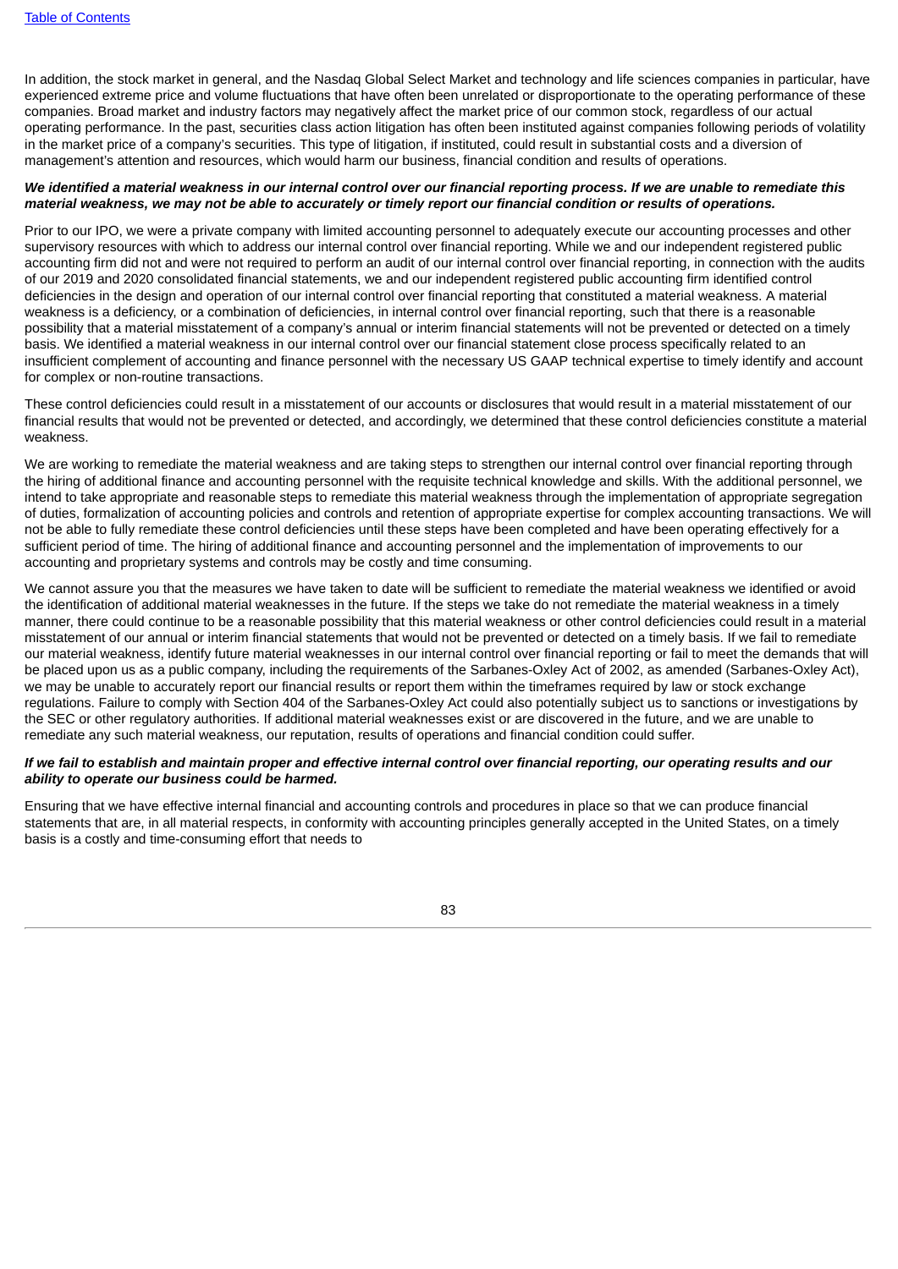In addition, the stock market in general, and the Nasdaq Global Select Market and technology and life sciences companies in particular, have experienced extreme price and volume fluctuations that have often been unrelated or disproportionate to the operating performance of these companies. Broad market and industry factors may negatively affect the market price of our common stock, regardless of our actual operating performance. In the past, securities class action litigation has often been instituted against companies following periods of volatility in the market price of a company's securities. This type of litigation, if instituted, could result in substantial costs and a diversion of management's attention and resources, which would harm our business, financial condition and results of operations.

#### We identified a material weakness in our internal control over our financial reporting process. If we are unable to remediate this material weakness, we may not be able to accurately or timely report our financial condition or results of operations.

Prior to our IPO, we were a private company with limited accounting personnel to adequately execute our accounting processes and other supervisory resources with which to address our internal control over financial reporting. While we and our independent registered public accounting firm did not and were not required to perform an audit of our internal control over financial reporting, in connection with the audits of our 2019 and 2020 consolidated financial statements, we and our independent registered public accounting firm identified control deficiencies in the design and operation of our internal control over financial reporting that constituted a material weakness. A material weakness is a deficiency, or a combination of deficiencies, in internal control over financial reporting, such that there is a reasonable possibility that a material misstatement of a company's annual or interim financial statements will not be prevented or detected on a timely basis. We identified a material weakness in our internal control over our financial statement close process specifically related to an insufficient complement of accounting and finance personnel with the necessary US GAAP technical expertise to timely identify and account for complex or non-routine transactions.

These control deficiencies could result in a misstatement of our accounts or disclosures that would result in a material misstatement of our financial results that would not be prevented or detected, and accordingly, we determined that these control deficiencies constitute a material weakness.

We are working to remediate the material weakness and are taking steps to strengthen our internal control over financial reporting through the hiring of additional finance and accounting personnel with the requisite technical knowledge and skills. With the additional personnel, we intend to take appropriate and reasonable steps to remediate this material weakness through the implementation of appropriate segregation of duties, formalization of accounting policies and controls and retention of appropriate expertise for complex accounting transactions. We will not be able to fully remediate these control deficiencies until these steps have been completed and have been operating effectively for a sufficient period of time. The hiring of additional finance and accounting personnel and the implementation of improvements to our accounting and proprietary systems and controls may be costly and time consuming.

We cannot assure you that the measures we have taken to date will be sufficient to remediate the material weakness we identified or avoid the identification of additional material weaknesses in the future. If the steps we take do not remediate the material weakness in a timely manner, there could continue to be a reasonable possibility that this material weakness or other control deficiencies could result in a material misstatement of our annual or interim financial statements that would not be prevented or detected on a timely basis. If we fail to remediate our material weakness, identify future material weaknesses in our internal control over financial reporting or fail to meet the demands that will be placed upon us as a public company, including the requirements of the Sarbanes-Oxley Act of 2002, as amended (Sarbanes-Oxley Act), we may be unable to accurately report our financial results or report them within the timeframes required by law or stock exchange regulations. Failure to comply with Section 404 of the Sarbanes-Oxley Act could also potentially subject us to sanctions or investigations by the SEC or other regulatory authorities. If additional material weaknesses exist or are discovered in the future, and we are unable to remediate any such material weakness, our reputation, results of operations and financial condition could suffer.

# If we fail to establish and maintain proper and effective internal control over financial reporting, our operating results and our *ability to operate our business could be harmed.*

Ensuring that we have effective internal financial and accounting controls and procedures in place so that we can produce financial statements that are, in all material respects, in conformity with accounting principles generally accepted in the United States, on a timely basis is a costly and time-consuming effort that needs to

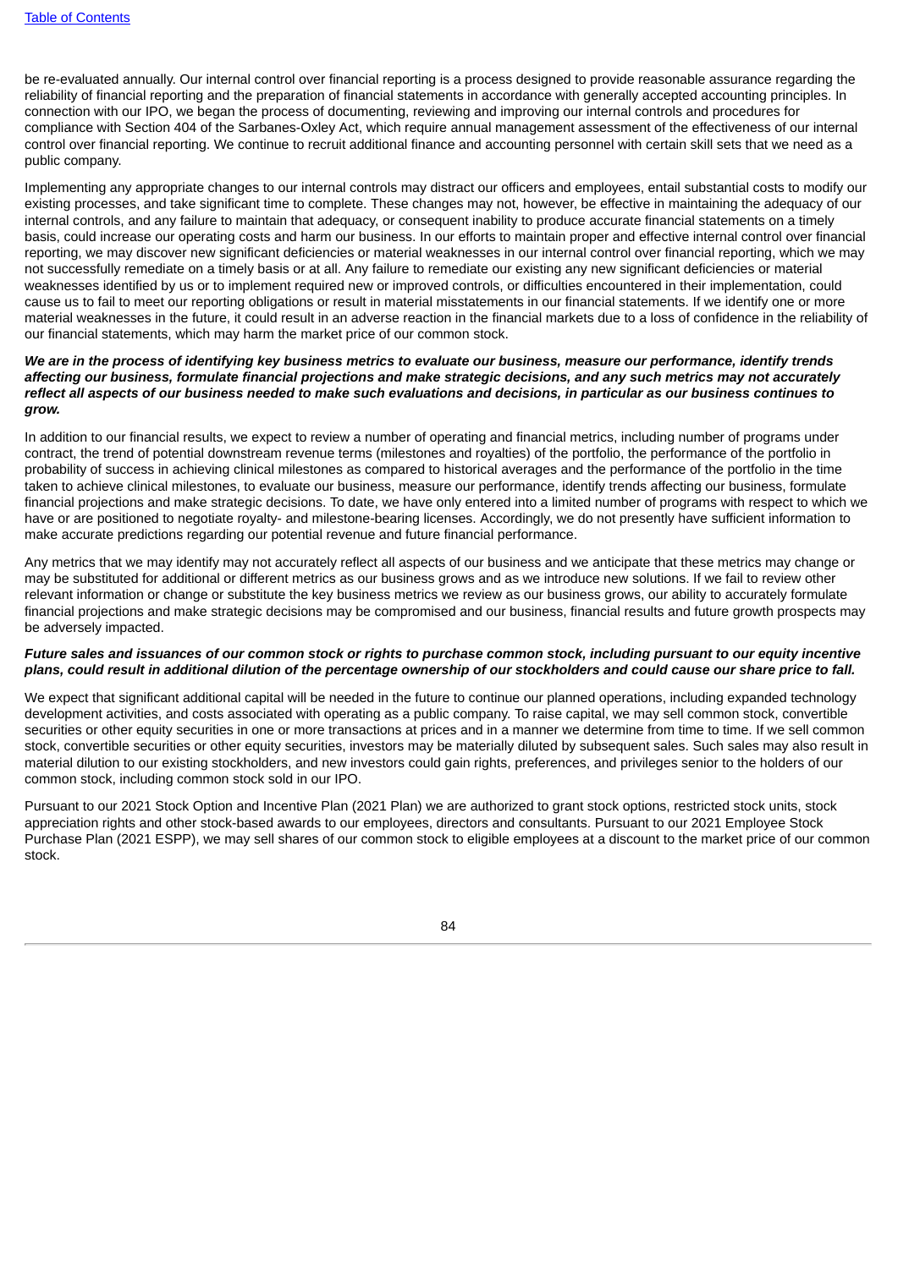be re-evaluated annually. Our internal control over financial reporting is a process designed to provide reasonable assurance regarding the reliability of financial reporting and the preparation of financial statements in accordance with generally accepted accounting principles. In connection with our IPO, we began the process of documenting, reviewing and improving our internal controls and procedures for compliance with Section 404 of the Sarbanes-Oxley Act, which require annual management assessment of the effectiveness of our internal control over financial reporting. We continue to recruit additional finance and accounting personnel with certain skill sets that we need as a public company.

Implementing any appropriate changes to our internal controls may distract our officers and employees, entail substantial costs to modify our existing processes, and take significant time to complete. These changes may not, however, be effective in maintaining the adequacy of our internal controls, and any failure to maintain that adequacy, or consequent inability to produce accurate financial statements on a timely basis, could increase our operating costs and harm our business. In our efforts to maintain proper and effective internal control over financial reporting, we may discover new significant deficiencies or material weaknesses in our internal control over financial reporting, which we may not successfully remediate on a timely basis or at all. Any failure to remediate our existing any new significant deficiencies or material weaknesses identified by us or to implement required new or improved controls, or difficulties encountered in their implementation, could cause us to fail to meet our reporting obligations or result in material misstatements in our financial statements. If we identify one or more material weaknesses in the future, it could result in an adverse reaction in the financial markets due to a loss of confidence in the reliability of our financial statements, which may harm the market price of our common stock.

#### We are in the process of identifying key business metrics to evaluate our business, measure our performance, identify trends affecting our business, formulate financial projections and make strategic decisions, and any such metrics may not accurately reflect all aspects of our business needed to make such evaluations and decisions, in particular as our business continues to *grow.*

In addition to our financial results, we expect to review a number of operating and financial metrics, including number of programs under contract, the trend of potential downstream revenue terms (milestones and royalties) of the portfolio, the performance of the portfolio in probability of success in achieving clinical milestones as compared to historical averages and the performance of the portfolio in the time taken to achieve clinical milestones, to evaluate our business, measure our performance, identify trends affecting our business, formulate financial projections and make strategic decisions. To date, we have only entered into a limited number of programs with respect to which we have or are positioned to negotiate royalty- and milestone-bearing licenses. Accordingly, we do not presently have sufficient information to make accurate predictions regarding our potential revenue and future financial performance.

Any metrics that we may identify may not accurately reflect all aspects of our business and we anticipate that these metrics may change or may be substituted for additional or different metrics as our business grows and as we introduce new solutions. If we fail to review other relevant information or change or substitute the key business metrics we review as our business grows, our ability to accurately formulate financial projections and make strategic decisions may be compromised and our business, financial results and future growth prospects may be adversely impacted.

#### Future sales and issuances of our common stock or rights to purchase common stock, including pursuant to our equity incentive plans, could result in additional dilution of the percentage ownership of our stockholders and could cause our share price to fall.

We expect that significant additional capital will be needed in the future to continue our planned operations, including expanded technology development activities, and costs associated with operating as a public company. To raise capital, we may sell common stock, convertible securities or other equity securities in one or more transactions at prices and in a manner we determine from time to time. If we sell common stock, convertible securities or other equity securities, investors may be materially diluted by subsequent sales. Such sales may also result in material dilution to our existing stockholders, and new investors could gain rights, preferences, and privileges senior to the holders of our common stock, including common stock sold in our IPO.

Pursuant to our 2021 Stock Option and Incentive Plan (2021 Plan) we are authorized to grant stock options, restricted stock units, stock appreciation rights and other stock-based awards to our employees, directors and consultants. Pursuant to our 2021 Employee Stock Purchase Plan (2021 ESPP), we may sell shares of our common stock to eligible employees at a discount to the market price of our common stock.

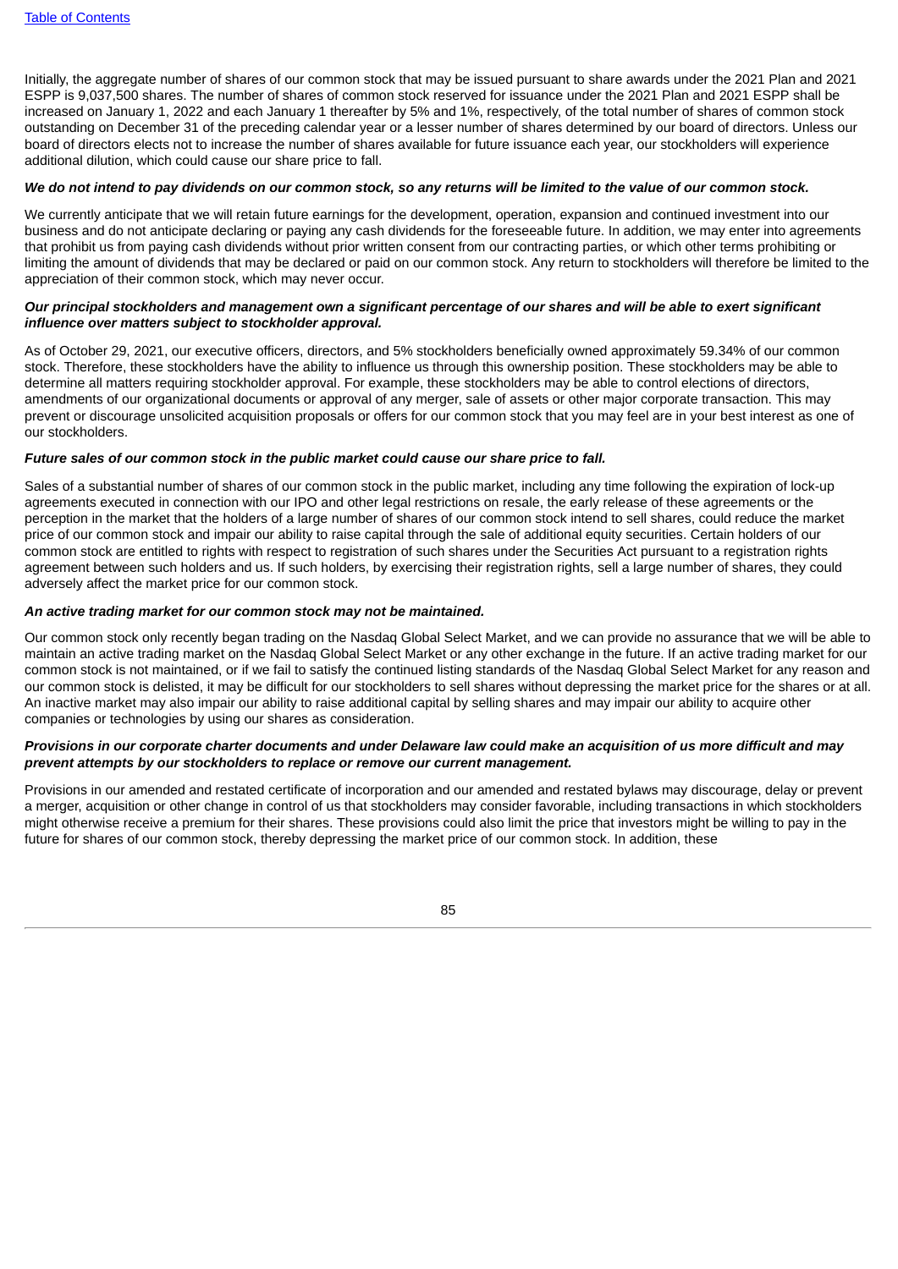Initially, the aggregate number of shares of our common stock that may be issued pursuant to share awards under the 2021 Plan and 2021 ESPP is 9,037,500 shares. The number of shares of common stock reserved for issuance under the 2021 Plan and 2021 ESPP shall be increased on January 1, 2022 and each January 1 thereafter by 5% and 1%, respectively, of the total number of shares of common stock outstanding on December 31 of the preceding calendar year or a lesser number of shares determined by our board of directors. Unless our board of directors elects not to increase the number of shares available for future issuance each year, our stockholders will experience additional dilution, which could cause our share price to fall.

#### We do not intend to pay dividends on our common stock, so any returns will be limited to the value of our common stock.

We currently anticipate that we will retain future earnings for the development, operation, expansion and continued investment into our business and do not anticipate declaring or paying any cash dividends for the foreseeable future. In addition, we may enter into agreements that prohibit us from paying cash dividends without prior written consent from our contracting parties, or which other terms prohibiting or limiting the amount of dividends that may be declared or paid on our common stock. Any return to stockholders will therefore be limited to the appreciation of their common stock, which may never occur.

#### Our principal stockholders and management own a significant percentage of our shares and will be able to exert significant *influence over matters subject to stockholder approval.*

As of October 29, 2021, our executive officers, directors, and 5% stockholders beneficially owned approximately 59.34% of our common stock. Therefore, these stockholders have the ability to influence us through this ownership position. These stockholders may be able to determine all matters requiring stockholder approval. For example, these stockholders may be able to control elections of directors, amendments of our organizational documents or approval of any merger, sale of assets or other major corporate transaction. This may prevent or discourage unsolicited acquisition proposals or offers for our common stock that you may feel are in your best interest as one of our stockholders.

### *Future sales of our common stock in the public market could cause our share price to fall.*

Sales of a substantial number of shares of our common stock in the public market, including any time following the expiration of lock-up agreements executed in connection with our IPO and other legal restrictions on resale, the early release of these agreements or the perception in the market that the holders of a large number of shares of our common stock intend to sell shares, could reduce the market price of our common stock and impair our ability to raise capital through the sale of additional equity securities. Certain holders of our common stock are entitled to rights with respect to registration of such shares under the Securities Act pursuant to a registration rights agreement between such holders and us. If such holders, by exercising their registration rights, sell a large number of shares, they could adversely affect the market price for our common stock.

#### *An active trading market for our common stock may not be maintained.*

Our common stock only recently began trading on the Nasdaq Global Select Market, and we can provide no assurance that we will be able to maintain an active trading market on the Nasdaq Global Select Market or any other exchange in the future. If an active trading market for our common stock is not maintained, or if we fail to satisfy the continued listing standards of the Nasdaq Global Select Market for any reason and our common stock is delisted, it may be difficult for our stockholders to sell shares without depressing the market price for the shares or at all. An inactive market may also impair our ability to raise additional capital by selling shares and may impair our ability to acquire other companies or technologies by using our shares as consideration.

#### Provisions in our corporate charter documents and under Delaware law could make an acquisition of us more difficult and may *prevent attempts by our stockholders to replace or remove our current management.*

Provisions in our amended and restated certificate of incorporation and our amended and restated bylaws may discourage, delay or prevent a merger, acquisition or other change in control of us that stockholders may consider favorable, including transactions in which stockholders might otherwise receive a premium for their shares. These provisions could also limit the price that investors might be willing to pay in the future for shares of our common stock, thereby depressing the market price of our common stock. In addition, these

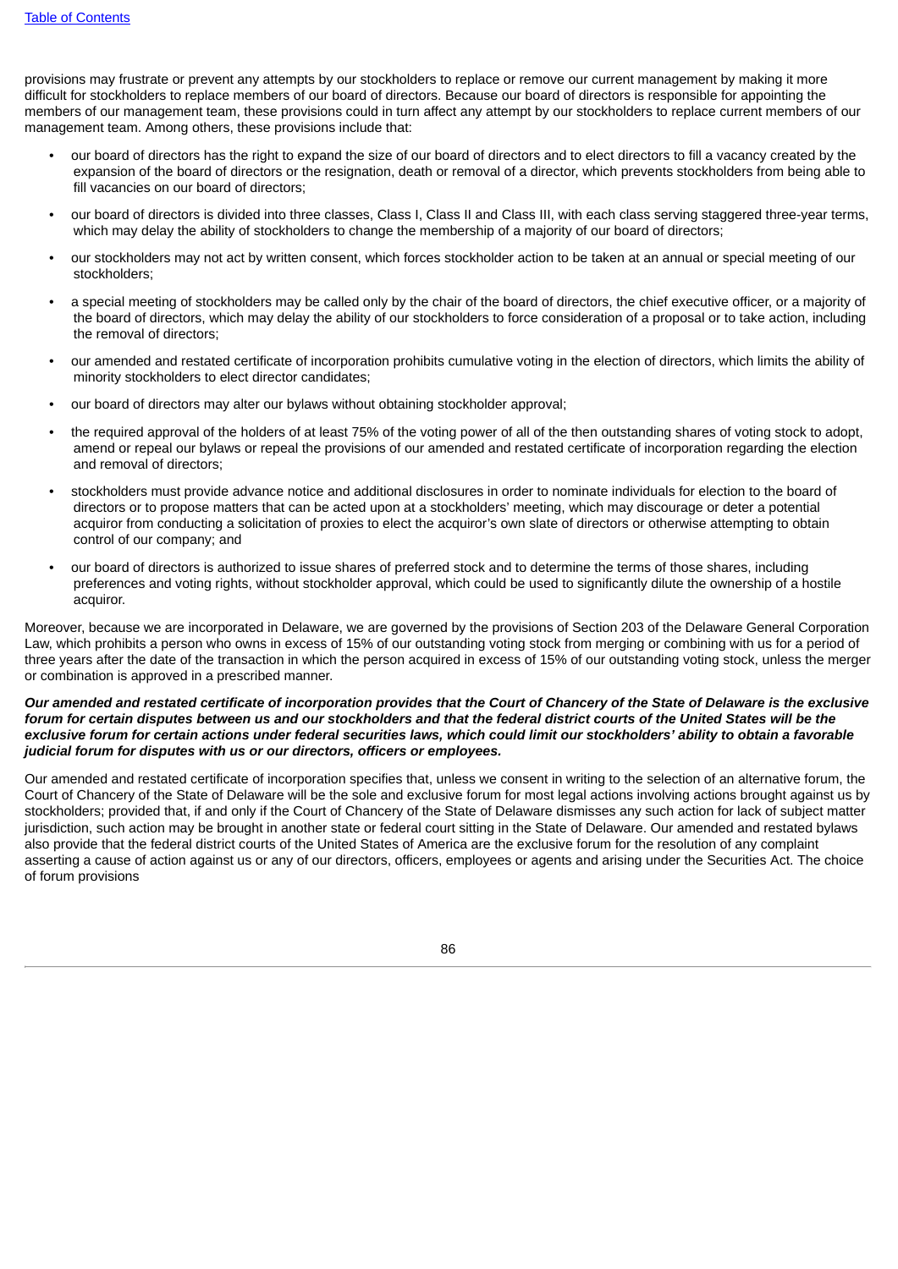provisions may frustrate or prevent any attempts by our stockholders to replace or remove our current management by making it more difficult for stockholders to replace members of our board of directors. Because our board of directors is responsible for appointing the members of our management team, these provisions could in turn affect any attempt by our stockholders to replace current members of our management team. Among others, these provisions include that:

- our board of directors has the right to expand the size of our board of directors and to elect directors to fill a vacancy created by the expansion of the board of directors or the resignation, death or removal of a director, which prevents stockholders from being able to fill vacancies on our board of directors;
- our board of directors is divided into three classes, Class I, Class II and Class III, with each class serving staggered three-year terms, which may delay the ability of stockholders to change the membership of a majority of our board of directors;
- our stockholders may not act by written consent, which forces stockholder action to be taken at an annual or special meeting of our stockholders;
- a special meeting of stockholders may be called only by the chair of the board of directors, the chief executive officer, or a majority of the board of directors, which may delay the ability of our stockholders to force consideration of a proposal or to take action, including the removal of directors;
- our amended and restated certificate of incorporation prohibits cumulative voting in the election of directors, which limits the ability of minority stockholders to elect director candidates;
- our board of directors may alter our bylaws without obtaining stockholder approval;
- the required approval of the holders of at least 75% of the voting power of all of the then outstanding shares of voting stock to adopt, amend or repeal our bylaws or repeal the provisions of our amended and restated certificate of incorporation regarding the election and removal of directors;
- stockholders must provide advance notice and additional disclosures in order to nominate individuals for election to the board of directors or to propose matters that can be acted upon at a stockholders' meeting, which may discourage or deter a potential acquiror from conducting a solicitation of proxies to elect the acquiror's own slate of directors or otherwise attempting to obtain control of our company; and
- our board of directors is authorized to issue shares of preferred stock and to determine the terms of those shares, including preferences and voting rights, without stockholder approval, which could be used to significantly dilute the ownership of a hostile acquiror.

Moreover, because we are incorporated in Delaware, we are governed by the provisions of Section 203 of the Delaware General Corporation Law, which prohibits a person who owns in excess of 15% of our outstanding voting stock from merging or combining with us for a period of three years after the date of the transaction in which the person acquired in excess of 15% of our outstanding voting stock, unless the merger or combination is approved in a prescribed manner.

#### Our amended and restated certificate of incorporation provides that the Court of Chancery of the State of Delaware is the exclusive forum for certain disputes between us and our stockholders and that the federal district courts of the United States will be the exclusive forum for certain actions under federal securities laws, which could limit our stockholders' ability to obtain a favorable *judicial forum for disputes with us or our directors, officers or employees.*

Our amended and restated certificate of incorporation specifies that, unless we consent in writing to the selection of an alternative forum, the Court of Chancery of the State of Delaware will be the sole and exclusive forum for most legal actions involving actions brought against us by stockholders; provided that, if and only if the Court of Chancery of the State of Delaware dismisses any such action for lack of subject matter jurisdiction, such action may be brought in another state or federal court sitting in the State of Delaware. Our amended and restated bylaws also provide that the federal district courts of the United States of America are the exclusive forum for the resolution of any complaint asserting a cause of action against us or any of our directors, officers, employees or agents and arising under the Securities Act. The choice of forum provisions

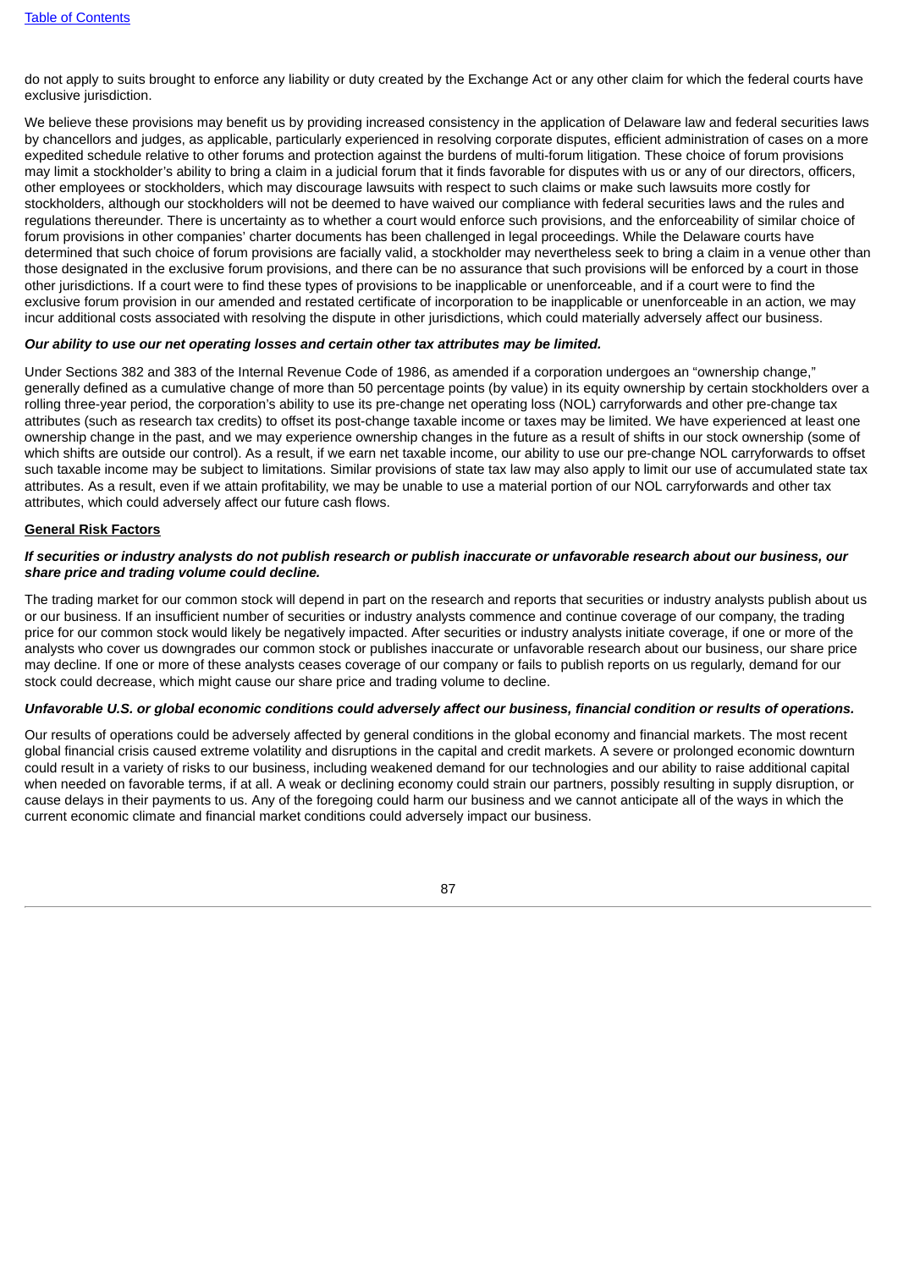do not apply to suits brought to enforce any liability or duty created by the Exchange Act or any other claim for which the federal courts have exclusive jurisdiction.

We believe these provisions may benefit us by providing increased consistency in the application of Delaware law and federal securities laws by chancellors and judges, as applicable, particularly experienced in resolving corporate disputes, efficient administration of cases on a more expedited schedule relative to other forums and protection against the burdens of multi-forum litigation. These choice of forum provisions may limit a stockholder's ability to bring a claim in a judicial forum that it finds favorable for disputes with us or any of our directors, officers, other employees or stockholders, which may discourage lawsuits with respect to such claims or make such lawsuits more costly for stockholders, although our stockholders will not be deemed to have waived our compliance with federal securities laws and the rules and regulations thereunder. There is uncertainty as to whether a court would enforce such provisions, and the enforceability of similar choice of forum provisions in other companies' charter documents has been challenged in legal proceedings. While the Delaware courts have determined that such choice of forum provisions are facially valid, a stockholder may nevertheless seek to bring a claim in a venue other than those designated in the exclusive forum provisions, and there can be no assurance that such provisions will be enforced by a court in those other jurisdictions. If a court were to find these types of provisions to be inapplicable or unenforceable, and if a court were to find the exclusive forum provision in our amended and restated certificate of incorporation to be inapplicable or unenforceable in an action, we may incur additional costs associated with resolving the dispute in other jurisdictions, which could materially adversely affect our business.

#### *Our ability to use our net operating losses and certain other tax attributes may be limited.*

Under Sections 382 and 383 of the Internal Revenue Code of 1986, as amended if a corporation undergoes an "ownership change," generally defined as a cumulative change of more than 50 percentage points (by value) in its equity ownership by certain stockholders over a rolling three-year period, the corporation's ability to use its pre-change net operating loss (NOL) carryforwards and other pre-change tax attributes (such as research tax credits) to offset its post-change taxable income or taxes may be limited. We have experienced at least one ownership change in the past, and we may experience ownership changes in the future as a result of shifts in our stock ownership (some of which shifts are outside our control). As a result, if we earn net taxable income, our ability to use our pre-change NOL carryforwards to offset such taxable income may be subject to limitations. Similar provisions of state tax law may also apply to limit our use of accumulated state tax attributes. As a result, even if we attain profitability, we may be unable to use a material portion of our NOL carryforwards and other tax attributes, which could adversely affect our future cash flows.

#### **General Risk Factors**

### If securities or industry analysts do not publish research or publish inaccurate or unfavorable research about our business, our *share price and trading volume could decline.*

The trading market for our common stock will depend in part on the research and reports that securities or industry analysts publish about us or our business. If an insufficient number of securities or industry analysts commence and continue coverage of our company, the trading price for our common stock would likely be negatively impacted. After securities or industry analysts initiate coverage, if one or more of the analysts who cover us downgrades our common stock or publishes inaccurate or unfavorable research about our business, our share price may decline. If one or more of these analysts ceases coverage of our company or fails to publish reports on us regularly, demand for our stock could decrease, which might cause our share price and trading volume to decline.

#### Unfavorable U.S. or global economic conditions could adversely affect our business, financial condition or results of operations,

Our results of operations could be adversely affected by general conditions in the global economy and financial markets. The most recent global financial crisis caused extreme volatility and disruptions in the capital and credit markets. A severe or prolonged economic downturn could result in a variety of risks to our business, including weakened demand for our technologies and our ability to raise additional capital when needed on favorable terms, if at all. A weak or declining economy could strain our partners, possibly resulting in supply disruption, or cause delays in their payments to us. Any of the foregoing could harm our business and we cannot anticipate all of the ways in which the current economic climate and financial market conditions could adversely impact our business.

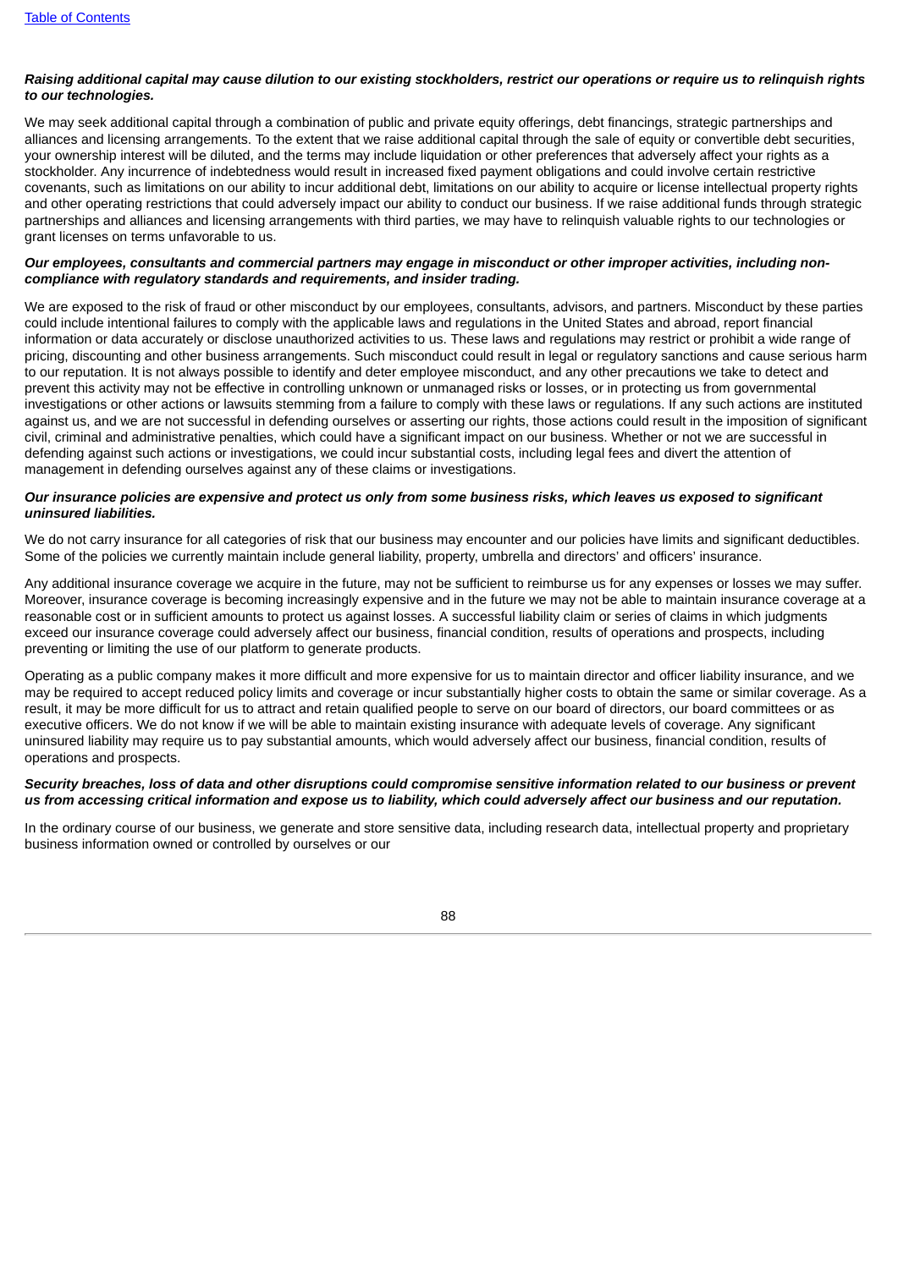# Raising additional capital may cause dilution to our existing stockholders, restrict our operations or require us to relinguish rights *to our technologies.*

We may seek additional capital through a combination of public and private equity offerings, debt financings, strategic partnerships and alliances and licensing arrangements. To the extent that we raise additional capital through the sale of equity or convertible debt securities, your ownership interest will be diluted, and the terms may include liquidation or other preferences that adversely affect your rights as a stockholder. Any incurrence of indebtedness would result in increased fixed payment obligations and could involve certain restrictive covenants, such as limitations on our ability to incur additional debt, limitations on our ability to acquire or license intellectual property rights and other operating restrictions that could adversely impact our ability to conduct our business. If we raise additional funds through strategic partnerships and alliances and licensing arrangements with third parties, we may have to relinquish valuable rights to our technologies or grant licenses on terms unfavorable to us.

#### Our employees, consultants and commercial partners may engage in misconduct or other improper activities, including non*compliance with regulatory standards and requirements, and insider trading.*

We are exposed to the risk of fraud or other misconduct by our employees, consultants, advisors, and partners. Misconduct by these parties could include intentional failures to comply with the applicable laws and regulations in the United States and abroad, report financial information or data accurately or disclose unauthorized activities to us. These laws and regulations may restrict or prohibit a wide range of pricing, discounting and other business arrangements. Such misconduct could result in legal or regulatory sanctions and cause serious harm to our reputation. It is not always possible to identify and deter employee misconduct, and any other precautions we take to detect and prevent this activity may not be effective in controlling unknown or unmanaged risks or losses, or in protecting us from governmental investigations or other actions or lawsuits stemming from a failure to comply with these laws or regulations. If any such actions are instituted against us, and we are not successful in defending ourselves or asserting our rights, those actions could result in the imposition of significant civil, criminal and administrative penalties, which could have a significant impact on our business. Whether or not we are successful in defending against such actions or investigations, we could incur substantial costs, including legal fees and divert the attention of management in defending ourselves against any of these claims or investigations.

#### Our insurance policies are expensive and protect us only from some business risks, which leaves us exposed to significant *uninsured liabilities.*

We do not carry insurance for all categories of risk that our business may encounter and our policies have limits and significant deductibles. Some of the policies we currently maintain include general liability, property, umbrella and directors' and officers' insurance.

Any additional insurance coverage we acquire in the future, may not be sufficient to reimburse us for any expenses or losses we may suffer. Moreover, insurance coverage is becoming increasingly expensive and in the future we may not be able to maintain insurance coverage at a reasonable cost or in sufficient amounts to protect us against losses. A successful liability claim or series of claims in which judgments exceed our insurance coverage could adversely affect our business, financial condition, results of operations and prospects, including preventing or limiting the use of our platform to generate products.

Operating as a public company makes it more difficult and more expensive for us to maintain director and officer liability insurance, and we may be required to accept reduced policy limits and coverage or incur substantially higher costs to obtain the same or similar coverage. As a result, it may be more difficult for us to attract and retain qualified people to serve on our board of directors, our board committees or as executive officers. We do not know if we will be able to maintain existing insurance with adequate levels of coverage. Any significant uninsured liability may require us to pay substantial amounts, which would adversely affect our business, financial condition, results of operations and prospects.

# Security breaches, loss of data and other disruptions could compromise sensitive information related to our business or prevent us from accessing critical information and expose us to liability, which could adversely affect our business and our reputation.

In the ordinary course of our business, we generate and store sensitive data, including research data, intellectual property and proprietary business information owned or controlled by ourselves or our

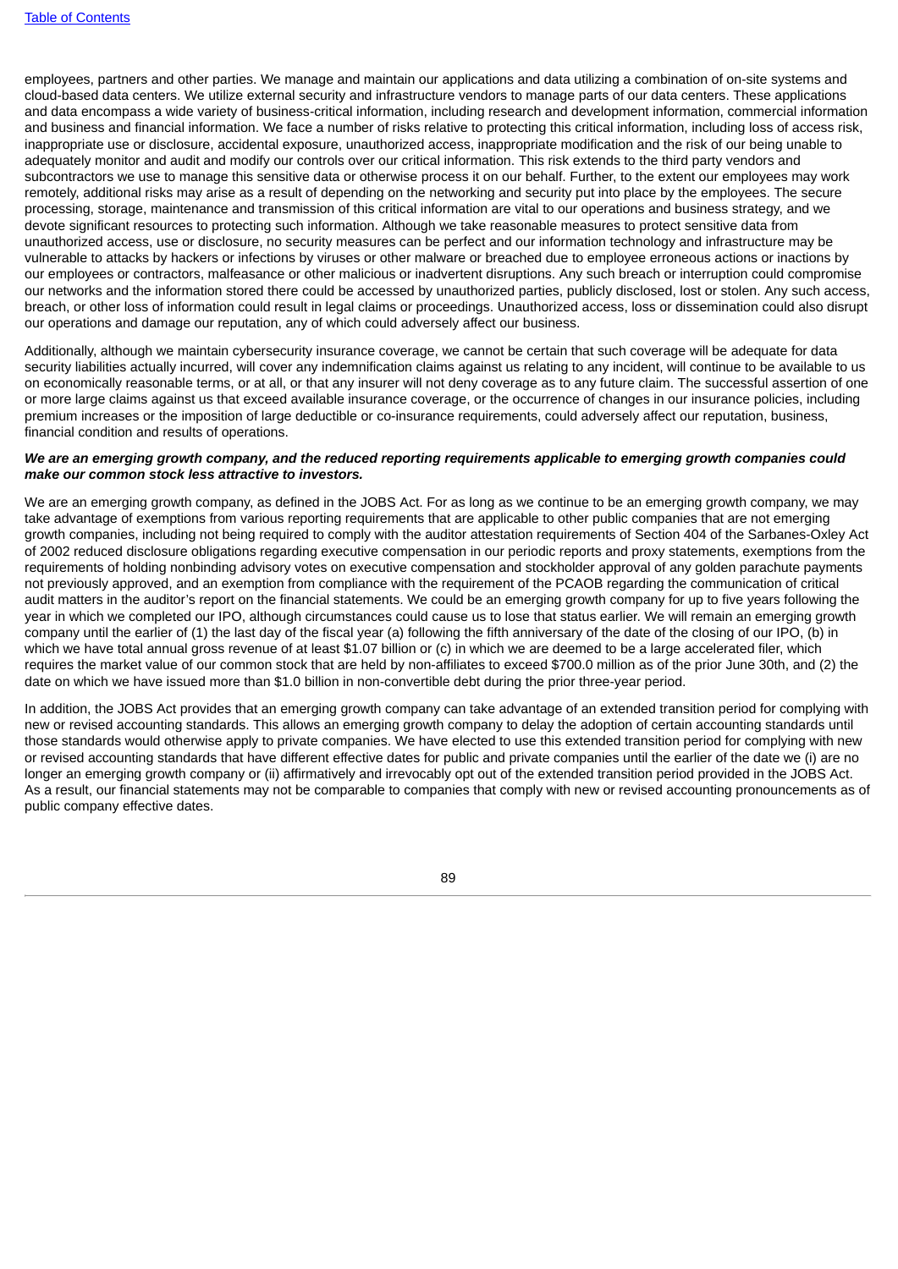employees, partners and other parties. We manage and maintain our applications and data utilizing a combination of on-site systems and cloud-based data centers. We utilize external security and infrastructure vendors to manage parts of our data centers. These applications and data encompass a wide variety of business-critical information, including research and development information, commercial information and business and financial information. We face a number of risks relative to protecting this critical information, including loss of access risk, inappropriate use or disclosure, accidental exposure, unauthorized access, inappropriate modification and the risk of our being unable to adequately monitor and audit and modify our controls over our critical information. This risk extends to the third party vendors and subcontractors we use to manage this sensitive data or otherwise process it on our behalf. Further, to the extent our employees may work remotely, additional risks may arise as a result of depending on the networking and security put into place by the employees. The secure processing, storage, maintenance and transmission of this critical information are vital to our operations and business strategy, and we devote significant resources to protecting such information. Although we take reasonable measures to protect sensitive data from unauthorized access, use or disclosure, no security measures can be perfect and our information technology and infrastructure may be vulnerable to attacks by hackers or infections by viruses or other malware or breached due to employee erroneous actions or inactions by our employees or contractors, malfeasance or other malicious or inadvertent disruptions. Any such breach or interruption could compromise our networks and the information stored there could be accessed by unauthorized parties, publicly disclosed, lost or stolen. Any such access, breach, or other loss of information could result in legal claims or proceedings. Unauthorized access, loss or dissemination could also disrupt our operations and damage our reputation, any of which could adversely affect our business.

Additionally, although we maintain cybersecurity insurance coverage, we cannot be certain that such coverage will be adequate for data security liabilities actually incurred, will cover any indemnification claims against us relating to any incident, will continue to be available to us on economically reasonable terms, or at all, or that any insurer will not deny coverage as to any future claim. The successful assertion of one or more large claims against us that exceed available insurance coverage, or the occurrence of changes in our insurance policies, including premium increases or the imposition of large deductible or co-insurance requirements, could adversely affect our reputation, business, financial condition and results of operations.

#### We are an emerging growth company, and the reduced reporting requirements applicable to emerging growth companies could *make our common stock less attractive to investors.*

We are an emerging growth company, as defined in the JOBS Act. For as long as we continue to be an emerging growth company, we may take advantage of exemptions from various reporting requirements that are applicable to other public companies that are not emerging growth companies, including not being required to comply with the auditor attestation requirements of Section 404 of the Sarbanes-Oxley Act of 2002 reduced disclosure obligations regarding executive compensation in our periodic reports and proxy statements, exemptions from the requirements of holding nonbinding advisory votes on executive compensation and stockholder approval of any golden parachute payments not previously approved, and an exemption from compliance with the requirement of the PCAOB regarding the communication of critical audit matters in the auditor's report on the financial statements. We could be an emerging growth company for up to five years following the year in which we completed our IPO, although circumstances could cause us to lose that status earlier. We will remain an emerging growth company until the earlier of (1) the last day of the fiscal year (a) following the fifth anniversary of the date of the closing of our IPO, (b) in which we have total annual gross revenue of at least \$1.07 billion or (c) in which we are deemed to be a large accelerated filer, which requires the market value of our common stock that are held by non-affiliates to exceed \$700.0 million as of the prior June 30th, and (2) the date on which we have issued more than \$1.0 billion in non-convertible debt during the prior three-year period.

In addition, the JOBS Act provides that an emerging growth company can take advantage of an extended transition period for complying with new or revised accounting standards. This allows an emerging growth company to delay the adoption of certain accounting standards until those standards would otherwise apply to private companies. We have elected to use this extended transition period for complying with new or revised accounting standards that have different effective dates for public and private companies until the earlier of the date we (i) are no longer an emerging growth company or (ii) affirmatively and irrevocably opt out of the extended transition period provided in the JOBS Act. As a result, our financial statements may not be comparable to companies that comply with new or revised accounting pronouncements as of public company effective dates.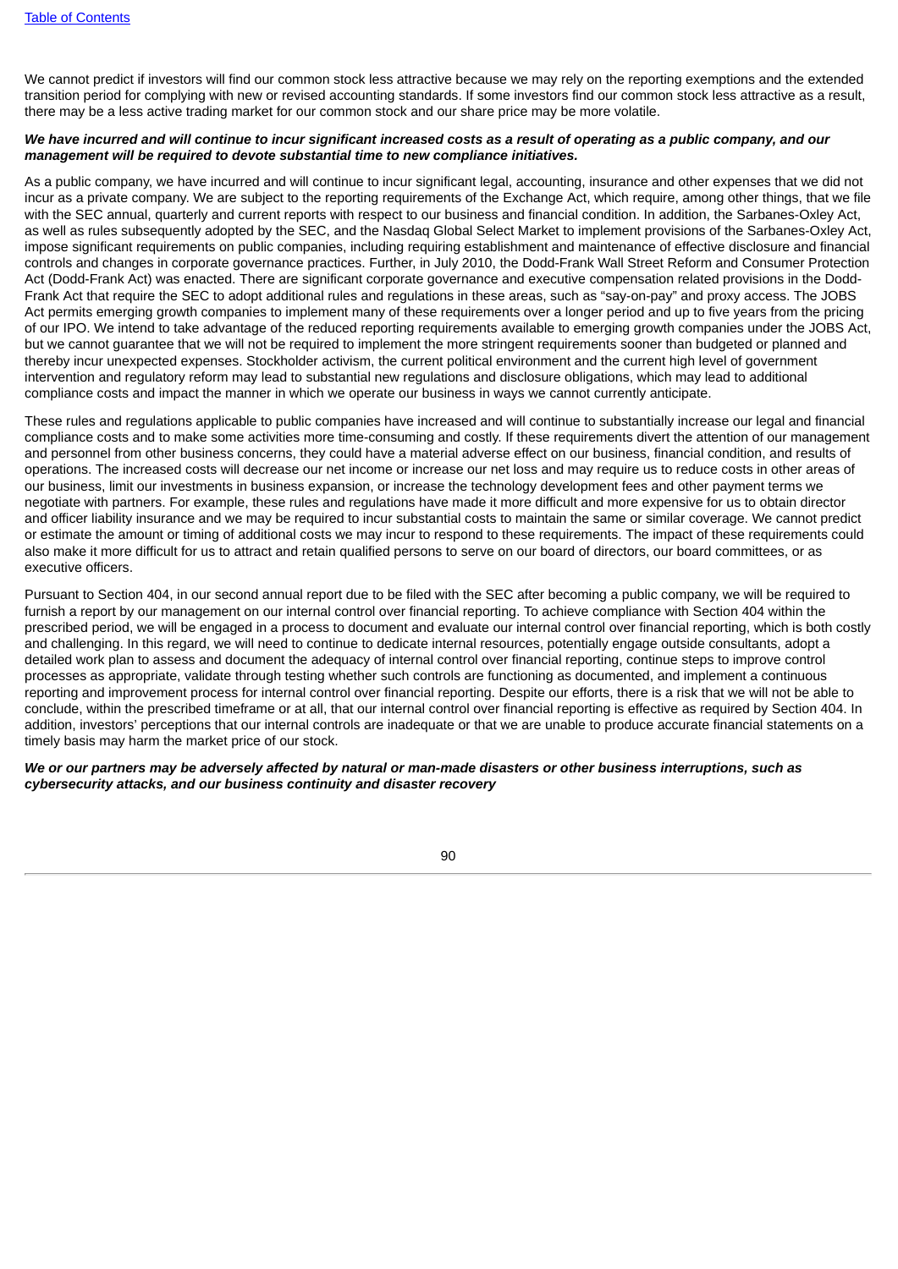We cannot predict if investors will find our common stock less attractive because we may rely on the reporting exemptions and the extended transition period for complying with new or revised accounting standards. If some investors find our common stock less attractive as a result, there may be a less active trading market for our common stock and our share price may be more volatile.

# We have incurred and will continue to incur significant increased costs as a result of operating as a public company, and our *management will be required to devote substantial time to new compliance initiatives.*

As a public company, we have incurred and will continue to incur significant legal, accounting, insurance and other expenses that we did not incur as a private company. We are subject to the reporting requirements of the Exchange Act, which require, among other things, that we file with the SEC annual, quarterly and current reports with respect to our business and financial condition. In addition, the Sarbanes-Oxley Act, as well as rules subsequently adopted by the SEC, and the Nasdaq Global Select Market to implement provisions of the Sarbanes-Oxley Act, impose significant requirements on public companies, including requiring establishment and maintenance of effective disclosure and financial controls and changes in corporate governance practices. Further, in July 2010, the Dodd-Frank Wall Street Reform and Consumer Protection Act (Dodd-Frank Act) was enacted. There are significant corporate governance and executive compensation related provisions in the Dodd-Frank Act that require the SEC to adopt additional rules and regulations in these areas, such as "say-on-pay" and proxy access. The JOBS Act permits emerging growth companies to implement many of these requirements over a longer period and up to five years from the pricing of our IPO. We intend to take advantage of the reduced reporting requirements available to emerging growth companies under the JOBS Act, but we cannot guarantee that we will not be required to implement the more stringent requirements sooner than budgeted or planned and thereby incur unexpected expenses. Stockholder activism, the current political environment and the current high level of government intervention and regulatory reform may lead to substantial new regulations and disclosure obligations, which may lead to additional compliance costs and impact the manner in which we operate our business in ways we cannot currently anticipate.

These rules and regulations applicable to public companies have increased and will continue to substantially increase our legal and financial compliance costs and to make some activities more time-consuming and costly. If these requirements divert the attention of our management and personnel from other business concerns, they could have a material adverse effect on our business, financial condition, and results of operations. The increased costs will decrease our net income or increase our net loss and may require us to reduce costs in other areas of our business, limit our investments in business expansion, or increase the technology development fees and other payment terms we negotiate with partners. For example, these rules and regulations have made it more difficult and more expensive for us to obtain director and officer liability insurance and we may be required to incur substantial costs to maintain the same or similar coverage. We cannot predict or estimate the amount or timing of additional costs we may incur to respond to these requirements. The impact of these requirements could also make it more difficult for us to attract and retain qualified persons to serve on our board of directors, our board committees, or as executive officers.

Pursuant to Section 404, in our second annual report due to be filed with the SEC after becoming a public company, we will be required to furnish a report by our management on our internal control over financial reporting. To achieve compliance with Section 404 within the prescribed period, we will be engaged in a process to document and evaluate our internal control over financial reporting, which is both costly and challenging. In this regard, we will need to continue to dedicate internal resources, potentially engage outside consultants, adopt a detailed work plan to assess and document the adequacy of internal control over financial reporting, continue steps to improve control processes as appropriate, validate through testing whether such controls are functioning as documented, and implement a continuous reporting and improvement process for internal control over financial reporting. Despite our efforts, there is a risk that we will not be able to conclude, within the prescribed timeframe or at all, that our internal control over financial reporting is effective as required by Section 404. In addition, investors' perceptions that our internal controls are inadequate or that we are unable to produce accurate financial statements on a timely basis may harm the market price of our stock.

We or our partners may be adversely affected by natural or man-made disasters or other business interruptions, such as *cybersecurity attacks, and our business continuity and disaster recovery*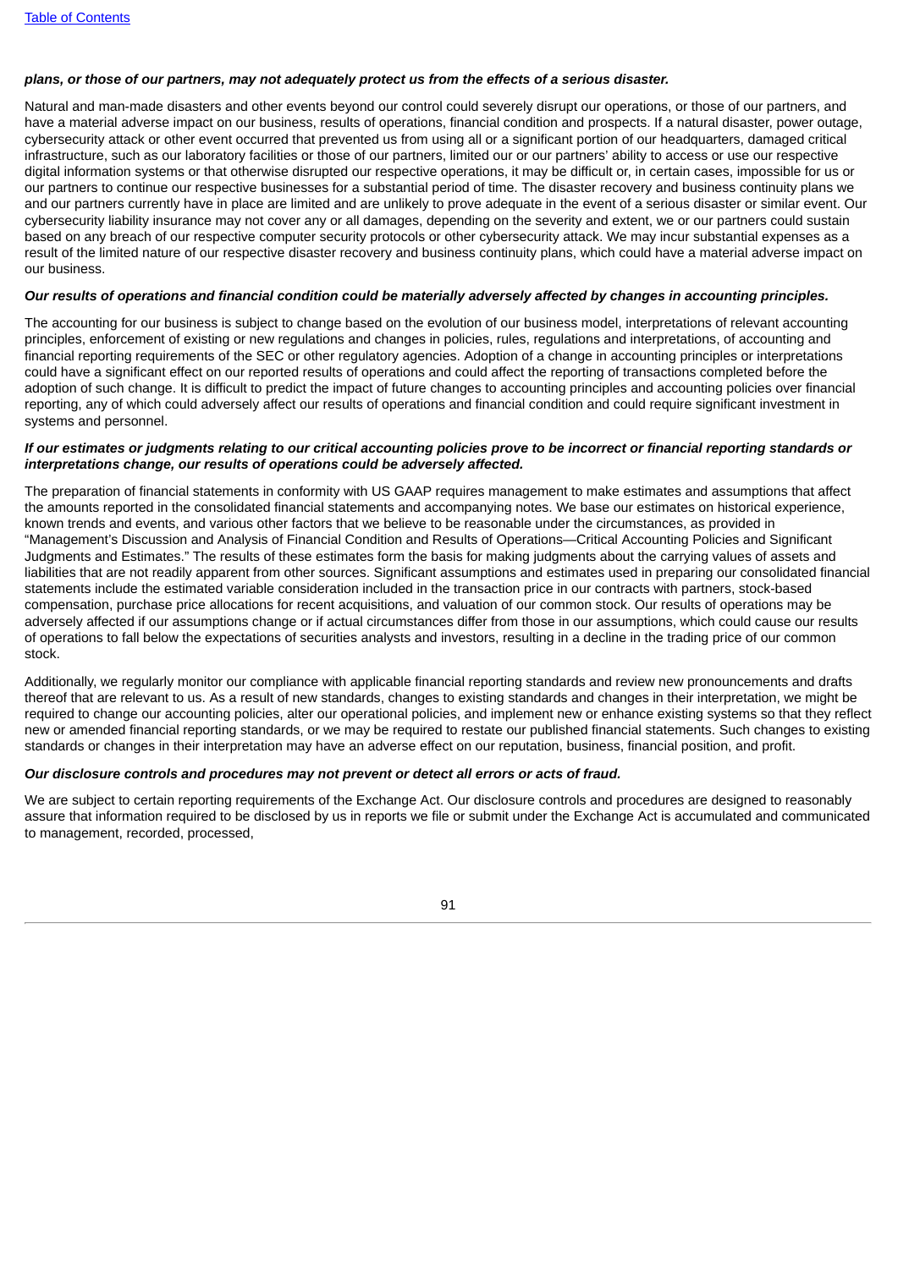#### plans, or those of our partners, may not adequately protect us from the effects of a serious disaster.

Natural and man-made disasters and other events beyond our control could severely disrupt our operations, or those of our partners, and have a material adverse impact on our business, results of operations, financial condition and prospects. If a natural disaster, power outage, cybersecurity attack or other event occurred that prevented us from using all or a significant portion of our headquarters, damaged critical infrastructure, such as our laboratory facilities or those of our partners, limited our or our partners' ability to access or use our respective digital information systems or that otherwise disrupted our respective operations, it may be difficult or, in certain cases, impossible for us or our partners to continue our respective businesses for a substantial period of time. The disaster recovery and business continuity plans we and our partners currently have in place are limited and are unlikely to prove adequate in the event of a serious disaster or similar event. Our cybersecurity liability insurance may not cover any or all damages, depending on the severity and extent, we or our partners could sustain based on any breach of our respective computer security protocols or other cybersecurity attack. We may incur substantial expenses as a result of the limited nature of our respective disaster recovery and business continuity plans, which could have a material adverse impact on our business.

#### Our results of operations and financial condition could be materially adversely affected by changes in accounting principles.

The accounting for our business is subject to change based on the evolution of our business model, interpretations of relevant accounting principles, enforcement of existing or new regulations and changes in policies, rules, regulations and interpretations, of accounting and financial reporting requirements of the SEC or other regulatory agencies. Adoption of a change in accounting principles or interpretations could have a significant effect on our reported results of operations and could affect the reporting of transactions completed before the adoption of such change. It is difficult to predict the impact of future changes to accounting principles and accounting policies over financial reporting, any of which could adversely affect our results of operations and financial condition and could require significant investment in systems and personnel.

#### If our estimates or judgments relating to our critical accounting policies prove to be incorrect or financial reporting standards or *interpretations change, our results of operations could be adversely affected.*

The preparation of financial statements in conformity with US GAAP requires management to make estimates and assumptions that affect the amounts reported in the consolidated financial statements and accompanying notes. We base our estimates on historical experience, known trends and events, and various other factors that we believe to be reasonable under the circumstances, as provided in "Management's Discussion and Analysis of Financial Condition and Results of Operations—Critical Accounting Policies and Significant Judgments and Estimates." The results of these estimates form the basis for making judgments about the carrying values of assets and liabilities that are not readily apparent from other sources. Significant assumptions and estimates used in preparing our consolidated financial statements include the estimated variable consideration included in the transaction price in our contracts with partners, stock-based compensation, purchase price allocations for recent acquisitions, and valuation of our common stock. Our results of operations may be adversely affected if our assumptions change or if actual circumstances differ from those in our assumptions, which could cause our results of operations to fall below the expectations of securities analysts and investors, resulting in a decline in the trading price of our common stock.

Additionally, we regularly monitor our compliance with applicable financial reporting standards and review new pronouncements and drafts thereof that are relevant to us. As a result of new standards, changes to existing standards and changes in their interpretation, we might be required to change our accounting policies, alter our operational policies, and implement new or enhance existing systems so that they reflect new or amended financial reporting standards, or we may be required to restate our published financial statements. Such changes to existing standards or changes in their interpretation may have an adverse effect on our reputation, business, financial position, and profit.

#### *Our disclosure controls and procedures may not prevent or detect all errors or acts of fraud.*

We are subject to certain reporting requirements of the Exchange Act. Our disclosure controls and procedures are designed to reasonably assure that information required to be disclosed by us in reports we file or submit under the Exchange Act is accumulated and communicated to management, recorded, processed,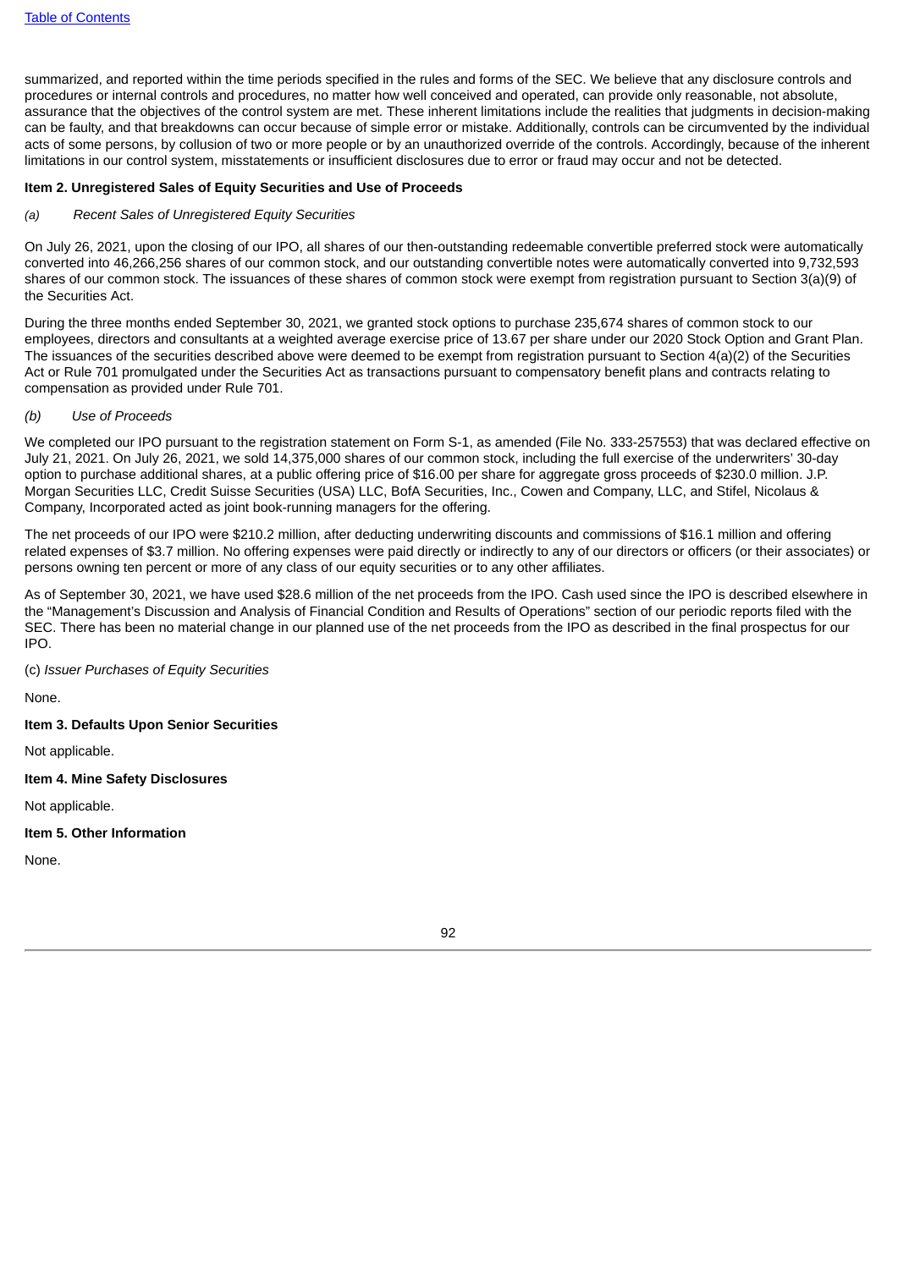summarized, and reported within the time periods specified in the rules and forms of the SEC. We believe that any disclosure controls and procedures or internal controls and procedures, no matter how well conceived and operated, can provide only reasonable, not absolute, assurance that the objectives of the control system are met. These inherent limitations include the realities that judgments in decision-making can be faulty, and that breakdowns can occur because of simple error or mistake. Additionally, controls can be circumvented by the individual acts of some persons, by collusion of two or more people or by an unauthorized override of the controls. Accordingly, because of the inherent limitations in our control system, misstatements or insufficient disclosures due to error or fraud may occur and not be detected.

#### **Item 2. Unregistered Sales of Equity Securities and Use of Proceeds**

#### *(a) Recent Sales of Unregistered Equity Securities*

On July 26, 2021, upon the closing of our IPO, all shares of our then-outstanding redeemable convertible preferred stock were automatically converted into 46,266,256 shares of our common stock, and our outstanding convertible notes were automatically converted into 9,732,593 shares of our common stock. The issuances of these shares of common stock were exempt from registration pursuant to Section 3(a)(9) of the Securities Act.

During the three months ended September 30, 2021, we granted stock options to purchase 235,674 shares of common stock to our employees, directors and consultants at a weighted average exercise price of 13.67 per share under our 2020 Stock Option and Grant Plan. The issuances of the securities described above were deemed to be exempt from registration pursuant to Section  $4(a)(2)$  of the Securities Act or Rule 701 promulgated under the Securities Act as transactions pursuant to compensatory benefit plans and contracts relating to compensation as provided under Rule 701.

#### *(b) Use of Proceeds*

We completed our IPO pursuant to the registration statement on Form S-1, as amended (File No. 333-257553) that was declared effective on July 21, 2021. On July 26, 2021, we sold 14,375,000 shares of our common stock, including the full exercise of the underwriters' 30-day option to purchase additional shares, at a public offering price of \$16.00 per share for aggregate gross proceeds of \$230.0 million. J.P. Morgan Securities LLC, Credit Suisse Securities (USA) LLC, BofA Securities, Inc., Cowen and Company, LLC, and Stifel, Nicolaus & Company, Incorporated acted as joint book-running managers for the offering.

The net proceeds of our IPO were \$210.2 million, after deducting underwriting discounts and commissions of \$16.1 million and offering related expenses of \$3.7 million. No offering expenses were paid directly or indirectly to any of our directors or officers (or their associates) or persons owning ten percent or more of any class of our equity securities or to any other affiliates.

As of September 30, 2021, we have used \$28.6 million of the net proceeds from the IPO. Cash used since the IPO is described elsewhere in the "Management's Discussion and Analysis of Financial Condition and Results of Operations" section of our periodic reports filed with the SEC. There has been no material change in our planned use of the net proceeds from the IPO as described in the final prospectus for our IPO.

(c) *Issuer Purchases of Equity Securities*

None.

#### **Item 3. Defaults Upon Senior Securities**

Not applicable.

#### **Item 4. Mine Safety Disclosures**

Not applicable.

### **Item 5. Other Information**

None.

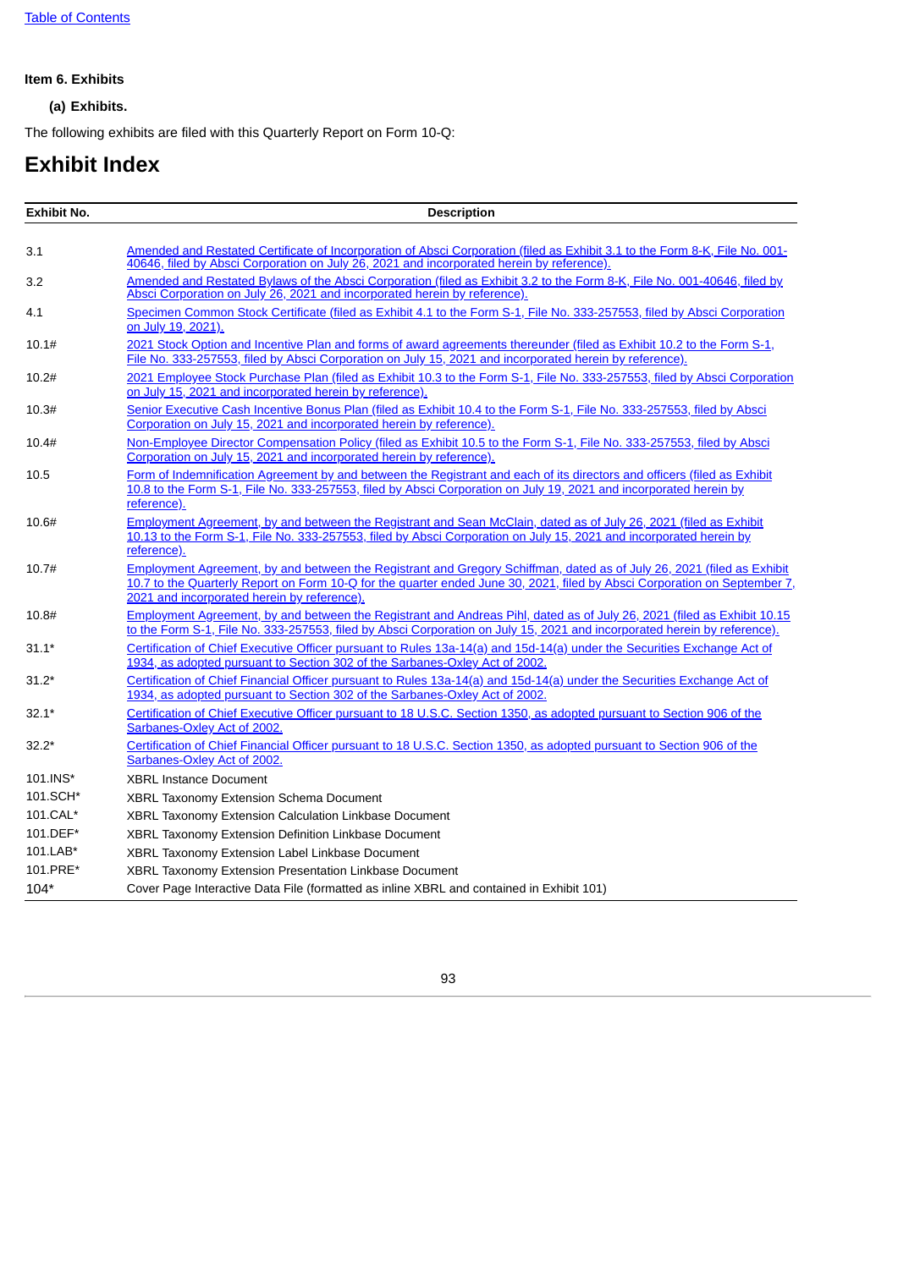# **Item 6. Exhibits**

# **(a) Exhibits.**

The following exhibits are filed with this Quarterly Report on Form 10-Q:

# **Exhibit Index**

| <b>Exhibit No.</b> | <b>Description</b>                                                                                                                                                                                                                                                                                 |
|--------------------|----------------------------------------------------------------------------------------------------------------------------------------------------------------------------------------------------------------------------------------------------------------------------------------------------|
| 3.1                | Amended and Restated Certificate of Incorporation of Absci Corporation (filed as Exhibit 3.1 to the Form 8-K, File No. 001-<br>40646, filed by Absci Corporation on July 26, 2021 and incorporated herein by reference).                                                                           |
| 3.2                | Amended and Restated Bylaws of the Absci Corporation (filed as Exhibit 3.2 to the Form 8-K, File No. 001-40646, filed by<br>Absci Corporation on July 26, 2021 and incorporated herein by reference).                                                                                              |
| 4.1                | Specimen Common Stock Certificate (filed as Exhibit 4.1 to the Form S-1, File No. 333-257553, filed by Absci Corporation<br>on July 19, 2021).                                                                                                                                                     |
| 10.1#              | 2021 Stock Option and Incentive Plan and forms of award agreements thereunder (filed as Exhibit 10.2 to the Form S-1,<br>File No. 333-257553, filed by Absci Corporation on July 15, 2021 and incorporated herein by reference).                                                                   |
| 10.2#              | 2021 Employee Stock Purchase Plan (filed as Exhibit 10.3 to the Form S-1, File No. 333-257553, filed by Absci Corporation<br>on July 15, 2021 and incorporated herein by reference).                                                                                                               |
| 10.3#              | Senior Executive Cash Incentive Bonus Plan (filed as Exhibit 10.4 to the Form S-1, File No. 333-257553, filed by Absci<br>Corporation on July 15, 2021 and incorporated herein by reference).                                                                                                      |
| 10.4#              | Non-Employee Director Compensation Policy (filed as Exhibit 10.5 to the Form S-1, File No. 333-257553, filed by Absci<br>Corporation on July 15, 2021 and incorporated herein by reference).                                                                                                       |
| 10.5               | Form of Indemnification Agreement by and between the Registrant and each of its directors and officers (filed as Exhibit<br>10.8 to the Form S-1, File No. 333-257553, filed by Absci Corporation on July 19, 2021 and incorporated herein by<br>reference).                                       |
| 10.6#              | Employment Agreement, by and between the Registrant and Sean McClain, dated as of July 26, 2021 (filed as Exhibit<br>10.13 to the Form S-1, File No. 333-257553, filed by Absci Corporation on July 15, 2021 and incorporated herein by<br>reference).                                             |
| 10.7#              | Employment Agreement, by and between the Registrant and Gregory Schiffman, dated as of July 26, 2021 (filed as Exhibit<br>10.7 to the Quarterly Report on Form 10-Q for the quarter ended June 30, 2021, filed by Absci Corporation on September 7,<br>2021 and incorporated herein by reference). |
| 10.8#              | Employment Agreement, by and between the Registrant and Andreas Pihl, dated as of July 26, 2021 (filed as Exhibit 10.15<br>to the Form S-1, File No. 333-257553, filed by Absci Corporation on July 15, 2021 and incorporated herein by reference).                                                |
| $31.1*$            | Certification of Chief Executive Officer pursuant to Rules 13a-14(a) and 15d-14(a) under the Securities Exchange Act of<br>1934, as adopted pursuant to Section 302 of the Sarbanes-Oxley Act of 2002.                                                                                             |
| $31.2*$            | Certification of Chief Financial Officer pursuant to Rules 13a-14(a) and 15d-14(a) under the Securities Exchange Act of<br>1934, as adopted pursuant to Section 302 of the Sarbanes-Oxley Act of 2002.                                                                                             |
| $32.1*$            | Certification of Chief Executive Officer pursuant to 18 U.S.C. Section 1350, as adopted pursuant to Section 906 of the<br>Sarbanes-Oxley Act of 2002.                                                                                                                                              |
| $32.2*$            | Certification of Chief Financial Officer pursuant to 18 U.S.C. Section 1350, as adopted pursuant to Section 906 of the<br>Sarbanes-Oxley Act of 2002.                                                                                                                                              |
| 101.INS*           | <b>XBRL Instance Document</b>                                                                                                                                                                                                                                                                      |
| 101.SCH*           | <b>XBRL Taxonomy Extension Schema Document</b>                                                                                                                                                                                                                                                     |
| 101.CAL*           | <b>XBRL Taxonomy Extension Calculation Linkbase Document</b>                                                                                                                                                                                                                                       |
| 101.DEF*           | XBRL Taxonomy Extension Definition Linkbase Document                                                                                                                                                                                                                                               |
| 101.LAB*           | XBRL Taxonomy Extension Label Linkbase Document                                                                                                                                                                                                                                                    |
| 101.PRE*           | XBRL Taxonomy Extension Presentation Linkbase Document                                                                                                                                                                                                                                             |
| $104*$             | Cover Page Interactive Data File (formatted as inline XBRL and contained in Exhibit 101)                                                                                                                                                                                                           |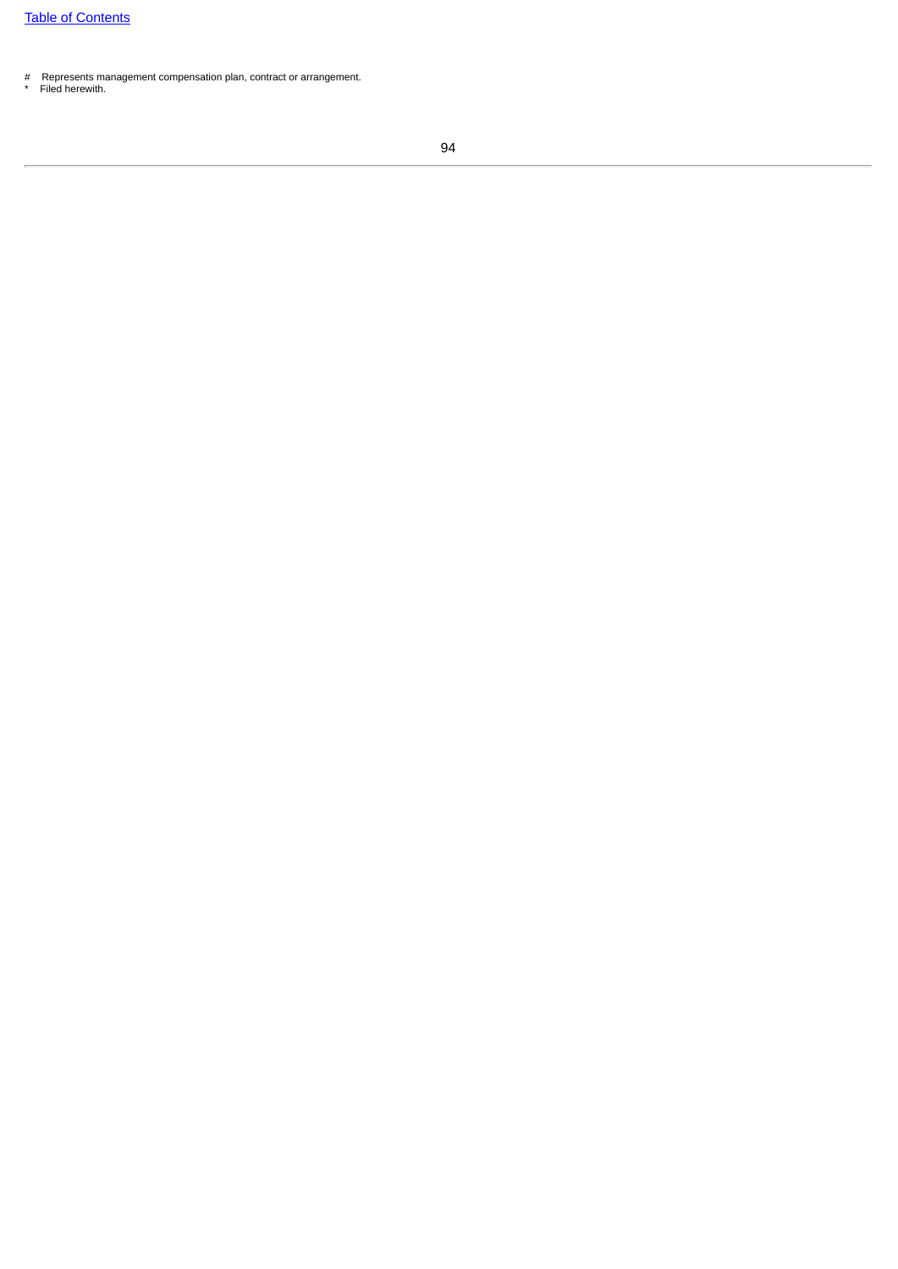# Represents management compensation plan, contract or arrangement.

#### \* Filed herewith.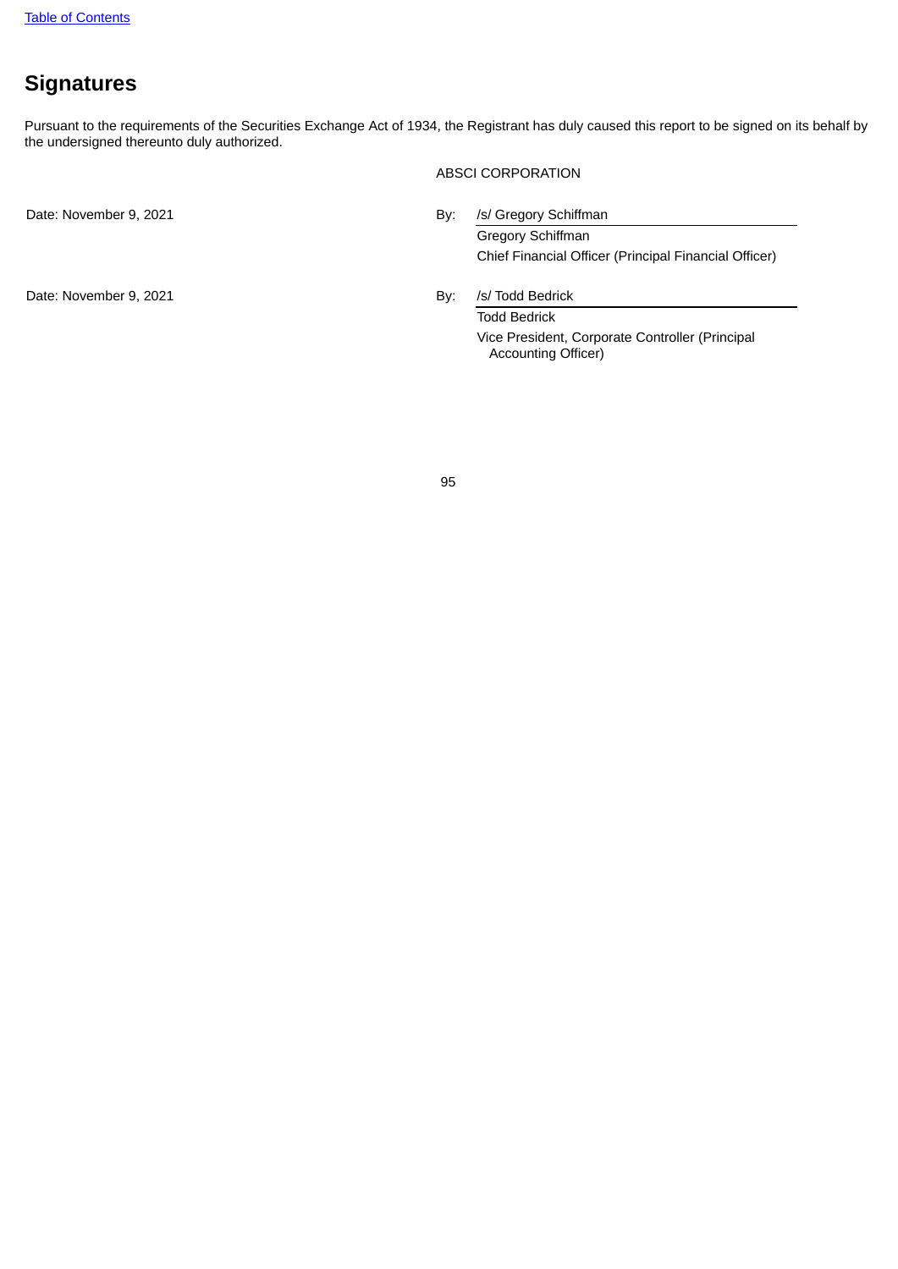# **Signatures**

Pursuant to the requirements of the Securities Exchange Act of 1934, the Registrant has duly caused this report to be signed on its behalf by the undersigned thereunto duly authorized.

ABSCI CORPORATION

Date: November 9, 2021 and the state of the By: /s/ Gregory Schiffman

Gregory Schiffman Chief Financial Officer (Principal Financial Officer)

Date: November 9, 2021 By: *Isl* Todd Bedrick Todd Bedrick

Vice President, Corporate Controller (Principal Accounting Officer)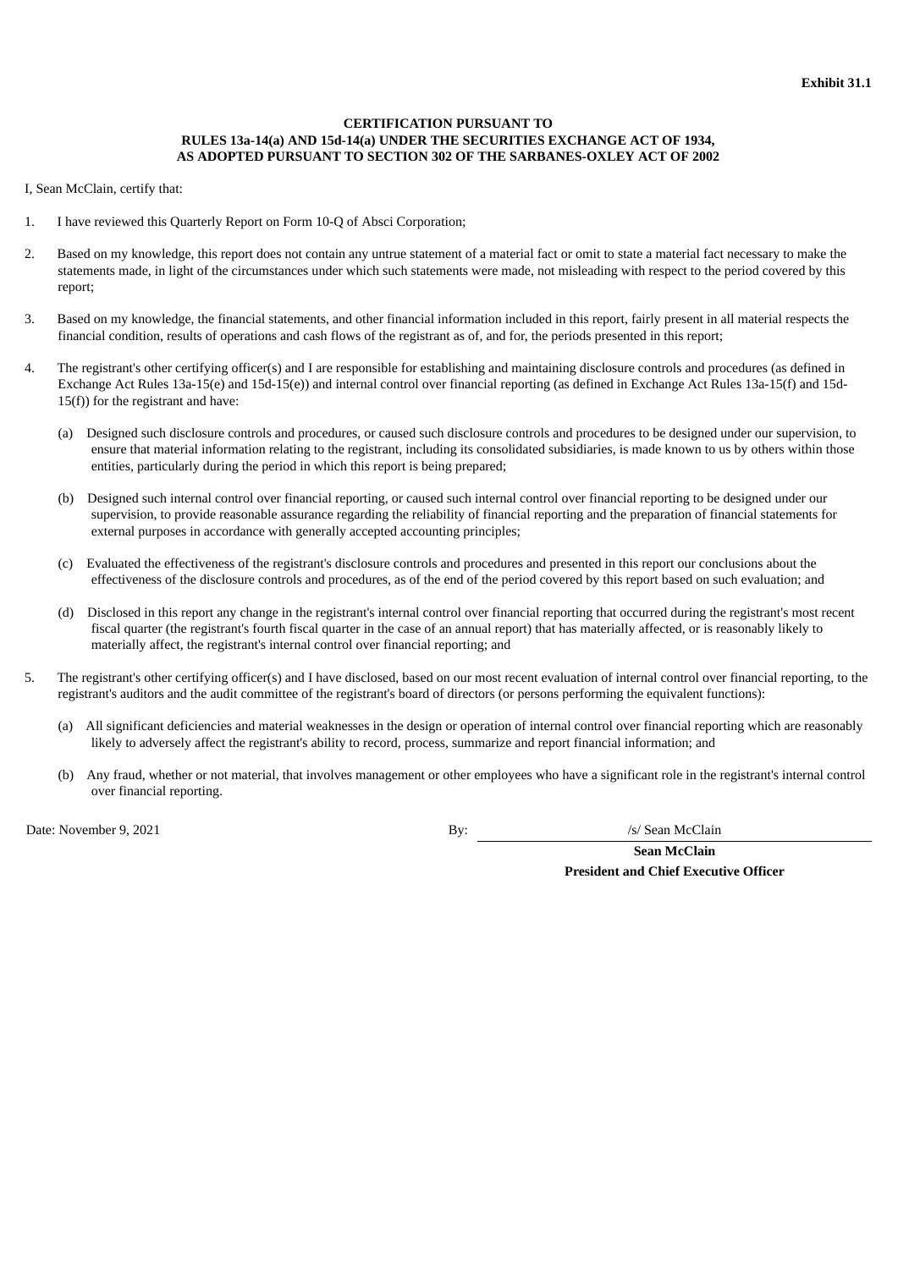# **CERTIFICATION PURSUANT TO RULES 13a-14(a) AND 15d-14(a) UNDER THE SECURITIES EXCHANGE ACT OF 1934, AS ADOPTED PURSUANT TO SECTION 302 OF THE SARBANES-OXLEY ACT OF 2002**

<span id="page-95-0"></span>I, Sean McClain, certify that:

- 1. I have reviewed this Quarterly Report on Form 10-Q of Absci Corporation;
- 2. Based on my knowledge, this report does not contain any untrue statement of a material fact or omit to state a material fact necessary to make the statements made, in light of the circumstances under which such statements were made, not misleading with respect to the period covered by this report;
- 3. Based on my knowledge, the financial statements, and other financial information included in this report, fairly present in all material respects the financial condition, results of operations and cash flows of the registrant as of, and for, the periods presented in this report;
- 4. The registrant's other certifying officer(s) and I are responsible for establishing and maintaining disclosure controls and procedures (as defined in Exchange Act Rules 13a-15(e) and 15d-15(e)) and internal control over financial reporting (as defined in Exchange Act Rules 13a-15(f) and 15d-15(f)) for the registrant and have:
	- (a) Designed such disclosure controls and procedures, or caused such disclosure controls and procedures to be designed under our supervision, to ensure that material information relating to the registrant, including its consolidated subsidiaries, is made known to us by others within those entities, particularly during the period in which this report is being prepared;
	- (b) Designed such internal control over financial reporting, or caused such internal control over financial reporting to be designed under our supervision, to provide reasonable assurance regarding the reliability of financial reporting and the preparation of financial statements for external purposes in accordance with generally accepted accounting principles;
	- (c) Evaluated the effectiveness of the registrant's disclosure controls and procedures and presented in this report our conclusions about the effectiveness of the disclosure controls and procedures, as of the end of the period covered by this report based on such evaluation; and
	- (d) Disclosed in this report any change in the registrant's internal control over financial reporting that occurred during the registrant's most recent fiscal quarter (the registrant's fourth fiscal quarter in the case of an annual report) that has materially affected, or is reasonably likely to materially affect, the registrant's internal control over financial reporting; and
- 5. The registrant's other certifying officer(s) and I have disclosed, based on our most recent evaluation of internal control over financial reporting, to the registrant's auditors and the audit committee of the registrant's board of directors (or persons performing the equivalent functions):
	- (a) All significant deficiencies and material weaknesses in the design or operation of internal control over financial reporting which are reasonably likely to adversely affect the registrant's ability to record, process, summarize and report financial information; and
	- (b) Any fraud, whether or not material, that involves management or other employees who have a significant role in the registrant's internal control over financial reporting.

Date: November 9, 2021 <br>By: /s/ Sean McClain

**Sean McClain President and Chief Executive Officer**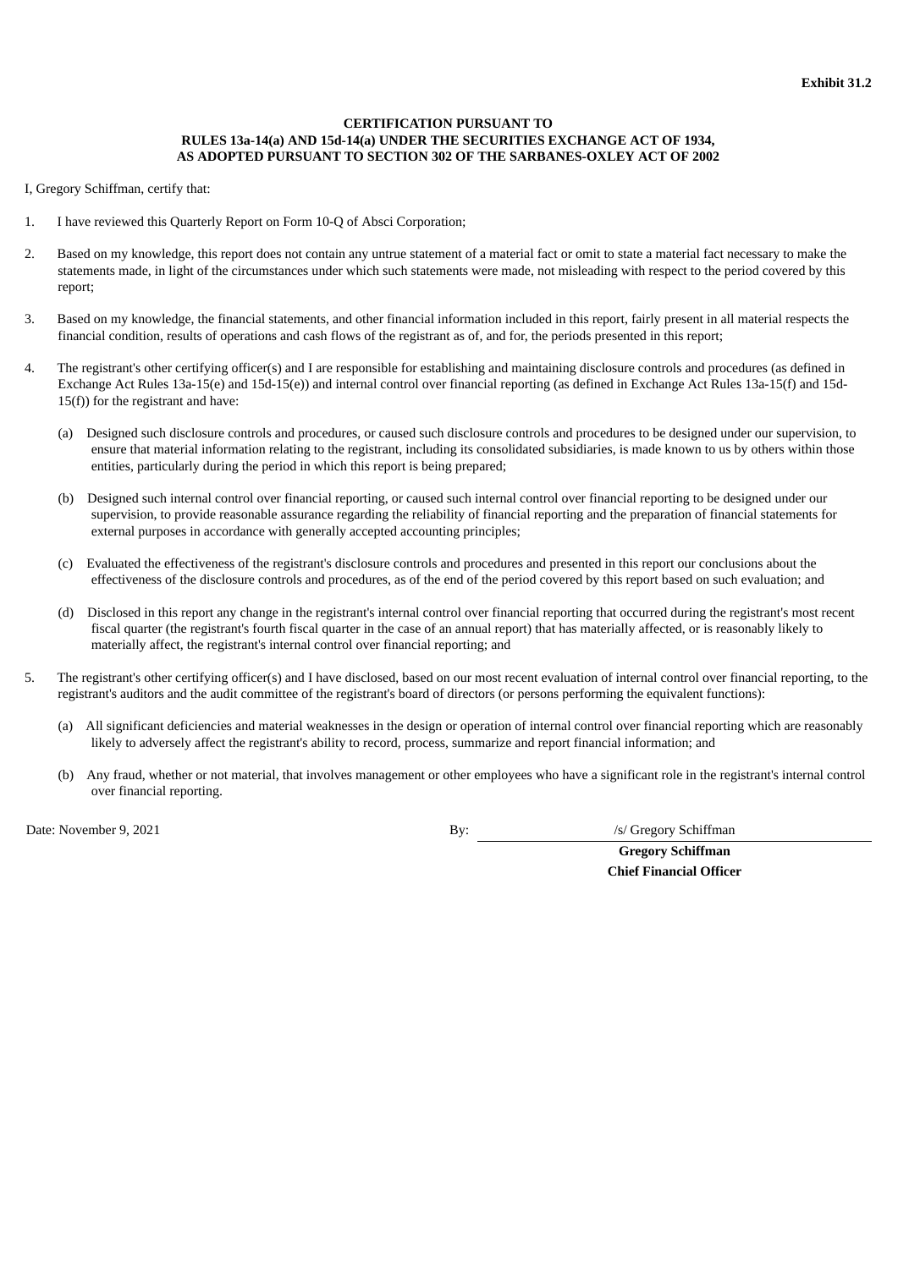# **CERTIFICATION PURSUANT TO RULES 13a-14(a) AND 15d-14(a) UNDER THE SECURITIES EXCHANGE ACT OF 1934, AS ADOPTED PURSUANT TO SECTION 302 OF THE SARBANES-OXLEY ACT OF 2002**

<span id="page-96-0"></span>I, Gregory Schiffman, certify that:

- 1. I have reviewed this Quarterly Report on Form 10-Q of Absci Corporation;
- 2. Based on my knowledge, this report does not contain any untrue statement of a material fact or omit to state a material fact necessary to make the statements made, in light of the circumstances under which such statements were made, not misleading with respect to the period covered by this report;
- 3. Based on my knowledge, the financial statements, and other financial information included in this report, fairly present in all material respects the financial condition, results of operations and cash flows of the registrant as of, and for, the periods presented in this report;
- 4. The registrant's other certifying officer(s) and I are responsible for establishing and maintaining disclosure controls and procedures (as defined in Exchange Act Rules 13a-15(e) and 15d-15(e)) and internal control over financial reporting (as defined in Exchange Act Rules 13a-15(f) and 15d-15(f)) for the registrant and have:
	- (a) Designed such disclosure controls and procedures, or caused such disclosure controls and procedures to be designed under our supervision, to ensure that material information relating to the registrant, including its consolidated subsidiaries, is made known to us by others within those entities, particularly during the period in which this report is being prepared;
	- (b) Designed such internal control over financial reporting, or caused such internal control over financial reporting to be designed under our supervision, to provide reasonable assurance regarding the reliability of financial reporting and the preparation of financial statements for external purposes in accordance with generally accepted accounting principles;
	- (c) Evaluated the effectiveness of the registrant's disclosure controls and procedures and presented in this report our conclusions about the effectiveness of the disclosure controls and procedures, as of the end of the period covered by this report based on such evaluation; and
	- (d) Disclosed in this report any change in the registrant's internal control over financial reporting that occurred during the registrant's most recent fiscal quarter (the registrant's fourth fiscal quarter in the case of an annual report) that has materially affected, or is reasonably likely to materially affect, the registrant's internal control over financial reporting; and
- 5. The registrant's other certifying officer(s) and I have disclosed, based on our most recent evaluation of internal control over financial reporting, to the registrant's auditors and the audit committee of the registrant's board of directors (or persons performing the equivalent functions):
	- (a) All significant deficiencies and material weaknesses in the design or operation of internal control over financial reporting which are reasonably likely to adversely affect the registrant's ability to record, process, summarize and report financial information; and
	- (b) Any fraud, whether or not material, that involves management or other employees who have a significant role in the registrant's internal control over financial reporting.

Date: November 9, 2021 By: /s/ Gregory Schiffman

**Gregory Schiffman Chief Financial Officer**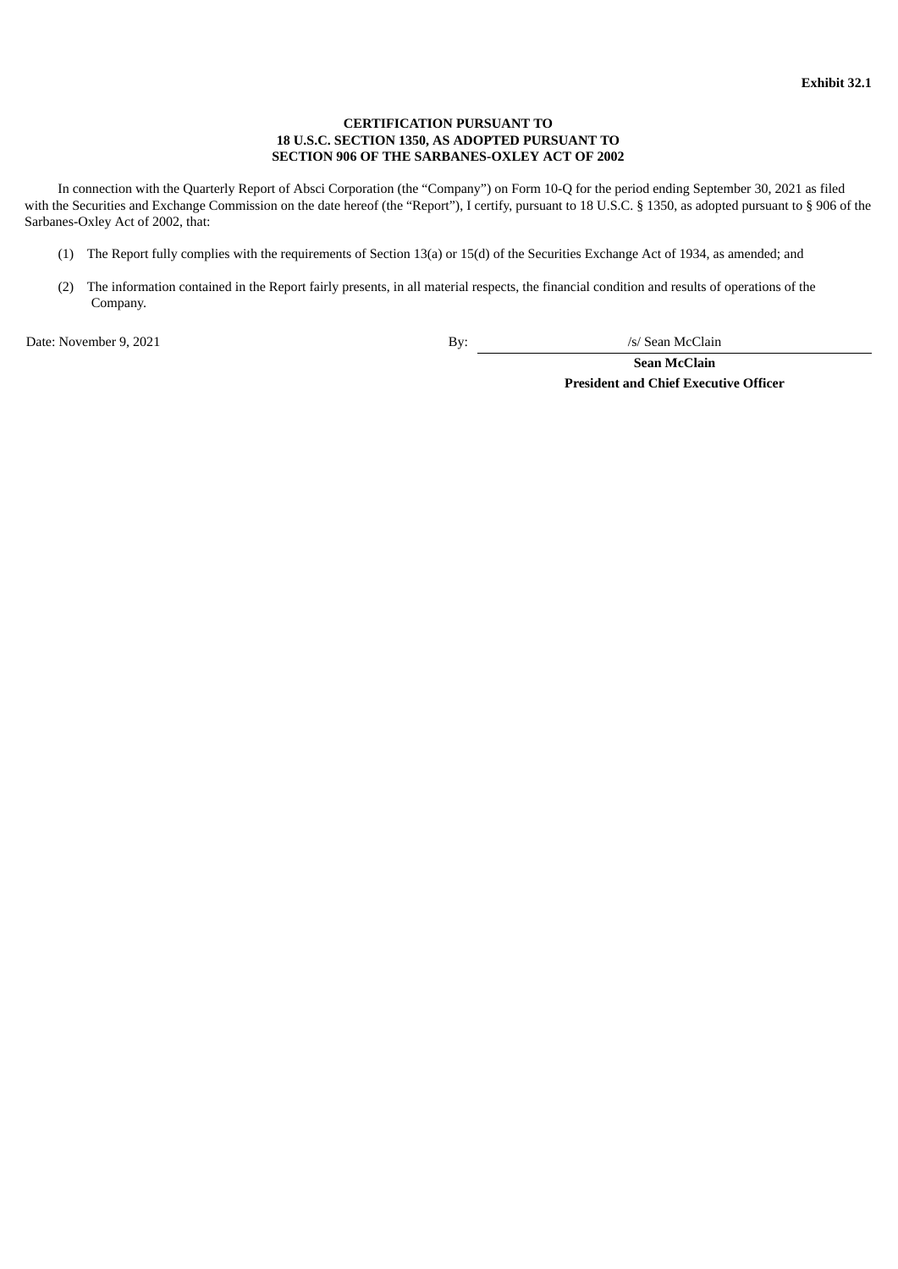# **CERTIFICATION PURSUANT TO 18 U.S.C. SECTION 1350, AS ADOPTED PURSUANT TO SECTION 906 OF THE SARBANES-OXLEY ACT OF 2002**

<span id="page-97-0"></span>In connection with the Quarterly Report of Absci Corporation (the "Company") on Form 10-Q for the period ending September 30, 2021 as filed with the Securities and Exchange Commission on the date hereof (the "Report"), I certify, pursuant to 18 U.S.C. § 1350, as adopted pursuant to § 906 of the Sarbanes-Oxley Act of 2002, that:

- (1) The Report fully complies with the requirements of Section 13(a) or 15(d) of the Securities Exchange Act of 1934, as amended; and
- (2) The information contained in the Report fairly presents, in all material respects, the financial condition and results of operations of the Company.

Date: November 9, 2021 By: /s/ Sean McClain

**Sean McClain President and Chief Executive Officer**